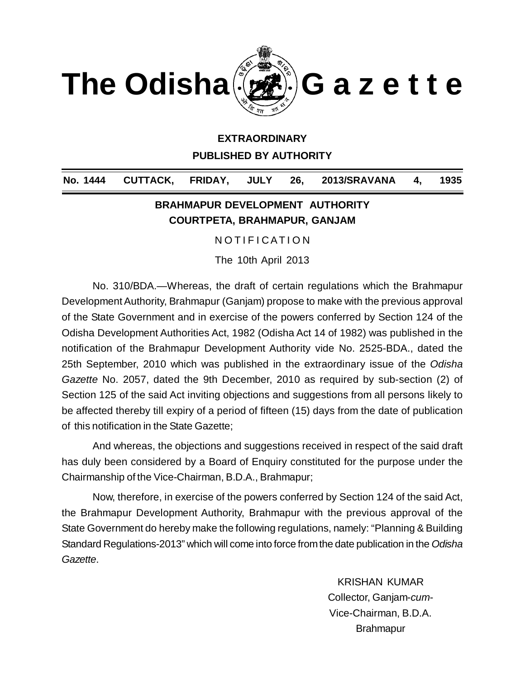

### **EXTRAORDINARY**

**PUBLISHED BY AUTHORITY**

**No. 1444 CUTTACK, FRIDAY, JULY 26, 2013/SRAVANA 4, 1935**

## **BRAHMAPUR DEVELOPMENT AUTHORITY COURTPETA, BRAHMAPUR, GANJAM**

NOTIFICATION

The 10th April 2013

No. 310/BDA.—Whereas, the draft of certain regulations which the Brahmapur Development Authority, Brahmapur (Ganjam) propose to make with the previous approval of the State Government and in exercise of the powers conferred by Section 124 of the Odisha Development Authorities Act, 1982 (Odisha Act 14 of 1982) was published in the notification of the Brahmapur Development Authority vide No. 2525-BDA., dated the 25th September, 2010 which was published in the extraordinary issue of the *Odisha Gazette* No. 2057, dated the 9th December, 2010 as required by sub-section (2) of Section 125 of the said Act inviting objections and suggestions from all persons likely to be affected thereby till expiry of a period of fifteen (15) days from the date of publication of this notification in the State Gazette;

And whereas, the objections and suggestions received in respect of the said draft has duly been considered by a Board of Enquiry constituted for the purpose under the Chairmanship of the Vice-Chairman, B.D.A., Brahmapur;

Now, therefore, in exercise of the powers conferred by Section 124 of the said Act, the Brahmapur Development Authority, Brahmapur with the previous approval of the State Government do hereby make the following regulations, namely: "Planning & Building Standard Regulations-2013" which will come into force from the date publication in the *Odisha Gazette*.

> KRISHAN KUMAR Collector, Ganjam-*cum*-Vice-Chairman, B.D.A. Brahmapur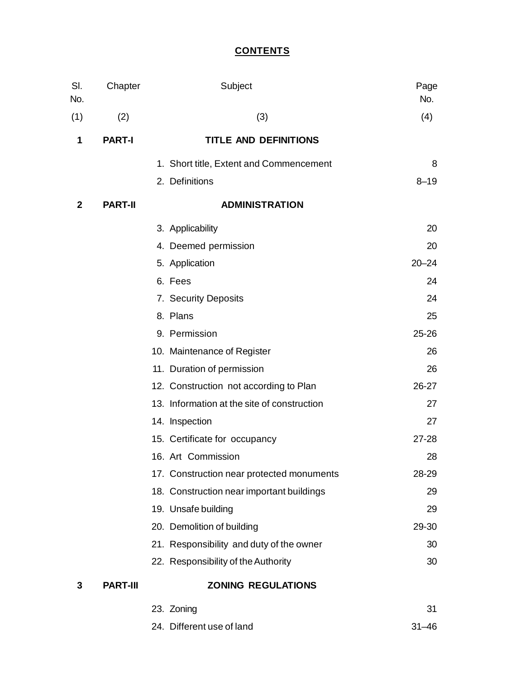# **CONTENTS**

| SI.<br>No. | Chapter         | Subject                                     | Page<br>No. |
|------------|-----------------|---------------------------------------------|-------------|
| (1)        | (2)             | (3)                                         | (4)         |
| 1          | <b>PART-I</b>   | <b>TITLE AND DEFINITIONS</b>                |             |
|            |                 | 1. Short title, Extent and Commencement     | 8           |
|            |                 | 2. Definitions                              | $8 - 19$    |
| 2          | <b>PART-II</b>  | <b>ADMINISTRATION</b>                       |             |
|            |                 | 3. Applicability                            | 20          |
|            |                 | 4. Deemed permission                        | 20          |
|            |                 | 5. Application                              | $20 - 24$   |
|            |                 | 6. Fees                                     | 24          |
|            |                 | 7. Security Deposits                        | 24          |
|            |                 | 8. Plans                                    | 25          |
|            |                 | 9. Permission                               | 25-26       |
|            |                 | 10. Maintenance of Register                 | 26          |
|            |                 | 11. Duration of permission                  | 26          |
|            |                 | 12. Construction not according to Plan      | 26-27       |
|            |                 | 13. Information at the site of construction | 27          |
|            |                 | 14. Inspection                              | 27          |
|            |                 | 15. Certificate for occupancy               | 27-28       |
|            |                 | 16. Art Commission                          | 28          |
|            |                 | 17. Construction near protected monuments   | 28-29       |
|            |                 | 18. Construction near important buildings   | 29          |
|            |                 | 19. Unsafe building                         | 29          |
|            |                 | 20. Demolition of building                  | 29-30       |
|            |                 | 21. Responsibility and duty of the owner    | 30          |
|            |                 | 22. Responsibility of the Authority         | 30          |
| 3          | <b>PART-III</b> | <b>ZONING REGULATIONS</b>                   |             |
|            |                 | 23. Zoning                                  | 31          |

24. Different use of land 31–46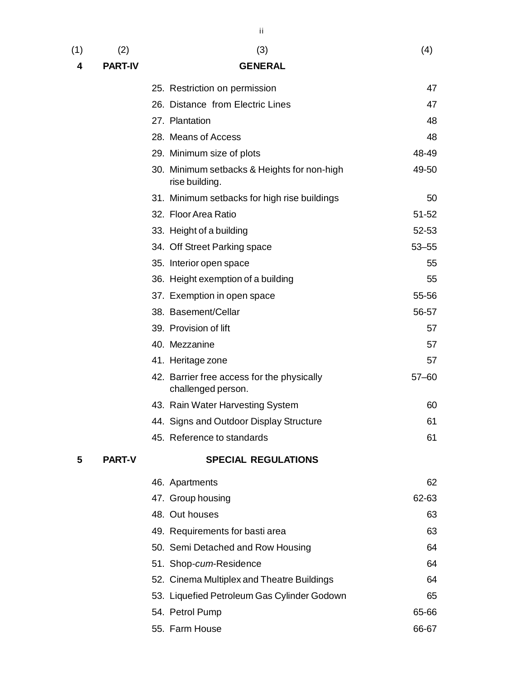$(1)$   $(2)$   $(3)$   $(4)$ 

**4 PART-IV GENERAL**

ii

|               | 25. Restriction on permission                                    | 47        |
|---------------|------------------------------------------------------------------|-----------|
|               | 26. Distance from Electric Lines                                 | 47        |
|               | 27. Plantation                                                   | 48        |
|               | 28. Means of Access                                              | 48        |
|               | 29. Minimum size of plots                                        | 48-49     |
|               | 30. Minimum setbacks & Heights for non-high<br>rise building.    | 49-50     |
|               | 31. Minimum setbacks for high rise buildings                     | 50        |
|               | 32. Floor Area Ratio                                             | 51-52     |
|               | 33. Height of a building                                         | 52-53     |
|               | 34. Off Street Parking space                                     | $53 - 55$ |
|               | 35. Interior open space                                          | 55        |
|               | 36. Height exemption of a building                               | 55        |
|               | 37. Exemption in open space                                      | 55-56     |
|               | 38. Basement/Cellar                                              | 56-57     |
|               | 39. Provision of lift                                            | 57        |
|               | 40. Mezzanine                                                    | 57        |
|               | 41. Heritage zone                                                | 57        |
|               | 42. Barrier free access for the physically<br>challenged person. | $57 - 60$ |
|               | 43. Rain Water Harvesting System                                 | 60        |
|               | 44. Signs and Outdoor Display Structure                          | 61        |
|               | 45. Reference to standards                                       | 61        |
| <b>PART-V</b> | <b>SPECIAL REGULATIONS</b>                                       |           |
|               | 46. Apartments                                                   | 62        |
|               | 47. Group housing                                                | 62-63     |
|               | 48. Out houses                                                   | 63        |
|               | 49. Requirements for basti area                                  | 63        |
|               | 50. Semi Detached and Row Housing                                | 64        |
|               | 51. Shop-cum-Residence                                           | 64        |
|               | 52. Cinema Multiplex and Theatre Buildings                       | 64        |
|               | 53. Liquefied Petroleum Gas Cylinder Godown                      | 65        |
|               | 54. Petrol Pump                                                  | 65-66     |
|               | 55. Farm House                                                   | 66-67     |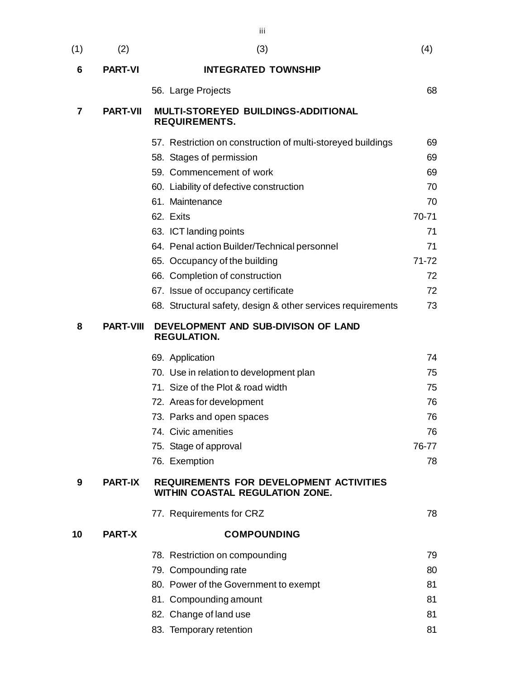| (1) | (2)              | (3)                                                                               | (4)   |
|-----|------------------|-----------------------------------------------------------------------------------|-------|
| 6   | <b>PART-VI</b>   | <b>INTEGRATED TOWNSHIP</b>                                                        |       |
|     |                  | 56. Large Projects                                                                | 68    |
| 7   | <b>PART-VII</b>  | MULTI-STOREYED BUILDINGS-ADDITIONAL<br><b>REQUIREMENTS.</b>                       |       |
|     |                  | 57. Restriction on construction of multi-storeyed buildings                       | 69    |
|     |                  | 58. Stages of permission                                                          | 69    |
|     |                  | 59. Commencement of work                                                          | 69    |
|     |                  | 60. Liability of defective construction                                           | 70    |
|     |                  | 61. Maintenance                                                                   | 70    |
|     |                  | 62. Exits                                                                         | 70-71 |
|     |                  | 63. ICT landing points                                                            | 71    |
|     |                  | 64. Penal action Builder/Technical personnel                                      | 71    |
|     |                  | 65. Occupancy of the building                                                     | 71-72 |
|     |                  | 66. Completion of construction                                                    | 72    |
|     |                  | 67. Issue of occupancy certificate                                                | 72    |
|     |                  | 68. Structural safety, design & other services requirements                       | 73    |
| 8   | <b>PART-VIII</b> | DEVELOPMENT AND SUB-DIVISON OF LAND<br><b>REGULATION.</b>                         |       |
|     |                  | 69. Application                                                                   | 74    |
|     |                  | 70. Use in relation to development plan                                           | 75    |
|     |                  | 71. Size of the Plot & road width                                                 | 75    |
|     |                  | 72. Areas for development                                                         | 76    |
|     |                  | 73. Parks and open spaces                                                         | 76    |
|     |                  | 74. Civic amenities                                                               | 76    |
|     |                  | 75. Stage of approval                                                             | 76-77 |
|     |                  | 76. Exemption                                                                     | 78    |
| 9   | <b>PART-IX</b>   | <b>REQUIREMENTS FOR DEVELOPMENT ACTIVITIES</b><br>WITHIN COASTAL REGULATION ZONE. |       |
|     |                  | 77. Requirements for CRZ                                                          | 78    |
| 10  | <b>PART-X</b>    | <b>COMPOUNDING</b>                                                                |       |
|     |                  | 78. Restriction on compounding                                                    | 79    |
|     |                  | 79. Compounding rate                                                              | 80    |
|     |                  | 80. Power of the Government to exempt                                             | 81    |
|     |                  | 81. Compounding amount                                                            | 81    |
|     |                  | 82. Change of land use                                                            | 81    |

83. Temporary retention 81

iii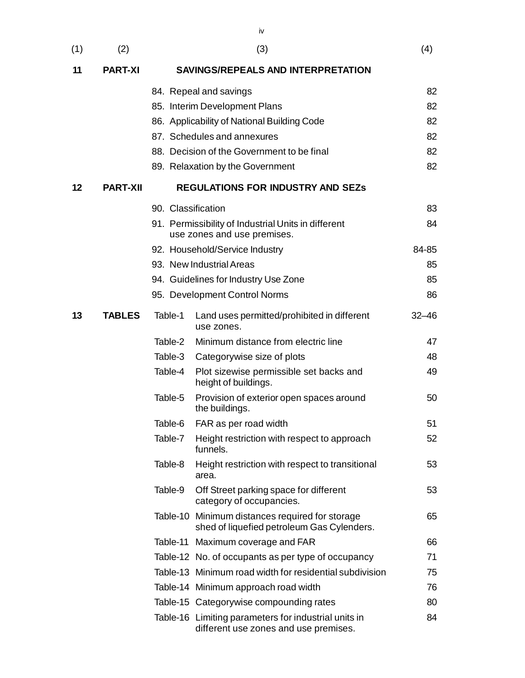| (1) | (2)             |                                             | (3)                                                                                           | (4)       |  |  |  |  |
|-----|-----------------|---------------------------------------------|-----------------------------------------------------------------------------------------------|-----------|--|--|--|--|
| 11  | <b>PART-XI</b>  |                                             | <b>SAVINGS/REPEALS AND INTERPRETATION</b>                                                     |           |  |  |  |  |
|     |                 |                                             | 84. Repeal and savings                                                                        | 82        |  |  |  |  |
|     |                 |                                             | 85. Interim Development Plans                                                                 | 82        |  |  |  |  |
|     |                 | 86. Applicability of National Building Code |                                                                                               |           |  |  |  |  |
|     |                 |                                             | 87. Schedules and annexures                                                                   | 82        |  |  |  |  |
|     |                 |                                             | 88. Decision of the Government to be final                                                    | 82        |  |  |  |  |
|     |                 |                                             | 89. Relaxation by the Government                                                              | 82        |  |  |  |  |
| 12  | <b>PART-XII</b> |                                             | <b>REGULATIONS FOR INDUSTRY AND SEZS</b>                                                      |           |  |  |  |  |
|     |                 | 90. Classification                          |                                                                                               | 83        |  |  |  |  |
|     |                 |                                             | 91. Permissibility of Industrial Units in different<br>use zones and use premises.            | 84        |  |  |  |  |
|     |                 |                                             | 92. Household/Service Industry                                                                | 84-85     |  |  |  |  |
|     |                 |                                             | 93. New Industrial Areas                                                                      | 85        |  |  |  |  |
|     |                 |                                             | 94. Guidelines for Industry Use Zone                                                          | 85        |  |  |  |  |
|     |                 |                                             | 95. Development Control Norms                                                                 | 86        |  |  |  |  |
| 13  | <b>TABLES</b>   | Table-1                                     | Land uses permitted/prohibited in different<br>use zones.                                     | $32 - 46$ |  |  |  |  |
|     |                 | Table-2                                     | Minimum distance from electric line                                                           | 47        |  |  |  |  |
|     |                 | Table-3                                     | Categorywise size of plots                                                                    | 48        |  |  |  |  |
|     |                 | Table-4                                     | Plot sizewise permissible set backs and<br>height of buildings.                               | 49        |  |  |  |  |
|     |                 | Table-5                                     | Provision of exterior open spaces around<br>the buildings.                                    | 50        |  |  |  |  |
|     |                 | Table-6                                     | FAR as per road width                                                                         | 51        |  |  |  |  |
|     |                 | Table-7                                     | Height restriction with respect to approach<br>funnels.                                       | 52        |  |  |  |  |
|     |                 | Table-8                                     | Height restriction with respect to transitional<br>area.                                      | 53        |  |  |  |  |
|     |                 | Table-9                                     | Off Street parking space for different<br>category of occupancies.                            | 53        |  |  |  |  |
|     |                 |                                             | Table-10 Minimum distances required for storage<br>shed of liquefied petroleum Gas Cylenders. | 65        |  |  |  |  |
|     |                 |                                             | Table-11 Maximum coverage and FAR                                                             | 66        |  |  |  |  |
|     |                 |                                             | Table-12 No. of occupants as per type of occupancy                                            | 71        |  |  |  |  |
|     |                 |                                             | Table-13 Minimum road width for residential subdivision                                       | 75        |  |  |  |  |
|     |                 |                                             | Table-14 Minimum approach road width                                                          | 76        |  |  |  |  |
|     |                 |                                             | Table-15 Categorywise compounding rates                                                       | 80        |  |  |  |  |

Table-16 Limiting parameters for industrial units in  $84$ different use zones and use premises.

iv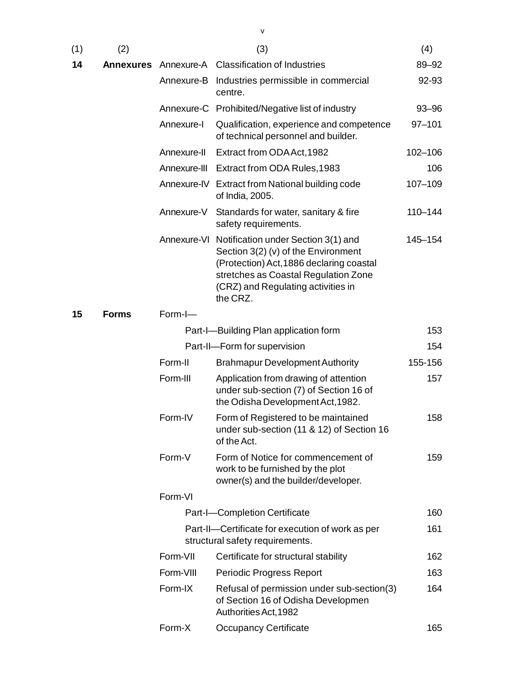| (1) | (2)              |             | (3)                                                                                                                                                                                                                          | (4)         |
|-----|------------------|-------------|------------------------------------------------------------------------------------------------------------------------------------------------------------------------------------------------------------------------------|-------------|
| 14  | <b>Annexures</b> |             | Annexure-A Classification of Industries                                                                                                                                                                                      | 89-92       |
|     |                  | Annexure-B  | Industries permissible in commercial<br>centre.                                                                                                                                                                              | 92-93       |
|     |                  |             | Annexure-C Prohibited/Negative list of industry                                                                                                                                                                              | $93 - 96$   |
|     |                  | Annexure-I  | Qualification, experience and competence<br>of technical personnel and builder.                                                                                                                                              | $97 - 101$  |
|     |                  | Annexure-II | Extract from ODA Act, 1982                                                                                                                                                                                                   | 102-106     |
|     |                  |             | Annexure-III Extract from ODA Rules, 1983                                                                                                                                                                                    | 106         |
|     |                  |             | Annexure-IV Extract from National building code<br>of India, 2005.                                                                                                                                                           | 107-109     |
|     |                  | Annexure-V  | Standards for water, sanitary & fire<br>safety requirements.                                                                                                                                                                 | $110 - 144$ |
|     |                  |             | Annexure-VI Notification under Section 3(1) and<br>Section 3(2) (v) of the Environment<br>(Protection) Act, 1886 declaring coastal<br>stretches as Coastal Regulation Zone<br>(CRZ) and Regulating activities in<br>the CRZ. | 145-154     |
| 15  | <b>Forms</b>     | Form-I-     |                                                                                                                                                                                                                              |             |
|     |                  |             | Part-I-Building Plan application form                                                                                                                                                                                        | 153         |
|     |                  |             | Part-II-Form for supervision                                                                                                                                                                                                 | 154         |
|     |                  | Form-II     | <b>Brahmapur Development Authority</b>                                                                                                                                                                                       | 155-156     |
|     |                  | Form-III    | Application from drawing of attention<br>under sub-section (7) of Section 16 of<br>the Odisha Development Act, 1982.                                                                                                         | 157         |
|     |                  | Form-IV     | Form of Registered to be maintained<br>under sub-section (11 & 12) of Section 16<br>of the Act.                                                                                                                              | 158         |
|     |                  | Form-V      | Form of Notice for commencement of<br>work to be furnished by the plot<br>owner(s) and the builder/developer.                                                                                                                | 159         |
|     |                  | Form-VI     |                                                                                                                                                                                                                              |             |
|     |                  |             | Part-I-Completion Certificate                                                                                                                                                                                                | 160         |
|     |                  |             | Part-II-Certificate for execution of work as per<br>structural safety requirements.                                                                                                                                          | 161         |
|     |                  | Form-VII    | Certificate for structural stability                                                                                                                                                                                         | 162         |
|     |                  | Form-VIII   | Periodic Progress Report                                                                                                                                                                                                     | 163         |
|     |                  | Form-IX     | Refusal of permission under sub-section(3)<br>of Section 16 of Odisha Developmen<br>Authorities Act, 1982                                                                                                                    | 164         |
|     |                  | Form-X      | <b>Occupancy Certificate</b>                                                                                                                                                                                                 | 165         |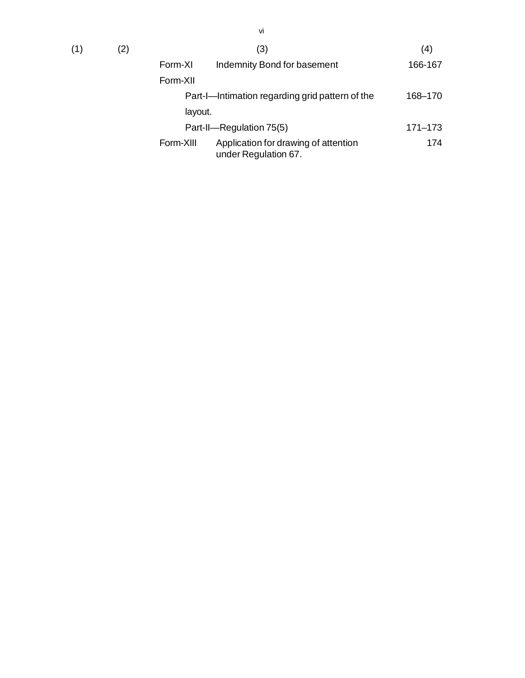|           | (3)                                                          | (4)         |
|-----------|--------------------------------------------------------------|-------------|
| Form-XI   | Indemnity Bond for basement                                  | 166-167     |
| Form-XII  |                                                              |             |
|           | Part-I-Intimation regarding grid pattern of the              | 168-170     |
| layout.   |                                                              |             |
|           | Part-II-Regulation 75(5)                                     | $171 - 173$ |
| Form-XIII | Application for drawing of attention<br>under Regulation 67. | 174         |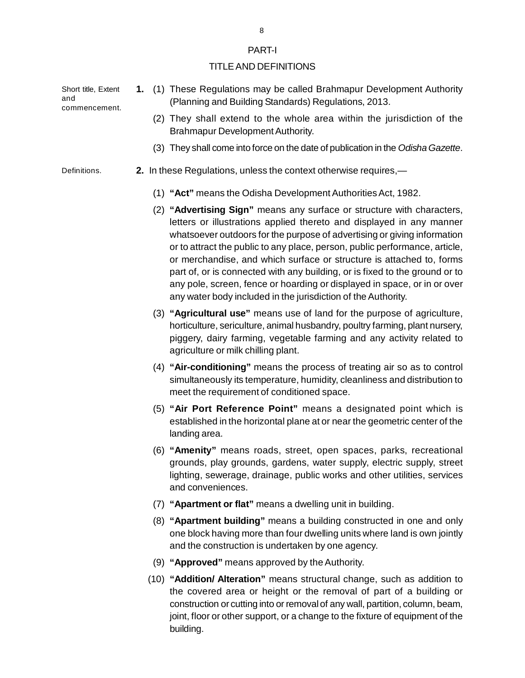#### PART-I

#### TITLE AND DEFINITIONS

Short title, Extent and commencement.

- **1.** (1) These Regulations may be called Brahmapur Development Authority (Planning and Building Standards) Regulations, 2013.
	- (2) They shall extend to the whole area within the jurisdiction of the Brahmapur Development Authority.
	- (3) They shall come into force on the date of publication in the *Odisha Gazette*.

Definitions.

- **2.** In these Regulations, unless the context otherwise requires,—
	- (1) **"Act"** means the Odisha Development Authorities Act, 1982.
	- (2) **"Advertising Sign"** means any surface or structure with characters, letters or illustrations applied thereto and displayed in any manner whatsoever outdoors for the purpose of advertising or giving information or to attract the public to any place, person, public performance, article, or merchandise, and which surface or structure is attached to, forms part of, or is connected with any building, or is fixed to the ground or to any pole, screen, fence or hoarding or displayed in space, or in or over any water body included in the jurisdiction of the Authority.
	- (3) **"Agricultural use"** means use of land for the purpose of agriculture, horticulture, sericulture, animal husbandry, poultry farming, plant nursery, piggery, dairy farming, vegetable farming and any activity related to agriculture or milk chilling plant.
	- (4) **"Air-conditioning"** means the process of treating air so as to control simultaneously its temperature, humidity, cleanliness and distribution to meet the requirement of conditioned space.
	- (5) **"Air Port Reference Point"** means a designated point which is established in the horizontal plane at or near the geometric center of the landing area.
	- (6) **"Amenity"** means roads, street, open spaces, parks, recreational grounds, play grounds, gardens, water supply, electric supply, street lighting, sewerage, drainage, public works and other utilities, services and conveniences.
	- (7) **"Apartment or flat"** means a dwelling unit in building.
	- (8) **"Apartment building"** means a building constructed in one and only one block having more than four dwelling units where land is own jointly and the construction is undertaken by one agency.
	- (9) **"Approved"** means approved by the Authority.
	- (10) **"Addition/ Alteration"** means structural change, such as addition to the covered area or height or the removal of part of a building or construction or cutting into or removal of any wall, partition, column, beam, joint, floor or other support, or a change to the fixture of equipment of the building.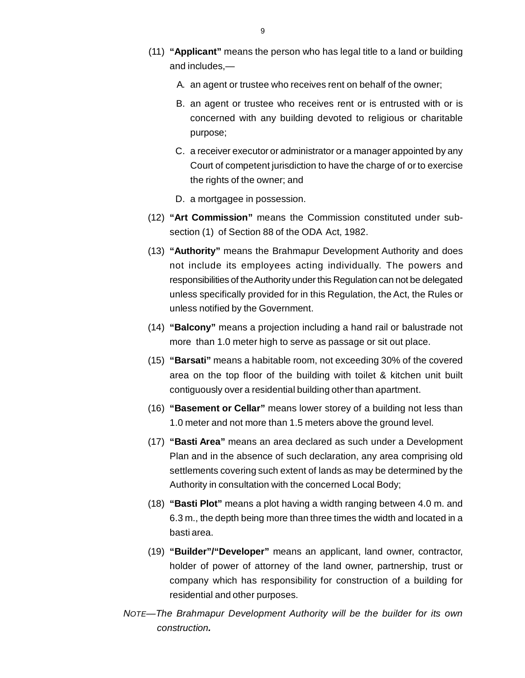- (11) **"Applicant"** means the person who has legal title to a land or buildin[g](http://www.docu-track.com/buy/) and includes,—
	- A. an agent or trustee who receives rent on behalf of the owner;
	- B. an agent or trustee who receives rent or is entrusted with or is concerned with any building devoted to religious or charitable purpose;
	- C. a receiver executor or administrator or a manager appointed by any Court of competent jurisdiction to have the charge of or to exercise the rights of the owner; and
	- D. a mortgagee in possession.
- (12) **"Art Commission"** means the Commission constituted under subsection (1) of Section 88 of the ODA Act, 1982.
- (13) **"Authority"** means the Brahmapur Development Authority and does not include its employees acting individually. The powers and responsibilities of the Authority under this Regulation can not be delegated unless specifically provided for in this Regulation, the Act, the Rules or unless notified by the Government.
- (14) **"Balcony"** means a projection including a hand rail or balustrade not more than 1.0 meter high to serve as passage or sit out place.
- (15) **"Barsati"** means a habitable room, not exceeding 30% of the covered area on the top floor of the building with toilet & kitchen unit built contiguously over a residential building other than apartment.
- (16) **"Basement or Cellar"** means lower storey of a building not less than 1.0 meter and not more than 1.5 meters above the ground level.
- (17) **"Basti Area"** means an area declared as such under a Development Plan and in the absence of such declaration, any area comprising old settlements covering such extent of lands as may be determined by the Authority in consultation with the concerned Local Body;
- (18) **"Basti Plot"** means a plot having a width ranging between 4.0 m. and 6.3 m., the depth being more than three times the width and located in a basti area.
- (19) **"Builder"/"Developer"** means an applicant, land owner, contractor, holder of power of attorney of the land owner, partnership, trust or company which has responsibility for construction of a building for residential and other purposes.
- *NOTE—The Brahmapur Development Authority will be the builder for its own construction.*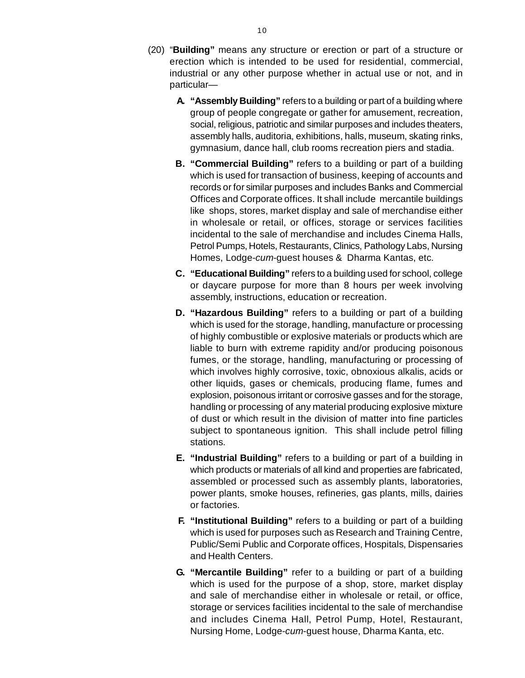- (20) "**Building"** means any structure or erection or part of a structure o[r](http://www.docu-track.com/buy/) erection which is intended to be used for residential, commercial, industrial or any other purpose whether in actual use or not, and in particular—
	- **A. "Assembly Building"** refers to a building or part of a building where group of people congregate or gather for amusement, recreation, social, religious, patriotic and similar purposes and includes theaters, assembly halls, auditoria, exhibitions, halls, museum, skating rinks, gymnasium, dance hall, club rooms recreation piers and stadia.
	- **B. "Commercial Building"** refers to a building or part of a building which is used for transaction of business, keeping of accounts and records or for similar purposes and includes Banks and Commercial Offices and Corporate offices. It shall include mercantile buildings like shops, stores, market display and sale of merchandise either in wholesale or retail, or offices, storage or services facilities incidental to the sale of merchandise and includes Cinema Halls, Petrol Pumps, Hotels, Restaurants, Clinics, Pathology Labs, Nursing Homes, Lodge-*cum*-guest houses & Dharma Kantas, etc.
	- **C. "Educational Building"** refers to a building used for school, college or daycare purpose for more than 8 hours per week involving assembly, instructions, education or recreation.
	- **D. "Hazardous Building"** refers to a building or part of a building which is used for the storage, handling, manufacture or processing of highly combustible or explosive materials or products which are liable to burn with extreme rapidity and/or producing poisonous fumes, or the storage, handling, manufacturing or processing of which involves highly corrosive, toxic, obnoxious alkalis, acids or other liquids, gases or chemicals, producing flame, fumes and explosion, poisonous irritant or corrosive gasses and for the storage, handling or processing of any material producing explosive mixture of dust or which result in the division of matter into fine particles subject to spontaneous ignition. This shall include petrol filling stations.
	- **E. "Industrial Building"** refers to a building or part of a building in which products or materials of all kind and properties are fabricated, assembled or processed such as assembly plants, laboratories, power plants, smoke houses, refineries, gas plants, mills, dairies or factories.
	- **F. "Institutional Building"** refers to a building or part of a building which is used for purposes such as Research and Training Centre, Public/Semi Public and Corporate offices, Hospitals, Dispensaries and Health Centers.
	- **G. "Mercantile Building"** refer to a building or part of a building which is used for the purpose of a shop, store, market display and sale of merchandise either in wholesale or retail, or office, storage or services facilities incidental to the sale of merchandise and includes Cinema Hall, Petrol Pump, Hotel, Restaurant, Nursing Home, Lodge-*cum*-guest house, Dharma Kanta, etc.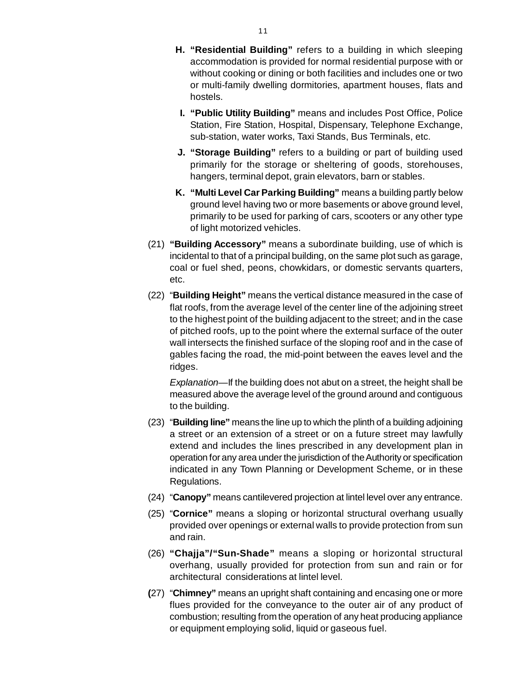- **H. "Residential Building"** refers to a building in which sleepin[g](http://www.docu-track.com/buy/) accommodation is provided for normal residential purpose with or without cooking or dining or both facilities and includes one or two or multi-family dwelling dormitories, apartment houses, flats and hostels.
	- **I. "Public Utility Building"** means and includes Post Office, Police Station, Fire Station, Hospital, Dispensary, Telephone Exchange, sub-station, water works, Taxi Stands, Bus Terminals, etc.
- **J. "Storage Building"** refers to a building or part of building used primarily for the storage or sheltering of goods, storehouses, hangers, terminal depot, grain elevators, barn or stables.
- **K. "Multi Level Car Parking Building"** means a building partly below ground level having two or more basements or above ground level, primarily to be used for parking of cars, scooters or any other type of light motorized vehicles.
- (21) **"Building Accessory"** means a subordinate building, use of which is incidental to that of a principal building, on the same plot such as garage, coal or fuel shed, peons, chowkidars, or domestic servants quarters, etc.
- (22) "**Building Height"** means the vertical distance measured in the case of flat roofs, from the average level of the center line of the adjoining street to the highest point of the building adjacent to the street; and in the case of pitched roofs, up to the point where the external surface of the outer wall intersects the finished surface of the sloping roof and in the case of gables facing the road, the mid-point between the eaves level and the ridges.

*Explanation*—If the building does not abut on a street, the height shall be measured above the average level of the ground around and contiguous to the building.

- (23) "**Building line"** means the line up to which the plinth of a building adjoining a street or an extension of a street or on a future street may lawfully extend and includes the lines prescribed in any development plan in operation for any area under the jurisdiction of the Authority or specification indicated in any Town Planning or Development Scheme, or in these Regulations.
- (24) "**Canopy"** means cantilevered projection at lintel level over any entrance.
- (25) "**Cornice"** means a sloping or horizontal structural overhang usually provided over openings or external walls to provide protection from sun and rain.
- (26) **"Chajja"/"Sun-Shade"** means a sloping or horizontal structural overhang, usually provided for protection from sun and rain or for architectural considerations at lintel level.
- **(**27) "**Chimney"** means an upright shaft containing and encasing one or more flues provided for the conveyance to the outer air of any product of combustion; resulting from the operation of any heat producing appliance or equipment employing solid, liquid or gaseous fuel.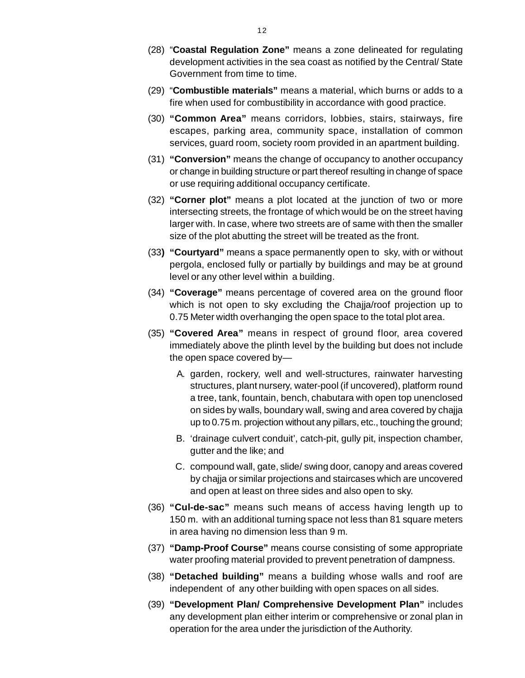- (28) "**Coastal Regulation Zone"** means a zone delineated for regulatin[g](http://www.docu-track.com/buy/) development activities in the sea coast as notified by the Central/ State Government from time to time.
- (29) "**Combustible materials"** means a material, which burns or adds to a fire when used for combustibility in accordance with good practice.
- (30) **"Common Area"** means corridors, lobbies, stairs, stairways, fire escapes, parking area, community space, installation of common services, guard room, society room provided in an apartment building.
- (31) **"Conversion"** means the change of occupancy to another occupancy or change in building structure or part thereof resulting in change of space or use requiring additional occupancy certificate.
- (32) **"Corner plot"** means a plot located at the junction of two or more intersecting streets, the frontage of which would be on the street having larger with. In case, where two streets are of same with then the smaller size of the plot abutting the street will be treated as the front.
- (33**) "Courtyard"** means a space permanently open to sky, with or without pergola, enclosed fully or partially by buildings and may be at ground level or any other level within a building.
- (34) **"Coverage"** means percentage of covered area on the ground floor which is not open to sky excluding the Chajja/roof projection up to 0.75 Meter width overhanging the open space to the total plot area.
- (35) **"Covered Area"** means in respect of ground floor, area covered immediately above the plinth level by the building but does not include the open space covered by—
	- A. garden, rockery, well and well-structures, rainwater harvesting structures, plant nursery, water-pool (if uncovered), platform round a tree, tank, fountain, bench, chabutara with open top unenclosed on sides by walls, boundary wall, swing and area covered by chajja up to 0.75 m. projection without any pillars, etc., touching the ground;
	- B. 'drainage culvert conduit', catch-pit, gully pit, inspection chamber, gutter and the like; and
	- C. compound wall, gate, slide/ swing door, canopy and areas covered by chajja or similar projections and staircases which are uncovered and open at least on three sides and also open to sky.
- (36) **"Cul-de-sac"** means such means of access having length up to 150 m. with an additional turning space not less than 81 square meters in area having no dimension less than 9 m.
- (37) **"Damp-Proof Course"** means course consisting of some appropriate water proofing material provided to prevent penetration of dampness.
- (38) **"Detached building"** means a building whose walls and roof are independent of any other building with open spaces on all sides.
- (39) **"Development Plan/ Comprehensive Development Plan"** includes any development plan either interim or comprehensive or zonal plan in operation for the area under the jurisdiction of the Authority.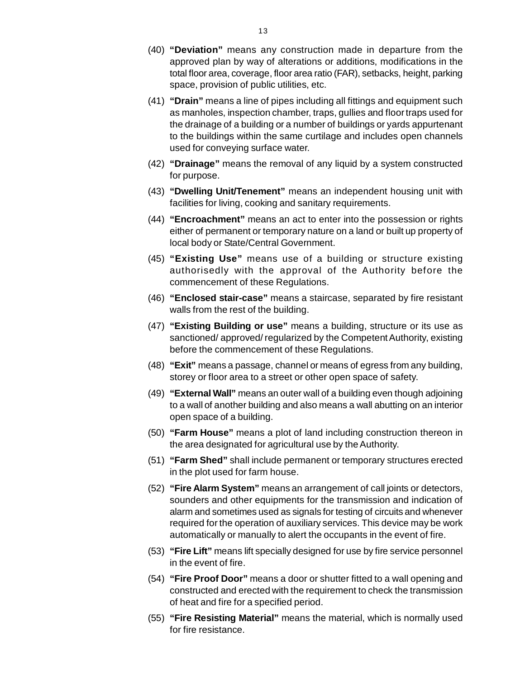- (40) **"Deviation"** means any construction made in departure from th[e](http://www.docu-track.com/buy/) approved plan by way of alterations or additions, modifications in the total floor area, coverage, floor area ratio (FAR), setbacks, height, parking space, provision of public utilities, etc.
- (41) **"Drain"** means a line of pipes including all fittings and equipment such as manholes, inspection chamber, traps, gullies and floor traps used for the drainage of a building or a number of buildings or yards appurtenant to the buildings within the same curtilage and includes open channels used for conveying surface water.
- (42) **"Drainage"** means the removal of any liquid by a system constructed for purpose.
- (43) **"Dwelling Unit/Tenement"** means an independent housing unit with facilities for living, cooking and sanitary requirements.
- (44) **"Encroachment"** means an act to enter into the possession or rights either of permanent or temporary nature on a land or built up property of local body or State/Central Government.
- (45) **"Existing Use"** means use of a building or structure existing authorisedly with the approval of the Authority before the commencement of these Regulations.
- (46) **"Enclosed stair-case"** means a staircase, separated by fire resistant walls from the rest of the building.
- (47) **"Existing Building or use"** means a building, structure or its use as sanctioned/ approved/ regularized by the Competent Authority, existing before the commencement of these Regulations.
- (48) **"Exit"** means a passage, channel or means of egress from any building, storey or floor area to a street or other open space of safety.
- (49) **"External Wall"** means an outer wall of a building even though adjoining to a wall of another building and also means a wall abutting on an interior open space of a building.
- (50) **"Farm House"** means a plot of land including construction thereon in the area designated for agricultural use by the Authority.
- (51) **"Farm Shed"** shall include permanent or temporary structures erected in the plot used for farm house.
- (52) **"Fire Alarm System"** means an arrangement of call joints or detectors, sounders and other equipments for the transmission and indication of alarm and sometimes used as signals for testing of circuits and whenever required for the operation of auxiliary services. This device may be work automatically or manually to alert the occupants in the event of fire.
- (53) **"Fire Lift"** means lift specially designed for use by fire service personnel in the event of fire.
- (54) **"Fire Proof Door"** means a door or shutter fitted to a wall opening and constructed and erected with the requirement to check the transmission of heat and fire for a specified period.
- (55) **"Fire Resisting Material"** means the material, which is normally used for fire resistance.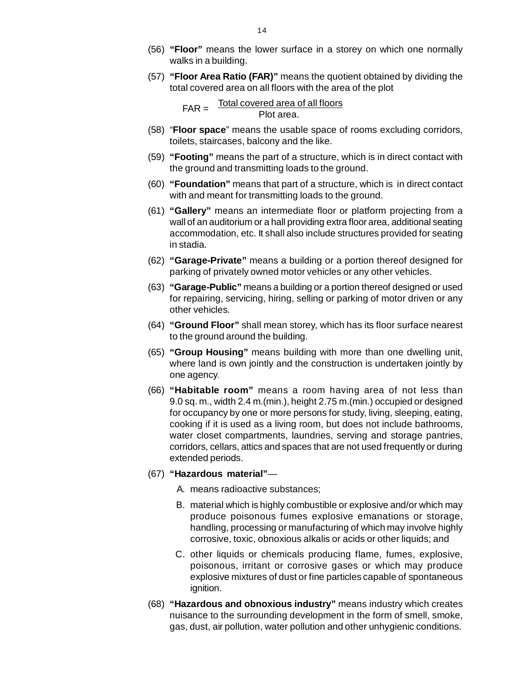- (56) **"Floor"** means the lower surface in a storey on which one normall[y](http://www.docu-track.com/buy/) walks in a building.
- (57) **"Floor Area Ratio (FAR)"** means the quotient obtained by dividing the total covered area on all floors with the area of the plot

 Total covered area of all floors Plot area.  $FAR =$ 

- (58) "**Floor space**" means the usable space of rooms excluding corridors, toilets, staircases, balcony and the like.
- (59) **"Footing"** means the part of a structure, which is in direct contact with the ground and transmitting loads to the ground.
- (60) **"Foundation"** means that part of a structure, which is in direct contact with and meant for transmitting loads to the ground.
- (61) **"Gallery"** means an intermediate floor or platform projecting from a wall of an auditorium or a hall providing extra floor area, additional seating accommodation, etc. It shall also include structures provided for seating in stadia.
- (62) **"Garage-Private"** means a building or a portion thereof designed for parking of privately owned motor vehicles or any other vehicles.
- (63) **"Garage-Public"** means a building or a portion thereof designed or used for repairing, servicing, hiring, selling or parking of motor driven or any other vehicles.
- (64) **"Ground Floor"** shall mean storey, which has its floor surface nearest to the ground around the building.
- (65) **"Group Housing"** means building with more than one dwelling unit, where land is own jointly and the construction is undertaken jointly by one agency.
- (66) **"Habitable room"** means a room having area of not less than 9.0 sq. m., width 2.4 m.(min.), height 2.75 m.(min.) occupied or designed for occupancy by one or more persons for study, living, sleeping, eating, cooking if it is used as a living room, but does not include bathrooms, water closet compartments, laundries, serving and storage pantries, corridors, cellars, attics and spaces that are not used frequently or during extended periods.
- (67) **"Hazardous material"**
	- A. means radioactive substances;
	- B. material which is highly combustible or explosive and/or which may produce poisonous fumes explosive emanations or storage, handling, processing or manufacturing of which may involve highly corrosive, toxic, obnoxious alkalis or acids or other liquids; and
	- C. other liquids or chemicals producing flame, fumes, explosive, poisonous, irritant or corrosive gases or which may produce explosive mixtures of dust or fine particles capable of spontaneous ignition.
- (68) **"Hazardous and obnoxious industry"** means industry which creates nuisance to the surrounding development in the form of smell, smoke, gas, dust, air pollution, water pollution and other unhygienic conditions.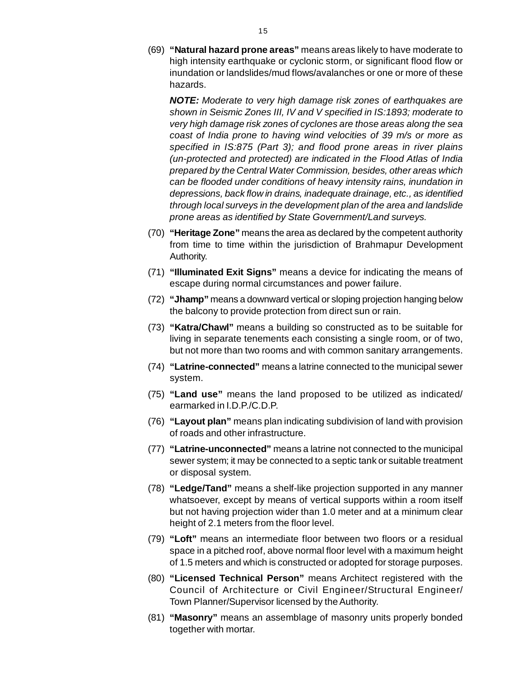(69) **"Natural hazard prone areas"** means areas likely to have moderate t[o](http://www.docu-track.com/buy/) high intensity earthquake or cyclonic storm, or significant flood flow or inundation or landslides/mud flows/avalanches or one or more of these hazards.

*NOTE: Moderate to very high damage risk zones of earthquakes are shown in Seismic Zones III, IV and V specified in IS:1893; moderate to very high damage risk zones of cyclones are those areas along the sea coast of India prone to having wind velocities of 39 m/s or more as specified in IS:875 (Part 3); and flood prone areas in river plains (un-protected and protected) are indicated in the Flood Atlas of India prepared by the Central Water Commission, besides, other areas which can be flooded under conditions of heavy intensity rains, inundation in depressions, back flow in drains, inadequate drainage, etc., as identified through local surveys in the development plan of the area and landslide prone areas as identified by State Government/Land surveys.*

- (70) **"Heritage Zone"** means the area as declared by the competent authority from time to time within the jurisdiction of Brahmapur Development Authority.
- (71) **"Illuminated Exit Signs"** means a device for indicating the means of escape during normal circumstances and power failure.
- (72) **"Jhamp"** means a downward vertical or sloping projection hanging below the balcony to provide protection from direct sun or rain.
- (73) **"Katra/Chawl"** means a building so constructed as to be suitable for living in separate tenements each consisting a single room, or of two, but not more than two rooms and with common sanitary arrangements.
- (74) **"Latrine-connected"** means a latrine connected to the municipal sewer system.
- (75) **"Land use"** means the land proposed to be utilized as indicated/ earmarked in I.D.P./C.D.P.
- (76) **"Layout plan"** means plan indicating subdivision of land with provision of roads and other infrastructure.
- (77) **"Latrine-unconnected"** means a latrine not connected to the municipal sewer system; it may be connected to a septic tank or suitable treatment or disposal system.
- (78) **"Ledge/Tand"** means a shelf-like projection supported in any manner whatsoever, except by means of vertical supports within a room itself but not having projection wider than 1.0 meter and at a minimum clear height of 2.1 meters from the floor level.
- (79) **"Loft"** means an intermediate floor between two floors or a residual space in a pitched roof, above normal floor level with a maximum height of 1.5 meters and which is constructed or adopted for storage purposes.
- (80) **"Licensed Technical Person"** means Architect registered with the Council of Architecture or Civil Engineer/Structural Engineer/ Town Planner/Supervisor licensed by the Authority.
- (81) **"Masonry"** means an assemblage of masonry units properly bonded together with mortar.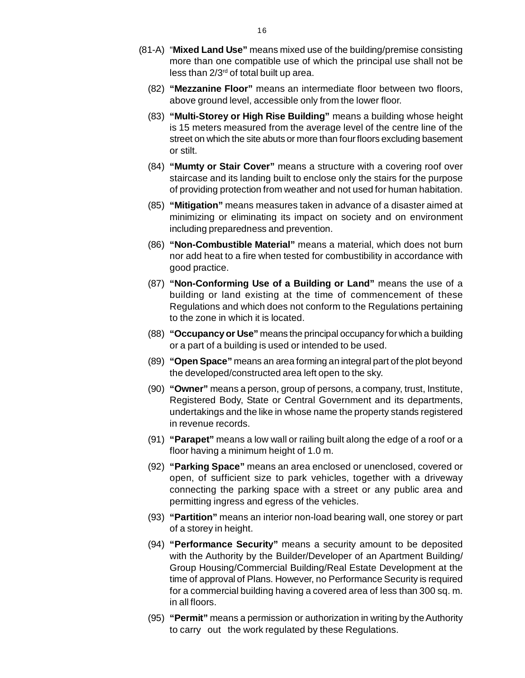- (81-A) "**Mixed Land Use"** means mixed use of the building/premise consistin[g](http://www.docu-track.com/buy/) more than one compatible use of which the principal use shall not be less than  $2/3<sup>rd</sup>$  of total built up area.
	- (82) **"Mezzanine Floor"** means an intermediate floor between two floors, above ground level, accessible only from the lower floor.
	- (83) **"Multi-Storey or High Rise Building"** means a building whose height is 15 meters measured from the average level of the centre line of the street on which the site abuts or more than four floors excluding basement or stilt.
	- (84) **"Mumty or Stair Cover"** means a structure with a covering roof over staircase and its landing built to enclose only the stairs for the purpose of providing protection from weather and not used for human habitation.
	- (85) **"Mitigation"** means measures taken in advance of a disaster aimed at minimizing or eliminating its impact on society and on environment including preparedness and prevention.
	- (86) **"Non-Combustible Material"** means a material, which does not burn nor add heat to a fire when tested for combustibility in accordance with good practice.
	- (87) **"Non-Conforming Use of a Building or Land"** means the use of a building or land existing at the time of commencement of these Regulations and which does not conform to the Regulations pertaining to the zone in which it is located.
	- (88) **"Occupancy or Use"** means the principal occupancy for which a building or a part of a building is used or intended to be used.
	- (89) **"Open Space"** means an area forming an integral part of the plot beyond the developed/constructed area left open to the sky.
	- (90) **"Owner"** means a person, group of persons, a company, trust, Institute, Registered Body, State or Central Government and its departments, undertakings and the like in whose name the property stands registered in revenue records.
	- (91) **"Parapet"** means a low wall or railing built along the edge of a roof or a floor having a minimum height of 1.0 m.
	- (92) **"Parking Space"** means an area enclosed or unenclosed, covered or open, of sufficient size to park vehicles, together with a driveway connecting the parking space with a street or any public area and permitting ingress and egress of the vehicles.
	- (93) **"Partition"** means an interior non-load bearing wall, one storey or part of a storey in height.
	- (94) **"Performance Security"** means a security amount to be deposited with the Authority by the Builder/Developer of an Apartment Building/ Group Housing/Commercial Building/Real Estate Development at the time of approval of Plans. However, no Performance Security is required for a commercial building having a covered area of less than 300 sq. m. in all floors.
	- (95) **"Permit"** means a permission or authorization in writing by the Authority to carry out the work regulated by these Regulations.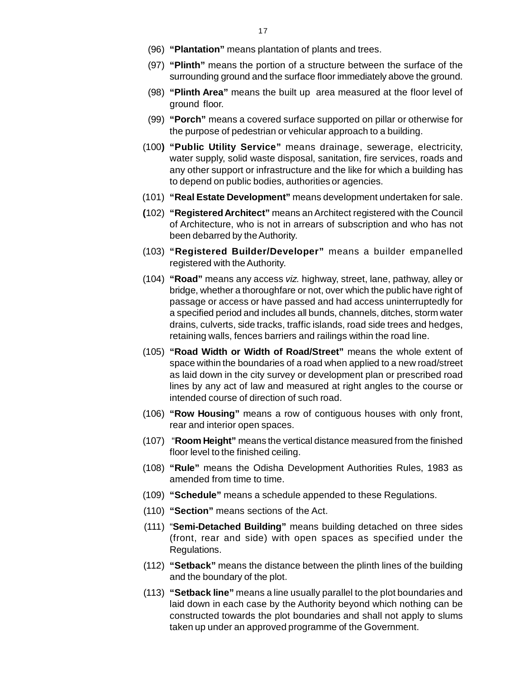- (96) **"Plantation"** means plantation of plants and trees.
- (97) **"Plinth"** means the portion of a structure between the surface of th[e](http://www.docu-track.com/buy/) surrounding ground and the surface floor immediately above the ground.
- (98) **"Plinth Area"** means the built up area measured at the floor level of ground floor.
- (99) **"Porch"** means a covered surface supported on pillar or otherwise for the purpose of pedestrian or vehicular approach to a building.
- (100**) "Public Utility Service"** means drainage, sewerage, electricity, water supply, solid waste disposal, sanitation, fire services, roads and any other support or infrastructure and the like for which a building has to depend on public bodies, authorities or agencies.
- (101) **"Real Estate Development"** means development undertaken for sale.
- **(**102) **"Registered Architect"** means an Architect registered with the Council of Architecture, who is not in arrears of subscription and who has not been debarred by the Authority.
- (103) **"Registered Builder/Developer"** means a builder empanelled registered with the Authority.
- (104) **"Road"** means any access *viz.* highway, street, lane, pathway, alley or bridge, whether a thoroughfare or not, over which the public have right of passage or access or have passed and had access uninterruptedly for a specified period and includes all bunds, channels, ditches, storm water drains, culverts, side tracks, traffic islands, road side trees and hedges, retaining walls, fences barriers and railings within the road line.
- (105) **"Road Width or Width of Road/Street"** means the whole extent of space within the boundaries of a road when applied to a new road/street as laid down in the city survey or development plan or prescribed road lines by any act of law and measured at right angles to the course or intended course of direction of such road.
- (106) **"Row Housing"** means a row of contiguous houses with only front, rear and interior open spaces.
- (107) "**Room Height"** means the vertical distance measured from the finished floor level to the finished ceiling.
- (108) **"Rule"** means the Odisha Development Authorities Rules, 1983 as amended from time to time.
- (109) **"Schedule"** means a schedule appended to these Regulations.
- (110) **"Section"** means sections of the Act.
- (111) "**Semi-Detached Building"** means building detached on three sides (front, rear and side) with open spaces as specified under the Regulations.
- (112) **"Setback"** means the distance between the plinth lines of the building and the boundary of the plot.
- (113) **"Setback line"** means a line usually parallel to the plot boundaries and laid down in each case by the Authority beyond which nothing can be constructed towards the plot boundaries and shall not apply to slums taken up under an approved programme of the Government.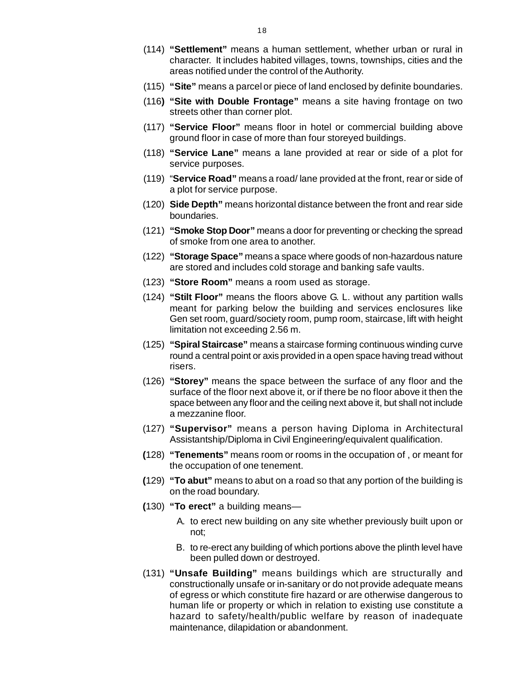- (114) **"Settlement"** means a human settlement, whether urban or rural i[n](http://www.docu-track.com/buy/) character. It includes habited villages, towns, townships, cities and the areas notified under the control of the Authority.
- (115) **"Site"** means a parcel or piece of land enclosed by definite boundaries.
- (116**) "Site with Double Frontage"** means a site having frontage on two streets other than corner plot.
- (117) **"Service Floor"** means floor in hotel or commercial building above ground floor in case of more than four storeyed buildings.
- (118) **"Service Lane"** means a lane provided at rear or side of a plot for service purposes.
- (119) "**Service Road"** means a road/ lane provided at the front, rear or side of a plot for service purpose.
- (120) **Side Depth"** means horizontal distance between the front and rear side boundaries.
- (121) **"Smoke Stop Door"** means a door for preventing or checking the spread of smoke from one area to another.
- (122) **"Storage Space"** means a space where goods of non-hazardous nature are stored and includes cold storage and banking safe vaults.
- (123) **"Store Room"** means a room used as storage.
- (124) **"Stilt Floor"** means the floors above G. L. without any partition walls meant for parking below the building and services enclosures like Gen set room, guard/society room, pump room, staircase, lift with height limitation not exceeding 2.56 m.
- (125) **"Spiral Staircase"** means a staircase forming continuous winding curve round a central point or axis provided in a open space having tread without risers.
- (126) **"Storey"** means the space between the surface of any floor and the surface of the floor next above it, or if there be no floor above it then the space between any floor and the ceiling next above it, but shall not include a mezzanine floor.
- (127) **"Supervisor"** means a person having Diploma in Architectural Assistantship/Diploma in Civil Engineering/equivalent qualification.
- **(**128) **"Tenements"** means room or rooms in the occupation of , or meant for the occupation of one tenement.
- **(**129) **"To abut"** means to abut on a road so that any portion of the building is on the road boundary.
- **(**130) **"To erect"** a building means—
	- A. to erect new building on any site whether previously built upon or not;
	- B. to re-erect any building of which portions above the plinth level have been pulled down or destroyed.
- (131) **"Unsafe Building"** means buildings which are structurally and constructionally unsafe or in-sanitary or do not provide adequate means of egress or which constitute fire hazard or are otherwise dangerous to human life or property or which in relation to existing use constitute a hazard to safety/health/public welfare by reason of inadequate maintenance, dilapidation or abandonment.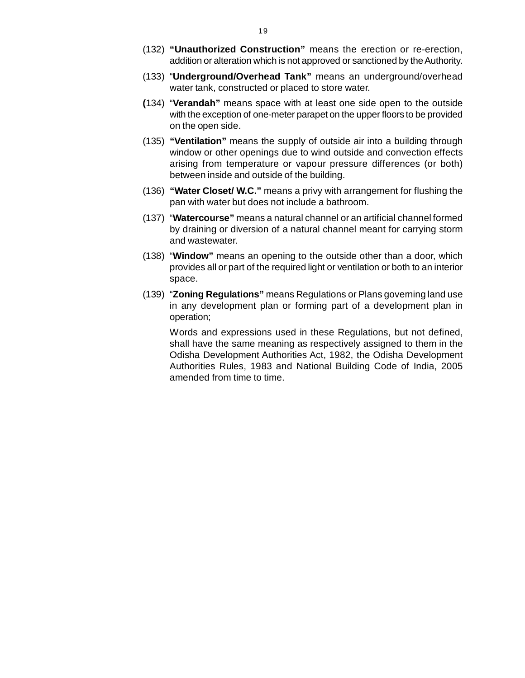- (132) **"Unauthorized Construction"** means the erection or re-erection[,](http://www.docu-track.com/buy/) addition or alteration which is not approved or sanctioned by the Authority.
- (133) "**Underground/Overhead Tank"** means an underground/overhead water tank, constructed or placed to store water.
- **(**134) "**Verandah"** means space with at least one side open to the outside with the exception of one-meter parapet on the upper floors to be provided on the open side.
- (135) **"Ventilation"** means the supply of outside air into a building through window or other openings due to wind outside and convection effects arising from temperature or vapour pressure differences (or both) between inside and outside of the building.
- (136) **"Water Closet/ W.C."** means a privy with arrangement for flushing the pan with water but does not include a bathroom.
- (137) "**Watercourse"** means a natural channel or an artificial channel formed by draining or diversion of a natural channel meant for carrying storm and wastewater.
- (138) "**Window"** means an opening to the outside other than a door, which provides all or part of the required light or ventilation or both to an interior space.
- (139) "**Zoning Regulations"** means Regulations or Plans governing land use in any development plan or forming part of a development plan in operation;

Words and expressions used in these Regulations, but not defined, shall have the same meaning as respectively assigned to them in the Odisha Development Authorities Act, 1982, the Odisha Development Authorities Rules, 1983 and National Building Code of India, 2005 amended from time to time.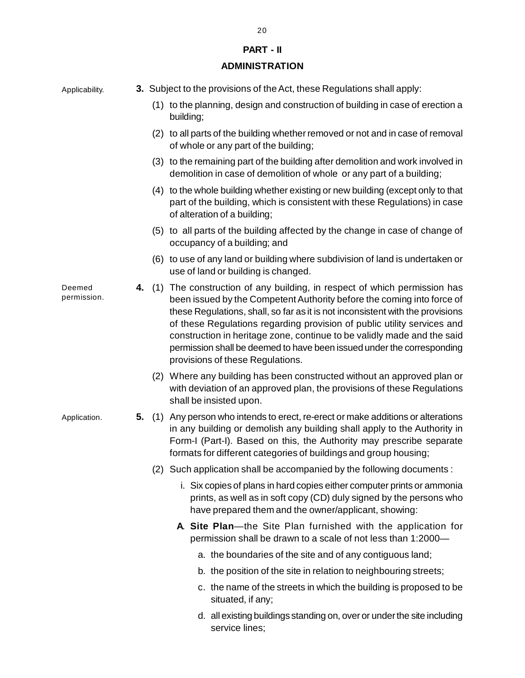## **PART - II**

## **ADMINISTRATION**

| Applicability.        |    | 3. Subject to the provisions of the Act, these Regulations shall apply:                                                                                                                                                                                                                                                                                                                                                                                                                                  |
|-----------------------|----|----------------------------------------------------------------------------------------------------------------------------------------------------------------------------------------------------------------------------------------------------------------------------------------------------------------------------------------------------------------------------------------------------------------------------------------------------------------------------------------------------------|
|                       |    | (1) to the planning, design and construction of building in case of erection a<br>building;                                                                                                                                                                                                                                                                                                                                                                                                              |
|                       |    | (2) to all parts of the building whether removed or not and in case of removal<br>of whole or any part of the building;                                                                                                                                                                                                                                                                                                                                                                                  |
|                       |    | (3) to the remaining part of the building after demolition and work involved in<br>demolition in case of demolition of whole or any part of a building;                                                                                                                                                                                                                                                                                                                                                  |
|                       |    | (4) to the whole building whether existing or new building (except only to that<br>part of the building, which is consistent with these Regulations) in case<br>of alteration of a building;                                                                                                                                                                                                                                                                                                             |
|                       |    | (5) to all parts of the building affected by the change in case of change of<br>occupancy of a building; and                                                                                                                                                                                                                                                                                                                                                                                             |
|                       |    | (6) to use of any land or building where subdivision of land is undertaken or<br>use of land or building is changed.                                                                                                                                                                                                                                                                                                                                                                                     |
| Deemed<br>permission. | 4. | (1) The construction of any building, in respect of which permission has<br>been issued by the Competent Authority before the coming into force of<br>these Regulations, shall, so far as it is not inconsistent with the provisions<br>of these Regulations regarding provision of public utility services and<br>construction in heritage zone, continue to be validly made and the said<br>permission shall be deemed to have been issued under the corresponding<br>provisions of these Regulations. |
|                       |    | (2) Where any building has been constructed without an approved plan or<br>with deviation of an approved plan, the provisions of these Regulations<br>shall be insisted upon.                                                                                                                                                                                                                                                                                                                            |
| Application.          |    | 5. (1) Any person who intends to erect, re-erect or make additions or alterations<br>in any building or demolish any building shall apply to the Authority in<br>Form-I (Part-I). Based on this, the Authority may prescribe separate<br>formats for different categories of buildings and group housing;                                                                                                                                                                                                |
|                       |    | (2) Such application shall be accompanied by the following documents:                                                                                                                                                                                                                                                                                                                                                                                                                                    |
|                       |    | i. Six copies of plans in hard copies either computer prints or ammonia<br>prints, as well as in soft copy (CD) duly signed by the persons who<br>have prepared them and the owner/applicant, showing:                                                                                                                                                                                                                                                                                                   |
|                       |    | A. Site Plan—the Site Plan furnished with the application for<br>permission shall be drawn to a scale of not less than 1:2000-                                                                                                                                                                                                                                                                                                                                                                           |
|                       |    | a. the boundaries of the site and of any contiguous land;                                                                                                                                                                                                                                                                                                                                                                                                                                                |
|                       |    | b. the position of the site in relation to neighbouring streets;                                                                                                                                                                                                                                                                                                                                                                                                                                         |
|                       |    | c. the name of the streets in which the building is proposed to be<br>situated, if any;                                                                                                                                                                                                                                                                                                                                                                                                                  |
|                       |    | d. all existing buildings standing on, over or under the site including<br>service lines;                                                                                                                                                                                                                                                                                                                                                                                                                |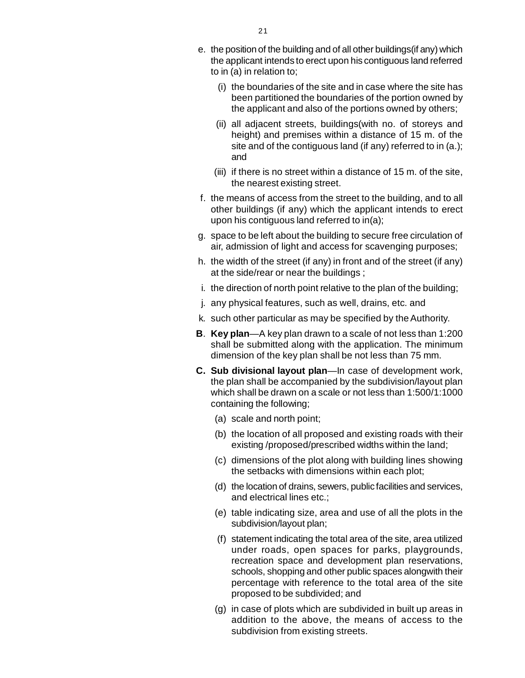- e. the position of the building and of all other buildings(if any) whic[h](http://www.docu-track.com/buy/) the applicant intends to erect upon his contiguous land referred to in (a) in relation to;
	- (i) the boundaries of the site and in case where the site has been partitioned the boundaries of the portion owned by the applicant and also of the portions owned by others;
	- (ii) all adjacent streets, buildings(with no. of storeys and height) and premises within a distance of 15 m. of the site and of the contiguous land (if any) referred to in (a.); and
	- (iii) if there is no street within a distance of 15 m. of the site, the nearest existing street.
- f. the means of access from the street to the building, and to all other buildings (if any) which the applicant intends to erect upon his contiguous land referred to in(a);
- g. space to be left about the building to secure free circulation of air, admission of light and access for scavenging purposes;
- h. the width of the street (if any) in front and of the street (if any) at the side/rear or near the buildings ;
- i. the direction of north point relative to the plan of the building;
- j. any physical features, such as well, drains, etc. and
- k. such other particular as may be specified by the Authority.
- **B**. **Key plan**—A key plan drawn to a scale of not less than 1:200 shall be submitted along with the application. The minimum dimension of the key plan shall be not less than 75 mm.
- **C. Sub divisional layout plan**—In case of development work, the plan shall be accompanied by the subdivision/layout plan which shall be drawn on a scale or not less than 1:500/1:1000 containing the following;
	- (a) scale and north point;
	- (b) the location of all proposed and existing roads with their existing /proposed/prescribed widths within the land;
	- (c) dimensions of the plot along with building lines showing the setbacks with dimensions within each plot;
	- (d) the location of drains, sewers, public facilities and services, and electrical lines etc.;
	- (e) table indicating size, area and use of all the plots in the subdivision/layout plan;
	- (f) statement indicating the total area of the site, area utilized under roads, open spaces for parks, playgrounds, recreation space and development plan reservations, schools, shopping and other public spaces alongwith their percentage with reference to the total area of the site proposed to be subdivided; and
	- (g) in case of plots which are subdivided in built up areas in addition to the above, the means of access to the subdivision from existing streets.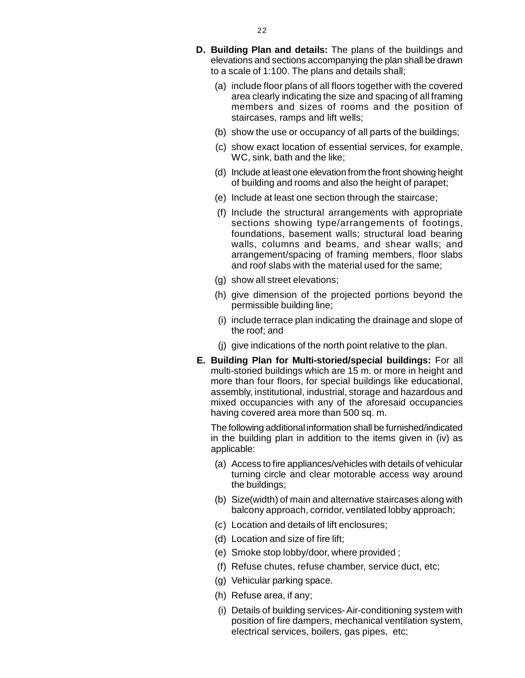- (a) include floor plans of all floors together with the covered area clearly indicating the size and spacing of all framing members and sizes of rooms and the position of staircases, ramps and lift wells;
- (b) show the use or occupancy of all parts of the buildings;
- (c) show exact location of essential services, for example, WC, sink, bath and the like;
- (d) Include at least one elevation from the front showing height of building and rooms and also the height of parapet;
- (e) Include at least one section through the staircase;
- (f) Include the structural arrangements with appropriate sections showing type/arrangements of footings, foundations, basement walls; structural load bearing walls, columns and beams, and shear walls; and arrangement/spacing of framing members, floor slabs and roof slabs with the material used for the same;
- (g) show all street elevations;
- (h) give dimension of the projected portions beyond the permissible building line;
- (i) include terrace plan indicating the drainage and slope of the roof; and
- (j) give indications of the north point relative to the plan.
- **E. Building Plan for Multi-storied/special buildings:** For all multi-storied buildings which are 15 m. or more in height and more than four floors, for special buildings like educational, assembly, institutional, industrial, storage and hazardous and mixed occupancies with any of the aforesaid occupancies having covered area more than 500 sq. m.

The following additional information shall be furnished/indicated in the building plan in addition to the items given in (iv) as applicable:

- (a) Access to fire appliances/vehicles with details of vehicular turning circle and clear motorable access way around the buildings;
- (b) Size(width) of main and alternative staircases along with balcony approach, corridor, ventilated lobby approach;
- (c) Location and details of lift enclosures;
- (d) Location and size of fire lift;
- (e) Smoke stop lobby/door, where provided ;
- (f) Refuse chutes, refuse chamber, service duct, etc;
- (g) Vehicular parking space.
- (h) Refuse area, if any;
- (i) Details of building services- Air-conditioning system with position of fire dampers, mechanical ventilation system, electrical services, boilers, gas pipes, etc;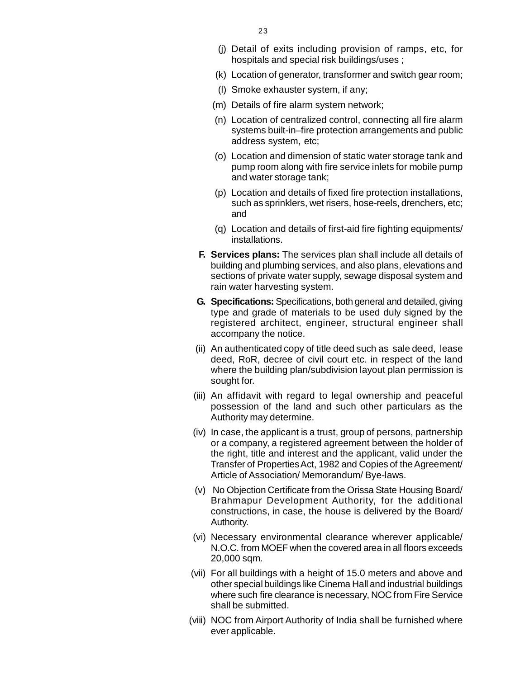- (j) Detail of exits including provision of ramps, etc, fo[r](http://www.docu-track.com/buy/) hospitals and special risk buildings/uses ;
- (k) Location of generator, transformer and switch gear room;
- (l) Smoke exhauster system, if any;
- (m) Details of fire alarm system network;
- (n) Location of centralized control, connecting all fire alarm systems built-in–fire protection arrangements and public address system, etc;
- (o) Location and dimension of static water storage tank and pump room along with fire service inlets for mobile pump and water storage tank;
- (p) Location and details of fixed fire protection installations, such as sprinklers, wet risers, hose-reels, drenchers, etc; and
- (q) Location and details of first-aid fire fighting equipments/ installations.
- **F. Services plans:** The services plan shall include all details of building and plumbing services, and also plans, elevations and sections of private water supply, sewage disposal system and rain water harvesting system.
- **G. Specifications:** Specifications, both general and detailed, giving type and grade of materials to be used duly signed by the registered architect, engineer, structural engineer shall accompany the notice.
- (ii) An authenticated copy of title deed such as sale deed, lease deed, RoR, decree of civil court etc. in respect of the land where the building plan/subdivision layout plan permission is sought for.
- (iii) An affidavit with regard to legal ownership and peaceful possession of the land and such other particulars as the Authority may determine.
- (iv) In case, the applicant is a trust, group of persons, partnership or a company, a registered agreement between the holder of the right, title and interest and the applicant, valid under the Transfer of Properties Act, 1982 and Copies of the Agreement/ Article of Association/ Memorandum/ Bye-laws.
- (v) No Objection Certificate from the Orissa State Housing Board/ Brahmapur Development Authority, for the additional constructions, in case, the house is delivered by the Board/ Authority.
- (vi) Necessary environmental clearance wherever applicable/ N.O.C. from MOEF when the covered area in all floors exceeds 20,000 sqm.
- (vii) For all buildings with a height of 15.0 meters and above and other special buildings like Cinema Hall and industrial buildings where such fire clearance is necessary, NOC from Fire Service shall be submitted.
- (viii) NOC from Airport Authority of India shall be furnished where ever applicable.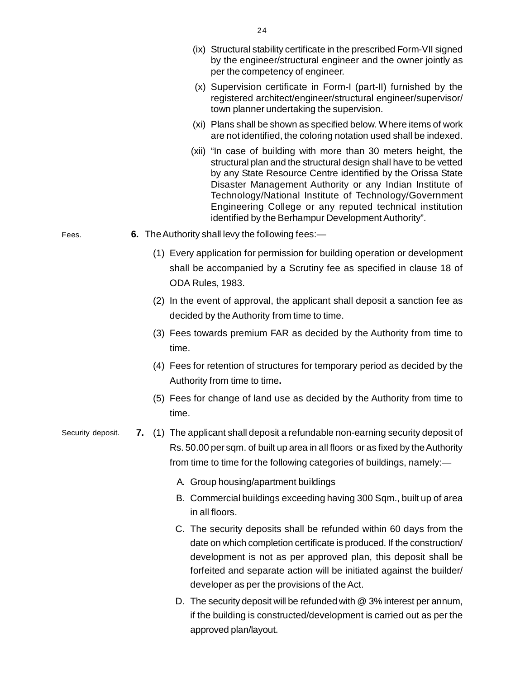|                   |  | (ix) Structural stability certificate in the prescribed Form-VII signed<br>by the engineer/structural engineer and the owner jointly as<br>per the competency of engineer.                                                                                                                                                                                                                                                                   |
|-------------------|--|----------------------------------------------------------------------------------------------------------------------------------------------------------------------------------------------------------------------------------------------------------------------------------------------------------------------------------------------------------------------------------------------------------------------------------------------|
|                   |  | (x) Supervision certificate in Form-I (part-II) furnished by the<br>registered architect/engineer/structural engineer/supervisor/<br>town planner undertaking the supervision.                                                                                                                                                                                                                                                               |
|                   |  | (xi) Plans shall be shown as specified below. Where items of work<br>are not identified, the coloring notation used shall be indexed.                                                                                                                                                                                                                                                                                                        |
|                   |  | (xii) "In case of building with more than 30 meters height, the<br>structural plan and the structural design shall have to be vetted<br>by any State Resource Centre identified by the Orissa State<br>Disaster Management Authority or any Indian Institute of<br>Technology/National Institute of Technology/Government<br>Engineering College or any reputed technical institution<br>identified by the Berhampur Development Authority". |
| Fees.             |  | 6. The Authority shall levy the following fees:—                                                                                                                                                                                                                                                                                                                                                                                             |
|                   |  | (1) Every application for permission for building operation or development<br>shall be accompanied by a Scrutiny fee as specified in clause 18 of<br>ODA Rules, 1983.                                                                                                                                                                                                                                                                        |
|                   |  | (2) In the event of approval, the applicant shall deposit a sanction fee as<br>decided by the Authority from time to time.                                                                                                                                                                                                                                                                                                                   |
|                   |  | (3) Fees towards premium FAR as decided by the Authority from time to<br>time.                                                                                                                                                                                                                                                                                                                                                               |
|                   |  | (4) Fees for retention of structures for temporary period as decided by the<br>Authority from time to time.                                                                                                                                                                                                                                                                                                                                  |
|                   |  | (5) Fees for change of land use as decided by the Authority from time to<br>time.                                                                                                                                                                                                                                                                                                                                                            |
| Security deposit. |  | 7. (1) The applicant shall deposit a refundable non-earning security deposit of<br>Rs. 50.00 per sqm. of built up area in all floors or as fixed by the Authority<br>from time to time for the following categories of buildings, namely:—                                                                                                                                                                                                   |
|                   |  | A. Group housing/apartment buildings                                                                                                                                                                                                                                                                                                                                                                                                         |
|                   |  | B. Commercial buildings exceeding having 300 Sqm., built up of area<br>in all floors.                                                                                                                                                                                                                                                                                                                                                        |
|                   |  | C. The security deposits shall be refunded within 60 days from the<br>date on which completion certificate is produced. If the construction/<br>development is not as per approved plan, this deposit shall be<br>forfeited and separate action will be initiated against the builder/<br>developer as per the provisions of the Act.                                                                                                        |
|                   |  | D. The security deposit will be refunded with @ 3% interest per annum,                                                                                                                                                                                                                                                                                                                                                                       |

if the building is constructed/development is carried out as per the approved plan/layout.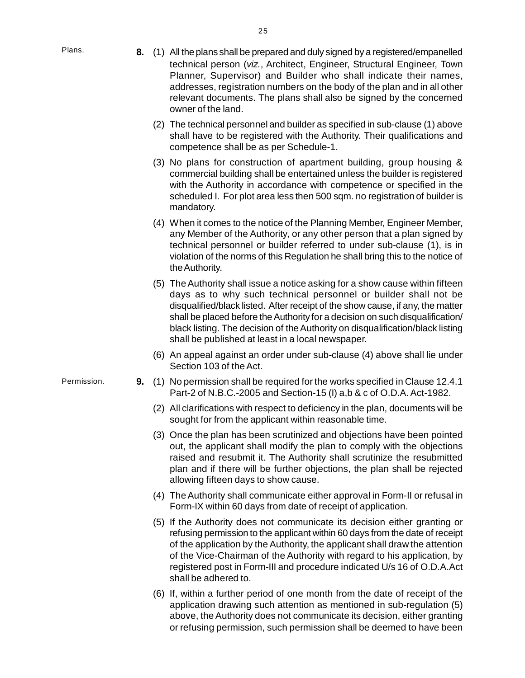[P](http://www.docu-track.com/buy/)lans.

- **8.** (1) All the plans shall be prepared and duly signed by a registered/empanelle[d](http://www.docu-track.com/buy/) technical person (*viz.*, Architect, Engineer, Structural Engineer, Town Planner, Supervisor) and Builder who shall indicate their names, addresses, registration numbers on the body of the plan and in all other relevant documents. The plans shall also be signed by the concerned owner of the land.
	- (2) The technical personnel and builder as specified in sub-clause (1) above shall have to be registered with the Authority. Their qualifications and competence shall be as per Schedule-1.
	- (3) No plans for construction of apartment building, group housing & commercial building shall be entertained unless the builder is registered with the Authority in accordance with competence or specified in the scheduled I. For plot area less then 500 sqm. no registration of builder is mandatory.
	- (4) When it comes to the notice of the Planning Member, Engineer Member, any Member of the Authority, or any other person that a plan signed by technical personnel or builder referred to under sub-clause (1), is in violation of the norms of this Regulation he shall bring this to the notice of the Authority.
	- (5) The Authority shall issue a notice asking for a show cause within fifteen days as to why such technical personnel or builder shall not be disqualified/black listed. After receipt of the show cause, if any, the matter shall be placed before the Authority for a decision on such disqualification/ black listing. The decision of the Authority on disqualification/black listing shall be published at least in a local newspaper.
	- (6) An appeal against an order under sub-clause (4) above shall lie under Section 103 of the Act.
- **9.** (1) No permission shall be required for the works specified in Clause 12.4.1 Part-2 of N.B.C.-2005 and Section-15 (I) a,b & c of O.D.A. Act-1982.
	- (2) All clarifications with respect to deficiency in the plan, documents will be sought for from the applicant within reasonable time.
	- (3) Once the plan has been scrutinized and objections have been pointed out, the applicant shall modify the plan to comply with the objections raised and resubmit it. The Authority shall scrutinize the resubmitted plan and if there will be further objections, the plan shall be rejected allowing fifteen days to show cause.
	- (4) The Authority shall communicate either approval in Form-II or refusal in Form-IX within 60 days from date of receipt of application.
	- (5) If the Authority does not communicate its decision either granting or refusing permission to the applicant within 60 days from the date of receipt of the application by the Authority, the applicant shall draw the attention of the Vice-Chairman of the Authority with regard to his application, by registered post in Form-III and procedure indicated U/s 16 of O.D.A.Act shall be adhered to.
	- (6) If, within a further period of one month from the date of receipt of the application drawing such attention as mentioned in sub-regulation (5) above, the Authority does not communicate its decision, either granting or refusing permission, such permission shall be deemed to have been

Permission.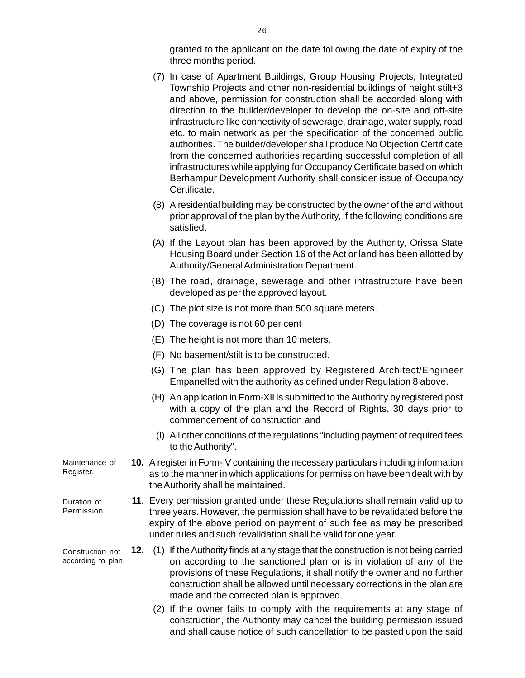granted to the applicant on the date following the date of expiry of th[e](http://www.docu-track.com/buy/) three months period.

- (7) In case of Apartment Buildings, Group Housing Projects, Integrated Township Projects and other non-residential buildings of height stilt+3 and above, permission for construction shall be accorded along with direction to the builder/developer to develop the on-site and off-site infrastructure like connectivity of sewerage, drainage, water supply, road etc. to main network as per the specification of the concerned public authorities. The builder/developer shall produce No Objection Certificate from the concerned authorities regarding successful completion of all infrastructures while applying for Occupancy Certificate based on which Berhampur Development Authority shall consider issue of Occupancy Certificate.
- (8) A residential building may be constructed by the owner of the and without prior approval of the plan by the Authority, if the following conditions are satisfied.
- (A) If the Layout plan has been approved by the Authority, Orissa State Housing Board under Section 16 of the Act or land has been allotted by Authority/General Administration Department.
- (B) The road, drainage, sewerage and other infrastructure have been developed as per the approved layout.
- (C) The plot size is not more than 500 square meters.
- (D) The coverage is not 60 per cent
- (E) The height is not more than 10 meters.
- (F) No basement/stilt is to be constructed.
- (G) The plan has been approved by Registered Architect/Engineer Empanelled with the authority as defined under Regulation 8 above.
- (H) An application in Form-XII is submitted to the Authority by registered post with a copy of the plan and the Record of Rights, 30 days prior to commencement of construction and
- (I) All other conditions of the regulations "including payment of required fees to the Authority".
- **10.** A register in Form-IV containing the necessary particulars including information as to the manner in which applications for permission have been dealt with by the Authority shall be maintained.
	- **11**. Every permission granted under these Regulations shall remain valid up to three years. However, the permission shall have to be revalidated before the expiry of the above period on payment of such fee as may be prescribed under rules and such revalidation shall be valid for one year.
	- **12.** (1) If the Authority finds at any stage that the construction is not being carried on according to the sanctioned plan or is in violation of any of the provisions of these Regulations, it shall notify the owner and no further construction shall be allowed until necessary corrections in the plan are made and the corrected plan is approved.
		- (2) If the owner fails to comply with the requirements at any stage of construction, the Authority may cancel the building permission issued and shall cause notice of such cancellation to be pasted upon the said

Maintenance of Register.

Duration of Permission.

Construction not according to plan.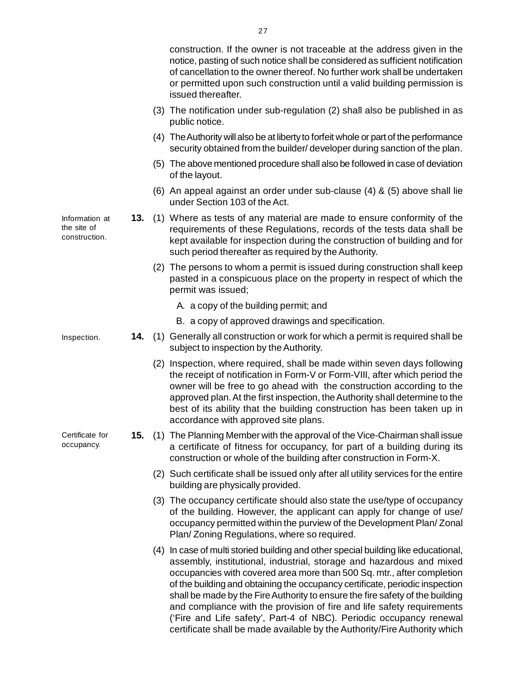|                                                |     | of cancellation to the owner thereof. No further work shall be undertaken<br>or permitted upon such construction until a valid building permission is<br>issued thereafter.                                                                                                                                                                                                                                                                                                                                                                                                                                                         |
|------------------------------------------------|-----|-------------------------------------------------------------------------------------------------------------------------------------------------------------------------------------------------------------------------------------------------------------------------------------------------------------------------------------------------------------------------------------------------------------------------------------------------------------------------------------------------------------------------------------------------------------------------------------------------------------------------------------|
|                                                |     | (3) The notification under sub-regulation (2) shall also be published in as<br>public notice.                                                                                                                                                                                                                                                                                                                                                                                                                                                                                                                                       |
|                                                |     | (4) The Authority will also be at liberty to forfeit whole or part of the performance<br>security obtained from the builder/developer during sanction of the plan.                                                                                                                                                                                                                                                                                                                                                                                                                                                                  |
|                                                |     | (5) The above mentioned procedure shall also be followed in case of deviation<br>of the layout.                                                                                                                                                                                                                                                                                                                                                                                                                                                                                                                                     |
|                                                |     | (6) An appeal against an order under sub-clause (4) & (5) above shall lie<br>under Section 103 of the Act.                                                                                                                                                                                                                                                                                                                                                                                                                                                                                                                          |
| Information at<br>the site of<br>construction. | 13. | (1) Where as tests of any material are made to ensure conformity of the<br>requirements of these Regulations, records of the tests data shall be<br>kept available for inspection during the construction of building and for<br>such period thereafter as required by the Authority.                                                                                                                                                                                                                                                                                                                                               |
|                                                |     | (2) The persons to whom a permit is issued during construction shall keep<br>pasted in a conspicuous place on the property in respect of which the<br>permit was issued;                                                                                                                                                                                                                                                                                                                                                                                                                                                            |
|                                                |     | A. a copy of the building permit; and                                                                                                                                                                                                                                                                                                                                                                                                                                                                                                                                                                                               |
|                                                |     | B. a copy of approved drawings and specification.                                                                                                                                                                                                                                                                                                                                                                                                                                                                                                                                                                                   |
| Inspection.                                    |     | 14. (1) Generally all construction or work for which a permit is required shall be<br>subject to inspection by the Authority.                                                                                                                                                                                                                                                                                                                                                                                                                                                                                                       |
|                                                |     | (2) Inspection, where required, shall be made within seven days following<br>the receipt of notification in Form-V or Form-VIII, after which period the<br>owner will be free to go ahead with the construction according to the<br>approved plan. At the first inspection, the Authority shall determine to the<br>best of its ability that the building construction has been taken up in<br>accordance with approved site plans.                                                                                                                                                                                                 |
| Certificate for<br>occupancy.                  | 15. | (1) The Planning Member with the approval of the Vice-Chairman shall issue<br>a certificate of fitness for occupancy, for part of a building during its<br>construction or whole of the building after construction in Form-X.                                                                                                                                                                                                                                                                                                                                                                                                      |
|                                                |     | (2) Such certificate shall be issued only after all utility services for the entire<br>building are physically provided.                                                                                                                                                                                                                                                                                                                                                                                                                                                                                                            |
|                                                |     | (3) The occupancy certificate should also state the use/type of occupancy<br>of the building. However, the applicant can apply for change of use/<br>occupancy permitted within the purview of the Development Plan/Zonal<br>Plan/Zoning Regulations, where so required.                                                                                                                                                                                                                                                                                                                                                            |
|                                                |     | (4) In case of multi storied building and other special building like educational,<br>assembly, institutional, industrial, storage and hazardous and mixed<br>occupancies with covered area more than 500 Sq. mtr., after completion<br>of the building and obtaining the occupancy certificate, periodic inspection<br>shall be made by the Fire Authority to ensure the fire safety of the building<br>and compliance with the provision of fire and life safety requirements<br>('Fire and Life safety', Part-4 of NBC). Periodic occupancy renewal<br>certificate shall be made available by the Authority/Fire Authority which |

- 
- In
- 
- 
- construction. If the owner is not traceable at the address given in th[e](http://www.docu-track.com/buy/) notice, pasting of such notice shall be considered as sufficient notification

27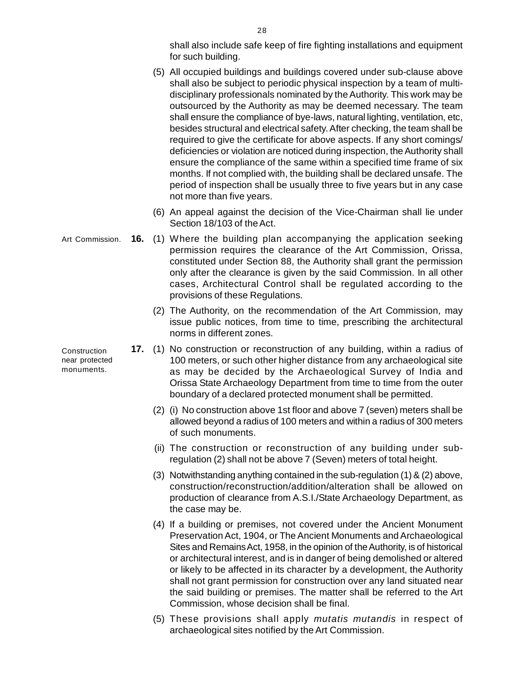shall also include safe keep of fire fighting installations and equipmen[t](http://www.docu-track.com/buy/) for such building.

- (5) All occupied buildings and buildings covered under sub-clause above shall also be subject to periodic physical inspection by a team of multidisciplinary professionals nominated by the Authority. This work may be outsourced by the Authority as may be deemed necessary. The team shall ensure the compliance of bye-laws, natural lighting, ventilation, etc, besides structural and electrical safety. After checking, the team shall be required to give the certificate for above aspects. If any short comings/ deficiencies or violation are noticed during inspection, the Authority shall ensure the compliance of the same within a specified time frame of six months. If not complied with, the building shall be declared unsafe. The period of inspection shall be usually three to five years but in any case not more than five years.
- (6) An appeal against the decision of the Vice-Chairman shall lie under Section 18/103 of the Act.
- **16.** (1) Where the building plan accompanying the application seeking permission requires the clearance of the Art Commission, Orissa, constituted under Section 88, the Authority shall grant the permission only after the clearance is given by the said Commission. In all other cases, Architectural Control shall be regulated according to the provisions of these Regulations. Art Commission.
	- (2) The Authority, on the recommendation of the Art Commission, may issue public notices, from time to time, prescribing the architectural norms in different zones.
	- **17.** (1) No construction or reconstruction of any building, within a radius of 100 meters, or such other higher distance from any archaeological site as may be decided by the Archaeological Survey of India and Orissa State Archaeology Department from time to time from the outer boundary of a declared protected monument shall be permitted.
		- (2) (i) No construction above 1st floor and above 7 (seven) meters shall be allowed beyond a radius of 100 meters and within a radius of 300 meters of such monuments.
		- (ii) The construction or reconstruction of any building under subregulation (2) shall not be above 7 (Seven) meters of total height.
		- (3) Notwithstanding anything contained in the sub-regulation (1) & (2) above, construction/reconstruction/addition/alteration shall be allowed on production of clearance from A.S.I./State Archaeology Department, as the case may be.
		- (4) If a building or premises, not covered under the Ancient Monument Preservation Act, 1904, or The Ancient Monuments and Archaeological Sites and Remains Act, 1958, in the opinion of the Authority, is of historical or architectural interest, and is in danger of being demolished or altered or likely to be affected in its character by a development, the Authority shall not grant permission for construction over any land situated near the said building or premises. The matter shall be referred to the Art Commission, whose decision shall be final.
		- (5) These provisions shall apply *mutatis mutandis* in respect of archaeological sites notified by the Art Commission.

Construction near protected monuments.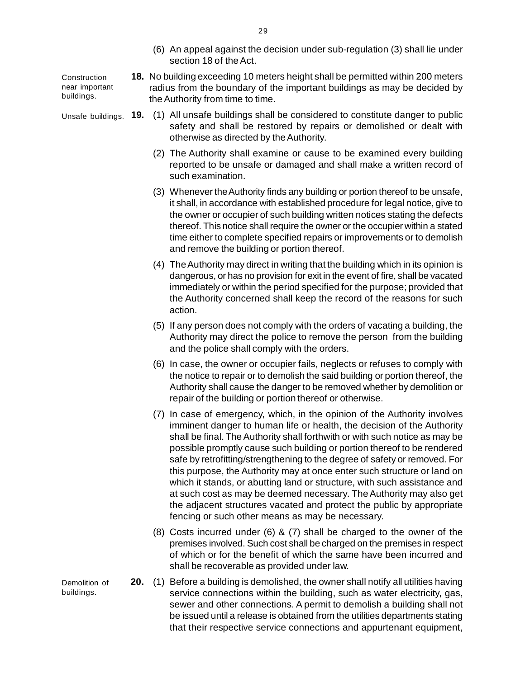(6) An appeal against the decision under sub-regulation (3) shall lie unde[r](http://www.docu-track.com/buy/) section 18 of the Act.

**Construction** near important buildings.

- **18.** No building exceeding 10 meters height shall be permitted within 200 meters radius from the boundary of the important buildings as may be decided by the Authority from time to time.
- Unsafe buildings. **19.** (1) All unsafe buildings shall be considered to constitute danger to public safety and shall be restored by repairs or demolished or dealt with otherwise as directed by the Authority.
	- (2) The Authority shall examine or cause to be examined every building reported to be unsafe or damaged and shall make a written record of such examination.
	- (3) Whenever the Authority finds any building or portion thereof to be unsafe, it shall, in accordance with established procedure for legal notice, give to the owner or occupier of such building written notices stating the defects thereof. This notice shall require the owner or the occupier within a stated time either to complete specified repairs or improvements or to demolish and remove the building or portion thereof.
	- (4) The Authority may direct in writing that the building which in its opinion is dangerous, or has no provision for exit in the event of fire, shall be vacated immediately or within the period specified for the purpose; provided that the Authority concerned shall keep the record of the reasons for such action.
	- (5) If any person does not comply with the orders of vacating a building, the Authority may direct the police to remove the person from the building and the police shall comply with the orders.
	- (6) In case, the owner or occupier fails, neglects or refuses to comply with the notice to repair or to demolish the said building or portion thereof, the Authority shall cause the danger to be removed whether by demolition or repair of the building or portion thereof or otherwise.
	- (7) In case of emergency, which, in the opinion of the Authority involves imminent danger to human life or health, the decision of the Authority shall be final. The Authority shall forthwith or with such notice as may be possible promptly cause such building or portion thereof to be rendered safe by retrofitting/strengthening to the degree of safety or removed. For this purpose, the Authority may at once enter such structure or land on which it stands, or abutting land or structure, with such assistance and at such cost as may be deemed necessary. The Authority may also get the adjacent structures vacated and protect the public by appropriate fencing or such other means as may be necessary.
	- (8) Costs incurred under (6) & (7) shall be charged to the owner of the premises involved. Such cost shall be charged on the premises in respect of which or for the benefit of which the same have been incurred and shall be recoverable as provided under law.
	- **20.** (1) Before a building is demolished, the owner shall notify all utilities having service connections within the building, such as water electricity, gas, sewer and other connections. A permit to demolish a building shall not be issued until a release is obtained from the utilities departments stating that their respective service connections and appurtenant equipment,

Demolition of buildings.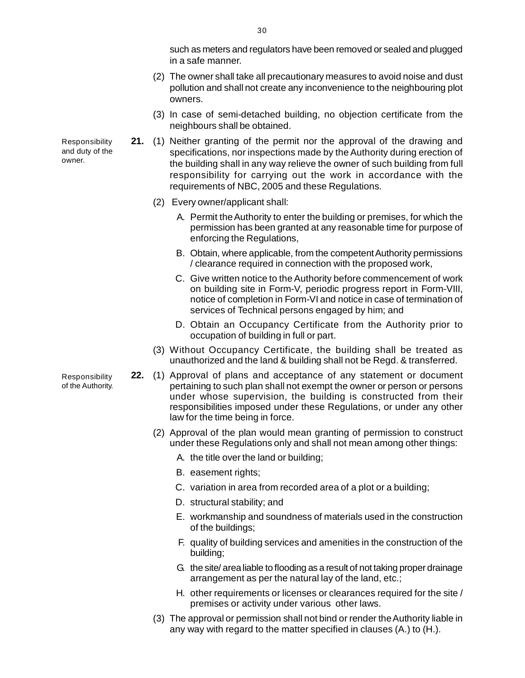such as meters and regulators have been removed or sealed and plugge[d](http://www.docu-track.com/buy/) in a safe manner.

- (2) The owner shall take all precautionary measures to avoid noise and dust pollution and shall not create any inconvenience to the neighbouring plot owners.
- (3) In case of semi-detached building, no objection certificate from the neighbours shall be obtained.
- **21.** (1) Neither granting of the permit nor the approval of the drawing and specifications, nor inspections made by the Authority during erection of the building shall in any way relieve the owner of such building from full responsibility for carrying out the work in accordance with the requirements of NBC, 2005 and these Regulations.
	- (2) Every owner/applicant shall:
		- A. Permit the Authority to enter the building or premises, for which the permission has been granted at any reasonable time for purpose of enforcing the Regulations,
		- B. Obtain, where applicable, from the competent Authority permissions / clearance required in connection with the proposed work,
		- C. Give written notice to the Authority before commencement of work on building site in Form-V, periodic progress report in Form-VIII, notice of completion in Form-VI and notice in case of termination of services of Technical persons engaged by him; and
		- D. Obtain an Occupancy Certificate from the Authority prior to occupation of building in full or part.
	- (3) Without Occupancy Certificate, the building shall be treated as unauthorized and the land & building shall not be Regd. & transferred.
- **22.** (1) Approval of plans and acceptance of any statement or document pertaining to such plan shall not exempt the owner or person or persons under whose supervision, the building is constructed from their responsibilities imposed under these Regulations, or under any other law for the time being in force.
	- (2) Approval of the plan would mean granting of permission to construct under these Regulations only and shall not mean among other things:
		- A. the title over the land or building;
		- B. easement rights;
		- C. variation in area from recorded area of a plot or a building;
		- D. structural stability; and
		- E. workmanship and soundness of materials used in the construction of the buildings;
		- F. quality of building services and amenities in the construction of the building;
		- G. the site/ area liable to flooding as a result of not taking proper drainage arrangement as per the natural lay of the land, etc.;
		- H. other requirements or licenses or clearances required for the site / premises or activity under various other laws.
	- (3) The approval or permission shall not bind or render the Authority liable in any way with regard to the matter specified in clauses (A.) to (H.).

Responsibility and duty of the owner.

Responsibility of the Authority.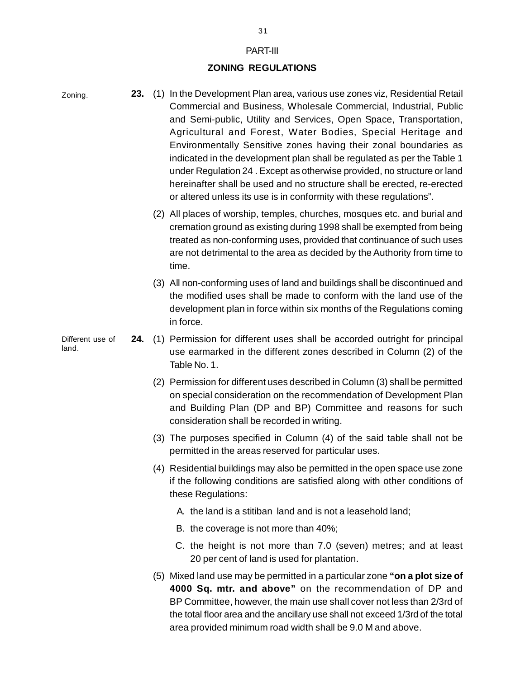#### PART-III

## **ZONING REGULATIONS**

| Zoning.                   | 23. | (1) In the Development Plan area, various use zones viz, Residential Retail<br>Commercial and Business, Wholesale Commercial, Industrial, Public<br>and Semi-public, Utility and Services, Open Space, Transportation,<br>Agricultural and Forest, Water Bodies, Special Heritage and<br>Environmentally Sensitive zones having their zonal boundaries as<br>indicated in the development plan shall be regulated as per the Table 1<br>under Regulation 24. Except as otherwise provided, no structure or land<br>hereinafter shall be used and no structure shall be erected, re-erected<br>or altered unless its use is in conformity with these regulations". |
|---------------------------|-----|-------------------------------------------------------------------------------------------------------------------------------------------------------------------------------------------------------------------------------------------------------------------------------------------------------------------------------------------------------------------------------------------------------------------------------------------------------------------------------------------------------------------------------------------------------------------------------------------------------------------------------------------------------------------|
|                           |     | (2) All places of worship, temples, churches, mosques etc. and burial and<br>cremation ground as existing during 1998 shall be exempted from being<br>treated as non-conforming uses, provided that continuance of such uses<br>are not detrimental to the area as decided by the Authority from time to<br>time.                                                                                                                                                                                                                                                                                                                                                 |
|                           |     | (3) All non-conforming uses of land and buildings shall be discontinued and<br>the modified uses shall be made to conform with the land use of the<br>development plan in force within six months of the Regulations coming<br>in force.                                                                                                                                                                                                                                                                                                                                                                                                                          |
| Different use of<br>land. | 24. | (1) Permission for different uses shall be accorded outright for principal<br>use earmarked in the different zones described in Column (2) of the<br>Table No. 1.                                                                                                                                                                                                                                                                                                                                                                                                                                                                                                 |
|                           |     | (2) Permission for different uses described in Column (3) shall be permitted<br>on special consideration on the recommendation of Development Plan<br>and Building Plan (DP and BP) Committee and reasons for such<br>consideration shall be recorded in writing.                                                                                                                                                                                                                                                                                                                                                                                                 |
|                           |     | (3) The purposes specified in Column (4) of the said table shall not be<br>permitted in the areas reserved for particular uses.                                                                                                                                                                                                                                                                                                                                                                                                                                                                                                                                   |
|                           |     | (4) Residential buildings may also be permitted in the open space use zone<br>if the following conditions are satisfied along with other conditions of<br>these Regulations:                                                                                                                                                                                                                                                                                                                                                                                                                                                                                      |
|                           |     | A. the land is a stitiban land and is not a leasehold land;                                                                                                                                                                                                                                                                                                                                                                                                                                                                                                                                                                                                       |
|                           |     | B. the coverage is not more than 40%;                                                                                                                                                                                                                                                                                                                                                                                                                                                                                                                                                                                                                             |
|                           |     | C. the height is not more than 7.0 (seven) metres; and at least<br>20 per cent of land is used for plantation.                                                                                                                                                                                                                                                                                                                                                                                                                                                                                                                                                    |
|                           |     | (5) Mixed land use may be permitted in a particular zone "on a plot size of<br>4000 Sq. mtr. and above" on the recommendation of DP and<br>BP Committee, however, the main use shall cover not less than 2/3rd of<br>the total floor area and the ancillary use shall not exceed 1/3rd of the total                                                                                                                                                                                                                                                                                                                                                               |

area provided minimum road width shall be 9.0 M and above.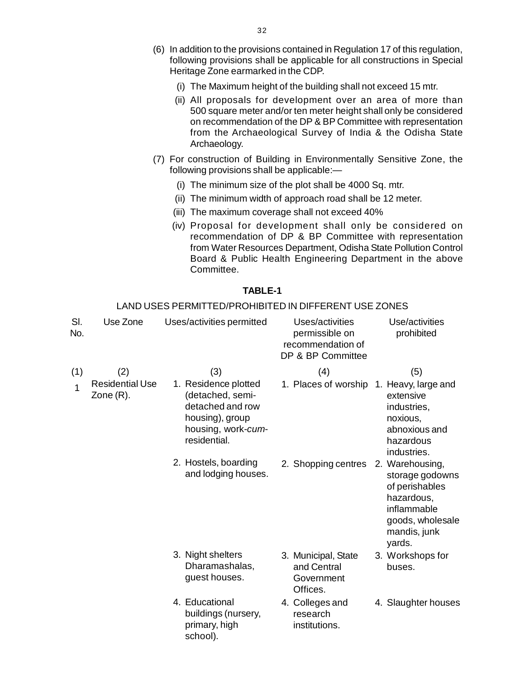- (6) In addition to the provisions contained in Regulation 17 of this regulation[,](http://www.docu-track.com/buy/) following provisions shall be applicable for all constructions in Special Heritage Zone earmarked in the CDP.
	- (i) The Maximum height of the building shall not exceed 15 mtr.
	- (ii) All proposals for development over an area of more than 500 square meter and/or ten meter height shall only be considered on recommendation of the DP & BP Committee with representation from the Archaeological Survey of India & the Odisha State Archaeology.
- (7) For construction of Building in Environmentally Sensitive Zone, the following provisions shall be applicable:—
	- (i) The minimum size of the plot shall be 4000 Sq. mtr.
	- (ii) The minimum width of approach road shall be 12 meter.
	- (iii) The maximum coverage shall not exceed 40%
	- (iv) Proposal for development shall only be considered on recommendation of DP & BP Committee with representation from Water Resources Department, Odisha State Pollution Control Board & Public Health Engineering Department in the above Committee.

#### **TABLE-1**

#### LAND USES PERMITTED/PROHIBITED IN DIFFERENT USE ZONES Sl. Use Zone Uses/activities permitted Uses/activities Use/activities No. **No.** permissible on prohibited probabilities on prohibited probabilities on probabilities on prohibited pro recommendation of DP & BP Committee (1)  $(2)$   $(3)$   $(4)$   $(5)$ 1 Residential Use Zone (R). 1. Residence plotted (detached, semidetached and row housing), group housing, work-*cum*residential. 1. Places of worship 1. Heavy, large and extensive industries, noxious, abnoxious and hazardous industries. 2. Hostels, boarding and lodging houses. 2. Shopping centres 2. Warehousing, storage godowns of perishables hazardous, inflammable goods, wholesale mandis, junk yards. 3. Night shelters Dharamashalas, guest houses. 3. Municipal, State and Central **Government** Offices. 3. Workshops for buses. 4. Educational buildings (nursery, primary, high school). 4. Colleges and research institutions. 4. Slaughter houses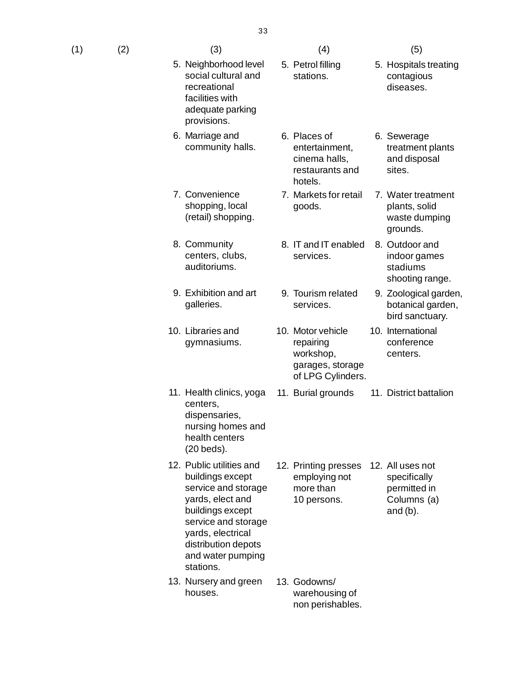| (1)<br>(2) | (3) | (4) | (5) |
|------------|-----|-----|-----|
|            |     |     |     |

- 5. Neighborhood level social cultural and recreational facilities with adequate parking provisions.
- 6. Marriage and community halls.
- 7. Convenience shopping, local (retail) shopping.
- 8. Community centers, clubs, auditoriums.
- 9. Exhibition and art galleries.
- 10. Libraries and gymnasiums.
- 11. Health clinics, yoga centers, dispensaries, nursing homes and health centers (20 beds).
- 12. Public utilities and buildings except service and storage yards, elect and buildings except service and storage yards, electrical distribution depots and water pumping stations.

restaurants and hotels. sites. 7. Markets for retail goods. 7. Water treatment plants, solid waste dumping

- 8. IT and IT enabled services. 8. Outdoor and
- 9. Tourism related services.

5. Petrol filling stations.

6. Places of

entertainment, cinema halls,

- 10. Motor vehicle repairing workshop, garages, storage of LPG Cylinders.
- 11. Burial grounds 11. District battalion

10. International conference centers.

5. Hospitals treating contagious diseases.

> treatment plants and disposal

6. Sewerage

grounds.

indoor games stadiums shooting range.

9. Zoological garden, botanical garden, bird sanctuary.

- 12. Printing presses employing not more than 10 persons. 12. All uses not specifically permitted in Columns (a) and (b).
- 13. Nursery and green houses. 13. Godowns/ warehousing of non perishables.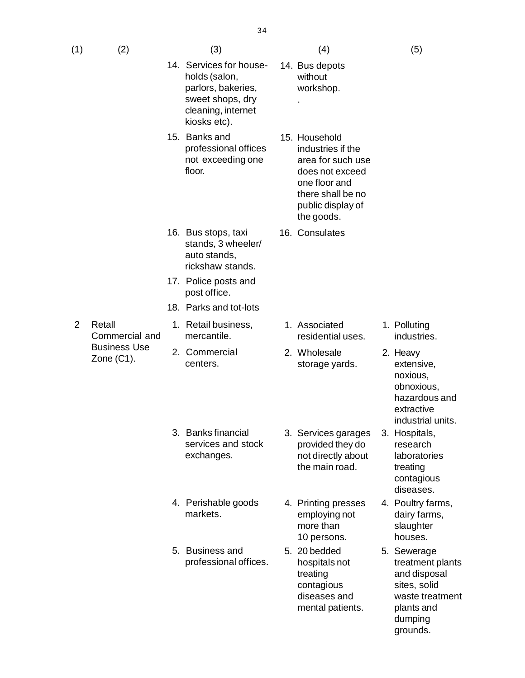14. Bus depots without workshop.

> industries if the area for such use does not exceed one floor and there shall be no public display of the goods.

16. Consulates

1. Associated

2. Wholesale

residential uses.

storage yards.

.

| (1)<br>(2) | (3) | (4) | (5) |
|------------|-----|-----|-----|
|            |     |     |     |

- 14. Services for households (salon, parlors, bakeries, sweet shops, dry cleaning, internet kiosks etc).
- 15. Banks and professional offices not exceeding one floor. 15. Household
- 16. Bus stops, taxi stands, 3 wheeler/ auto stands, rickshaw stands.
- 17. Police posts and post office.
- 18. Parks and tot-lots
- 2 Retall Commercial and Business Use Zone (C1).
- 1. Retail business, mercantile.
- 2. Commercial centers.
- 3. Banks financial services and stock exchanges.
- 4. Perishable goods markets.
- 5. Business and professional offices.
- 3. Services garages provided they do not directly about the main road.
- 4. Printing presses employing not more than 10 persons.
- 5. 20 bedded hospitals not treating contagious diseases and mental patients.
- 1. Polluting industries.
- 2. Heavy extensive, noxious, obnoxious, hazardous and extractive industrial units.
- 3. Hospitals, research laboratories treating contagious diseases.
- 4. Poultry farms, dairy farms, slaughter houses.
- 5. Sewerage treatment plants and disposal sites, solid waste treatment plants and dumping grounds.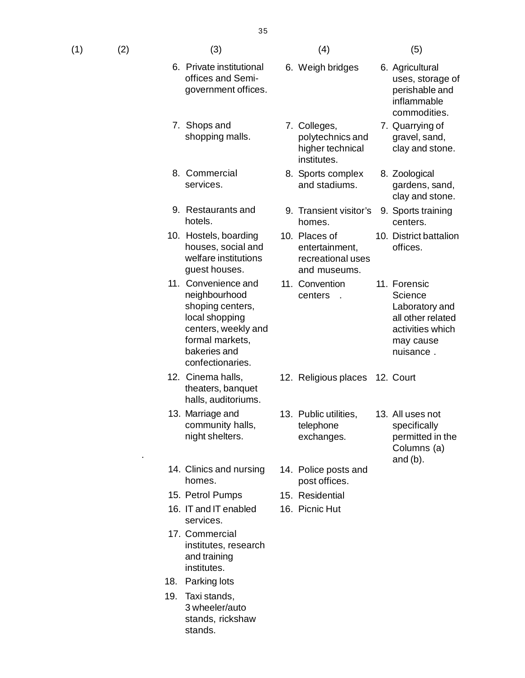| (1) | (2) | (3) | (4) | (5) |
|-----|-----|-----|-----|-----|
|     |     |     |     |     |

- 6. Private institutional offices and Semigovernment offices.
- 7. Shops and shopping malls.
- 8. Commercial services.
- 9. Restaurants and hotels.
- 10. Hostels, boarding houses, social and welfare institutions guest houses.
- 11. Convenience and neighbourhood shoping centers, local shopping centers, weekly and formal markets, bakeries and confectionaries.
- theaters, banquet halls, auditoriums.
- 13. Marriage and community halls, night shelters.
- 14. Clinics and nursing homes.
- 15. Petrol Pumps 15. Residential

.

- 16. IT and IT enabled services.
- 17. Commercial institutes, research and training institutes.
- 18. Parking lots
- 19. Taxi stands, 3 wheeler/auto stands, rickshaw stands.

6. Weigh bridges

7. Colleges,

institutes.

homes.

11. Convention centers .

10. Places of

8. Sports complex and stadiums.

> entertainment, recreational uses and museums.

polytechnics and higher technical

- 6. Agricultural uses, storage of perishable and inflammable commodities.
- 7. Quarrying of gravel, sand, clay and stone.
- 8. Zoological gardens, sand, clay and stone.
- 9. Transient visitor's 9. Sports training centers.
	- 10. District battalion offices.
	- 11. Forensic **Science** Laboratory and all other related activities which may cause nuisance .
- 12. Cinema halls, 12. Religious places 12. Court
	- 13. Public utilities, telephone exchanges.
	- 14. Police posts and post offices.
	-
	- 16. Picnic Hut
- 
- 13. All uses not specifically permitted in the Columns (a) and  $(b)$ .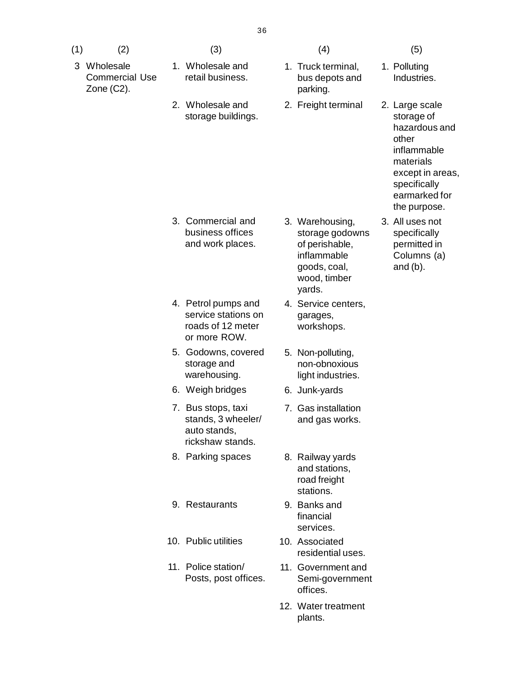- (1)  $(2)$   $(3)$   $(4)$   $(5)$ 3 Wholesale Commercial Use Zone (C2). 1. Wholesale and retail business. 1. Truck terminal, bus depots and parking. 2. Wholesale and storage buildings. 3. Commercial and business offices and work places. 3. Warehousing, storage godowns of perishable, inflammable goods, coal, wood, timber yards. 4. Petrol pumps and service stations on roads of 12 meter or more ROW. 4. Service centers, garages, workshops. 5. Godowns, covered storage and warehousing. 5. Non-polluting, non-obnoxious light industries. 6. Weigh bridges 6. Junk-yards 7. Bus stops, taxi stands, 3 wheeler/ auto stands, rickshaw stands. 7. Gas installation and gas works. 8. Parking spaces 8. Railway yards and stations, road freight stations. 9. Restaurants 9. Banks and financial services. 10. Public utilities 10. Associated residential uses.
	-

2. Freight terminal

11. Government and Semi-government

12. Water treatment plants.

offices.

- 
- 1. Polluting Industries.
- 2. Large scale storage of hazardous and other inflammable materials except in areas, specifically earmarked for the purpose.
- 3. All uses not specifically permitted in Columns (a) and (b).

11. Police station/ Posts, post offices.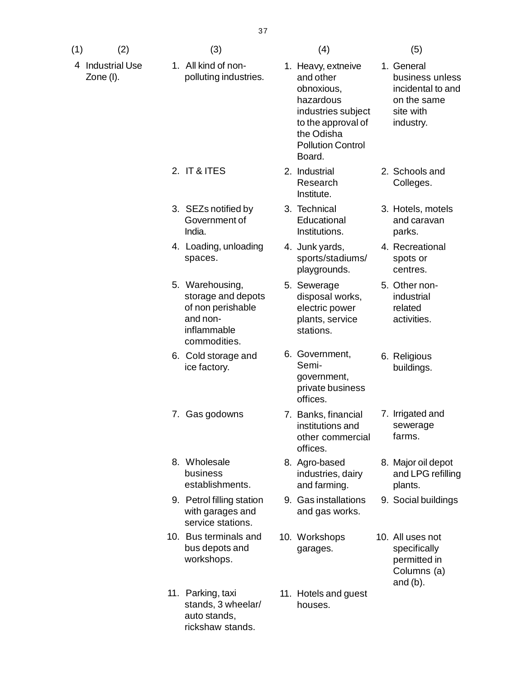- (1)  $(2)$   $(3)$   $(4)$   $(5)$
- 4 Industrial Use Zone (I).
- 1. All kind of nonpolluting industries.

3. SEZs notified by Government of

4. Loading, unloading

storage and depots of non perishable

India.

spaces.

5. Warehousing,

and noninflammable commodities.

8. Wholesale business

establishments.

with garages and service stations.

stands, 3 wheelar/

10. Bus terminals and bus depots and workshops.

11. Parking, taxi

auto stands, rickshaw stands.

6. Cold storage and ice factory.

- 
- 1. Heavy, extneive and other obnoxious, hazardous industries subject to the approval of the Odisha Pollution Control Board.
- 2. IT & ITES 2. Industrial Research Institute.
	- 3. Technical **Educational** Institutions.
	- 4. Junk yards, sports/stadiums/ playgrounds.
	- 5. Sewerage disposal works, electric power plants, service stations.
	- 6. Government, Semigovernment, private business offices.
- 7. Gas godowns 7. Banks, financial institutions and other commercial offices.
	- 8. Agro-based industries, dairy and farming.
- 9. Petrol filling station 9. Gas installations 9. Social buildings 9. Gas installations and gas works.
	- 10. Workshops garages.
	- 11. Hotels and guest houses.
- 1. General
	- business unless incidental to and on the same site with industry.
- 2. Schools and Colleges.
- 3. Hotels, motels and caravan parks.
- 4. Recreational spots or centres.
- 5. Other nonindustrial related activities.
- 6. Religious buildings.
- 7. Irrigated and sewerage farms.
- 8. Major oil depot and LPG refilling plants.
- 
- 10. All uses not specifically permitted in Columns (a) and (b).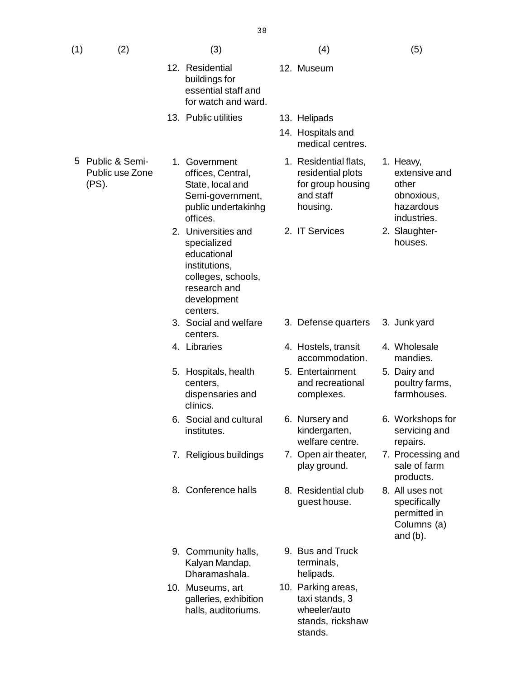| (1) | (2)                                        | (3)                                                                                                                                 | (4)                                                                                      | (5)                                                                           |
|-----|--------------------------------------------|-------------------------------------------------------------------------------------------------------------------------------------|------------------------------------------------------------------------------------------|-------------------------------------------------------------------------------|
|     |                                            | 12. Residential<br>buildings for<br>essential staff and<br>for watch and ward.                                                      | 12. Museum                                                                               |                                                                               |
|     |                                            | 13. Public utilities                                                                                                                | 13. Helipads<br>14. Hospitals and                                                        |                                                                               |
|     |                                            |                                                                                                                                     | medical centres.                                                                         |                                                                               |
| 5.  | Public & Semi-<br>Public use Zone<br>(PS). | 1. Government<br>offices, Central,<br>State, local and<br>Semi-government,<br>public undertakinhg<br>offices.                       | 1. Residential flats,<br>residential plots<br>for group housing<br>and staff<br>housing. | 1. Heavy,<br>extensive and<br>other<br>obnoxious,<br>hazardous<br>industries. |
|     |                                            | 2. Universities and<br>specialized<br>educational<br>institutions,<br>colleges, schools,<br>research and<br>development<br>centers. | 2. IT Services                                                                           | 2. Slaughter-<br>houses.                                                      |
|     |                                            | 3. Social and welfare<br>centers.                                                                                                   | 3. Defense quarters                                                                      | 3. Junk yard                                                                  |
|     |                                            | 4. Libraries                                                                                                                        | 4. Hostels, transit<br>accommodation.                                                    | 4. Wholesale<br>mandies.                                                      |
|     |                                            | 5. Hospitals, health<br>centers,<br>dispensaries and<br>clinics.                                                                    | 5. Entertainment<br>and recreational<br>complexes.                                       | 5. Dairy and<br>poultry farms,<br>farmhouses.                                 |
|     |                                            | 6. Social and cultural<br>institutes.                                                                                               | 6. Nursery and<br>kindergarten,<br>welfare centre.                                       | 6. Workshops for<br>servicing and<br>repairs.                                 |
|     |                                            | 7. Religious buildings                                                                                                              | 7. Open air theater,<br>play ground.                                                     | 7. Processing and<br>sale of farm<br>products.                                |
|     |                                            | 8. Conference halls                                                                                                                 | 8. Residential club<br>guest house.                                                      | 8. All uses not<br>specifically<br>permitted in<br>Columns (a)<br>and $(b)$ . |
|     |                                            | 9. Community halls,<br>Kalyan Mandap,<br>Dharamashala.                                                                              | 9. Bus and Truck<br>terminals,<br>helipads.                                              |                                                                               |
|     |                                            | 10. Museums, art<br>galleries, exhibition<br>halls, auditoriums.                                                                    | 10. Parking areas,<br>taxi stands, 3<br>wheeler/auto<br>stands, rickshaw<br>stands.      |                                                                               |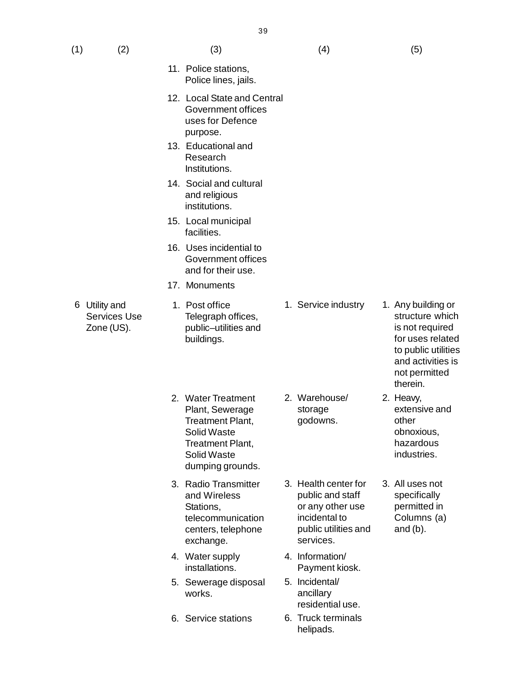| (1) | (2)                                              | (3)                                                                                                                                                  | (4)                                                                                                                | (5)                                                                                                                                                 |
|-----|--------------------------------------------------|------------------------------------------------------------------------------------------------------------------------------------------------------|--------------------------------------------------------------------------------------------------------------------|-----------------------------------------------------------------------------------------------------------------------------------------------------|
|     |                                                  | 11. Police stations,<br>Police lines, jails.                                                                                                         |                                                                                                                    |                                                                                                                                                     |
|     |                                                  | 12. Local State and Central<br>Government offices<br>uses for Defence<br>purpose.                                                                    |                                                                                                                    |                                                                                                                                                     |
|     |                                                  | 13. Educational and<br>Research<br>Institutions.                                                                                                     |                                                                                                                    |                                                                                                                                                     |
|     |                                                  | 14. Social and cultural<br>and religious<br>institutions.                                                                                            |                                                                                                                    |                                                                                                                                                     |
|     |                                                  | 15. Local municipal<br>facilities.                                                                                                                   |                                                                                                                    |                                                                                                                                                     |
|     |                                                  | 16. Uses incidential to<br>Government offices<br>and for their use.                                                                                  |                                                                                                                    |                                                                                                                                                     |
|     |                                                  | 17. Monuments                                                                                                                                        |                                                                                                                    |                                                                                                                                                     |
| 6   | Utility and<br><b>Services Use</b><br>Zone (US). | 1. Post office<br>Telegraph offices,<br>public-utilities and<br>buildings.                                                                           | 1. Service industry                                                                                                | 1. Any building or<br>structure whicl<br>is not required<br>for uses relate<br>to public utilitie<br>and activities is<br>not permitted<br>therein. |
|     |                                                  | 2. Water Treatment<br>Plant, Sewerage<br><b>Treatment Plant,</b><br><b>Solid Waste</b><br><b>Treatment Plant,</b><br>Solid Waste<br>dumping grounds. | 2. Warehouse/<br>storage<br>godowns.                                                                               | 2. Heavy,<br>extensive and<br>other<br>obnoxious,<br>hazardous<br>industries.                                                                       |
|     |                                                  | 3. Radio Transmitter<br>and Wireless<br>Stations,<br>telecommunication<br>centers, telephone<br>exchange.                                            | 3. Health center for<br>public and staff<br>or any other use<br>incidental to<br>public utilities and<br>services. | 3. All uses not<br>specifically<br>permitted in<br>Columns (a)<br>and $(b)$ .                                                                       |
|     |                                                  | 4. Water supply<br>installations.                                                                                                                    | 4. Information/<br>Payment kiosk.                                                                                  |                                                                                                                                                     |
|     |                                                  | 5. Sewerage disposal<br>works.                                                                                                                       | 5. Incidental/<br>ancillary<br>residential use.                                                                    |                                                                                                                                                     |
|     |                                                  | 6. Service stations                                                                                                                                  | 6. Truck terminals<br>helipads.                                                                                    |                                                                                                                                                     |

- structure which ired elated utilities ties is tted
- and obnoxious, hazardous industries.
- ot y in  $(a)$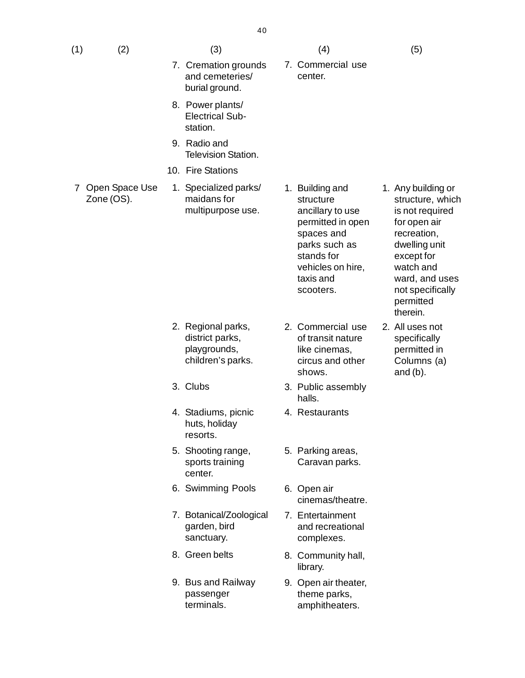- (1)  $(2)$   $(3)$   $(4)$   $(5)$ 
	- 7. Cremation grounds and cemeteries/ burial ground.
	- 8. Power plants/ Electrical Substation.
	- 9. Radio and Television Station.
	- 10. Fire Stations
- 7 Open Space Use Zone (OS).
- 1. Specialized parks/ maidans for multipurpose use.
- 1. Building and structure ancillary to use permitted in open spaces and parks such as stands for vehicles on hire, taxis and scooters.

7. Commercial use

center.

- 2. Regional parks, district parks, playgrounds, children's parks.
- 
- 4. Stadiums, picnic huts, holiday resorts.
- 5. Shooting range, sports training center.
- 6. Swimming Pools 6. Open air
- 7. Botanical/Zoological garden, bird sanctuary.
- 
- 9. Bus and Railway passenger terminals.
- 2. Commercial use of transit nature like cinemas, circus and other shows.
- 3. Clubs 3. Public assembly halls.
	- 4. Restaurants
	- 5. Parking areas, Caravan parks.
	- cinemas/theatre.
	- 7. Entertainment and recreational complexes.
- 8. Green belts 8. Community hall, library.
	- 9. Open air theater, theme parks, amphitheaters.
- 1. Any building or structure, which is not required for open air recreation, dwelling unit except for watch and ward, and uses not specifically permitted therein.
- 2. All uses not specifically permitted in Columns (a) and (b).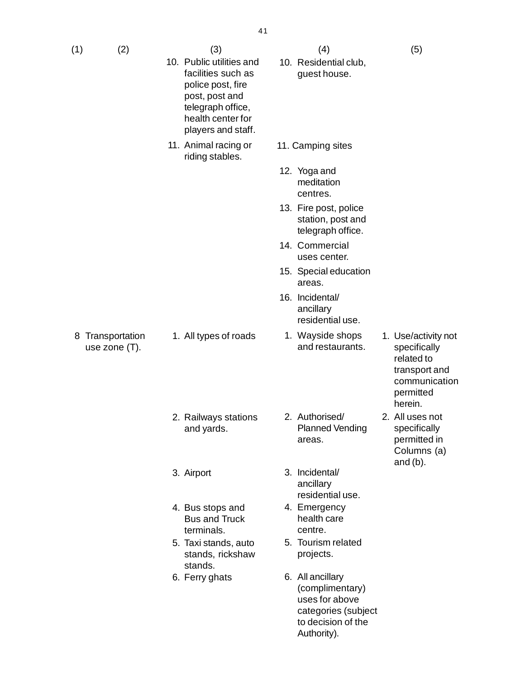| $(1)$ $(2)$ | (3) | (4) | (5) |
|-------------|-----|-----|-----|
|             |     |     |     |

8 Transportation use zone (T).

- 10. Public utilities and facilities such as police post, fire post, post and telegraph office, health center for players and staff.
- 11. Animal racing or riding stables.

- 10. Residential club, guest house.
- 11. Camping sites
- 12. Yoga and meditation centres.
- 13. Fire post, police station, post and telegraph office.
- 14. Commercial uses center.
- 15. Special education areas.
- 16. Incidental/ ancillary residential use.

2. Authorised/

areas.

ancillary

4. Emergency health care centre.

5. Tourism related projects.

> (complimentary) uses for above categories (subject to decision of the

Authority).

residential use.

- 1. All types of roads 1. Wayside shops and restaurants.
- 1. Use/activity not specifically related to transport and communication permitted herein.
- 2. All uses not specifically permitted in Columns (a) and (b).
- - 2. Railways stations and yards.
	- 3. Airport 3. Incidental/
	- 4. Bus stops and Bus and Truck terminals.
	- 5. Taxi stands, auto stands, rickshaw stands.
	- 6. Ferry ghats 6. All ancillary
- Planned Vending
-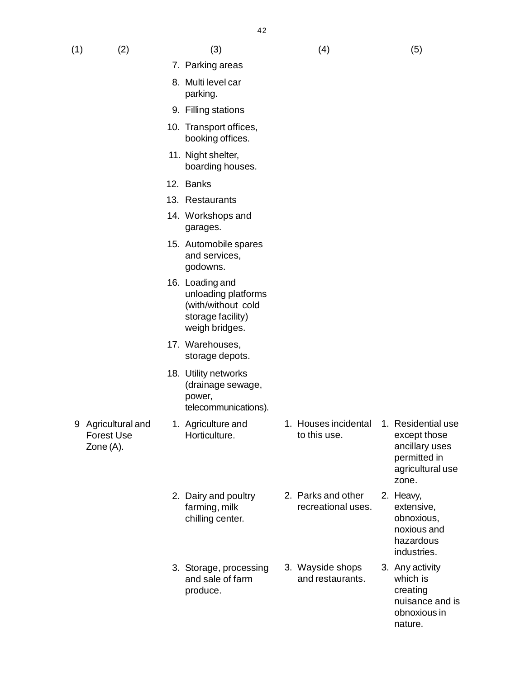- (1)  $(2)$   $(3)$   $(4)$   $(5)$ 
	- 7. Parking areas
	- 8. Multi level car parking.
	- 9. Filling stations
	- 10. Transport offices, booking offices.
	- 11. Night shelter, boarding houses.
	- 12. Banks
	- 13. Restaurants
	- 14. Workshops and garages.
	- 15. Automobile spares and services, godowns.
	- 16. Loading and unloading platforms (with/without cold storage facility) weigh bridges.
	- 17. Warehouses, storage depots.
	- 18. Utility networks (drainage sewage, power, telecommunications).

1. Agriculture and Horticulture.

2. Dairy and poultry farming, milk chilling center.

3. Storage, processing and sale of farm

produce.

9 Agricultural and Forest Use Zone (A).

1. Houses incidental 1. Residential use to this use.

2. Parks and other recreational uses.

3. Wayside shops and restaurants.

- except those ancillary uses permitted in agricultural use zone.
- 2. Heavy, extensive, obnoxious, noxious and hazardous industries.
- 3. Any activity which is creating nuisance and is obnoxious in nature.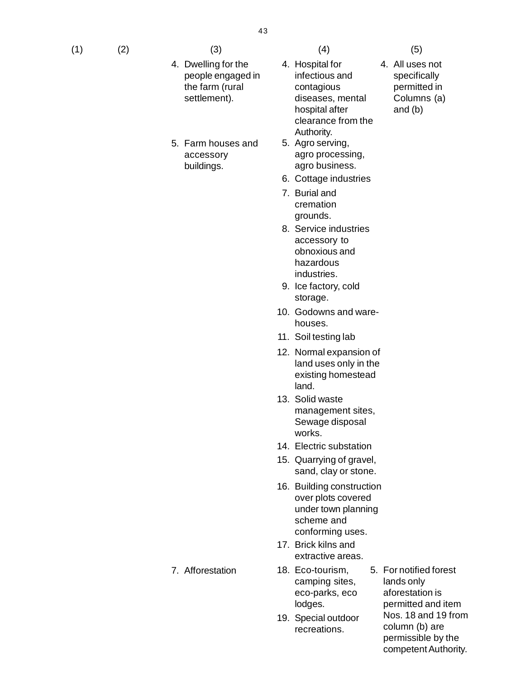- (1)  $(2)$   $(3)$   $(4)$   $(5)$ 
	- 4. Dwelling for the people engaged in the farm (rural settlement).
	- 5. Farm houses and accessory buildings.

4. All uses not specifically permitted in Columns (a) and (b)

- 4. Hospital for infectious and contagious diseases, mental hospital after clearance from the Authority.
- 5. Agro serving, agro processing, agro business.
- 6. Cottage industries
- 7. Burial and cremation grounds.
- 8. Service industries accessory to obnoxious and hazardous industries.
- 9. Ice factory, cold storage.
- 10. Godowns and warehouses.
- 11. Soil testing lab
- 12. Normal expansion of land uses only in the existing homestead land.
- 13. Solid waste management sites, Sewage disposal works.
- 14. Electric substation
- 15. Quarrying of gravel, sand, clay or stone.
- 16. Building construction over plots covered under town planning scheme and conforming uses.
- 17. Brick kilns and extractive areas.
- 18. Eco-tourism, camping sites, eco-parks, eco lodges.
- 19. Special outdoor recreations.
- 5. For notified forest lands only aforestation is permitted and item Nos. 18 and 19 from column (b) are permissible by the competent Authority.

7. Afforestation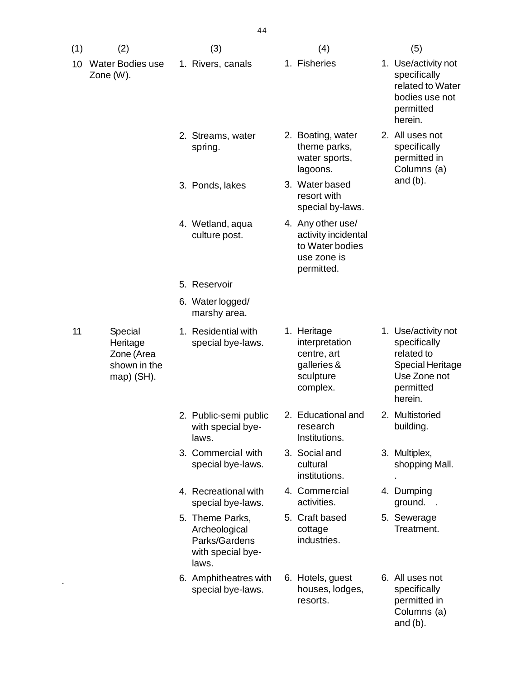| (1) | (2)                                                                | (3)                                                                             | (4)                                                                                      | (5)                                                                                                                  |
|-----|--------------------------------------------------------------------|---------------------------------------------------------------------------------|------------------------------------------------------------------------------------------|----------------------------------------------------------------------------------------------------------------------|
| 10  | <b>Water Bodies use</b><br>Zone (W).                               | 1. Rivers, canals                                                               | 1. Fisheries                                                                             | 1. Use/activity not<br>specifically<br>related to Water<br>bodies use not<br>permitted<br>herein.                    |
|     |                                                                    | 2. Streams, water<br>spring.                                                    | 2. Boating, water<br>theme parks,<br>water sports,<br>lagoons.                           | 2. All uses not<br>specifically<br>permitted in<br>Columns (a)                                                       |
|     |                                                                    | 3. Ponds, lakes                                                                 | 3. Water based<br>resort with<br>special by-laws.                                        | and $(b)$ .                                                                                                          |
|     |                                                                    | 4. Wetland, aqua<br>culture post.                                               | 4. Any other use/<br>activity incidental<br>to Water bodies<br>use zone is<br>permitted. |                                                                                                                      |
|     |                                                                    | 5. Reservoir                                                                    |                                                                                          |                                                                                                                      |
|     |                                                                    | 6. Water logged/<br>marshy area.                                                |                                                                                          |                                                                                                                      |
| 11  | Special<br>Heritage<br>Zone (Area<br>shown in the<br>map) $(SH)$ . | 1. Residential with<br>special bye-laws.                                        | 1. Heritage<br>interpretation<br>centre, art<br>galleries &<br>sculpture<br>complex.     | 1. Use/activity not<br>specifically<br>related to<br><b>Special Heritage</b><br>Use Zone not<br>permitted<br>herein. |
|     |                                                                    | 2. Public-semi public<br>with special bye-<br>laws.                             | 2. Educational and<br>research<br>Institutions.                                          | 2. Multistoried<br>building.                                                                                         |
|     |                                                                    | 3. Commercial with<br>special bye-laws.                                         | 3. Social and<br>cultural<br>institutions.                                               | 3. Multiplex,<br>shopping Mall.                                                                                      |
|     |                                                                    | 4. Recreational with<br>special bye-laws.                                       | 4. Commercial<br>activities.                                                             | 4. Dumping<br>ground.<br>$\sim$                                                                                      |
|     |                                                                    | 5. Theme Parks,<br>Archeological<br>Parks/Gardens<br>with special bye-<br>laws. | 5. Craft based<br>cottage<br>industries.                                                 | 5. Sewerage<br>Treatment.                                                                                            |
|     |                                                                    | 6. Amphitheatres with<br>special bye-laws.                                      | 6. Hotels, guest<br>houses, lodges,<br>resorts.                                          | 6. All uses not<br>specifically<br>permitted in<br>Columns (a)<br>and $(b)$ .                                        |

44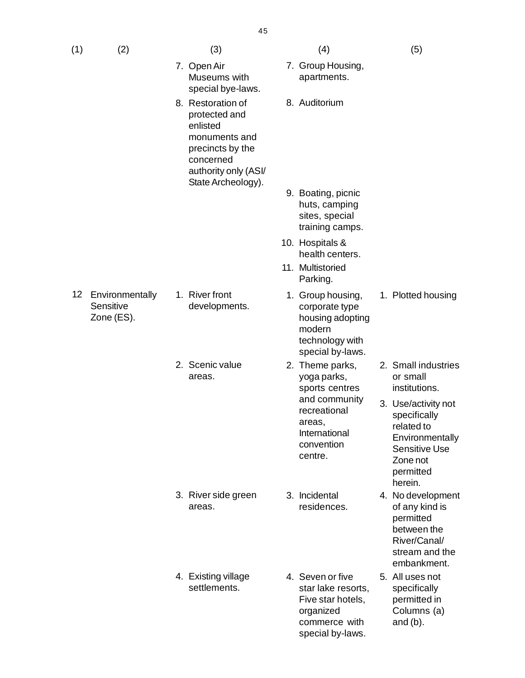|     |     | 40                                                                                                                                             |                                  |     |
|-----|-----|------------------------------------------------------------------------------------------------------------------------------------------------|----------------------------------|-----|
| (1) | (2) | (3)                                                                                                                                            | (4)                              | (5) |
|     |     | 7. Open Air<br>Museums with<br>special bye-laws.                                                                                               | 7. Group Housing,<br>apartments. |     |
|     |     | 8. Restoration of<br>protected and<br>enlisted<br>monuments and<br>precincts by the<br>concerned<br>authority only (ASI/<br>State Archeology). | 8. Auditorium                    |     |

- 12 Environmentally **Sensitive** Zone (ES).
- 1. River front developments.
- 2. Scenic value areas.

- 3. River side green areas.
- 4. Existing village settlements.
- 
- oup Housing, artments.
- ditorium

- 9. Boating, picnic huts, camping sites, special training camps.
- 10. Hospitals & health centers.
- 11. Multistoried Parking.
- 1. Group housing, corporate type housing adopting modern technology with special by-laws.
- 2. Theme parks, yoga parks, sports centres and community recreational areas, International convention centre.
- 3. Incidental residences.
- 4. Seven or five star lake resorts, Five star hotels, organized commerce with special by-laws.
- 1. Plotted housing
- 2. Small industries or small institutions.
- 3. Use/activity not specifically related to **Environmentally** Sensitive Use Zone not permitted herein.
- 4. No development of any kind is permitted between the River/Canal/ stream and the embankment.
- 5. All uses not specifically permitted in Columns (a) and (b).

 $4E$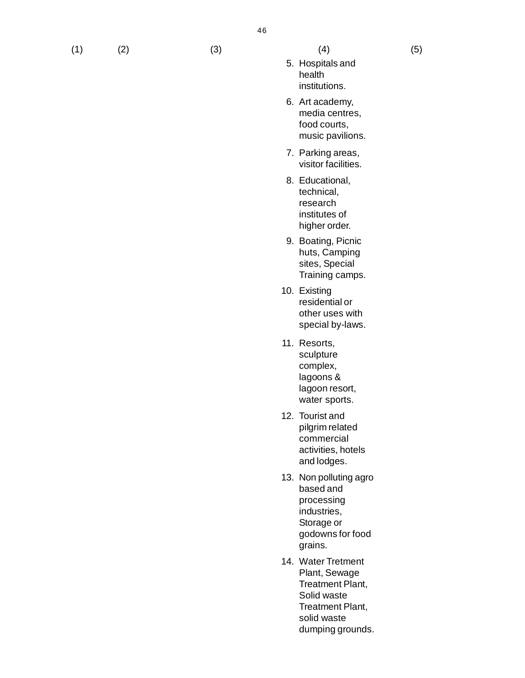- 5. Hospitals and health institutions.
- 6. Art academy, media centres, food courts, music pavilions.
- 7. Parking areas, visitor facilities.
- 8. Educational, technical, research institutes of higher order.
- 9. Boating, Picnic huts, Camping sites, Special Training camps.
- 10. Existing residential or other uses with special by-laws.
- 11. Resorts, sculpture complex, lagoons & lagoon resort, water sports.
- 12. Tourist and pilgrim related commercial activities, hotels and lodges.
- 13. Non polluting agro based and processing industries, Storage or godowns for food grains.
- 14. Water Tretment Plant, Sewage Treatment Plant, Solid waste Treatment Plant, solid waste dumping grounds.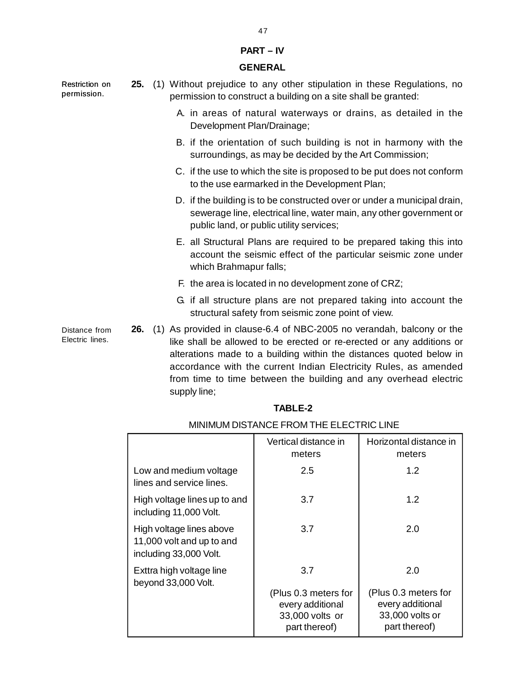#### **PART – IV**

#### **GENERAL**

Restriction on permission.

Distance from Electric lines.

- **25.** (1) Without prejudice to any other stipulation in these Regulations, no permission to construct a building on a site shall be granted:
	- A. in areas of natural waterways or drains, as detailed in the Development Plan/Drainage;
	- B. if the orientation of such building is not in harmony with the surroundings, as may be decided by the Art Commission;
	- C. if the use to which the site is proposed to be put does not conform to the use earmarked in the Development Plan;
	- D. if the building is to be constructed over or under a municipal drain, sewerage line, electrical line, water main, any other government or public land, or public utility services;
	- E. all Structural Plans are required to be prepared taking this into account the seismic effect of the particular seismic zone under which Brahmapur falls;
	- F. the area is located in no development zone of CRZ;
	- G. if all structure plans are not prepared taking into account the structural safety from seismic zone point of view.
- **26.** (1) As provided in clause-6.4 of NBC-2005 no verandah, balcony or the like shall be allowed to be erected or re-erected or any additions or alterations made to a building within the distances quoted below in accordance with the current Indian Electricity Rules, as amended from time to time between the building and any overhead electric supply line;

#### **TABLE-2**

|                                                                                 | Vertical distance in<br>meters                                               | Horizontal distance in<br>meters                                             |  |  |  |  |
|---------------------------------------------------------------------------------|------------------------------------------------------------------------------|------------------------------------------------------------------------------|--|--|--|--|
| Low and medium voltage<br>lines and service lines.                              | 2.5                                                                          | 1.2                                                                          |  |  |  |  |
| High voltage lines up to and<br>including 11,000 Volt.                          | 3.7                                                                          | 1.2                                                                          |  |  |  |  |
| High voltage lines above<br>11,000 volt and up to and<br>including 33,000 Volt. | 3.7                                                                          | 2.0                                                                          |  |  |  |  |
| Exttra high voltage line<br>beyond 33,000 Volt.                                 | 3.7                                                                          | 2.0                                                                          |  |  |  |  |
|                                                                                 | (Plus 0.3 meters for<br>every additional<br>33,000 volts or<br>part thereof) | (Plus 0.3 meters for<br>every additional<br>33,000 volts or<br>part thereof) |  |  |  |  |

### MINIMUM DISTANCE FROM THE ELECTRIC LINE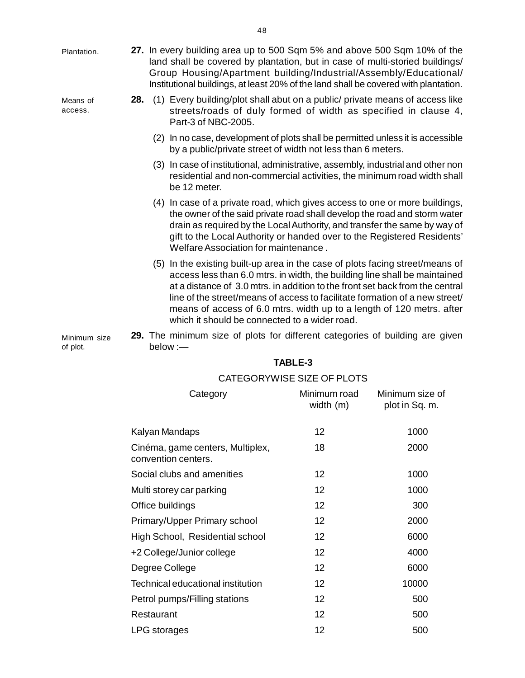| Plantation.              |     | 27. In every building area up to 500 Sqm 5% and above 500 Sqm 10% of the<br>land shall be covered by plantation, but in case of multi-storied buildings/<br>Group Housing/Apartment building/Industrial/Assembly/Educational/<br>Institutional buildings, at least 20% of the land shall be covered with plantation.                                                                                                                                  |
|--------------------------|-----|-------------------------------------------------------------------------------------------------------------------------------------------------------------------------------------------------------------------------------------------------------------------------------------------------------------------------------------------------------------------------------------------------------------------------------------------------------|
| Means of<br>access.      | 28. | (1) Every building/plot shall abut on a public/ private means of access like<br>streets/roads of duly formed of width as specified in clause 4,<br>Part-3 of NBC-2005.                                                                                                                                                                                                                                                                                |
|                          |     | (2) In no case, development of plots shall be permitted unless it is accessible<br>by a public/private street of width not less than 6 meters.                                                                                                                                                                                                                                                                                                        |
|                          |     | (3) In case of institutional, administrative, assembly, industrial and other non<br>residential and non-commercial activities, the minimum road width shall<br>be 12 meter.                                                                                                                                                                                                                                                                           |
|                          |     | (4) In case of a private road, which gives access to one or more buildings,<br>the owner of the said private road shall develop the road and storm water<br>drain as required by the Local Authority, and transfer the same by way of<br>gift to the Local Authority or handed over to the Registered Residents'<br>Welfare Association for maintenance.                                                                                              |
|                          |     | (5) In the existing built-up area in the case of plots facing street/means of<br>access less than 6.0 mtrs. in width, the building line shall be maintained<br>at a distance of 3.0 mtrs. in addition to the front set back from the central<br>line of the street/means of access to facilitate formation of a new street/<br>means of access of 6.0 mtrs. width up to a length of 120 metrs. after<br>which it should be connected to a wider road. |
| Minimum size<br>of plot. |     | 29. The minimum size of plots for different categories of building are given<br>below :-                                                                                                                                                                                                                                                                                                                                                              |

| Category                                                | Minimum road<br>width (m) | Minimum size of<br>plot in Sq. m. |
|---------------------------------------------------------|---------------------------|-----------------------------------|
| Kalyan Mandaps                                          | 12                        | 1000                              |
| Cinéma, game centers, Multiplex,<br>convention centers. | 18                        | 2000                              |
| Social clubs and amenities                              | 12                        | 1000                              |
| Multi storey car parking                                | 12                        | 1000                              |
| Office buildings                                        | 12                        | 300                               |
| Primary/Upper Primary school                            | 12                        | 2000                              |
| High School, Residential school                         | 12                        | 6000                              |
| +2 College/Junior college                               | 12                        | 4000                              |
| Degree College                                          | 12                        | 6000                              |
| Technical educational institution                       | 12                        | 10000                             |
| Petrol pumps/Filling stations                           | 12                        | 500                               |
| Restaurant                                              | 12 <sup>2</sup>           | 500                               |
| LPG storages                                            | 12                        | 500                               |
|                                                         |                           |                                   |

# **TABLE-3**

## CATEGORYWISE SIZE OF PLOTS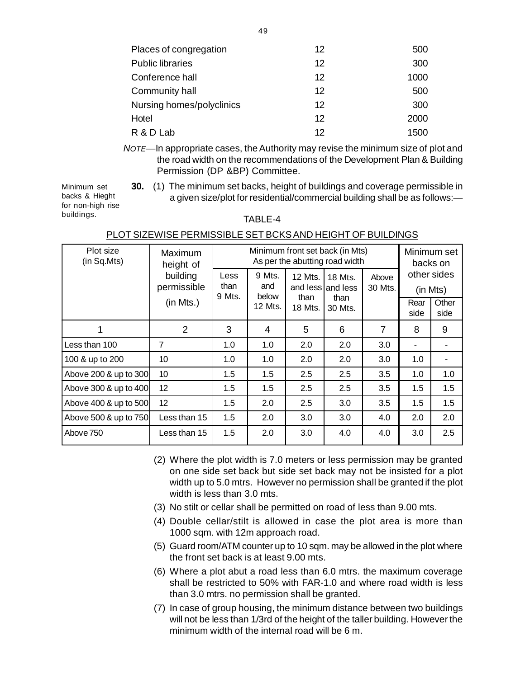| Places of congregation    | 12 | 500  |
|---------------------------|----|------|
| <b>Public libraries</b>   | 12 | 300  |
| Conference hall           | 12 | 1000 |
| Community hall            | 12 | 500  |
| Nursing homes/polyclinics | 12 | 300  |
| Hotel                     | 12 | 2000 |
| R & D Lab                 | 12 | 1500 |

*NOTE*—In appropriate cases, the Authority may revise the minimum size of plot and the road width on the recommendations of the Development Plan & Building Permission (DP &BP) Committee.

Minimum set backs & Hieght for non-high rise buildings.

**30.** (1) The minimum set backs, height of buildings and coverage permissible in a given size/plot for residential/commercial building shall be as follows:—

### TABLE-4

| Plot size<br>(in Sq.Mts) | Maximum<br>height of    | Minimum front set back (in Mts)<br>As per the abutting road width |                        |         |                              |                  |              | Minimum set<br>backs on |  |
|--------------------------|-------------------------|-------------------------------------------------------------------|------------------------|---------|------------------------------|------------------|--------------|-------------------------|--|
|                          | building<br>permissible | Less<br>than<br>9 Mts.                                            | 9 Mts.<br>and<br>below | 12 Mts. | 18 Mts.<br>and less and less | Above<br>30 Mts. |              | other sides<br>(in Mts) |  |
|                          | (in Mts.)               |                                                                   | than<br>12 Mts.        | 18 Mts. | than<br>30 Mts.              |                  | Rear<br>side | Other<br>side           |  |
|                          | 2                       | 3                                                                 | $\overline{4}$         | 5       | 6                            | $\overline{7}$   | 8            | 9                       |  |
| l Less than 100          | 7                       | 1.0                                                               | 1.0                    | 2.0     | 2.0                          | 3.0              |              |                         |  |
| 100 & up to 200          | 10                      | 1.0                                                               | 1.0                    | 2.0     | 2.0                          | 3.0              | 1.0          |                         |  |
| Above 200 & up to 300    | 10                      | 1.5                                                               | 1.5                    | 2.5     | 2.5                          | 3.5              | 1.0          | 1.0                     |  |
| Above 300 & up to 400    | 12                      | 1.5                                                               | 1.5                    | 2.5     | 2.5                          | 3.5              | 1.5          | 1.5                     |  |
| Above 400 & up to 500    | 12                      | 1.5                                                               | 2.0                    | 2.5     | 3.0                          | 3.5              | 1.5          | 1.5                     |  |
| Above 500 & up to 750    | Less than 15            | 1.5                                                               | 2.0                    | 3.0     | 3.0                          | 4.0              | 2.0          | 2.0                     |  |
| Above 750                | Less than 15            | 1.5                                                               | 2.0                    | 3.0     | 4.0                          | 4.0              | 3.0          | 2.5                     |  |

### PLOT SIZEWISE PERMISSIBLE SET BCKS AND HEIGHT OF BUILDINGS

- (2) Where the plot width is 7.0 meters or less permission may be granted on one side set back but side set back may not be insisted for a plot width up to 5.0 mtrs. However no permission shall be granted if the plot width is less than 3.0 mts.
- (3) No stilt or cellar shall be permitted on road of less than 9.00 mts.
- (4) Double cellar/stilt is allowed in case the plot area is more than 1000 sqm. with 12m approach road.
- (5) Guard room/ATM counter up to 10 sqm. may be allowed in the plot where the front set back is at least 9.00 mts.
- (6) Where a plot abut a road less than 6.0 mtrs. the maximum coverage shall be restricted to 50% with FAR-1.0 and where road width is less than 3.0 mtrs. no permission shall be granted.
- (7) In case of group housing, the minimum distance between two buildings will not be less than 1/3rd of the height of the taller building. However the minimum width of the internal road will be 6 m.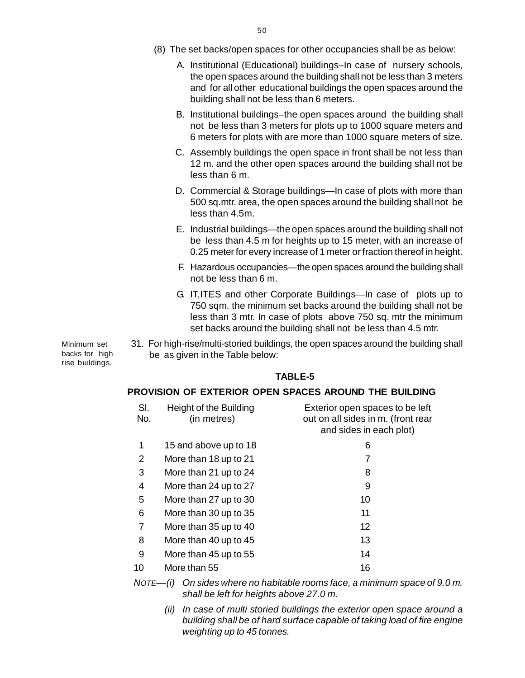- (8) The set backs/open spaces for other occupancies shall be as below:
	- A. Institutional (Educational) buildings–In case of nursery schools[,](http://www.docu-track.com/buy/) the open spaces around the building shall not be less than 3 meters and for all other educational buildings the open spaces around the building shall not be less than 6 meters.
	- B. Institutional buildings–the open spaces around the building shall not be less than 3 meters for plots up to 1000 square meters and 6 meters for plots with are more than 1000 square meters of size.
	- C. Assembly buildings the open space in front shall be not less than 12 m. and the other open spaces around the building shall not be less than 6 m.
	- D. Commercial & Storage buildings—In case of plots with more than 500 sq.mtr. area, the open spaces around the building shall not be less than 4.5m.
	- E. Industrial buildings—the open spaces around the building shall not be less than 4.5 m for heights up to 15 meter, with an increase of 0.25 meter for every increase of 1 meter or fraction thereof in height.
	- F. Hazardous occupancies—the open spaces around the building shall not be less than 6 m.
	- G. IT,ITES and other Corporate Buildings—In case of plots up to 750 sqm. the minimum set backs around the building shall not be less than 3 mtr. In case of plots above 750 sq. mtr the minimum set backs around the building shall not be less than 4.5 mtr.
- 31. For high-rise/multi-storied buildings, the open spaces around the building shall be as given in the Table below:

### **TABLE-5**

#### **PROVISION OF EXTERIOR OPEN SPACES AROUND THE BUILDING**

| SI.<br>No. | Height of the Building<br>(in metres) | Exterior open spaces to be left<br>out on all sides in m. (front rear<br>and sides in each plot) |
|------------|---------------------------------------|--------------------------------------------------------------------------------------------------|
| 1          | 15 and above up to 18                 | 6                                                                                                |
| 2          | More than 18 up to 21                 | 7                                                                                                |
| 3          | More than 21 up to 24                 | 8                                                                                                |
| 4          | More than 24 up to 27                 | 9                                                                                                |
| 5          | More than 27 up to 30                 | 10                                                                                               |
| 6          | More than 30 up to 35                 | 11                                                                                               |
| 7          | More than 35 up to 40                 | 12                                                                                               |
| 8          | More than 40 up to 45                 | 13                                                                                               |
| 9          | More than 45 up to 55                 | 14                                                                                               |
| 10         | More than 55                          | 16                                                                                               |
|            |                                       |                                                                                                  |

*NOTE—(i) On sides where no habitable rooms face, a minimum space of 9.0 m. shall be left for heights above 27.0 m.*

*(ii) In case of multi storied buildings the exterior open space around a building shall be of hard surface capable of taking load of fire engine weighting up to 45 tonnes.*

Minimum set backs for high rise buildings.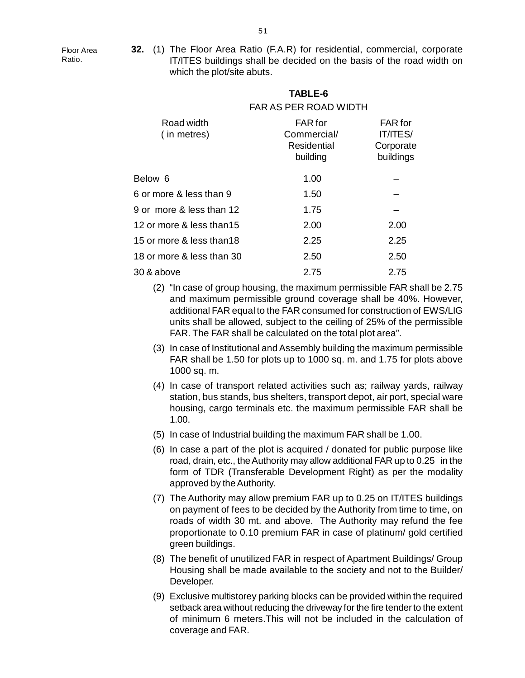[F](http://www.docu-track.com/buy/)loor Area Ratio.

**32.** (1) The Floor Area Ratio (F.A.R) for residential, commercial, corporat[e](http://www.docu-track.com/buy/) IT/ITES buildings shall be decided on the basis of the road width on which the plot/site abuts.

**TABLE-6**

# FAR AS PER ROAD WIDTH Road width FAR for FAR for ( in metres) Commercial/ IT/ITES/ Residential Corporate building buildings Below 6 1.00 6 or more & less than 9 1.50 9 or more  $\&$  less than 12  $-$  1.75  $-$ 12 or more & less than15 2.00 2.00 15 or more & less than18 2.25 2.25 18 or more & less than 30 2.50 2.50 30 & above 2.75 2.75

- (2) "In case of group housing, the maximum permissible FAR shall be 2.75 and maximum permissible ground coverage shall be 40%. However, additional FAR equal to the FAR consumed for construction of EWS/LIG units shall be allowed, subject to the ceiling of 25% of the permissible FAR. The FAR shall be calculated on the total plot area".
- (3) In case of Institutional and Assembly building the maximum permissible FAR shall be 1.50 for plots up to 1000 sq. m. and 1.75 for plots above 1000 sq. m.
- (4) In case of transport related activities such as; railway yards, railway station, bus stands, bus shelters, transport depot, air port, special ware housing, cargo terminals etc. the maximum permissible FAR shall be 1.00.
- (5) In case of Industrial building the maximum FAR shall be 1.00.
- (6) In case a part of the plot is acquired / donated for public purpose like road, drain, etc., the Authority may allow additional FAR up to 0.25 in the form of TDR (Transferable Development Right) as per the modality approved by the Authority.
- (7) The Authority may allow premium FAR up to 0.25 on IT/ITES buildings on payment of fees to be decided by the Authority from time to time, on roads of width 30 mt. and above. The Authority may refund the fee proportionate to 0.10 premium FAR in case of platinum/ gold certified green buildings.
- (8) The benefit of unutilized FAR in respect of Apartment Buildings/ Group Housing shall be made available to the society and not to the Builder/ Developer.
- (9) Exclusive multistorey parking blocks can be provided within the required setback area without reducing the driveway for the fire tender to the extent of minimum 6 meters.This will not be included in the calculation of coverage and FAR.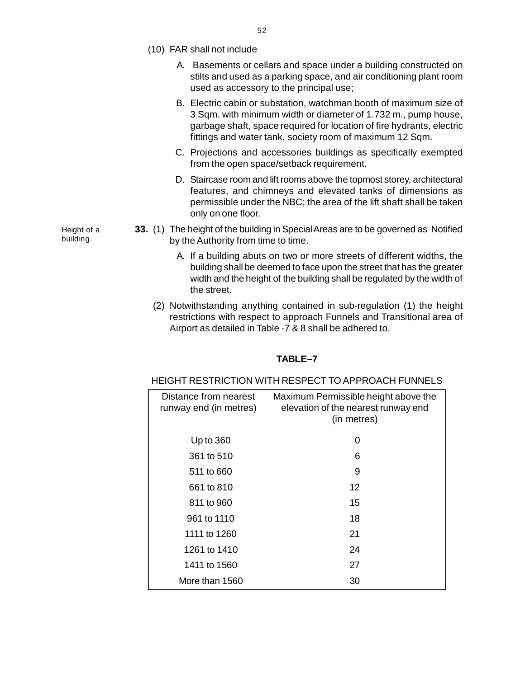- (10) FAR shall not include
	- A. Basements or cellars and space under a building constructed o[n](http://www.docu-track.com/buy/) stilts and used as a parking space, and air conditioning plant room used as accessory to the principal use;
	- B. Electric cabin or substation, watchman booth of maximum size of 3 Sqm. with minimum width or diameter of 1.732 m., pump house, garbage shaft, space required for location of fire hydrants, electric fittings and water tank, society room of maximum 12 Sqm.
	- C. Projections and accessories buildings as specifically exempted from the open space/setback requirement.
	- D. Staircase room and lift rooms above the topmost storey, architectural features, and chimneys and elevated tanks of dimensions as permissible under the NBC; the area of the lift shaft shall be taken only on one floor.
- **33.** (1) The height of the building in Special Areas are to be governed as Notified by the Authority from time to time.
	- A. If a building abuts on two or more streets of different widths, the building shall be deemed to face upon the street that has the greater width and the height of the building shall be regulated by the width of the street.
	- (2) Notwithstanding anything contained in sub-regulation (1) the height restrictions with respect to approach Funnels and Transitional area of Airport as detailed in Table -7 & 8 shall be adhered to.

#### **TABLE–7**

#### HEIGHT RESTRICTION WITH RESPECT TO APPROACH FUNNELS

| Distance from nearest<br>runway end (in metres) | Maximum Permissible height above the<br>elevation of the nearest runway end<br>(in metres) |
|-------------------------------------------------|--------------------------------------------------------------------------------------------|
| Up to $360$                                     | 0                                                                                          |
| 361 to 510                                      | 6                                                                                          |
| 511 to 660                                      | 9                                                                                          |
| 661 to 810                                      | 12                                                                                         |
| 811 to 960                                      | 15                                                                                         |
| 961 to 1110                                     | 18                                                                                         |
| 1111 to 1260                                    | 21                                                                                         |
| 1261 to 1410                                    | 24                                                                                         |
| 1411 to 1560                                    | 27                                                                                         |
| More than 1560                                  | 30                                                                                         |

Height of a building.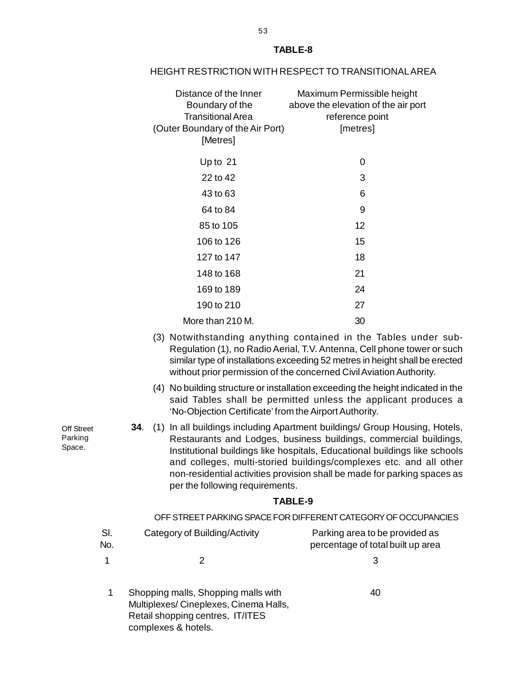| Distance of the Inner<br>Boundary of the<br><b>Transitional Area</b><br>(Outer Boundary of the Air Port)<br>[Metres] | Maximum Permissible height<br>above the elevation of the air port<br>reference point<br>[metres]                                                                                                                                                                                                  |
|----------------------------------------------------------------------------------------------------------------------|---------------------------------------------------------------------------------------------------------------------------------------------------------------------------------------------------------------------------------------------------------------------------------------------------|
| Up to 21                                                                                                             | 0                                                                                                                                                                                                                                                                                                 |
| 22 to 42                                                                                                             | 3                                                                                                                                                                                                                                                                                                 |
| 43 to 63                                                                                                             | 6                                                                                                                                                                                                                                                                                                 |
| 64 to 84                                                                                                             | 9                                                                                                                                                                                                                                                                                                 |
| 85 to 105                                                                                                            | 12                                                                                                                                                                                                                                                                                                |
| 106 to 126                                                                                                           | 15                                                                                                                                                                                                                                                                                                |
| 127 to 147                                                                                                           | 18                                                                                                                                                                                                                                                                                                |
| 148 to 168                                                                                                           | 21                                                                                                                                                                                                                                                                                                |
| 169 to 189                                                                                                           | 24                                                                                                                                                                                                                                                                                                |
| 190 to 210                                                                                                           | 27                                                                                                                                                                                                                                                                                                |
| More than 210 M.                                                                                                     | 30                                                                                                                                                                                                                                                                                                |
|                                                                                                                      | (3) Notwithstanding anything contained in the Tables under sub-<br>Regulation (1), no Radio Aerial, T.V. Antenna, Cell phone tower or such<br>similar type of installations exceeding 52 metres in height shall be erected<br>without prior permission of the concerned Civil Aviation Authority. |

(4) No building structure or installation exceeding the height indicated in the said Tables shall be permitted unless the applicant produces a 'No-Objection Certificate' from the Airport Authority.

**34**. (1) In all buildings including Apartment buildings/ Group Housing, Hotels, Restaurants and Lodges, business buildings, commercial buildings, Institutional buildings like hospitals, Educational buildings like schools and colleges, multi-storied buildings/complexes etc. and all other non-residential activities provision shall be made for parking spaces as per the following requirements.

#### **TABLE-9**

|            |                                                                                                                  | OFF STREET PARKING SPACE FOR DIFFERENT CATEGORY OF OCCUPANCIES      |
|------------|------------------------------------------------------------------------------------------------------------------|---------------------------------------------------------------------|
| SI.<br>No. | Category of Building/Activity                                                                                    | Parking area to be provided as<br>percentage of total built up area |
|            |                                                                                                                  | З                                                                   |
|            | Shopping malls, Shopping malls with<br>Multiplexes/Cineplexes, Cinema Halls,<br>Retail shopping centres, IT/ITES | 40                                                                  |

complexes & hotels.

Off Street Parking Space.

### **TABLE-8**

HEIGHT RESTRICTION WITH RESPECT TO TRANSITIONAL AREA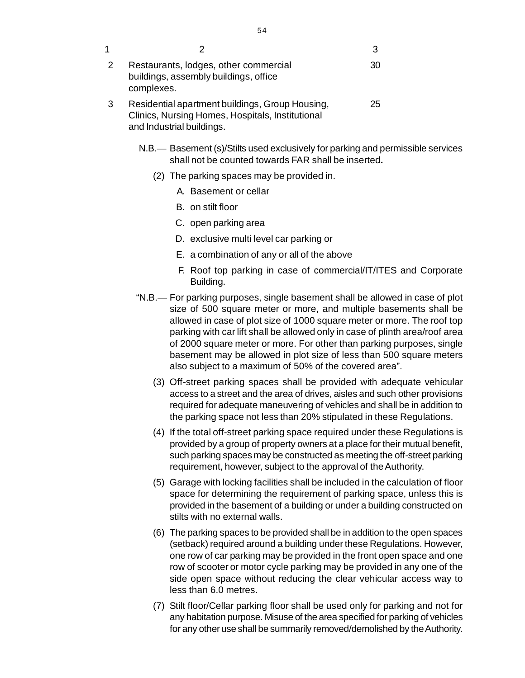| 1 |                                                                                                                                  |    |
|---|----------------------------------------------------------------------------------------------------------------------------------|----|
|   | Restaurants, lodges, other commercial<br>buildings, assembly buildings, office<br>complexes.                                     | 30 |
|   | Residential apartment buildings, Group Housing,<br>Clinics, Nursing Homes, Hospitals, Institutional<br>and Industrial buildings. | 25 |

- N.B.— Basement (s)/Stilts used exclusively for parking and permissible services shall not be counted towards FAR shall be inserted**.**
	- (2) The parking spaces may be provided in.
		- A. Basement or cellar
		- B. on stilt floor
		- C. open parking area
		- D. exclusive multi level car parking or
		- E. a combination of any or all of the above
		- F. Roof top parking in case of commercial/IT/ITES and Corporate Building.
- "N.B.— For parking purposes, single basement shall be allowed in case of plot size of 500 square meter or more, and multiple basements shall be allowed in case of plot size of 1000 square meter or more. The roof top parking with car lift shall be allowed only in case of plinth area/roof area of 2000 square meter or more. For other than parking purposes, single basement may be allowed in plot size of less than 500 square meters also subject to a maximum of 50% of the covered area".
	- (3) Off-street parking spaces shall be provided with adequate vehicular access to a street and the area of drives, aisles and such other provisions required for adequate maneuvering of vehicles and shall be in addition to the parking space not less than 20% stipulated in these Regulations.
	- (4) If the total off-street parking space required under these Regulations is provided by a group of property owners at a place for their mutual benefit, such parking spaces may be constructed as meeting the off-street parking requirement, however, subject to the approval of the Authority.
	- (5) Garage with locking facilities shall be included in the calculation of floor space for determining the requirement of parking space, unless this is provided in the basement of a building or under a building constructed on stilts with no external walls.
	- (6) The parking spaces to be provided shall be in addition to the open spaces (setback) required around a building under these Regulations. However, one row of car parking may be provided in the front open space and one row of scooter or motor cycle parking may be provided in any one of the side open space without reducing the clear vehicular access way to less than 6.0 metres.
	- (7) Stilt floor/Cellar parking floor shall be used only for parking and not for any habitation purpose. Misuse of the area specified for parking of vehicles for any other use shall be summarily removed/demolished by the Authority.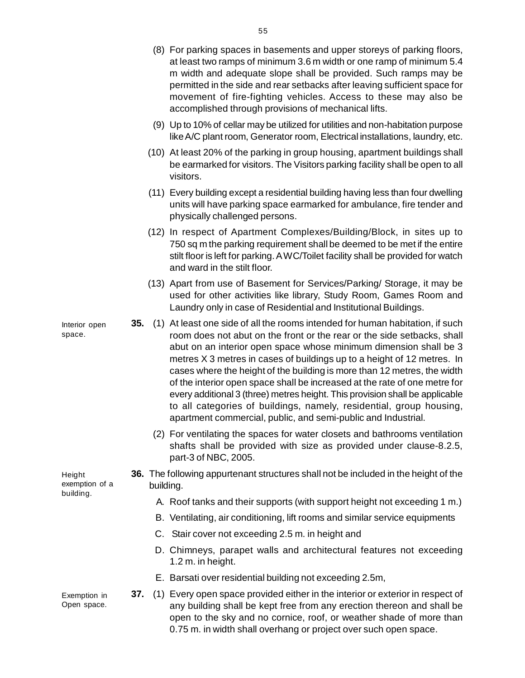|                             |     |           | m width and adequate slope shall be provided. Such ramps may be<br>permitted in the side and rear setbacks after leaving sufficient space for<br>movement of fire-fighting vehicles. Access to these may also be<br>accomplished through provisions of mechanical lifts.                                                                                                                                                                                                                                                                                                                                                                                                                   |
|-----------------------------|-----|-----------|--------------------------------------------------------------------------------------------------------------------------------------------------------------------------------------------------------------------------------------------------------------------------------------------------------------------------------------------------------------------------------------------------------------------------------------------------------------------------------------------------------------------------------------------------------------------------------------------------------------------------------------------------------------------------------------------|
|                             |     |           | (9) Up to 10% of cellar may be utilized for utilities and non-habitation purpose<br>like A/C plant room, Generator room, Electrical installations, laundry, etc.                                                                                                                                                                                                                                                                                                                                                                                                                                                                                                                           |
|                             |     |           | (10) At least 20% of the parking in group housing, apartment buildings shall<br>be earmarked for visitors. The Visitors parking facility shall be open to all<br>visitors.                                                                                                                                                                                                                                                                                                                                                                                                                                                                                                                 |
|                             |     |           | (11) Every building except a residential building having less than four dwelling<br>units will have parking space earmarked for ambulance, fire tender and<br>physically challenged persons.                                                                                                                                                                                                                                                                                                                                                                                                                                                                                               |
|                             |     |           | (12) In respect of Apartment Complexes/Building/Block, in sites up to<br>750 sq m the parking requirement shall be deemed to be met if the entire<br>stilt floor is left for parking. A WC/Toilet facility shall be provided for watch<br>and ward in the stilt floor.                                                                                                                                                                                                                                                                                                                                                                                                                     |
|                             |     |           | (13) Apart from use of Basement for Services/Parking/ Storage, it may be<br>used for other activities like library, Study Room, Games Room and<br>Laundry only in case of Residential and Institutional Buildings.                                                                                                                                                                                                                                                                                                                                                                                                                                                                         |
| Interior open<br>space.     | 35. |           | (1) At least one side of all the rooms intended for human habitation, if such<br>room does not abut on the front or the rear or the side setbacks, shall<br>abut on an interior open space whose minimum dimension shall be 3<br>metres X 3 metres in cases of buildings up to a height of 12 metres. In<br>cases where the height of the building is more than 12 metres, the width<br>of the interior open space shall be increased at the rate of one metre for<br>every additional 3 (three) metres height. This provision shall be applicable<br>to all categories of buildings, namely, residential, group housing,<br>apartment commercial, public, and semi-public and Industrial. |
|                             |     |           | (2) For ventilating the spaces for water closets and bathrooms ventilation<br>shafts shall be provided with size as provided under clause-8.2.5,<br>part-3 of NBC, 2005.                                                                                                                                                                                                                                                                                                                                                                                                                                                                                                                   |
| Height<br>exemption of a    |     | building. | 36. The following appurtenant structures shall not be included in the height of the                                                                                                                                                                                                                                                                                                                                                                                                                                                                                                                                                                                                        |
| building.                   |     |           | A. Roof tanks and their supports (with support height not exceeding 1 m.)                                                                                                                                                                                                                                                                                                                                                                                                                                                                                                                                                                                                                  |
|                             |     |           | B. Ventilating, air conditioning, lift rooms and similar service equipments                                                                                                                                                                                                                                                                                                                                                                                                                                                                                                                                                                                                                |
|                             |     |           | C. Stair cover not exceeding 2.5 m. in height and                                                                                                                                                                                                                                                                                                                                                                                                                                                                                                                                                                                                                                          |
|                             |     |           | D. Chimneys, parapet walls and architectural features not exceeding<br>1.2 m. in height.                                                                                                                                                                                                                                                                                                                                                                                                                                                                                                                                                                                                   |
|                             |     |           | E. Barsati over residential building not exceeding 2.5m,                                                                                                                                                                                                                                                                                                                                                                                                                                                                                                                                                                                                                                   |
| Exemption in<br>Open space. | 37. |           | (1) Every open space provided either in the interior or exterior in respect of<br>any building shall be kept free from any erection thereon and shall be<br>open to the sky and no cornice, roof, or weather shade of more than<br>0.75 m. in width shall overhang or project over such open space.                                                                                                                                                                                                                                                                                                                                                                                        |

(8) For parking spaces in basements and upper storeys of parking floors[,](http://www.docu-track.com/buy/) at least two ramps of minimum 3.6 m width or one ramp of minimum 5.4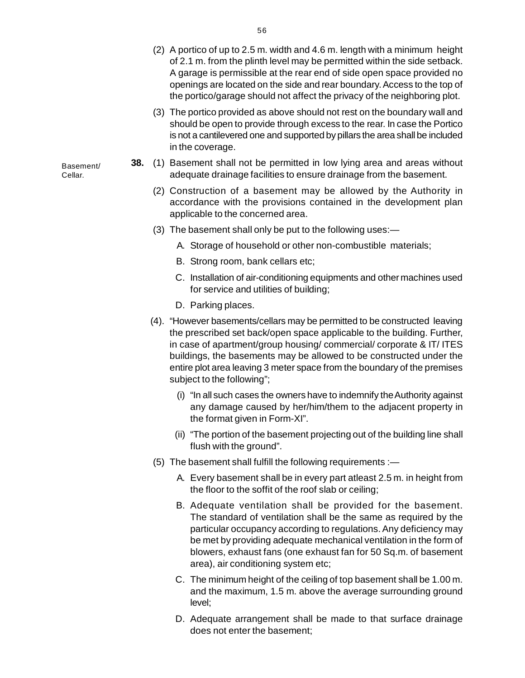- (2) A portico of up to 2.5 m. width and 4.6 m. length with a minimum heigh[t](http://www.docu-track.com/buy/) of 2.1 m. from the plinth level may be permitted within the side setback. A garage is permissible at the rear end of side open space provided no openings are located on the side and rear boundary. Access to the top of the portico/garage should not affect the privacy of the neighboring plot.
- (3) The portico provided as above should not rest on the boundary wall and should be open to provide through excess to the rear. In case the Portico is not a cantilevered one and supported by pillars the area shall be included in the coverage.
- **38.** (1) Basement shall not be permitted in low lying area and areas without adequate drainage facilities to ensure drainage from the basement.
	- (2) Construction of a basement may be allowed by the Authority in accordance with the provisions contained in the development plan applicable to the concerned area.
	- (3) The basement shall only be put to the following uses:—
		- A. Storage of household or other non-combustible materials;
		- B. Strong room, bank cellars etc;
		- C. Installation of air-conditioning equipments and other machines used for service and utilities of building;
		- D. Parking places.
	- (4). "However basements/cellars may be permitted to be constructed leaving the prescribed set back/open space applicable to the building. Further, in case of apartment/group housing/ commercial/ corporate & IT/ ITES buildings, the basements may be allowed to be constructed under the entire plot area leaving 3 meter space from the boundary of the premises subject to the following";
		- (i) "In all such cases the owners have to indemnify the Authority against any damage caused by her/him/them to the adjacent property in the format given in Form-XI".
		- (ii) "The portion of the basement projecting out of the building line shall flush with the ground".
	- (5) The basement shall fulfill the following requirements :—
		- A. Every basement shall be in every part atleast 2.5 m. in height from the floor to the soffit of the roof slab or ceiling;
		- B. Adequate ventilation shall be provided for the basement. The standard of ventilation shall be the same as required by the particular occupancy according to regulations. Any deficiency may be met by providing adequate mechanical ventilation in the form of blowers, exhaust fans (one exhaust fan for 50 Sq.m. of basement area), air conditioning system etc;
		- C. The minimum height of the ceiling of top basement shall be 1.00 m. and the maximum, 1.5 m. above the average surrounding ground level;
		- D. Adequate arrangement shall be made to that surface drainage does not enter the basement;

Basement/ Cellar.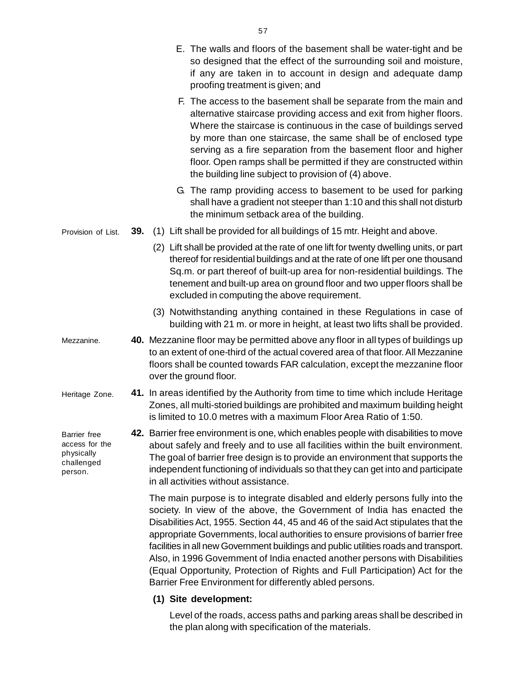|                                                                       |     | E. The walls and floors of the basement shall be water-tight and be<br>so designed that the effect of the surrounding soil and moisture,<br>if any are taken in to account in design and adequate damp<br>proofing treatment is given; and                                                                                                                                                                                                                                                                                                                                                                                                       |
|-----------------------------------------------------------------------|-----|--------------------------------------------------------------------------------------------------------------------------------------------------------------------------------------------------------------------------------------------------------------------------------------------------------------------------------------------------------------------------------------------------------------------------------------------------------------------------------------------------------------------------------------------------------------------------------------------------------------------------------------------------|
|                                                                       |     | F. The access to the basement shall be separate from the main and<br>alternative staircase providing access and exit from higher floors.<br>Where the staircase is continuous in the case of buildings served<br>by more than one staircase, the same shall be of enclosed type<br>serving as a fire separation from the basement floor and higher<br>floor. Open ramps shall be permitted if they are constructed within<br>the building line subject to provision of (4) above.                                                                                                                                                                |
|                                                                       |     | G. The ramp providing access to basement to be used for parking<br>shall have a gradient not steeper than 1:10 and this shall not disturb<br>the minimum setback area of the building.                                                                                                                                                                                                                                                                                                                                                                                                                                                           |
| Provision of List.                                                    | 39. | (1) Lift shall be provided for all buildings of 15 mtr. Height and above.                                                                                                                                                                                                                                                                                                                                                                                                                                                                                                                                                                        |
|                                                                       |     | (2) Lift shall be provided at the rate of one lift for twenty dwelling units, or part<br>thereof for residential buildings and at the rate of one lift per one thousand<br>Sq.m. or part thereof of built-up area for non-residential buildings. The<br>tenement and built-up area on ground floor and two upper floors shall be<br>excluded in computing the above requirement.                                                                                                                                                                                                                                                                 |
|                                                                       |     | (3) Notwithstanding anything contained in these Regulations in case of<br>building with 21 m. or more in height, at least two lifts shall be provided.                                                                                                                                                                                                                                                                                                                                                                                                                                                                                           |
| Mezzanine.                                                            |     | 40. Mezzanine floor may be permitted above any floor in all types of buildings up<br>to an extent of one-third of the actual covered area of that floor. All Mezzanine<br>floors shall be counted towards FAR calculation, except the mezzanine floor<br>over the ground floor.                                                                                                                                                                                                                                                                                                                                                                  |
| Heritage Zone.                                                        |     | 41. In areas identified by the Authority from time to time which include Heritage<br>Zones, all multi-storied buildings are prohibited and maximum building height<br>is limited to 10.0 metres with a maximum Floor Area Ratio of 1:50.                                                                                                                                                                                                                                                                                                                                                                                                         |
| Barrier free<br>access for the<br>physically<br>challenged<br>person. |     | 42. Barrier free environment is one, which enables people with disabilities to move<br>about safely and freely and to use all facilities within the built environment.<br>The goal of barrier free design is to provide an environment that supports the<br>independent functioning of individuals so that they can get into and participate<br>in all activities without assistance.                                                                                                                                                                                                                                                            |
|                                                                       |     | The main purpose is to integrate disabled and elderly persons fully into the<br>society. In view of the above, the Government of India has enacted the<br>Disabilities Act, 1955. Section 44, 45 and 46 of the said Act stipulates that the<br>appropriate Governments, local authorities to ensure provisions of barrier free<br>facilities in all new Government buildings and public utilities roads and transport.<br>Also, in 1996 Government of India enacted another persons with Disabilities<br>(Equal Opportunity, Protection of Rights and Full Participation) Act for the<br>Barrier Free Environment for differently abled persons. |
|                                                                       |     | (1) Site development:                                                                                                                                                                                                                                                                                                                                                                                                                                                                                                                                                                                                                            |

Level of the roads, access paths and parking areas shall be described in the plan along with specification of the materials.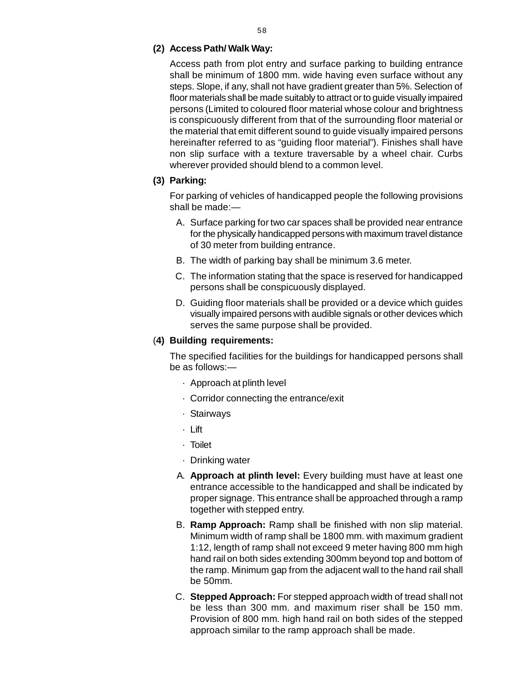#### **(2) Access Path/ Walk Way:**

Access path from plot entry and surface parking to building entranc[e](http://www.docu-track.com/buy/) shall be minimum of 1800 mm. wide having even surface without any steps. Slope, if any, shall not have gradient greater than 5%. Selection of floor materials shall be made suitably to attract or to guide visually impaired persons (Limited to coloured floor material whose colour and brightness is conspicuously different from that of the surrounding floor material or the material that emit different sound to guide visually impaired persons hereinafter referred to as "guiding floor material"). Finishes shall have non slip surface with a texture traversable by a wheel chair. Curbs wherever provided should blend to a common level.

#### **(3) Parking:**

For parking of vehicles of handicapped people the following provisions shall be made:—

- A. Surface parking for two car spaces shall be provided near entrance for the physically handicapped persons with maximum travel distance of 30 meter from building entrance.
- B. The width of parking bay shall be minimum 3.6 meter.
- C. The information stating that the space is reserved for handicapped persons shall be conspicuously displayed.
- D. Guiding floor materials shall be provided or a device which guides visually impaired persons with audible signals or other devices which serves the same purpose shall be provided.

#### (**4) Building requirements:**

The specified facilities for the buildings for handicapped persons shall be as follows:—

- · Approach at plinth level
- · Corridor connecting the entrance/exit
- · Stairways
- · Lift
- · Toilet
- · Drinking water
- A. **Approach at plinth level:** Every building must have at least one entrance accessible to the handicapped and shall be indicated by proper signage. This entrance shall be approached through a ramp together with stepped entry.
- B. **Ramp Approach:** Ramp shall be finished with non slip material. Minimum width of ramp shall be 1800 mm. with maximum gradient 1:12, length of ramp shall not exceed 9 meter having 800 mm high hand rail on both sides extending 300mm beyond top and bottom of the ramp. Minimum gap from the adjacent wall to the hand rail shall be 50mm.
- C. **Stepped Approach:** For stepped approach width of tread shall not be less than 300 mm. and maximum riser shall be 150 mm. Provision of 800 mm. high hand rail on both sides of the stepped approach similar to the ramp approach shall be made.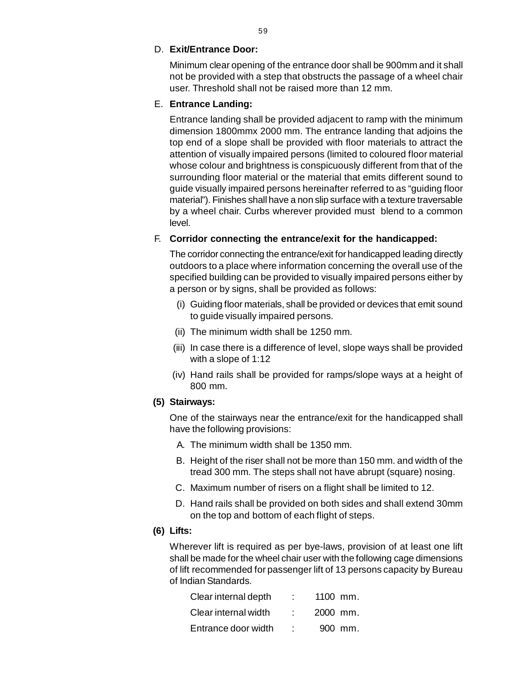#### D. **Exit/Entrance Door:**

Minimum clear opening of the entrance door shall be 900mm and it shal[l](http://www.docu-track.com/buy/) not be provided with a step that obstructs the passage of a wheel chair user. Threshold shall not be raised more than 12 mm.

### E. **Entrance Landing:**

Entrance landing shall be provided adjacent to ramp with the minimum dimension 1800mmx 2000 mm. The entrance landing that adjoins the top end of a slope shall be provided with floor materials to attract the attention of visually impaired persons (limited to coloured floor material whose colour and brightness is conspicuously different from that of the surrounding floor material or the material that emits different sound to guide visually impaired persons hereinafter referred to as "guiding floor material"). Finishes shall have a non slip surface with a texture traversable by a wheel chair. Curbs wherever provided must blend to a common level.

### F. **Corridor connecting the entrance/exit for the handicapped:**

The corridor connecting the entrance/exit for handicapped leading directly outdoors to a place where information concerning the overall use of the specified building can be provided to visually impaired persons either by a person or by signs, shall be provided as follows:

- (i) Guiding floor materials, shall be provided or devices that emit sound to guide visually impaired persons.
- (ii) The minimum width shall be 1250 mm.
- (iii) In case there is a difference of level, slope ways shall be provided with a slope of 1:12
- (iv) Hand rails shall be provided for ramps/slope ways at a height of 800 mm.

### **(5) Stairways:**

One of the stairways near the entrance/exit for the handicapped shall have the following provisions:

- A. The minimum width shall be 1350 mm.
- B. Height of the riser shall not be more than 150 mm. and width of the tread 300 mm. The steps shall not have abrupt (square) nosing.
- C. Maximum number of risers on a flight shall be limited to 12.
- D. Hand rails shall be provided on both sides and shall extend 30mm on the top and bottom of each flight of steps.

### **(6) Lifts:**

Wherever lift is required as per bye-laws, provision of at least one lift shall be made for the wheel chair user with the following cage dimensions of lift recommended for passenger lift of 13 persons capacity by Bureau of Indian Standards.

| Clear internal depth | 1100 mm. |         |
|----------------------|----------|---------|
| Clear internal width | 2000 mm. |         |
| Entrance door width  |          | 900 mm. |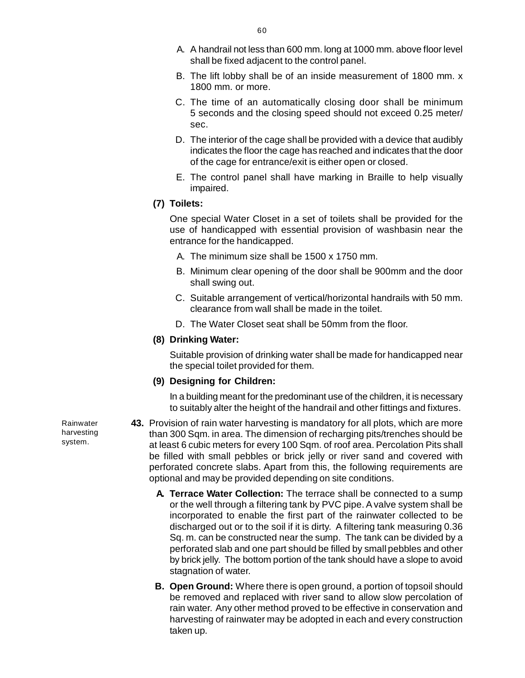- A. A handrail not less than 600 mm. long at 1000 mm. above floor leve[l](http://www.docu-track.com/buy/) shall be fixed adjacent to the control panel.
- B. The lift lobby shall be of an inside measurement of 1800 mm. x 1800 mm. or more.
- C. The time of an automatically closing door shall be minimum 5 seconds and the closing speed should not exceed 0.25 meter/ sec.
- D. The interior of the cage shall be provided with a device that audibly indicates the floor the cage has reached and indicates that the door of the cage for entrance/exit is either open or closed.
- E. The control panel shall have marking in Braille to help visually impaired.
- **(7) Toilets:**

One special Water Closet in a set of toilets shall be provided for the use of handicapped with essential provision of washbasin near the entrance for the handicapped.

- A. The minimum size shall be 1500 x 1750 mm.
- B. Minimum clear opening of the door shall be 900mm and the door shall swing out.
- C. Suitable arrangement of vertical/horizontal handrails with 50 mm. clearance from wall shall be made in the toilet.
- D. The Water Closet seat shall be 50mm from the floor.
- **(8) Drinking Water:**

Suitable provision of drinking water shall be made for handicapped near the special toilet provided for them.

#### **(9) Designing for Children:**

In a building meant for the predominant use of the children, it is necessary to suitably alter the height of the handrail and other fittings and fixtures.

**43.** Provision of rain water harvesting is mandatory for all plots, which are more than 300 Sqm. in area. The dimension of recharging pits/trenches should be at least 6 cubic meters for every 100 Sqm. of roof area. Percolation Pits shall be filled with small pebbles or brick jelly or river sand and covered with perforated concrete slabs. Apart from this, the following requirements are optional and may be provided depending on site conditions.

- **A. Terrace Water Collection:** The terrace shall be connected to a sump or the well through a filtering tank by PVC pipe. A valve system shall be incorporated to enable the first part of the rainwater collected to be discharged out or to the soil if it is dirty. A filtering tank measuring 0.36 Sq. m. can be constructed near the sump. The tank can be divided by a perforated slab and one part should be filled by small pebbles and other by brick jelly. The bottom portion of the tank should have a slope to avoid stagnation of water.
- **B. Open Ground:** Where there is open ground, a portion of topsoil should be removed and replaced with river sand to allow slow percolation of rain water. Any other method proved to be effective in conservation and harvesting of rainwater may be adopted in each and every construction taken up.

Rainwater harvesting system.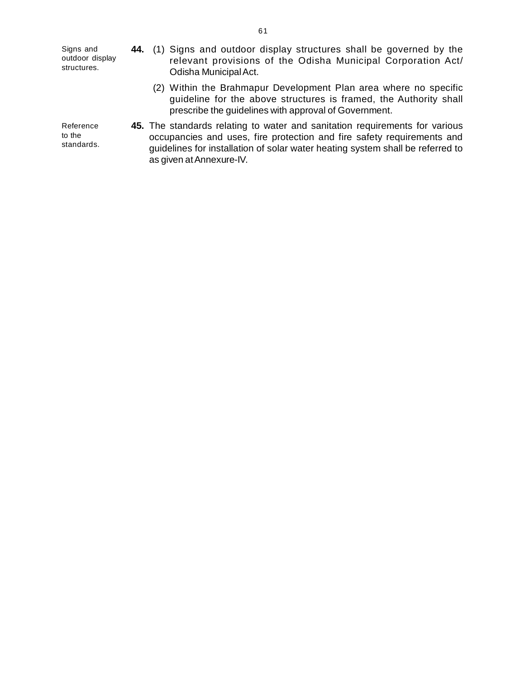[S](http://www.docu-track.com/buy/)igns and outdoor display structures.

Reference to the standards.

- **44.** (1) Signs and outdoor display structures shall be governed by th[e](http://www.docu-track.com/buy/) relevant provisions of the Odisha Municipal Corporation Act/ Odisha Municipal Act.
	- (2) Within the Brahmapur Development Plan area where no specific guideline for the above structures is framed, the Authority shall prescribe the guidelines with approval of Government.
- **45.** The standards relating to water and sanitation requirements for various occupancies and uses, fire protection and fire safety requirements and guidelines for installation of solar water heating system shall be referred to as given at Annexure-IV.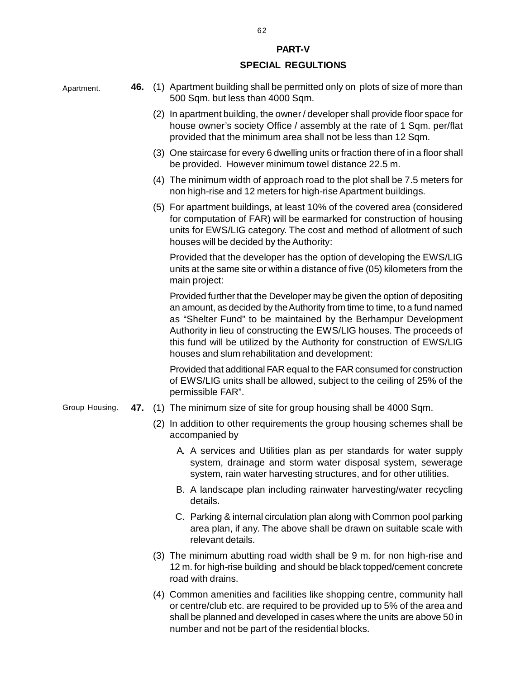#### **PART-V**

#### **SPECIAL REGULTIONS**

| Apartment.     |     | 46. (1) Apartment building shall be permitted only on plots of size of more than<br>500 Sqm. but less than 4000 Sqm.                                                                                                                                                                                                                                                                                                             |
|----------------|-----|----------------------------------------------------------------------------------------------------------------------------------------------------------------------------------------------------------------------------------------------------------------------------------------------------------------------------------------------------------------------------------------------------------------------------------|
|                |     | (2) In apartment building, the owner / developer shall provide floor space for<br>house owner's society Office / assembly at the rate of 1 Sqm. per/flat<br>provided that the minimum area shall not be less than 12 Sqm.                                                                                                                                                                                                        |
|                |     | (3) One staircase for every 6 dwelling units or fraction there of in a floor shall<br>be provided. However minimum towel distance 22.5 m.                                                                                                                                                                                                                                                                                        |
|                |     | (4) The minimum width of approach road to the plot shall be 7.5 meters for<br>non high-rise and 12 meters for high-rise Apartment buildings.                                                                                                                                                                                                                                                                                     |
|                |     | (5) For apartment buildings, at least 10% of the covered area (considered<br>for computation of FAR) will be earmarked for construction of housing<br>units for EWS/LIG category. The cost and method of allotment of such<br>houses will be decided by the Authority:                                                                                                                                                           |
|                |     | Provided that the developer has the option of developing the EWS/LIG<br>units at the same site or within a distance of five (05) kilometers from the<br>main project:                                                                                                                                                                                                                                                            |
|                |     | Provided further that the Developer may be given the option of depositing<br>an amount, as decided by the Authority from time to time, to a fund named<br>as "Shelter Fund" to be maintained by the Berhampur Development<br>Authority in lieu of constructing the EWS/LIG houses. The proceeds of<br>this fund will be utilized by the Authority for construction of EWS/LIG<br>houses and slum rehabilitation and development: |
|                |     | Provided that additional FAR equal to the FAR consumed for construction<br>of EWS/LIG units shall be allowed, subject to the ceiling of 25% of the<br>permissible FAR".                                                                                                                                                                                                                                                          |
| Group Housing. | 47. | (1) The minimum size of site for group housing shall be 4000 Sqm.                                                                                                                                                                                                                                                                                                                                                                |
|                |     | (2) In addition to other requirements the group housing schemes shall be<br>accompanied by                                                                                                                                                                                                                                                                                                                                       |
|                |     | A. A services and Utilities plan as per standards for water supply<br>system, drainage and storm water disposal system, sewerage<br>system, rain water harvesting structures, and for other utilities.                                                                                                                                                                                                                           |

- B. A landscape plan including rainwater harvesting/water recycling details.
- C. Parking & internal circulation plan along with Common pool parking area plan, if any. The above shall be drawn on suitable scale with relevant details.
- (3) The minimum abutting road width shall be 9 m. for non high-rise and 12 m. for high-rise building and should be black topped/cement concrete road with drains.
- (4) Common amenities and facilities like shopping centre, community hall or centre/club etc. are required to be provided up to 5% of the area and shall be planned and developed in cases where the units are above 50 in number and not be part of the residential blocks.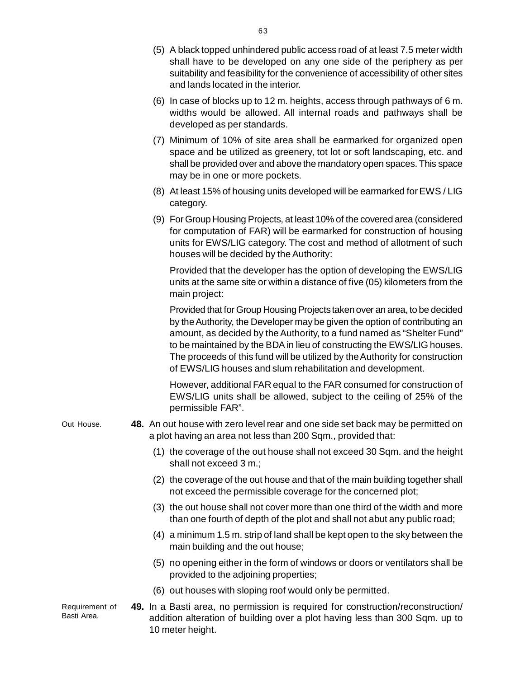- (5) A black topped unhindered public access road of at least 7.5 meter widt[h](http://www.docu-track.com/buy/) shall have to be developed on any one side of the periphery as per suitability and feasibility for the convenience of accessibility of other sites and lands located in the interior.
- (6) In case of blocks up to 12 m. heights, access through pathways of 6 m. widths would be allowed. All internal roads and pathways shall be developed as per standards.
- (7) Minimum of 10% of site area shall be earmarked for organized open space and be utilized as greenery, tot lot or soft landscaping, etc. and shall be provided over and above the mandatory open spaces. This space may be in one or more pockets.
- (8) At least 15% of housing units developed will be earmarked for EWS / LIG category.
- (9) For Group Housing Projects, at least 10% of the covered area (considered for computation of FAR) will be earmarked for construction of housing units for EWS/LIG category. The cost and method of allotment of such houses will be decided by the Authority:

Provided that the developer has the option of developing the EWS/LIG units at the same site or within a distance of five (05) kilometers from the main project:

Provided that for Group Housing Projects taken over an area, to be decided by the Authority, the Developer may be given the option of contributing an amount, as decided by the Authority, to a fund named as "Shelter Fund" to be maintained by the BDA in lieu of constructing the EWS/LIG houses. The proceeds of this fund will be utilized by the Authority for construction of EWS/LIG houses and slum rehabilitation and development.

However, additional FAR equal to the FAR consumed for construction of EWS/LIG units shall be allowed, subject to the ceiling of 25% of the permissible FAR".

- **48.** An out house with zero level rear and one side set back may be permitted on a plot having an area not less than 200 Sqm., provided that: Out House.
	- (1) the coverage of the out house shall not exceed 30 Sqm. and the height shall not exceed 3 m.;
	- (2) the coverage of the out house and that of the main building together shall not exceed the permissible coverage for the concerned plot;
	- (3) the out house shall not cover more than one third of the width and more than one fourth of depth of the plot and shall not abut any public road;
	- (4) a minimum 1.5 m. strip of land shall be kept open to the sky between the main building and the out house;
	- (5) no opening either in the form of windows or doors or ventilators shall be provided to the adjoining properties;
	- (6) out houses with sloping roof would only be permitted.

Requirement of Basti Area.

**49.** In a Basti area, no permission is required for construction/reconstruction/ addition alteration of building over a plot having less than 300 Sqm. up to 10 meter height.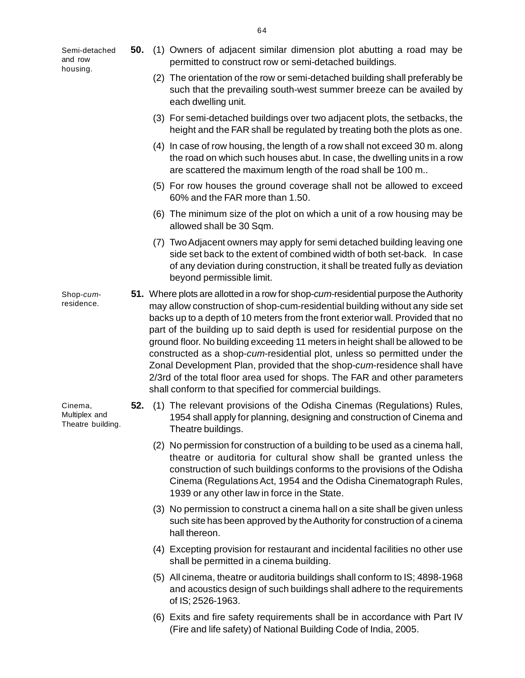[S](http://www.docu-track.com/buy/)emi-detached and row housing.

- **50.** (1) Owners of adjacent similar dimension plot abutting a road may b[e](http://www.docu-track.com/buy/) permitted to construct row or semi-detached buildings.
	- (2) The orientation of the row or semi-detached building shall preferably be such that the prevailing south-west summer breeze can be availed by each dwelling unit.
	- (3) For semi-detached buildings over two adjacent plots, the setbacks, the height and the FAR shall be regulated by treating both the plots as one.
	- (4) In case of row housing, the length of a row shall not exceed 30 m. along the road on which such houses abut. In case, the dwelling units in a row are scattered the maximum length of the road shall be 100 m..
	- (5) For row houses the ground coverage shall not be allowed to exceed 60% and the FAR more than 1.50.
	- (6) The minimum size of the plot on which a unit of a row housing may be allowed shall be 30 Sqm.
	- (7) Two Adjacent owners may apply for semi detached building leaving one side set back to the extent of combined width of both set-back. In case of any deviation during construction, it shall be treated fully as deviation beyond permissible limit.
- **51.** Where plots are allotted in a row for shop-*cum*-residential purpose the Authority may allow construction of shop-cum-residential building without any side set backs up to a depth of 10 meters from the front exterior wall. Provided that no part of the building up to said depth is used for residential purpose on the ground floor. No building exceeding 11 meters in height shall be allowed to be constructed as a shop-*cum*-residential plot, unless so permitted under the Zonal Development Plan, provided that the shop-*cum*-residence shall have 2/3rd of the total floor area used for shops. The FAR and other parameters shall conform to that specified for commercial buildings. Shop-*cum*residence.
	- **52.** (1) The relevant provisions of the Odisha Cinemas (Regulations) Rules, 1954 shall apply for planning, designing and construction of Cinema and Theatre buildings.
		- (2) No permission for construction of a building to be used as a cinema hall, theatre or auditoria for cultural show shall be granted unless the construction of such buildings conforms to the provisions of the Odisha Cinema (Regulations Act, 1954 and the Odisha Cinematograph Rules, 1939 or any other law in force in the State.
		- (3) No permission to construct a cinema hall on a site shall be given unless such site has been approved by the Authority for construction of a cinema hall thereon.
		- (4) Excepting provision for restaurant and incidental facilities no other use shall be permitted in a cinema building.
		- (5) All cinema, theatre or auditoria buildings shall conform to IS; 4898-1968 and acoustics design of such buildings shall adhere to the requirements of IS; 2526-1963.
		- (6) Exits and fire safety requirements shall be in accordance with Part IV (Fire and life safety) of National Building Code of India, 2005.

Cinema, Multiplex and Theatre building.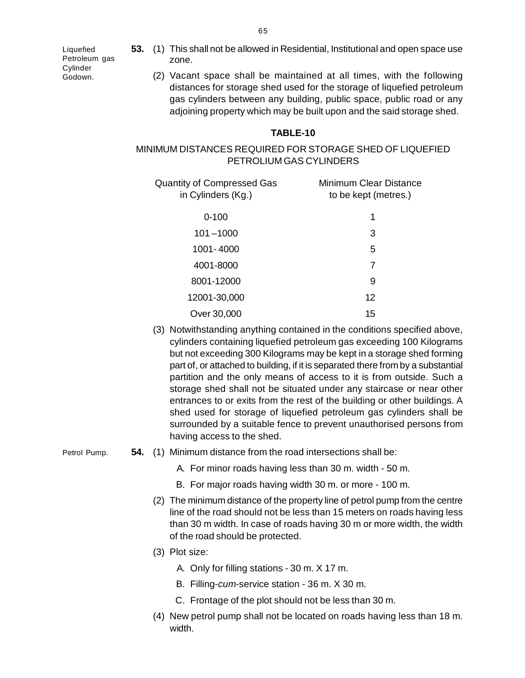[L](http://www.docu-track.com/buy/)iquefied Petroleum gas **Cylinder** Godown.

- **53.** (1) This shall not be allowed in Residential, Institutional and open space us[e](http://www.docu-track.com/buy/) zone.
	- (2) Vacant space shall be maintained at all times, with the following distances for storage shed used for the storage of liquefied petroleum gas cylinders between any building, public space, public road or any adjoining property which may be built upon and the said storage shed.

#### **TABLE-10**

### MINIMUM DISTANCES REQUIRED FOR STORAGE SHED OF LIQUEFIED PETROLIUM GAS CYLINDERS

| Quantity of Compressed Gas<br>in Cylinders (Kg.) | Minimum Clear Distance<br>to be kept (metres.) |  |  |
|--------------------------------------------------|------------------------------------------------|--|--|
| $0 - 100$                                        | 1                                              |  |  |
| $101 - 1000$                                     | 3                                              |  |  |
| 1001-4000                                        | 5                                              |  |  |
| 4001-8000                                        | 7                                              |  |  |
| 8001-12000                                       | 9                                              |  |  |
| 12001-30,000                                     | 12                                             |  |  |
| Over 30,000                                      | 15                                             |  |  |

- (3) Notwithstanding anything contained in the conditions specified above, cylinders containing liquefied petroleum gas exceeding 100 Kilograms but not exceeding 300 Kilograms may be kept in a storage shed forming part of, or attached to building, if it is separated there from by a substantial partition and the only means of access to it is from outside. Such a storage shed shall not be situated under any staircase or near other entrances to or exits from the rest of the building or other buildings. A shed used for storage of liquefied petroleum gas cylinders shall be surrounded by a suitable fence to prevent unauthorised persons from having access to the shed.
- **54.** (1) Minimum distance from the road intersections shall be:
	- A. For minor roads having less than 30 m. width 50 m.
	- B. For major roads having width 30 m. or more 100 m.
	- (2) The minimum distance of the property line of petrol pump from the centre line of the road should not be less than 15 meters on roads having less than 30 m width. In case of roads having 30 m or more width, the width of the road should be protected.
	- (3) Plot size:
		- A. Only for filling stations 30 m. X 17 m.
		- B. Filling-*cum*-service station 36 m. X 30 m.
		- C. Frontage of the plot should not be less than 30 m.
	- (4) New petrol pump shall not be located on roads having less than 18 m. width.

Petrol Pump.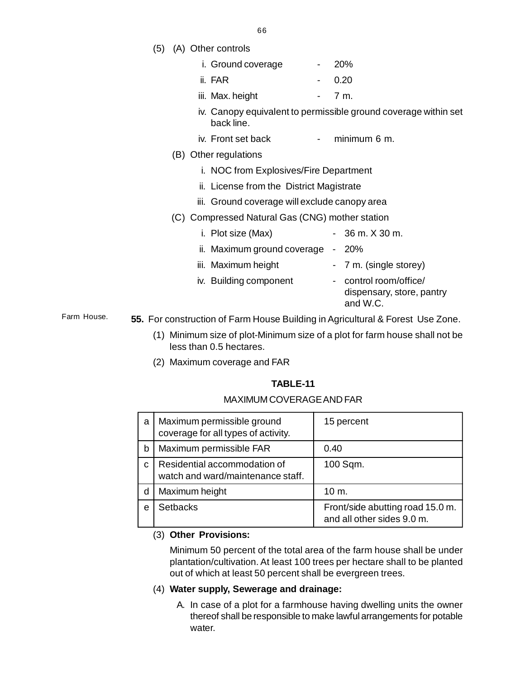66

(5) (A) Other controls

|  | i. Ground coverage |  | <b>20%</b> |
|--|--------------------|--|------------|
|--|--------------------|--|------------|

| ii. FAR |  | 0.20 |
|---------|--|------|
|         |  |      |

- iii. Max. height  $-7 m$ .
- iv. Canopy equivalent to permissible ground coverage within set back line.
- iv. Front set back minimum 6 m.
- (B) Other regulations
	- i. NOC from Explosives/Fire Department
	- ii. License from the District Magistrate
	- iii. Ground coverage will exclude canopy area
- (C) Compressed Natural Gas (CNG) mother station
	- i. Plot size  $(Max)$  36 m.  $X$  30 m. ii. Maximum ground coverage - 20%
		- iii. Maximum height 7 m. (single storey)
	- iv. Building component control room/office/
		- dispensary, store, pantry and W.C.

**55.** For construction of Farm House Building in Agricultural & Forest Use Zone. Farm House.

- (1) Minimum size of plot-Minimum size of a plot for farm house shall not be less than 0.5 hectares.
- (2) Maximum coverage and FAR

### **TABLE-11**

### MAXIMUM COVERAGE AND FAR

| a | Maximum permissible ground<br>coverage for all types of activity. | 15 percent                                                     |
|---|-------------------------------------------------------------------|----------------------------------------------------------------|
| b | Maximum permissible FAR                                           | 0.40                                                           |
| C | Residential accommodation of<br>watch and ward/maintenance staff. | 100 Sqm.                                                       |
| d | Maximum height                                                    | $10 \text{ m}$ .                                               |
| e | <b>Setbacks</b>                                                   | Front/side abutting road 15.0 m.<br>and all other sides 9.0 m. |

### (3) **Other Provisions:**

Minimum 50 percent of the total area of the farm house shall be under plantation/cultivation. At least 100 trees per hectare shall to be planted out of which at least 50 percent shall be evergreen trees.

### (4) **Water supply, Sewerage and drainage:**

A. In case of a plot for a farmhouse having dwelling units the owner thereof shall be responsible to make lawful arrangements for potable water.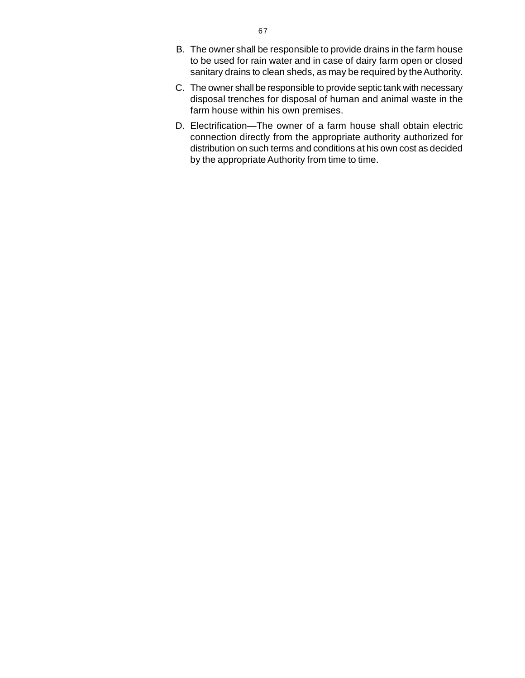- B. The owner shall be responsible to provide drains in the farm hous[e](http://www.docu-track.com/buy/) to be used for rain water and in case of dairy farm open or closed sanitary drains to clean sheds, as may be required by the Authority.
- C. The owner shall be responsible to provide septic tank with necessary disposal trenches for disposal of human and animal waste in the farm house within his own premises.
- D. Electrification—The owner of a farm house shall obtain electric connection directly from the appropriate authority authorized for distribution on such terms and conditions at his own cost as decided by the appropriate Authority from time to time.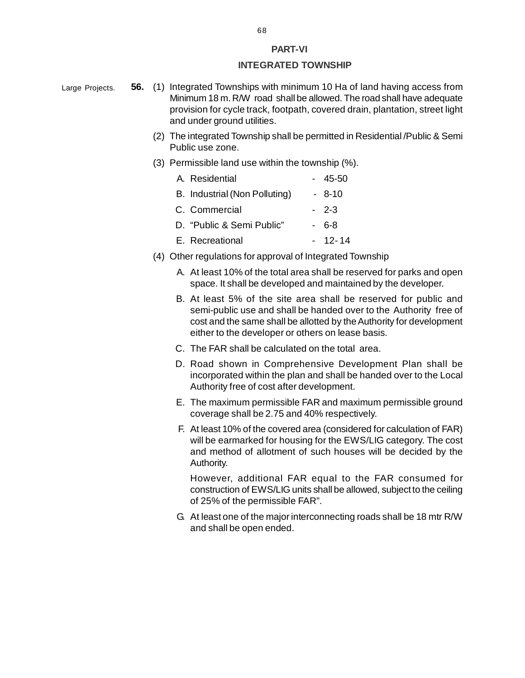#### **PART-VI**

#### **INTEGRATED TOWNSHIP**

- **56.** (1) Integrated Townships with minimum 10 Ha of land having access from Minimum 18 m. R/W road shall be allowed. The road shall have adequate provision for cycle track, footpath, covered drain, plantation, street light and under ground utilities. Large Projects.
	- (2) The integrated Township shall be permitted in Residential /Public & Semi Public use zone.
	- (3) Permissible land use within the township (%).

| A. Residential                | $-45-50$ |
|-------------------------------|----------|
| B. Industrial (Non Polluting) | - 8-10   |
| C. Commercial                 | $-2-3$   |
| D. "Public & Semi Public"     | - 6-8    |
| E. Recreational               | - 12-14  |

- (4) Other regulations for approval of Integrated Township
	- A. At least 10% of the total area shall be reserved for parks and open space. It shall be developed and maintained by the developer.
	- B. At least 5% of the site area shall be reserved for public and semi-public use and shall be handed over to the Authority free of cost and the same shall be allotted by the Authority for development either to the developer or others on lease basis.
	- C. The FAR shall be calculated on the total area.
	- D. Road shown in Comprehensive Development Plan shall be incorporated within the plan and shall be handed over to the Local Authority free of cost after development.
	- E. The maximum permissible FAR and maximum permissible ground coverage shall be 2.75 and 40% respectively.
	- F. At least 10% of the covered area (considered for calculation of FAR) will be earmarked for housing for the EWS/LIG category. The cost and method of allotment of such houses will be decided by the Authority.

However, additional FAR equal to the FAR consumed for construction of EWS/LIG units shall be allowed, subject to the ceiling of 25% of the permissible FAR".

G. At least one of the major interconnecting roads shall be 18 mtr R/W and shall be open ended.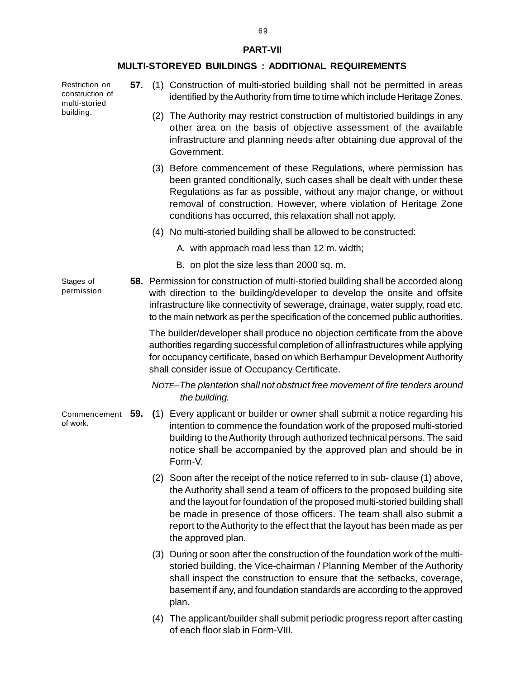#### **PART-VII**

#### **MULTI-STOREYED BUILDINGS : ADDITIONAL REQUIREMENTS**

Restriction on construction of multi-storied building.

- **57.** (1) Construction of multi-storied building shall not be permitted in areas identified by the Authority from time to time which include Heritage Zones.
	- (2) The Authority may restrict construction of multistoried buildings in any other area on the basis of objective assessment of the available infrastructure and planning needs after obtaining due approval of the Government.
	- (3) Before commencement of these Regulations, where permission has been granted conditionally, such cases shall be dealt with under these Regulations as far as possible, without any major change, or without removal of construction. However, where violation of Heritage Zone conditions has occurred, this relaxation shall not apply.
	- (4) No multi-storied building shall be allowed to be constructed:
		- A. with approach road less than 12 m. width;
		- B. on plot the size less than 2000 sq. m.

**58.** Permission for construction of multi-storied building shall be accorded along with direction to the building/developer to develop the onsite and offsite infrastructure like connectivity of sewerage, drainage, water supply, road etc. to the main network as per the specification of the concerned public authorities. Stages of permission.

> The builder/developer shall produce no objection certificate from the above authorities regarding successful completion of all infrastructures while applying for occupancy certificate, based on which Berhampur Development Authority shall consider issue of Occupancy Certificate.

*NOTE–The plantation shall not obstruct free movement of fire tenders around the building.*

- Commencement 59. (1) Every applicant or builder or owner shall submit a notice regarding his intention to commence the foundation work of the proposed multi-storied building to the Authority through authorized technical persons. The said notice shall be accompanied by the approved plan and should be in Form-V.
	- (2) Soon after the receipt of the notice referred to in sub- clause (1) above, the Authority shall send a team of officers to the proposed building site and the layout for foundation of the proposed multi-storied building shall be made in presence of those officers. The team shall also submit a report to the Authority to the effect that the layout has been made as per the approved plan.
	- (3) During or soon after the construction of the foundation work of the multistoried building, the Vice-chairman / Planning Member of the Authority shall inspect the construction to ensure that the setbacks, coverage, basement if any, and foundation standards are according to the approved plan.
	- (4) The applicant/builder shall submit periodic progress report after casting of each floor slab in Form-VIII.

69

of work.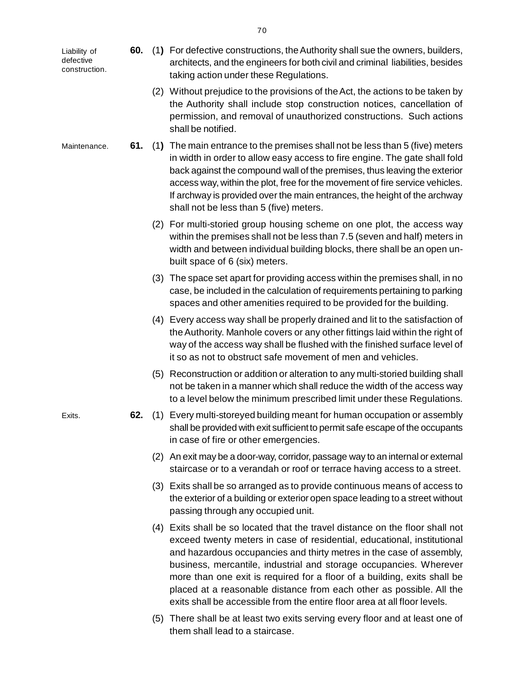[L](http://www.docu-track.com/buy/)iability of defective construction.

Maintenance.

- **60.** (1**)** For defective constructions, the Authority shall sue the owners, builders[,](http://www.docu-track.com/buy/) architects, and the engineers for both civil and criminal liabilities, besides taking action under these Regulations.
	- (2) Without prejudice to the provisions of the Act, the actions to be taken by the Authority shall include stop construction notices, cancellation of permission, and removal of unauthorized constructions. Such actions shall be notified.
- **61.** (1**)** The main entrance to the premises shall not be less than 5 (five) meters in width in order to allow easy access to fire engine. The gate shall fold back against the compound wall of the premises, thus leaving the exterior access way, within the plot, free for the movement of fire service vehicles. If archway is provided over the main entrances, the height of the archway shall not be less than 5 (five) meters.
	- (2) For multi-storied group housing scheme on one plot, the access way within the premises shall not be less than 7.5 (seven and half) meters in width and between individual building blocks, there shall be an open unbuilt space of 6 (six) meters.
	- (3) The space set apart for providing access within the premises shall, in no case, be included in the calculation of requirements pertaining to parking spaces and other amenities required to be provided for the building.
	- (4) Every access way shall be properly drained and lit to the satisfaction of the Authority. Manhole covers or any other fittings laid within the right of way of the access way shall be flushed with the finished surface level of it so as not to obstruct safe movement of men and vehicles.
	- (5) Reconstruction or addition or alteration to any multi-storied building shall not be taken in a manner which shall reduce the width of the access way to a level below the minimum prescribed limit under these Regulations.
- **62.** (1) Every multi-storeyed building meant for human occupation or assembly shall be provided with exit sufficient to permit safe escape of the occupants in case of fire or other emergencies.
	- (2) An exit may be a door-way, corridor, passage way to an internal or external staircase or to a verandah or roof or terrace having access to a street.
	- (3) Exits shall be so arranged as to provide continuous means of access to the exterior of a building or exterior open space leading to a street without passing through any occupied unit.
	- (4) Exits shall be so located that the travel distance on the floor shall not exceed twenty meters in case of residential, educational, institutional and hazardous occupancies and thirty metres in the case of assembly, business, mercantile, industrial and storage occupancies. Wherever more than one exit is required for a floor of a building, exits shall be placed at a reasonable distance from each other as possible. All the exits shall be accessible from the entire floor area at all floor levels.
	- (5) There shall be at least two exits serving every floor and at least one of them shall lead to a staircase.

Exits.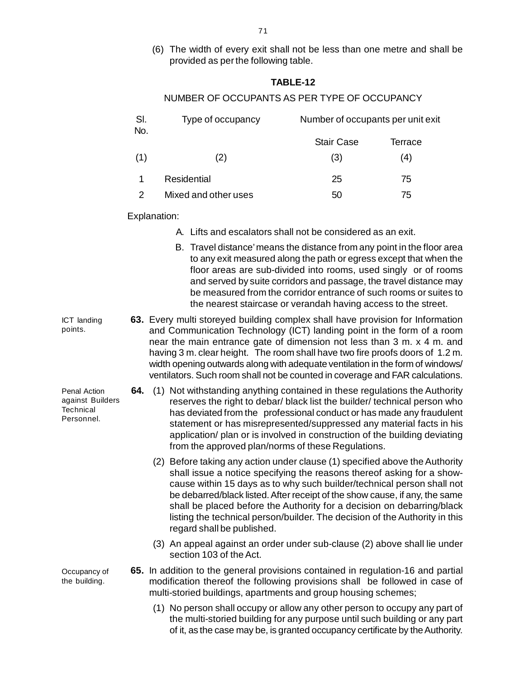- 71
- (6) The width of every exit shall not be less than one metre and shall b[e](http://www.docu-track.com/buy/) provided as per the following table.

#### **TABLE-12**

### NUMBER OF OCCUPANTS AS PER TYPE OF OCCUPANCY

| SI.<br>No. | Type of occupancy    | Number of occupants per unit exit |         |
|------------|----------------------|-----------------------------------|---------|
|            |                      | <b>Stair Case</b>                 | Terrace |
| (1)        | (2)                  | (3)                               | (4)     |
|            | Residential          | 25                                | 75      |
|            | Mixed and other uses | 50                                | 75      |

Explanation:

- A. Lifts and escalators shall not be considered as an exit.
- B. Travel distance' means the distance from any point in the floor area to any exit measured along the path or egress except that when the floor areas are sub-divided into rooms, used singly or of rooms and served by suite corridors and passage, the travel distance may be measured from the corridor entrance of such rooms or suites to the nearest staircase or verandah having access to the street.
- **63.** Every multi storeyed building complex shall have provision for Information and Communication Technology (ICT) landing point in the form of a room near the main entrance gate of dimension not less than 3 m. x 4 m. and having 3 m. clear height. The room shall have two fire proofs doors of 1.2 m. width opening outwards along with adequate ventilation in the form of windows/ ventilators. Such room shall not be counted in coverage and FAR calculations. ICT landing points.
	- **64.** (1) Not withstanding anything contained in these regulations the Authority reserves the right to debar/ black list the builder/ technical person who has deviated from the professional conduct or has made any fraudulent statement or has misrepresented/suppressed any material facts in his application/ plan or is involved in construction of the building deviating from the approved plan/norms of these Regulations.
		- (2) Before taking any action under clause (1) specified above the Authority shall issue a notice specifying the reasons thereof asking for a showcause within 15 days as to why such builder/technical person shall not be debarred/black listed. After receipt of the show cause, if any, the same shall be placed before the Authority for a decision on debarring/black listing the technical person/builder. The decision of the Authority in this regard shall be published.
		- (3) An appeal against an order under sub-clause (2) above shall lie under section 103 of the Act.
	- **65.** In addition to the general provisions contained in regulation-16 and partial modification thereof the following provisions shall be followed in case of multi-storied buildings, apartments and group housing schemes;
		- (1) No person shall occupy or allow any other person to occupy any part of the multi-storied building for any purpose until such building or any part of it, as the case may be, is granted occupancy certificate by the Authority.

Penal Action against Builders **Technical** Personnel.

Occupancy of the building.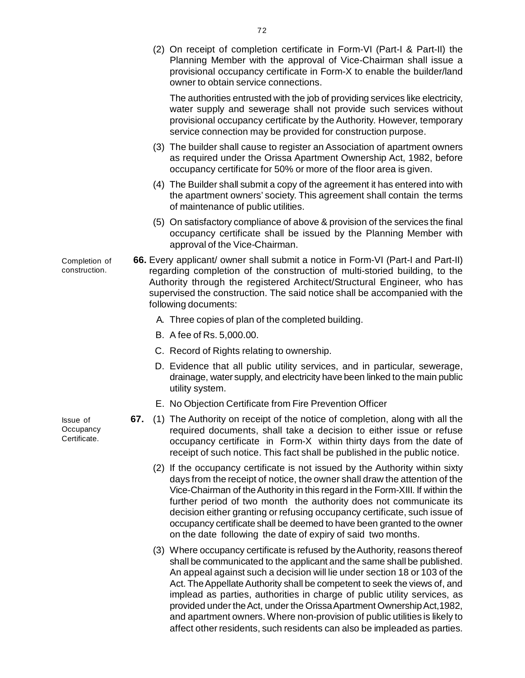(2) On receipt of completion certificate in Form-VI (Part-I & Part-II) th[e](http://www.docu-track.com/buy/) Planning Member with the approval of Vice-Chairman shall issue a provisional occupancy certificate in Form-X to enable the builder/land owner to obtain service connections.

The authorities entrusted with the job of providing services like electricity, water supply and sewerage shall not provide such services without provisional occupancy certificate by the Authority. However, temporary service connection may be provided for construction purpose.

- (3) The builder shall cause to register an Association of apartment owners as required under the Orissa Apartment Ownership Act, 1982, before occupancy certificate for 50% or more of the floor area is given.
- (4) The Builder shall submit a copy of the agreement it has entered into with the apartment owners' society. This agreement shall contain the terms of maintenance of public utilities.
- (5) On satisfactory compliance of above & provision of the services the final occupancy certificate shall be issued by the Planning Member with approval of the Vice-Chairman.
- **66.** Every applicant/ owner shall submit a notice in Form-VI (Part-I and Part-II) regarding completion of the construction of multi-storied building, to the Authority through the registered Architect/Structural Engineer, who has supervised the construction. The said notice shall be accompanied with the following documents: Completion of construction.
	- A. Three copies of plan of the completed building.
	- B. A fee of Rs. 5,000.00.
	- C. Record of Rights relating to ownership.
	- D. Evidence that all public utility services, and in particular, sewerage, drainage, water supply, and electricity have been linked to the main public utility system.
	- E. No Objection Certificate from Fire Prevention Officer
	- **67.** (1) The Authority on receipt of the notice of completion, along with all the required documents, shall take a decision to either issue or refuse occupancy certificate in Form-X within thirty days from the date of receipt of such notice. This fact shall be published in the public notice.
		- (2) If the occupancy certificate is not issued by the Authority within sixty days from the receipt of notice, the owner shall draw the attention of the Vice-Chairman of the Authority in this regard in the Form-XIII. If within the further period of two month the authority does not communicate its decision either granting or refusing occupancy certificate, such issue of occupancy certificate shall be deemed to have been granted to the owner on the date following the date of expiry of said two months.
		- (3) Where occupancy certificate is refused by the Authority, reasons thereof shall be communicated to the applicant and the same shall be published. An appeal against such a decision will lie under section 18 or 103 of the Act. The Appellate Authority shall be competent to seek the views of, and implead as parties, authorities in charge of public utility services, as provided under the Act, under the Orissa Apartment Ownership Act,1982, and apartment owners. Where non-provision of public utilities is likely to affect other residents, such residents can also be impleaded as parties.

Issue of **Occupancy** Certificate.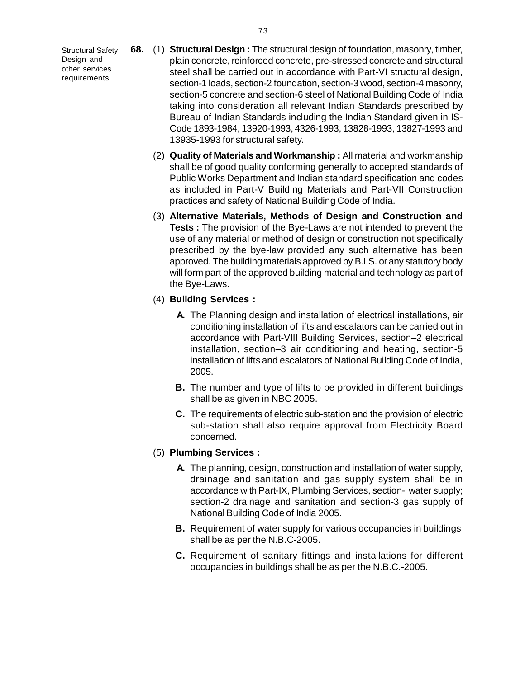[S](http://www.docu-track.com/buy/)tructural Safety Design and other services requirements.

- **68.** (1) **Structural Design :** The structural design of foundation, masonry, timber[,](http://www.docu-track.com/buy/) plain concrete, reinforced concrete, pre-stressed concrete and structural steel shall be carried out in accordance with Part-VI structural design, section-1 loads, section-2 foundation, section-3 wood, section-4 masonry, section-5 concrete and section-6 steel of National Building Code of India taking into consideration all relevant Indian Standards prescribed by Bureau of Indian Standards including the Indian Standard given in IS-Code 1893-1984, 13920-1993, 4326-1993, 13828-1993, 13827-1993 and 13935-1993 for structural safety.
	- (2) **Quality of Materials and Workmanship :** All material and workmanship shall be of good quality conforming generally to accepted standards of Public Works Department and Indian standard specification and codes as included in Part-V Building Materials and Part-VII Construction practices and safety of National Building Code of India.
	- (3) **Alternative Materials, Methods of Design and Construction and Tests :** The provision of the Bye-Laws are not intended to prevent the use of any material or method of design or construction not specifically prescribed by the bye-law provided any such alternative has been approved. The building materials approved by B.I.S. or any statutory body will form part of the approved building material and technology as part of the Bye-Laws.
	- (4) **Building Services :**
		- **A.** The Planning design and installation of electrical installations, air conditioning installation of lifts and escalators can be carried out in accordance with Part-VIII Building Services, section–2 electrical installation, section–3 air conditioning and heating, section-5 installation of lifts and escalators of National Building Code of India, 2005.
		- **B.** The number and type of lifts to be provided in different buildings shall be as given in NBC 2005.
		- **C.** The requirements of electric sub-station and the provision of electric sub-station shall also require approval from Electricity Board concerned.
	- (5) **Plumbing Services :**
		- **A.** The planning, design, construction and installation of water supply, drainage and sanitation and gas supply system shall be in accordance with Part-IX, Plumbing Services, section-l water supply; section-2 drainage and sanitation and section-3 gas supply of National Building Code of India 2005.
		- **B.** Requirement of water supply for various occupancies in buildings shall be as per the N.B.C-2005.
		- **C.** Requirement of sanitary fittings and installations for different occupancies in buildings shall be as per the N.B.C.-2005.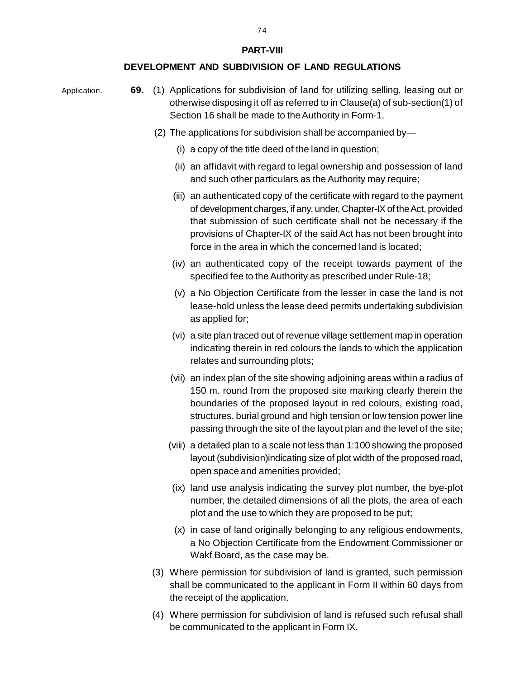**PART-VIII**

### **DEVELOPMENT AND SUBDIVISION OF LAND REGULATIONS**

Application.

 **69.** (1) Applications for subdivision of land for utilizing selling, leasing out or otherwise disposing it off as referred to in Clause(a) of sub-section(1) of Section 16 shall be made to the Authority in Form-1.

- (2) The applications for subdivision shall be accompanied by—
	- (i) a copy of the title deed of the land in question;
	- (ii) an affidavit with regard to legal ownership and possession of land and such other particulars as the Authority may require;
	- (iii) an authenticated copy of the certificate with regard to the payment of development charges, if any, under, Chapter-IX of the Act, provided that submission of such certificate shall not be necessary if the provisions of Chapter-IX of the said Act has not been brought into force in the area in which the concerned land is located;
	- (iv) an authenticated copy of the receipt towards payment of the specified fee to the Authority as prescribed under Rule-18;
	- (v) a No Objection Certificate from the lesser in case the land is not lease-hold unless the lease deed permits undertaking subdivision as applied for;
	- (vi) a site plan traced out of revenue village settlement map in operation indicating therein in red colours the lands to which the application relates and surrounding plots;
	- (vii) an index plan of the site showing adjoining areas within a radius of 150 m. round from the proposed site marking clearly therein the boundaries of the proposed layout in red colours, existing road, structures, burial ground and high tension or low tension power line passing through the site of the layout plan and the level of the site;
	- (viii) a detailed plan to a scale not less than 1:100 showing the proposed layout (subdivision)indicating size of plot width of the proposed road, open space and amenities provided;
	- (ix) land use analysis indicating the survey plot number, the bye-plot number, the detailed dimensions of all the plots, the area of each plot and the use to which they are proposed to be put;
	- (x) in case of land originally belonging to any religious endowments, a No Objection Certificate from the Endowment Commissioner or Wakf Board, as the case may be.
- (3) Where permission for subdivision of land is granted, such permission shall be communicated to the applicant in Form II within 60 days from the receipt of the application.
- (4) Where permission for subdivision of land is refused such refusal shall be communicated to the applicant in Form IX.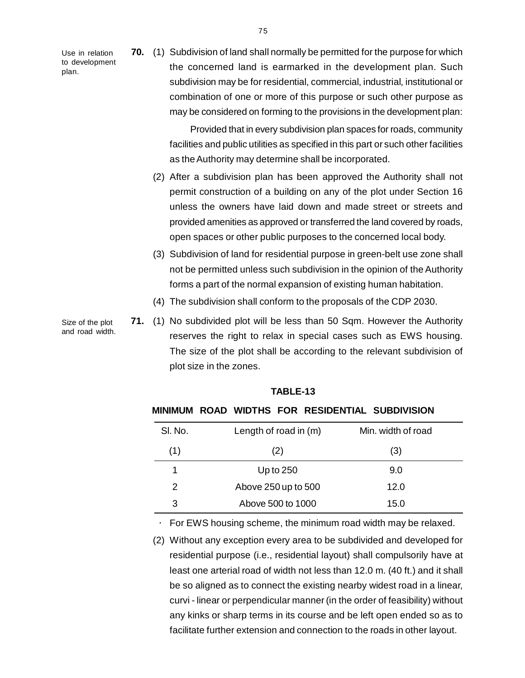[U](http://www.docu-track.com/buy/)se in relation to development plan.

**70.** (1) Subdivision of land shall normally be permitted for the purpose for whic[h](http://www.docu-track.com/buy/) the concerned land is earmarked in the development plan. Such subdivision may be for residential, commercial, industrial, institutional or combination of one or more of this purpose or such other purpose as may be considered on forming to the provisions in the development plan:

> Provided that in every subdivision plan spaces for roads, community facilities and public utilities as specified in this part or such other facilities as the Authority may determine shall be incorporated.

- (2) After a subdivision plan has been approved the Authority shall not permit construction of a building on any of the plot under Section 16 unless the owners have laid down and made street or streets and provided amenities as approved or transferred the land covered by roads, open spaces or other public purposes to the concerned local body.
- (3) Subdivision of land for residential purpose in green-belt use zone shall not be permitted unless such subdivision in the opinion of the Authority forms a part of the normal expansion of existing human habitation.
- (4) The subdivision shall conform to the proposals of the CDP 2030.
- **71.** (1) No subdivided plot will be less than 50 Sqm. However the Authority reserves the right to relax in special cases such as EWS housing. The size of the plot shall be according to the relevant subdivision of plot size in the zones.

# **MINIMUM ROAD WIDTHS FOR RESIDENTIAL SUBDIVISION**

| SI. No. | Length of road in $(m)$ | Min. width of road |
|---------|-------------------------|--------------------|
| (1)     | (2)                     | (3)                |
| 1       | Up to $250$             | 9.0                |
| 2       | Above 250 up to 500     | 12.0               |
| 3       | Above 500 to 1000       | 15.0               |

For EWS housing scheme, the minimum road width may be relaxed.

 (2) Without any exception every area to be subdivided and developed for residential purpose (i.e., residential layout) shall compulsorily have at least one arterial road of width not less than 12.0 m. (40 ft.) and it shall be so aligned as to connect the existing nearby widest road in a linear, curvi - linear or perpendicular manner (in the order of feasibility) without any kinks or sharp terms in its course and be left open ended so as to facilitate further extension and connection to the roads in other layout.

Size of the plot and road width.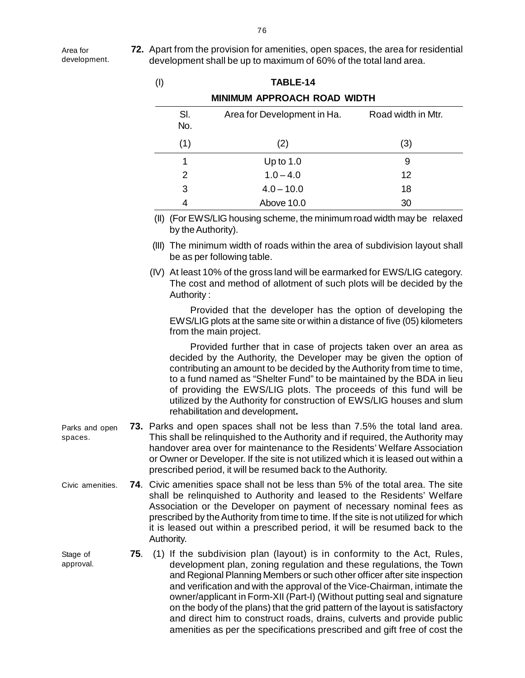[A](http://www.docu-track.com/buy/)rea for development. **72.** Apart from the provision for amenities, open spaces, the area for residentia[l](http://www.docu-track.com/buy/) development shall be up to maximum of 60% of the total land area.

|                           |     | $($ l $)$ |                    | TABLE-14                                                                                                                                                                                                                                                                                                                                                                                                                                                                                                                                         |                    |
|---------------------------|-----|-----------|--------------------|--------------------------------------------------------------------------------------------------------------------------------------------------------------------------------------------------------------------------------------------------------------------------------------------------------------------------------------------------------------------------------------------------------------------------------------------------------------------------------------------------------------------------------------------------|--------------------|
|                           |     |           |                    | <b>MINIMUM APPROACH ROAD WIDTH</b>                                                                                                                                                                                                                                                                                                                                                                                                                                                                                                               |                    |
|                           |     |           | SI.<br>No.         | Area for Development in Ha.                                                                                                                                                                                                                                                                                                                                                                                                                                                                                                                      | Road width in Mtr. |
|                           |     |           | (1)                | (2)                                                                                                                                                                                                                                                                                                                                                                                                                                                                                                                                              | (3)                |
|                           |     |           | 1                  | Up to $1.0$                                                                                                                                                                                                                                                                                                                                                                                                                                                                                                                                      | 9                  |
|                           |     |           | 2                  | $1.0 - 4.0$                                                                                                                                                                                                                                                                                                                                                                                                                                                                                                                                      | 12                 |
|                           |     |           | 3                  | $4.0 - 10.0$                                                                                                                                                                                                                                                                                                                                                                                                                                                                                                                                     | 18                 |
|                           |     |           | 4                  | Above 10.0                                                                                                                                                                                                                                                                                                                                                                                                                                                                                                                                       | 30                 |
|                           |     |           | by the Authority). | (II) (For EWS/LIG housing scheme, the minimum road width may be relaxed                                                                                                                                                                                                                                                                                                                                                                                                                                                                          |                    |
|                           |     |           |                    | (III) The minimum width of roads within the area of subdivision layout shall<br>be as per following table.                                                                                                                                                                                                                                                                                                                                                                                                                                       |                    |
|                           |     |           | Authority:         | (IV) At least 10% of the gross land will be earmarked for EWS/LIG category.<br>The cost and method of allotment of such plots will be decided by the                                                                                                                                                                                                                                                                                                                                                                                             |                    |
|                           |     |           |                    | Provided that the developer has the option of developing the<br>EWS/LIG plots at the same site or within a distance of five (05) kilometers<br>from the main project.                                                                                                                                                                                                                                                                                                                                                                            |                    |
|                           |     |           |                    | Provided further that in case of projects taken over an area as<br>decided by the Authority, the Developer may be given the option of<br>contributing an amount to be decided by the Authority from time to time,<br>to a fund named as "Shelter Fund" to be maintained by the BDA in lieu<br>of providing the EWS/LIG plots. The proceeds of this fund will be<br>utilized by the Authority for construction of EWS/LIG houses and slum<br>rehabilitation and development.                                                                      |                    |
| Parks and open<br>spaces. |     |           |                    | 73. Parks and open spaces shall not be less than 7.5% the total land area.<br>This shall be relinquished to the Authority and if required, the Authority may<br>handover area over for maintenance to the Residents' Welfare Association<br>or Owner or Developer. If the site is not utilized which it is leased out within a<br>prescribed period, it will be resumed back to the Authority.                                                                                                                                                   |                    |
| Civic amenities.          |     |           | Authority.         | 74. Civic amenities space shall not be less than 5% of the total area. The site<br>shall be relinquished to Authority and leased to the Residents' Welfare<br>Association or the Developer on payment of necessary nominal fees as<br>prescribed by the Authority from time to time. If the site is not utilized for which<br>it is leased out within a prescribed period, it will be resumed back to the                                                                                                                                        |                    |
| Stage of<br>approval.     | 75. |           |                    | (1) If the subdivision plan (layout) is in conformity to the Act, Rules,<br>development plan, zoning regulation and these regulations, the Town<br>and Regional Planning Members or such other officer after site inspection<br>and verification and with the approval of the Vice-Chairman, intimate the<br>owner/applicant in Form-XII (Part-I) (Without putting seal and signature<br>on the body of the plans) that the grid pattern of the layout is satisfactory<br>and direct him to construct roads, drains, culverts and provide public |                    |

Parks and spaces.

- 
- 
- Civic ame
- 

- 
- 
- 
- 
- 
- 
- 
- 
- 
- 
- 
- 
- 
- 
- 
- 
- 
- 
- 
- decided by the Authority, the Developer may be given the option of of providing the EWS/LIG plots. The proceeds of this fund will be
- contributing an amount to be decided by the Authority from time to time, to a fund named as "Shelter Fund" to be maintained by the BDA in lieu

amenities as per the specifications prescribed and gift free of cost the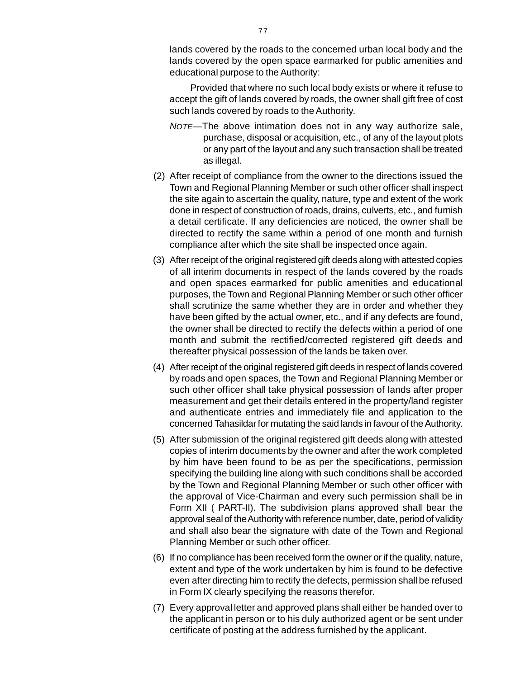lands covered by the roads to the concerned urban local body and th[e](http://www.docu-track.com/buy/) lands covered by the open space earmarked for public amenities and educational purpose to the Authority:

Provided that where no such local body exists or where it refuse to accept the gift of lands covered by roads, the owner shall gift free of cost such lands covered by roads to the Authority.

- *NOTE—*The above intimation does not in any way authorize sale, purchase, disposal or acquisition, etc., of any of the layout plots or any part of the layout and any such transaction shall be treated as illegal.
- (2) After receipt of compliance from the owner to the directions issued the Town and Regional Planning Member or such other officer shall inspect the site again to ascertain the quality, nature, type and extent of the work done in respect of construction of roads, drains, culverts, etc., and furnish a detail certificate. If any deficiencies are noticed, the owner shall be directed to rectify the same within a period of one month and furnish compliance after which the site shall be inspected once again.
- (3) After receipt of the original registered gift deeds along with attested copies of all interim documents in respect of the lands covered by the roads and open spaces earmarked for public amenities and educational purposes, the Town and Regional Planning Member or such other officer shall scrutinize the same whether they are in order and whether they have been gifted by the actual owner, etc., and if any defects are found, the owner shall be directed to rectify the defects within a period of one month and submit the rectified/corrected registered gift deeds and thereafter physical possession of the lands be taken over.
- (4) After receipt of the original registered gift deeds in respect of lands covered by roads and open spaces, the Town and Regional Planning Member or such other officer shall take physical possession of lands after proper measurement and get their details entered in the property/land register and authenticate entries and immediately file and application to the concerned Tahasildar for mutating the said lands in favour of the Authority.
- (5) After submission of the original registered gift deeds along with attested copies of interim documents by the owner and after the work completed by him have been found to be as per the specifications, permission specifying the building line along with such conditions shall be accorded by the Town and Regional Planning Member or such other officer with the approval of Vice-Chairman and every such permission shall be in Form XII ( PART-II). The subdivision plans approved shall bear the approval seal of the Authority with reference number, date, period of validity and shall also bear the signature with date of the Town and Regional Planning Member or such other officer.
- (6) If no compliance has been received form the owner or if the quality, nature, extent and type of the work undertaken by him is found to be defective even after directing him to rectify the defects, permission shall be refused in Form IX clearly specifying the reasons therefor.
- (7) Every approval letter and approved plans shall either be handed over to the applicant in person or to his duly authorized agent or be sent under certificate of posting at the address furnished by the applicant.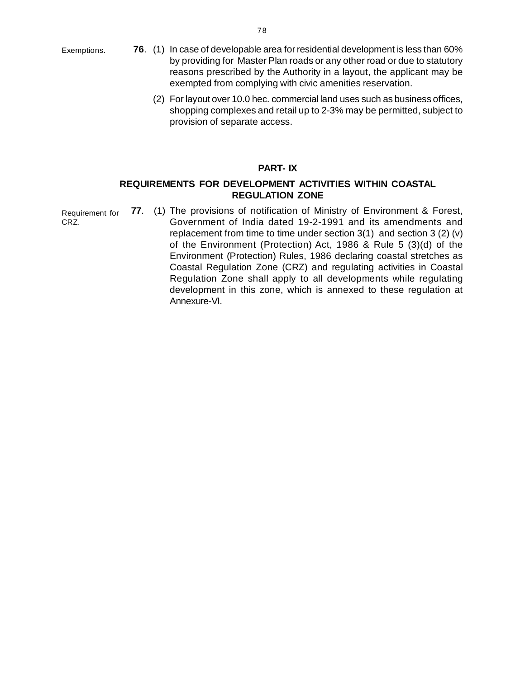[E](http://www.docu-track.com/buy/)xemptions.

- **76**. (1) In case of developable area for residential development is less than 60[%](http://www.docu-track.com/buy/) by providing for Master Plan roads or any other road or due to statutory reasons prescribed by the Authority in a layout, the applicant may be exempted from complying with civic amenities reservation.
	- (2) For layout over 10.0 hec. commercial land uses such as business offices, shopping complexes and retail up to 2-3% may be permitted, subject to provision of separate access.

#### **PART- IX**

### **REQUIREMENTS FOR DEVELOPMENT ACTIVITIES WITHIN COASTAL REGULATION ZONE**

**77**. (1) The provisions of notification of Ministry of Environment & Forest, Government of India dated 19-2-1991 and its amendments and replacement from time to time under section 3(1) and section 3 (2) (v) of the Environment (Protection) Act, 1986 & Rule 5 (3)(d) of the Environment (Protection) Rules, 1986 declaring coastal stretches as Coastal Regulation Zone (CRZ) and regulating activities in Coastal Regulation Zone shall apply to all developments while regulating development in this zone, which is annexed to these regulation at Annexure-VI. Requirement for CRZ.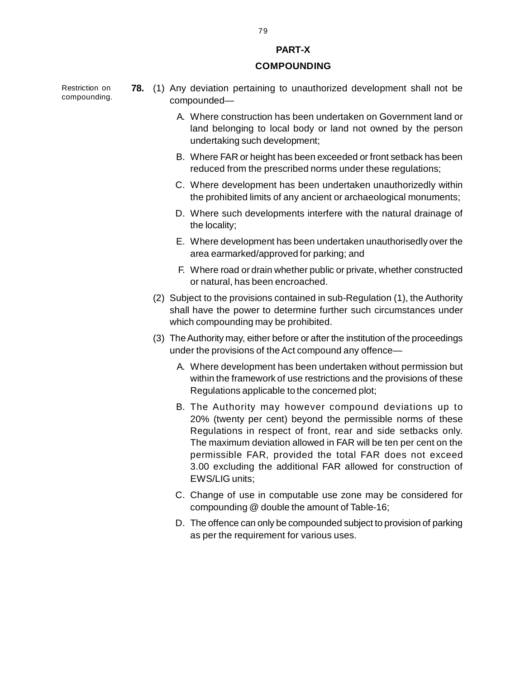# **PART-X**

#### **COMPOUNDING**

Restriction on compounding.

- **78.** (1) Any deviation pertaining to unauthorized development shall not be compounded—
	- A. Where construction has been undertaken on Government land or land belonging to local body or land not owned by the person undertaking such development;
	- B. Where FAR or height has been exceeded or front setback has been reduced from the prescribed norms under these regulations;
	- C. Where development has been undertaken unauthorizedly within the prohibited limits of any ancient or archaeological monuments;
	- D. Where such developments interfere with the natural drainage of the locality;
	- E. Where development has been undertaken unauthorisedly over the area earmarked/approved for parking; and
	- F. Where road or drain whether public or private, whether constructed or natural, has been encroached.
	- (2) Subject to the provisions contained in sub-Regulation (1), the Authority shall have the power to determine further such circumstances under which compounding may be prohibited.
	- (3) The Authority may, either before or after the institution of the proceedings under the provisions of the Act compound any offence—
		- A. Where development has been undertaken without permission but within the framework of use restrictions and the provisions of these Regulations applicable to the concerned plot;
		- B. The Authority may however compound deviations up to 20% (twenty per cent) beyond the permissible norms of these Regulations in respect of front, rear and side setbacks only. The maximum deviation allowed in FAR will be ten per cent on the permissible FAR, provided the total FAR does not exceed 3.00 excluding the additional FAR allowed for construction of EWS/LIG units;
		- C. Change of use in computable use zone may be considered for compounding @ double the amount of Table-16;
		- D. The offence can only be compounded subject to provision of parking as per the requirement for various uses.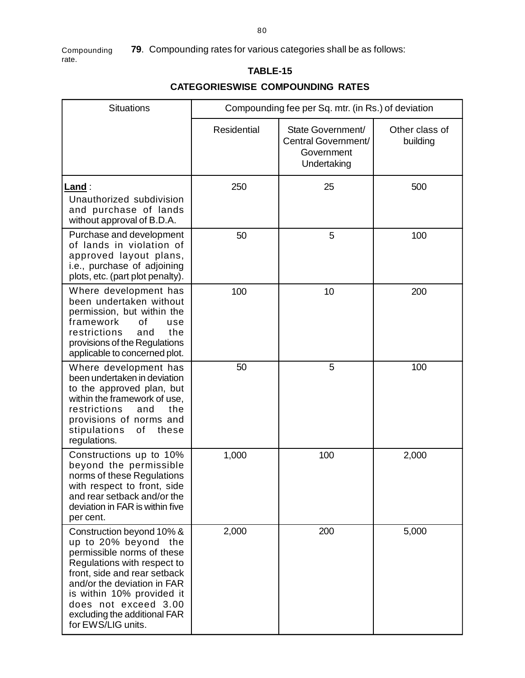**79**. Compounding rates for various categories shall be as follows: [C](http://www.docu-track.com/buy/)ompounding rate.

# **TABLE-15**

# **CATEGORIESWISE COMPOUNDING RATES**

| <b>Situations</b>                                                                                                                                                                                                                                                                        | Compounding fee per Sq. mtr. (in Rs.) of deviation |                                                                       |                            |  |  |
|------------------------------------------------------------------------------------------------------------------------------------------------------------------------------------------------------------------------------------------------------------------------------------------|----------------------------------------------------|-----------------------------------------------------------------------|----------------------------|--|--|
|                                                                                                                                                                                                                                                                                          | <b>Residential</b>                                 | State Government/<br>Central Government/<br>Government<br>Undertaking | Other class of<br>building |  |  |
| <u>Land</u> :<br>Unauthorized subdivision<br>and purchase of lands<br>without approval of B.D.A.                                                                                                                                                                                         | 250                                                | 25                                                                    | 500                        |  |  |
| Purchase and development<br>of lands in violation of<br>approved layout plans,<br>i.e., purchase of adjoining<br>plots, etc. (part plot penalty).                                                                                                                                        | 50                                                 | 5                                                                     | 100                        |  |  |
| Where development has<br>been undertaken without<br>permission, but within the<br>framework<br>οf<br>use<br>restrictions<br>the<br>and<br>provisions of the Regulations<br>applicable to concerned plot.                                                                                 | 100                                                | 10                                                                    | 200                        |  |  |
| Where development has<br>been undertaken in deviation<br>to the approved plan, but<br>within the framework of use,<br>restrictions<br>and<br>the<br>provisions of norms and<br>stipulations<br>these<br>of<br>regulations.                                                               | 50                                                 | 5                                                                     | 100                        |  |  |
| Constructions up to 10%<br>beyond the permissible<br>norms of these Regulations<br>with respect to front, side<br>and rear setback and/or the<br>deviation in FAR is within five<br>per cent.                                                                                            | 1,000                                              | 100                                                                   | 2,000                      |  |  |
| Construction beyond 10% &<br>up to 20% beyond the<br>permissible norms of these<br>Regulations with respect to<br>front, side and rear setback<br>and/or the deviation in FAR<br>is within 10% provided it<br>does not exceed 3.00<br>excluding the additional FAR<br>for EWS/LIG units. | 2,000                                              | 200                                                                   | 5,000                      |  |  |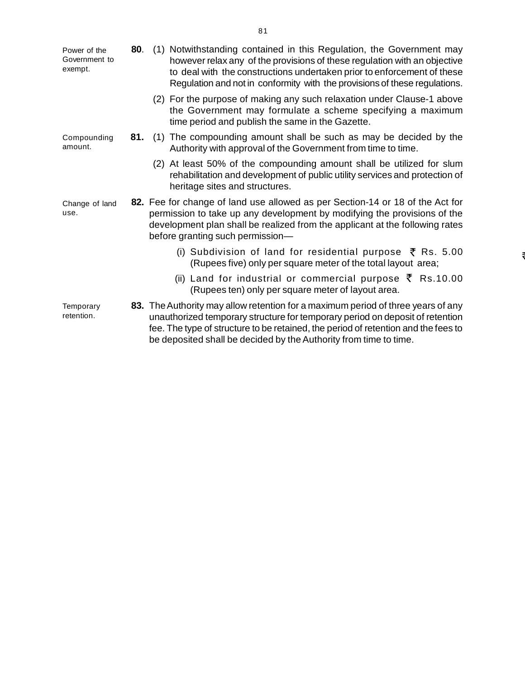[P](http://www.docu-track.com/buy/)ower of the Government to exempt.

Compounding amount.

- **80**. (1) Notwithstanding contained in this Regulation, the Government ma[y](http://www.docu-track.com/buy/) however relax any of the provisions of these regulation with an objective to deal with the constructions undertaken prior to enforcement of these Regulation and not in conformity with the provisions of these regulations.
	- (2) For the purpose of making any such relaxation under Clause-1 above the Government may formulate a scheme specifying a maximum time period and publish the same in the Gazette.
- **81.** (1) The compounding amount shall be such as may be decided by the Authority with approval of the Government from time to time.
	- (2) At least 50% of the compounding amount shall be utilized for slum rehabilitation and development of public utility services and protection of heritage sites and structures.
- **82.** Fee for change of land use allowed as per Section-14 or 18 of the Act for permission to take up any development by modifying the provisions of the development plan shall be realized from the applicant at the following rates before granting such permission— Change of land use.
	- (i) Subdivision of land for residential purpose  $\bar{\tau}$  Rs. 5.00 (Rupees five) only per square meter of the total layout area;
	- (ii) Land for industrial or commercial purpose  $\bar{\zeta}$  Rs.10.00 (Rupees ten) only per square meter of layout area.

**83.** The Authority may allow retention for a maximum period of three years of any unauthorized temporary structure for temporary period on deposit of retention fee. The type of structure to be retained, the period of retention and the fees to be deposited shall be decided by the Authority from time to time. **Temporary** retention.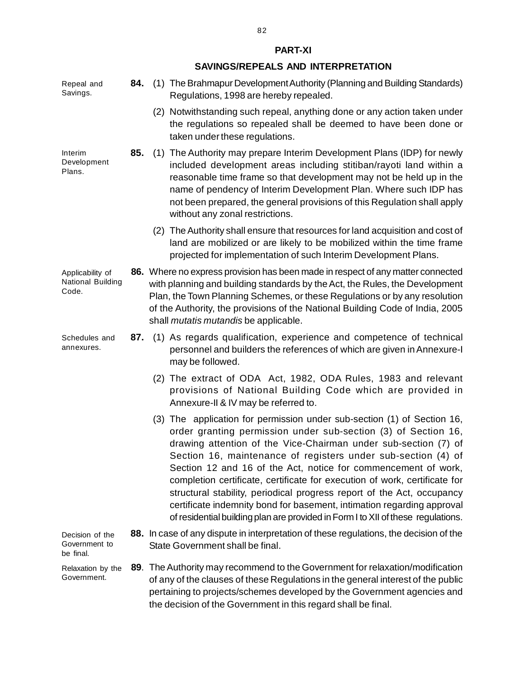**84.** (1) The Brahmapur Development Authority (Planning and Building Standards) Regulations, 1998 are hereby repealed. (2) Notwithstanding such repeal, anything done or any action taken under the regulations so repealed shall be deemed to have been done or taken under these regulations.  **85.** (1) The Authority may prepare Interim Development Plans (IDP) for newly included development areas including stitiban/rayoti land within a reasonable time frame so that development may not be held up in the name of pendency of Interim Development Plan. Where such IDP has not been prepared, the general provisions of this Regulation shall apply without any zonal restrictions. (2) The Authority shall ensure that resources for land acquisition and cost of land are mobilized or are likely to be mobilized within the time frame projected for implementation of such Interim Development Plans. **86.** Where no express provision has been made in respect of any matter connected with planning and building standards by the Act, the Rules, the Development Plan, the Town Planning Schemes, or these Regulations or by any resolution of the Authority, the provisions of the National Building Code of India, 2005 shall *mutatis mutandis* be applicable. Applicability of National Building

- **87.** (1) As regards qualification, experience and competence of technical personnel and builders the references of which are given in Annexure-I may be followed.
	- (2) The extract of ODA Act, 1982, ODA Rules, 1983 and relevant provisions of National Building Code which are provided in Annexure-II & IV may be referred to.
	- (3) The application for permission under sub-section (1) of Section 16, order granting permission under sub-section (3) of Section 16, drawing attention of the Vice-Chairman under sub-section (7) of Section 16, maintenance of registers under sub-section (4) of Section 12 and 16 of the Act, notice for commencement of work, completion certificate, certificate for execution of work, certificate for structural stability, periodical progress report of the Act, occupancy certificate indemnity bond for basement, intimation regarding approval of residential building plan are provided in Form I to XII of these regulations.

 **88.** In case of any dispute in interpretation of these regulations, the decision of the State Government shall be final. Decision of the Government to be final.

**89**. The Authority may recommend to the Government for relaxation/modification of any of the clauses of these Regulations in the general interest of the public pertaining to projects/schemes developed by the Government agencies and the decision of the Government in this regard shall be final. Relaxation by the Government.

82

#### **PART-XI**

#### **SAVINGS/REPEALS AND INTERPRETATION**

Repeal and Savings.

Interim Development Plans.

Schedules and annexures.

Code.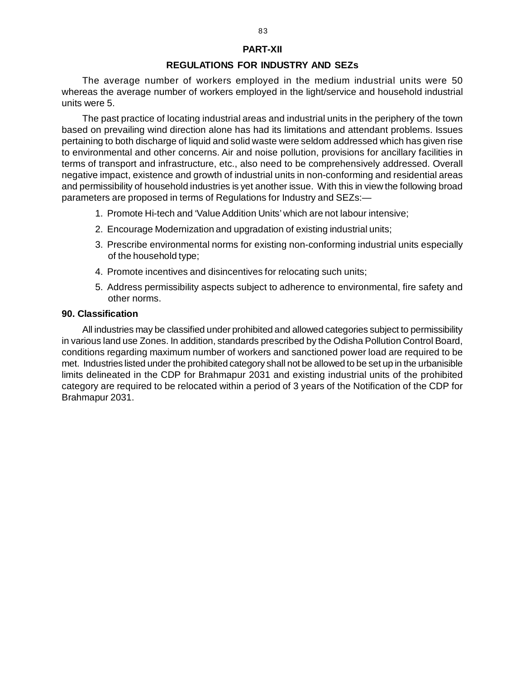#### **PART-XII**

#### **REGULATIONS FOR INDUSTRY AND SEZs**

The average number of workers employed in the medium industrial units were 50 whereas the average number of workers employed in the light/service and household industrial units were 5.

The past practice of locating industrial areas and industrial units in the periphery of the town based on prevailing wind direction alone has had its limitations and attendant problems. Issues pertaining to both discharge of liquid and solid waste were seldom addressed which has given rise to environmental and other concerns. Air and noise pollution, provisions for ancillary facilities in terms of transport and infrastructure, etc., also need to be comprehensively addressed. Overall negative impact, existence and growth of industrial units in non-conforming and residential areas and permissibility of household industries is yet another issue. With this in view the following broad parameters are proposed in terms of Regulations for Industry and SEZs:—

- 1. Promote Hi-tech and 'Value Addition Units' which are not labour intensive;
- 2. Encourage Modernization and upgradation of existing industrial units;
- 3. Prescribe environmental norms for existing non-conforming industrial units especially of the household type;
- 4. Promote incentives and disincentives for relocating such units;
- 5. Address permissibility aspects subject to adherence to environmental, fire safety and other norms.

#### **90. Classification**

All industries may be classified under prohibited and allowed categories subject to permissibility in various land use Zones. In addition, standards prescribed by the Odisha Pollution Control Board, conditions regarding maximum number of workers and sanctioned power load are required to be met. Industries listed under the prohibited category shall not be allowed to be set up in the urbanisible limits delineated in the CDP for Brahmapur 2031 and existing industrial units of the prohibited category are required to be relocated within a period of 3 years of the Notification of the CDP for Brahmapur 2031.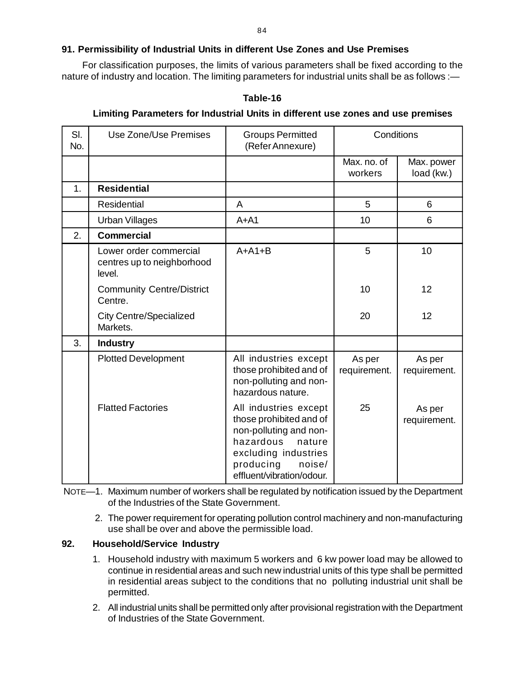# **[9](http://www.docu-track.com/buy/)1. Permissibility of Industrial Units in different Use Zones and Use Premises**

For classification purposes, the limits of various parameters shall be fixed according to th[e](http://www.docu-track.com/buy/) nature of industry and location. The limiting parameters for industrial units shall be as follows :—

**Table-16**

#### **Limiting Parameters for Industrial Units in different use zones and use premises**

| SI.<br>No. | <b>Use Zone/Use Premises</b>                                   | <b>Groups Permitted</b><br>(Refer Annexure)                                                                                                                                   | Conditions             |                          |
|------------|----------------------------------------------------------------|-------------------------------------------------------------------------------------------------------------------------------------------------------------------------------|------------------------|--------------------------|
|            |                                                                |                                                                                                                                                                               | Max. no. of<br>workers | Max. power<br>load (kw.) |
| 1.         | <b>Residential</b>                                             |                                                                                                                                                                               |                        |                          |
|            | <b>Residential</b>                                             | A                                                                                                                                                                             | 5                      | 6                        |
|            | <b>Urban Villages</b>                                          | $A+A1$                                                                                                                                                                        | 10                     | 6                        |
| 2.         | <b>Commercial</b>                                              |                                                                                                                                                                               |                        |                          |
|            | Lower order commercial<br>centres up to neighborhood<br>level. | $A+A1+B$                                                                                                                                                                      | 5                      | 10                       |
|            | <b>Community Centre/District</b><br>Centre.                    |                                                                                                                                                                               | 10                     | 12                       |
|            | <b>City Centre/Specialized</b><br>Markets.                     |                                                                                                                                                                               | 20                     | 12                       |
| 3.         | <b>Industry</b>                                                |                                                                                                                                                                               |                        |                          |
|            | <b>Plotted Development</b>                                     | All industries except<br>those prohibited and of<br>non-polluting and non-<br>hazardous nature.                                                                               | As per<br>requirement. | As per<br>requirement.   |
|            | <b>Flatted Factories</b>                                       | All industries except<br>those prohibited and of<br>non-polluting and non-<br>hazardous<br>nature<br>excluding industries<br>producing<br>noise/<br>effluent/vibration/odour. | 25                     | As per<br>requirement.   |

NOTE—1. Maximum number of workers shall be regulated by notification issued by the Department of the Industries of the State Government.

2. The power requirement for operating pollution control machinery and non-manufacturing use shall be over and above the permissible load.

#### **92. Household/Service Industry**

- 1. Household industry with maximum 5 workers and 6 kw power load may be allowed to continue in residential areas and such new industrial units of this type shall be permitted in residential areas subject to the conditions that no polluting industrial unit shall be permitted.
- 2. All industrial units shall be permitted only after provisional registration with the Department of Industries of the State Government.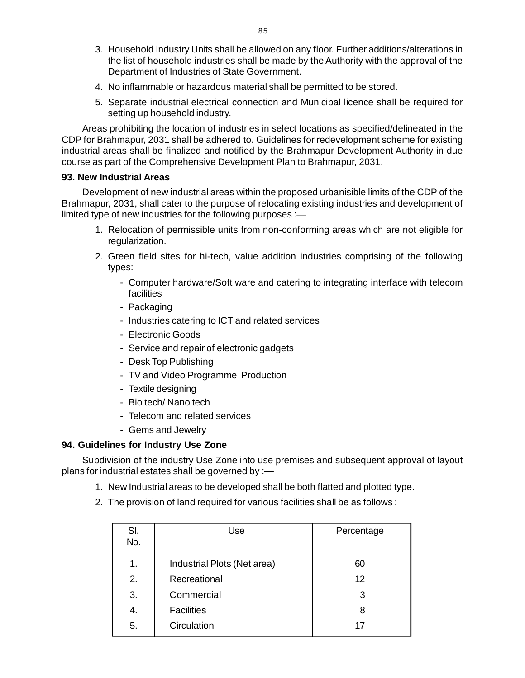- 3. Household Industry Units shall be allowed on any floor. Further additions/alterations i[n](http://www.docu-track.com/buy/) the list of household industries shall be made by the Authority with the approval of the Department of Industries of State Government.
- 4. No inflammable or hazardous material shall be permitted to be stored.
- 5. Separate industrial electrical connection and Municipal licence shall be required for setting up household industry.

Areas prohibiting the location of industries in select locations as specified/delineated in the CDP for Brahmapur, 2031 shall be adhered to. Guidelines for redevelopment scheme for existing industrial areas shall be finalized and notified by the Brahmapur Development Authority in due course as part of the Comprehensive Development Plan to Brahmapur, 2031.

#### **93. New Industrial Areas**

Development of new industrial areas within the proposed urbanisible limits of the CDP of the Brahmapur, 2031, shall cater to the purpose of relocating existing industries and development of limited type of new industries for the following purposes :—

- 1. Relocation of permissible units from non-conforming areas which are not eligible for regularization.
- 2. Green field sites for hi-tech, value addition industries comprising of the following types:—
	- Computer hardware/Soft ware and catering to integrating interface with telecom **facilities**
	- Packaging
	- Industries catering to ICT and related services
	- Electronic Goods
	- Service and repair of electronic gadgets
	- Desk Top Publishing
	- TV and Video Programme Production
	- Textile designing
	- Bio tech/ Nano tech
	- Telecom and related services
	- Gems and Jewelry

#### **94. Guidelines for Industry Use Zone**

Subdivision of the industry Use Zone into use premises and subsequent approval of layout plans for industrial estates shall be governed by :—

- 1. New Industrial areas to be developed shall be both flatted and plotted type.
- 2. The provision of land required for various facilities shall be as follows :

| SI.<br>No. | Use                         | Percentage |
|------------|-----------------------------|------------|
| 1.         | Industrial Plots (Net area) | 60         |
| 2.         | Recreational                | 12         |
| 3.         | Commercial                  | 3          |
| 4.         | <b>Facilities</b>           | 8          |
| 5.         | Circulation                 | 17         |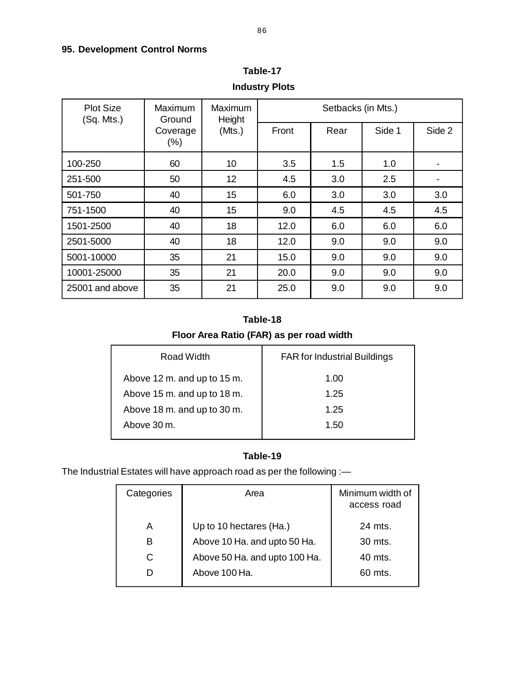# **[9](http://www.docu-track.com/buy/)5. Development Control Norms**

| <b>Plot Size</b><br>(Sq. Mts.) | Maximum<br>Ground   | <b>Maximum</b><br>Height<br>(Mts.) | Setbacks (in Mts.) |      |        |        |
|--------------------------------|---------------------|------------------------------------|--------------------|------|--------|--------|
|                                | Coverage<br>$(\% )$ |                                    | Front              | Rear | Side 1 | Side 2 |
| 100-250                        | 60                  | 10                                 | 3.5                | 1.5  | 1.0    |        |
| 251-500                        | 50                  | 12                                 | 4.5                | 3.0  | 2.5    |        |
| 501-750                        | 40                  | 15                                 | 6.0                | 3.0  | 3.0    | 3.0    |
| 751-1500                       | 40                  | 15                                 | 9.0                | 4.5  | 4.5    | 4.5    |
| 1501-2500                      | 40                  | 18                                 | 12.0               | 6.0  | 6.0    | 6.0    |
| 2501-5000                      | 40                  | 18                                 | 12.0               | 9.0  | 9.0    | 9.0    |
| 5001-10000                     | 35                  | 21                                 | 15.0               | 9.0  | 9.0    | 9.0    |
| 10001-25000                    | 35                  | 21                                 | 20.0               | 9.0  | 9.0    | 9.0    |
| 25001 and above                | 35                  | 21                                 | 25.0               | 9.0  | 9.0    | 9.0    |

**Table-17 Industry Plots**

# **Table-18**

# **Floor Area Ratio (FAR) as per road width**

| Road Width                  | <b>FAR for Industrial Buildings</b> |
|-----------------------------|-------------------------------------|
| Above 12 m. and up to 15 m. | 1.00                                |
| Above 15 m. and up to 18 m. | 1.25                                |
| Above 18 m. and up to 30 m. | 1.25                                |
| Above 30 m.                 | 1.50                                |
|                             |                                     |

# **Table-19**

The Industrial Estates will have approach road as per the following :—

| Categories | Area                          | Minimum width of<br>access road |
|------------|-------------------------------|---------------------------------|
| A          | Up to 10 hectares (Ha.)       | 24 mts.                         |
| В          | Above 10 Ha. and upto 50 Ha.  | $30$ mts.                       |
| C          | Above 50 Ha. and upto 100 Ha. | $40$ mts.                       |
|            | Above 100 Ha.                 | $60$ mts.                       |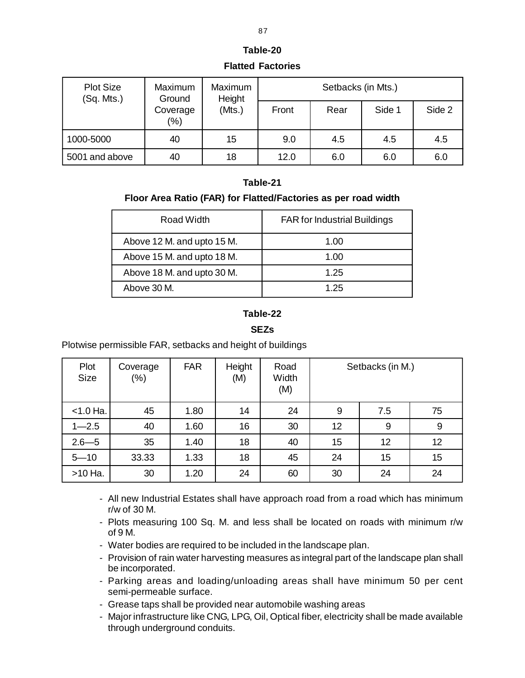# **Table-20 Flatted Factories**

| <b>Plot Size</b><br>(Sq. Mts.) | Maximum<br>Ground   | Maximum<br>Height<br>(Mts.) | Setbacks (in Mts.) |      |        |        |
|--------------------------------|---------------------|-----------------------------|--------------------|------|--------|--------|
|                                | Coverage<br>$(\% )$ |                             | Front              | Rear | Side 1 | Side 2 |
| 1000-5000                      | 40                  | 15                          | 9.0                | 4.5  | 4.5    | 4.5    |
| 5001 and above                 | 40                  | 18                          | 12.0               | 6.0  | 6.0    | 6.0    |

# **Table-21**

# **Floor Area Ratio (FAR) for Flatted/Factories as per road width**

| Road Width                 | <b>FAR for Industrial Buildings</b> |
|----------------------------|-------------------------------------|
| Above 12 M. and upto 15 M. | 1.00                                |
| Above 15 M. and upto 18 M. | 1.00                                |
| Above 18 M. and upto 30 M. | 1.25                                |
| Above 30 M.                | 1.25                                |

# **Table-22**

# **SEZs**

Plotwise permissible FAR, setbacks and height of buildings

| Plot<br><b>Size</b> | Coverage<br>$(\%)$ | <b>FAR</b> | Height<br>(M) | Road<br>Width<br>(M) | Setbacks (in M.) |     |    |
|---------------------|--------------------|------------|---------------|----------------------|------------------|-----|----|
| $< 1.0$ Ha.         | 45                 | 1.80       | 14            | 24                   | 9                | 7.5 | 75 |
| $1 - 2.5$           | 40                 | 1.60       | 16            | 30                   | 12               | 9   | 9  |
| $2.6 - 5$           | 35                 | 1.40       | 18            | 40                   | 15               | 12  | 12 |
| $5 - 10$            | 33.33              | 1.33       | 18            | 45                   | 24               | 15  | 15 |
| >10 Ha.             | 30                 | 1.20       | 24            | 60                   | 30               | 24  | 24 |

- All new Industrial Estates shall have approach road from a road which has minimum r/w of 30 M.
- Plots measuring 100 Sq. M. and less shall be located on roads with minimum r/w of 9 M.
- Water bodies are required to be included in the landscape plan.
- Provision of rain water harvesting measures as integral part of the landscape plan shall be incorporated.
- Parking areas and loading/unloading areas shall have minimum 50 per cent semi-permeable surface.
- Grease taps shall be provided near automobile washing areas
- Major infrastructure like CNG, LPG, Oil, Optical fiber, electricity shall be made available through underground conduits.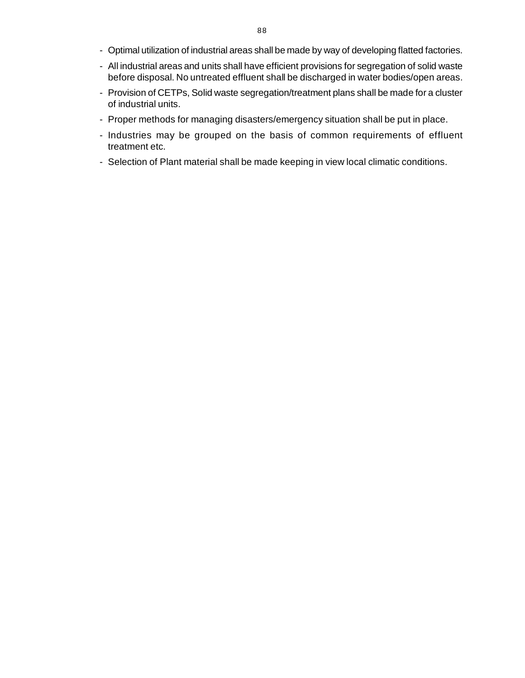- Optimal utilization of industrial areas shall be made by way of developing flatted factories[.](http://www.docu-track.com/buy/)
- All industrial areas and units shall have efficient provisions for segregation of solid waste before disposal. No untreated effluent shall be discharged in water bodies/open areas.
- Provision of CETPs, Solid waste segregation/treatment plans shall be made for a cluster of industrial units.
- Proper methods for managing disasters/emergency situation shall be put in place.
- Industries may be grouped on the basis of common requirements of effluent treatment etc.
- Selection of Plant material shall be made keeping in view local climatic conditions.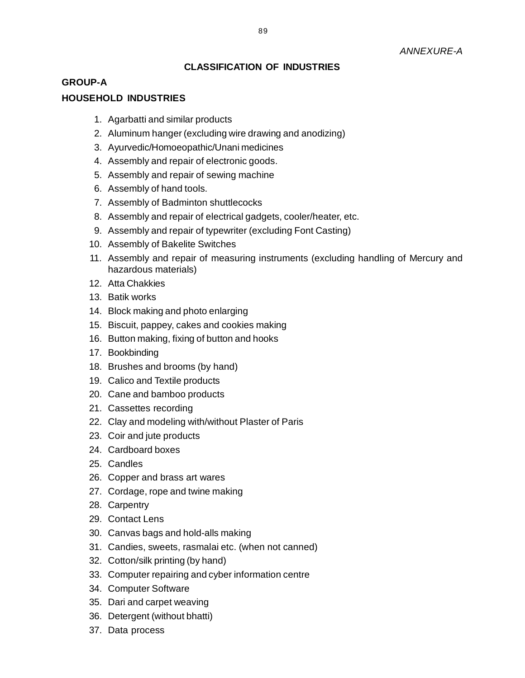# **CLASSIFICATION OF INDUSTRIES**

# **GROUP-A**

### **HOUSEHOLD INDUSTRIES**

- 1. Agarbatti and similar products
- 2. Aluminum hanger (excluding wire drawing and anodizing)
- 3. Ayurvedic/Homoeopathic/Unani medicines
- 4. Assembly and repair of electronic goods.
- 5. Assembly and repair of sewing machine
- 6. Assembly of hand tools.
- 7. Assembly of Badminton shuttlecocks
- 8. Assembly and repair of electrical gadgets, cooler/heater, etc.
- 9. Assembly and repair of typewriter (excluding Font Casting)
- 10. Assembly of Bakelite Switches
- 11. Assembly and repair of measuring instruments (excluding handling of Mercury and hazardous materials)
- 12. Atta Chakkies
- 13. Batik works
- 14. Block making and photo enlarging
- 15. Biscuit, pappey, cakes and cookies making
- 16. Button making, fixing of button and hooks
- 17. Bookbinding
- 18. Brushes and brooms (by hand)
- 19. Calico and Textile products
- 20. Cane and bamboo products
- 21. Cassettes recording
- 22. Clay and modeling with/without Plaster of Paris
- 23. Coir and jute products
- 24. Cardboard boxes
- 25. Candles
- 26. Copper and brass art wares
- 27. Cordage, rope and twine making
- 28. Carpentry
- 29. Contact Lens
- 30. Canvas bags and hold-alls making
- 31. Candies, sweets, rasmalai etc. (when not canned)
- 32. Cotton/silk printing (by hand)
- 33. Computer repairing and cyber information centre
- 34. Computer Software
- 35. Dari and carpet weaving
- 36. Detergent (without bhatti)
- 37. Data process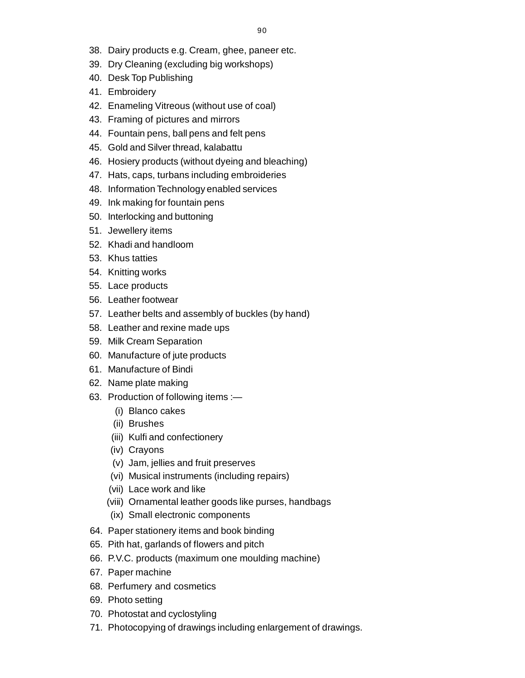- 38. Dairy products e.g. Cream, ghee, paneer etc.
- 39. Dry Cleaning (excluding big workshops)
- 40. Desk Top Publishing
- 41. Embroidery
- 42. Enameling Vitreous (without use of coal)
- 43. Framing of pictures and mirrors
- 44. Fountain pens, ball pens and felt pens
- 45. Gold and Silver thread, kalabattu
- 46. Hosiery products (without dyeing and bleaching)
- 47. Hats, caps, turbans including embroideries
- 48. Information Technology enabled services
- 49. Ink making for fountain pens
- 50. Interlocking and buttoning
- 51. Jewellery items
- 52. Khadi and handloom
- 53. Khus tatties
- 54. Knitting works
- 55. Lace products
- 56. Leather footwear
- 57. Leather belts and assembly of buckles (by hand)
- 58. Leather and rexine made ups
- 59. Milk Cream Separation
- 60. Manufacture of jute products
- 61. Manufacture of Bindi
- 62. Name plate making
- 63. Production of following items :—
	- (i) Blanco cakes
	- (ii) Brushes
	- (iii) Kulfi and confectionery
	- (iv) Crayons
	- (v) Jam, jellies and fruit preserves
	- (vi) Musical instruments (including repairs)
	- (vii) Lace work and like
	- (viii) Ornamental leather goods like purses, handbags
	- (ix) Small electronic components
- 64. Paper stationery items and book binding
- 65. Pith hat, garlands of flowers and pitch
- 66. P.V.C. products (maximum one moulding machine)
- 67. Paper machine
- 68. Perfumery and cosmetics
- 69. Photo setting
- 70. Photostat and cyclostyling
- 71. Photocopying of drawings including enlargement of drawings.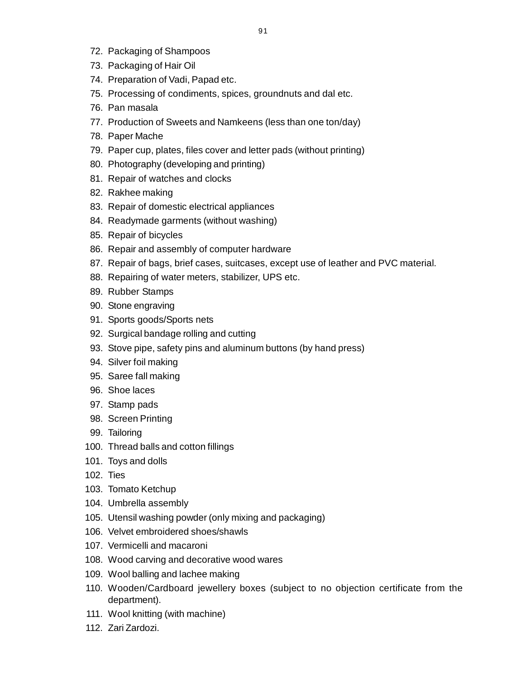- 72. Packaging of Shampoos
- 73. Packaging of Hair Oil
- 74. Preparation of Vadi, Papad etc.
- 75. Processing of condiments, spices, groundnuts and dal etc.
- 76. Pan masala
- 77. Production of Sweets and Namkeens (less than one ton/day)
- 78. Paper Mache
- 79. Paper cup, plates, files cover and letter pads (without printing)
- 80. Photography (developing and printing)
- 81. Repair of watches and clocks
- 82. Rakhee making
- 83. Repair of domestic electrical appliances
- 84. Readymade garments (without washing)
- 85. Repair of bicycles
- 86. Repair and assembly of computer hardware
- 87. Repair of bags, brief cases, suitcases, except use of leather and PVC material.
- 88. Repairing of water meters, stabilizer, UPS etc.
- 89. Rubber Stamps
- 90. Stone engraving
- 91. Sports goods/Sports nets
- 92. Surgical bandage rolling and cutting
- 93. Stove pipe, safety pins and aluminum buttons (by hand press)
- 94. Silver foil making
- 95. Saree fall making
- 96. Shoe laces
- 97. Stamp pads
- 98. Screen Printing
- 99. Tailoring
- 100. Thread balls and cotton fillings
- 101. Toys and dolls
- 102. Ties
- 103. Tomato Ketchup
- 104. Umbrella assembly
- 105. Utensil washing powder (only mixing and packaging)
- 106. Velvet embroidered shoes/shawls
- 107. Vermicelli and macaroni
- 108. Wood carving and decorative wood wares
- 109. Wool balling and lachee making
- 110. Wooden/Cardboard jewellery boxes (subject to no objection certificate from the department).
- 111. Wool knitting (with machine)
- 112. Zari Zardozi.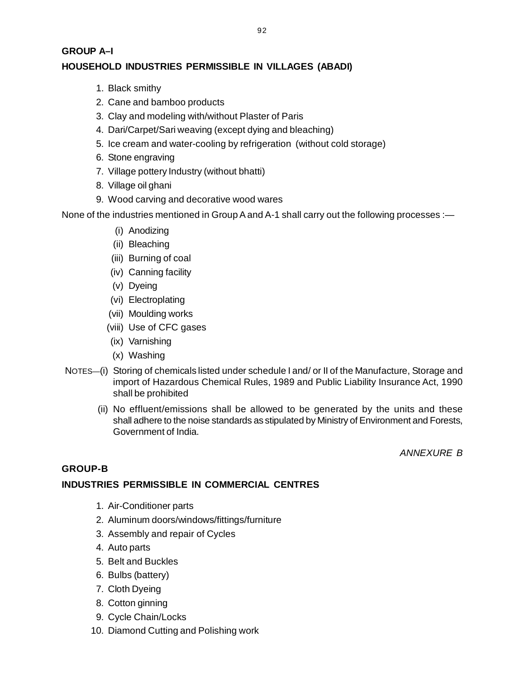# **[G](http://www.docu-track.com/buy/)ROUP A–I HOUSEHOLD INDUSTRIES PERMISSIBLE IN VILLAGES (ABADI)**

- 1. Black smithy
- 2. Cane and bamboo products
- 3. Clay and modeling with/without Plaster of Paris
- 4. Dari/Carpet/Sari weaving (except dying and bleaching)
- 5. Ice cream and water-cooling by refrigeration (without cold storage)
- 6. Stone engraving
- 7. Village pottery Industry (without bhatti)
- 8. Village oil ghani
- 9. Wood carving and decorative wood wares

None of the industries mentioned in Group A and A-1 shall carry out the following processes :—

- (i) Anodizing
- (ii) Bleaching
- (iii) Burning of coal
- (iv) Canning facility
- (v) Dyeing
- (vi) Electroplating
- (vii) Moulding works
- (viii) Use of CFC gases
- (ix) Varnishing
- (x) Washing
- NOTES—(i) Storing of chemicals listed under schedule I and/ or II of the Manufacture, Storage and import of Hazardous Chemical Rules, 1989 and Public Liability Insurance Act, 1990 shall be prohibited
	- (ii) No effluent/emissions shall be allowed to be generated by the units and these shall adhere to the noise standards as stipulated by Ministry of Environment and Forests, Government of India.

*ANNEXURE B*

# **GROUP-B**

# **INDUSTRIES PERMISSIBLE IN COMMERCIAL CENTRES**

- 1. Air-Conditioner parts
- 2. Aluminum doors/windows/fittings/furniture
- 3. Assembly and repair of Cycles
- 4. Auto parts
- 5. Belt and Buckles
- 6. Bulbs (battery)
- 7. Cloth Dyeing
- 8. Cotton ginning
- 9. Cycle Chain/Locks
- 10. Diamond Cutting and Polishing work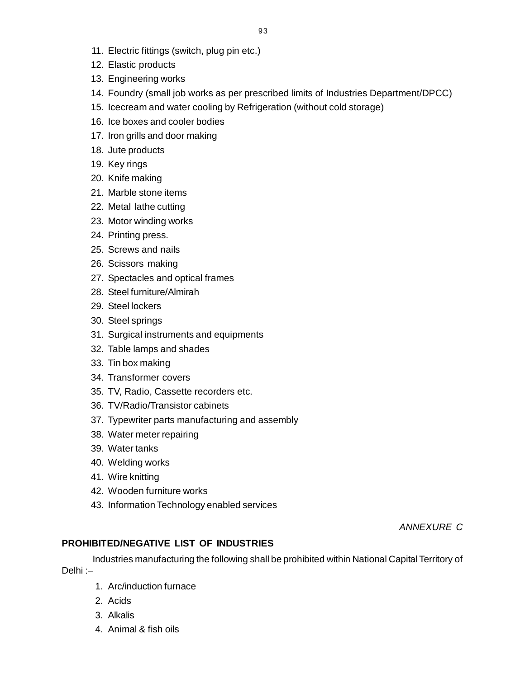- 11. Electric fittings (switch, plug pin etc.)
- 12. Elastic products
- 13. Engineering works
- 14. Foundry (small job works as per prescribed limits of Industries Department/DPCC)
- 15. Icecream and water cooling by Refrigeration (without cold storage)
- 16. Ice boxes and cooler bodies
- 17. Iron grills and door making
- 18. Jute products
- 19. Key rings
- 20. Knife making
- 21. Marble stone items
- 22. Metal lathe cutting
- 23. Motor winding works
- 24. Printing press.
- 25. Screws and nails
- 26. Scissors making
- 27. Spectacles and optical frames
- 28. Steel furniture/Almirah
- 29. Steel lockers
- 30. Steel springs
- 31. Surgical instruments and equipments
- 32. Table lamps and shades
- 33. Tin box making
- 34. Transformer covers
- 35. TV, Radio, Cassette recorders etc.
- 36. TV/Radio/Transistor cabinets
- 37. Typewriter parts manufacturing and assembly
- 38. Water meter repairing
- 39. Water tanks
- 40. Welding works
- 41. Wire knitting
- 42. Wooden furniture works
- 43. Information Technology enabled services

*ANNEXURE C*

# **PROHIBITED/NEGATIVE LIST OF INDUSTRIES**

Industries manufacturing the following shall be prohibited within National Capital Territory of Delhi :–

- 1. Arc/induction furnace
- 2. Acids
- 3. Alkalis
- 4. Animal & fish oils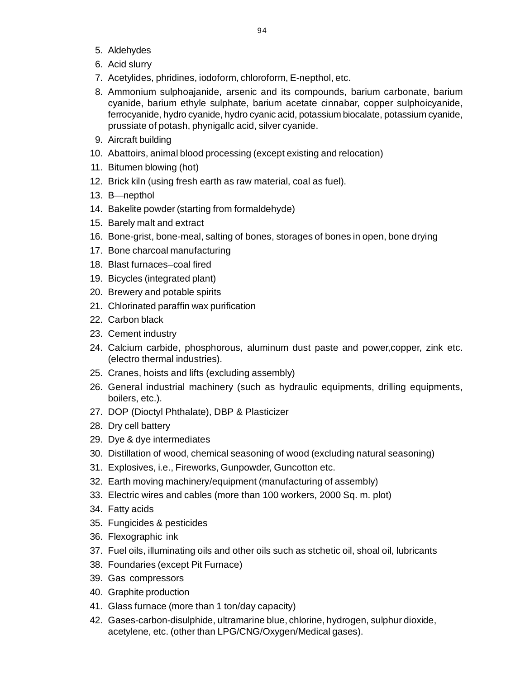- 5. Aldehydes
- 6. Acid slurry
- 7. Acetylides, phridines, iodoform, chloroform, E-nepthol, etc.
- 8. Ammonium sulphoajanide, arsenic and its compounds, barium carbonate, barium cyanide, barium ethyle sulphate, barium acetate cinnabar, copper sulphoicyanide, ferrocyanide, hydro cyanide, hydro cyanic acid, potassium biocalate, potassium cyanide, prussiate of potash, phynigallc acid, silver cyanide.
- 9. Aircraft building
- 10. Abattoirs, animal blood processing (except existing and relocation)
- 11. Bitumen blowing (hot)
- 12. Brick kiln (using fresh earth as raw material, coal as fuel).
- 13. B—nepthol
- 14. Bakelite powder (starting from formaldehyde)
- 15. Barely malt and extract
- 16. Bone-grist, bone-meal, salting of bones, storages of bones in open, bone drying
- 17. Bone charcoal manufacturing
- 18. Blast furnaces–coal fired
- 19. Bicycles (integrated plant)
- 20. Brewery and potable spirits
- 21. Chlorinated paraffin wax purification
- 22. Carbon black
- 23. Cement industry
- 24. Calcium carbide, phosphorous, aluminum dust paste and power,copper, zink etc. (electro thermal industries).
- 25. Cranes, hoists and lifts (excluding assembly)
- 26. General industrial machinery (such as hydraulic equipments, drilling equipments, boilers, etc.).
- 27. DOP (Dioctyl Phthalate), DBP & Plasticizer
- 28. Dry cell battery
- 29. Dye & dye intermediates
- 30. Distillation of wood, chemical seasoning of wood (excluding natural seasoning)
- 31. Explosives, i.e., Fireworks, Gunpowder, Guncotton etc.
- 32. Earth moving machinery/equipment (manufacturing of assembly)
- 33. Electric wires and cables (more than 100 workers, 2000 Sq. m. plot)
- 34. Fatty acids
- 35. Fungicides & pesticides
- 36. Flexographic ink
- 37. Fuel oils, illuminating oils and other oils such as stchetic oil, shoal oil, lubricants
- 38. Foundaries (except Pit Furnace)
- 39. Gas compressors
- 40. Graphite production
- 41. Glass furnace (more than 1 ton/day capacity)
- 42. Gases-carbon-disulphide, ultramarine blue, chlorine, hydrogen, sulphur dioxide, acetylene, etc. (other than LPG/CNG/Oxygen/Medical gases).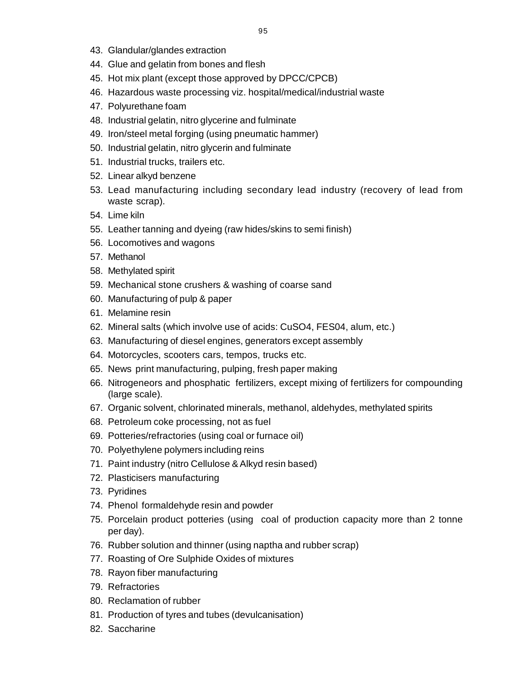- 43. Glandular/glandes extraction
- 44. Glue and gelatin from bones and flesh
- 45. Hot mix plant (except those approved by DPCC/CPCB)
- 46. Hazardous waste processing viz. hospital/medical/industrial waste
- 47. Polyurethane foam
- 48. Industrial gelatin, nitro glycerine and fulminate
- 49. Iron/steel metal forging (using pneumatic hammer)
- 50. Industrial gelatin, nitro glycerin and fulminate
- 51. Industrial trucks, trailers etc.
- 52. Linear alkyd benzene
- 53. Lead manufacturing including secondary lead industry (recovery of lead from waste scrap).
- 54. Lime kiln
- 55. Leather tanning and dyeing (raw hides/skins to semi finish)
- 56. Locomotives and wagons
- 57. Methanol
- 58. Methylated spirit
- 59. Mechanical stone crushers & washing of coarse sand
- 60. Manufacturing of pulp & paper
- 61. Melamine resin
- 62. Mineral salts (which involve use of acids: CuSO4, FES04, alum, etc.)
- 63. Manufacturing of diesel engines, generators except assembly
- 64. Motorcycles, scooters cars, tempos, trucks etc.
- 65. News print manufacturing, pulping, fresh paper making
- 66. Nitrogeneors and phosphatic fertilizers, except mixing of fertilizers for compounding (large scale).
- 67. Organic solvent, chlorinated minerals, methanol, aldehydes, methylated spirits
- 68. Petroleum coke processing, not as fuel
- 69. Potteries/refractories (using coal or furnace oil)
- 70. Polyethylene polymers including reins
- 71. Paint industry (nitro Cellulose & Alkyd resin based)
- 72. Plasticisers manufacturing
- 73. Pyridines
- 74. Phenol formaldehyde resin and powder
- 75. Porcelain product potteries (using coal of production capacity more than 2 tonne per day).
- 76. Rubber solution and thinner (using naptha and rubber scrap)
- 77. Roasting of Ore Sulphide Oxides of mixtures
- 78. Rayon fiber manufacturing
- 79. Refractories
- 80. Reclamation of rubber
- 81. Production of tyres and tubes (devulcanisation)
- 82. Saccharine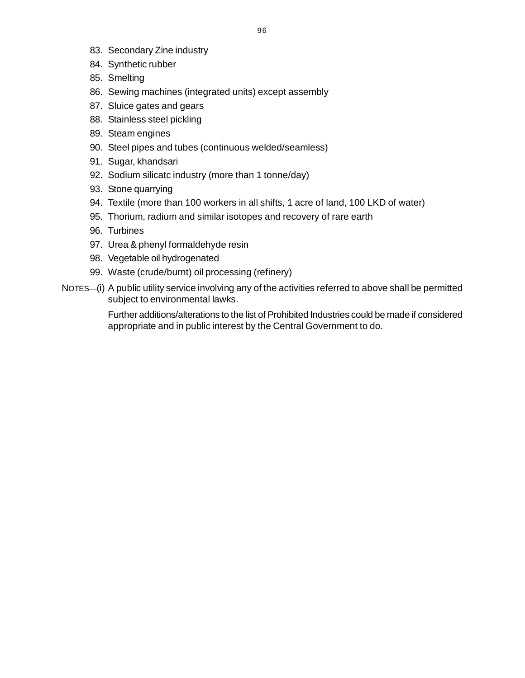- 83. Secondary Zine industry
- 84. Synthetic rubber
- 85. Smelting
- 86. Sewing machines (integrated units) except assembly
- 87. Sluice gates and gears
- 88. Stainless steel pickling
- 89. Steam engines
- 90. Steel pipes and tubes (continuous welded/seamless)
- 91. Sugar, khandsari
- 92. Sodium silicatc industry (more than 1 tonne/day)
- 93. Stone quarrying
- 94. Textile (more than 100 workers in all shifts, 1 acre of land, 100 LKD of water)
- 95. Thorium, radium and similar isotopes and recovery of rare earth
- 96. Turbines
- 97. Urea & phenyl formaldehyde resin
- 98. Vegetable oil hydrogenated
- 99. Waste (crude/burnt) oil processing (refinery)
- NOTES—(i) A public utility service involving any of the activities referred to above shall be permitted subject to environmental lawks.

Further additions/alterations to the list of Prohibited Industries could be made if considered appropriate and in public interest by the Central Government to do.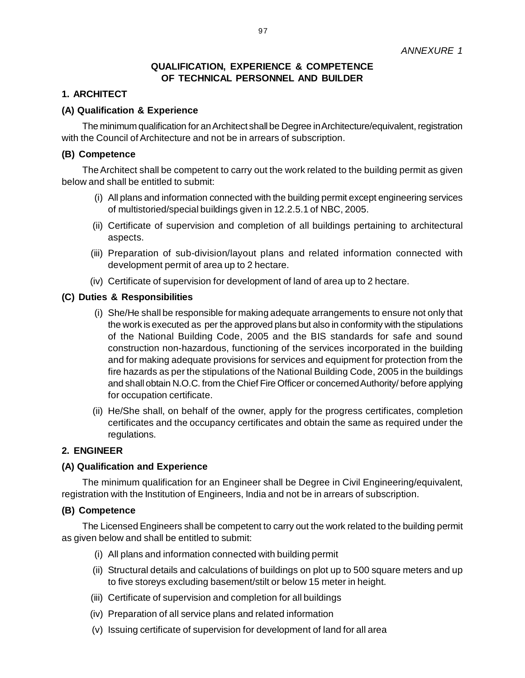### **QUALIFICATION, EXPERIENCE & COMPETENCE OF TECHNICAL PERSONNEL AND BUILDER**

### **1. ARCHITECT**

#### **(A) Qualification & Experience**

The minimum qualification for an Architect shall be Degree in Architecture/equivalent, registration with the Council of Architecture and not be in arrears of subscription.

#### **(B) Competence**

The Architect shall be competent to carry out the work related to the building permit as given below and shall be entitled to submit:

- (i) All plans and information connected with the building permit except engineering services of multistoried/special buildings given in 12.2.5.1 of NBC, 2005.
- (ii) Certificate of supervision and completion of all buildings pertaining to architectural aspects.
- (iii) Preparation of sub-division/layout plans and related information connected with development permit of area up to 2 hectare.
- (iv) Certificate of supervision for development of land of area up to 2 hectare.

#### **(C) Duties & Responsibilities**

- (i) She/He shall be responsible for making adequate arrangements to ensure not only that the work is executed as per the approved plans but also in conformity with the stipulations of the National Building Code, 2005 and the BIS standards for safe and sound construction non-hazardous, functioning of the services incorporated in the building and for making adequate provisions for services and equipment for protection from the fire hazards as per the stipulations of the National Building Code, 2005 in the buildings and shall obtain N.O.C. from the Chief Fire Officer or concerned Authority/ before applying for occupation certificate.
- (ii) He/She shall, on behalf of the owner, apply for the progress certificates, completion certificates and the occupancy certificates and obtain the same as required under the regulations.

#### **2. ENGINEER**

#### **(A) Qualification and Experience**

The minimum qualification for an Engineer shall be Degree in Civil Engineering/equivalent, registration with the Institution of Engineers, India and not be in arrears of subscription.

#### **(B) Competence**

The Licensed Engineers shall be competent to carry out the work related to the building permit as given below and shall be entitled to submit:

- (i) All plans and information connected with building permit
- (ii) Structural details and calculations of buildings on plot up to 500 square meters and up to five storeys excluding basement/stilt or below 15 meter in height.
- (iii) Certificate of supervision and completion for all buildings
- (iv) Preparation of all service plans and related information
- (v) Issuing certificate of supervision for development of land for all area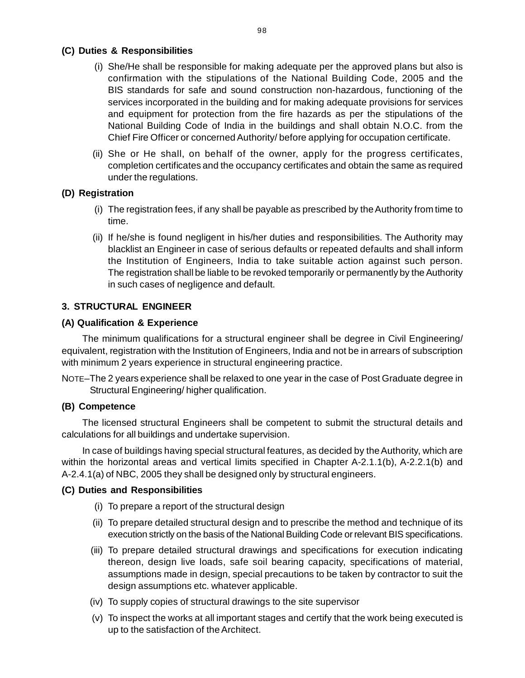### **[\(](http://www.docu-track.com/buy/)C) Duties & Responsibilities**

- (i) She/He shall be responsible for making adequate per the approved plans but also i[s](http://www.docu-track.com/buy/) confirmation with the stipulations of the National Building Code, 2005 and the BIS standards for safe and sound construction non-hazardous, functioning of the services incorporated in the building and for making adequate provisions for services and equipment for protection from the fire hazards as per the stipulations of the National Building Code of India in the buildings and shall obtain N.O.C. from the Chief Fire Officer or concerned Authority/ before applying for occupation certificate.
- (ii) She or He shall, on behalf of the owner, apply for the progress certificates, completion certificates and the occupancy certificates and obtain the same as required under the regulations.

# **(D) Registration**

- (i) The registration fees, if any shall be payable as prescribed by the Authority from time to time.
- (ii) If he/she is found negligent in his/her duties and responsibilities. The Authority may blacklist an Engineer in case of serious defaults or repeated defaults and shall inform the Institution of Engineers, India to take suitable action against such person. The registration shall be liable to be revoked temporarily or permanently by the Authority in such cases of negligence and default.

# **3. STRUCTURAL ENGINEER**

# **(A) Qualification & Experience**

The minimum qualifications for a structural engineer shall be degree in Civil Engineering/ equivalent, registration with the Institution of Engineers, India and not be in arrears of subscription with minimum 2 years experience in structural engineering practice.

NOTE–The 2 years experience shall be relaxed to one year in the case of Post Graduate degree in Structural Engineering/ higher qualification.

# **(B) Competence**

The licensed structural Engineers shall be competent to submit the structural details and calculations for all buildings and undertake supervision.

In case of buildings having special structural features, as decided by the Authority, which are within the horizontal areas and vertical limits specified in Chapter A-2.1.1(b), A-2.2.1(b) and A-2.4.1(a) of NBC, 2005 they shall be designed only by structural engineers.

# **(C) Duties and Responsibilities**

- (i) To prepare a report of the structural design
- (ii) To prepare detailed structural design and to prescribe the method and technique of its execution strictly on the basis of the National Building Code or relevant BIS specifications.
- (iii) To prepare detailed structural drawings and specifications for execution indicating thereon, design live loads, safe soil bearing capacity, specifications of material, assumptions made in design, special precautions to be taken by contractor to suit the design assumptions etc. whatever applicable.
- (iv) To supply copies of structural drawings to the site supervisor
- (v) To inspect the works at all important stages and certify that the work being executed is up to the satisfaction of the Architect.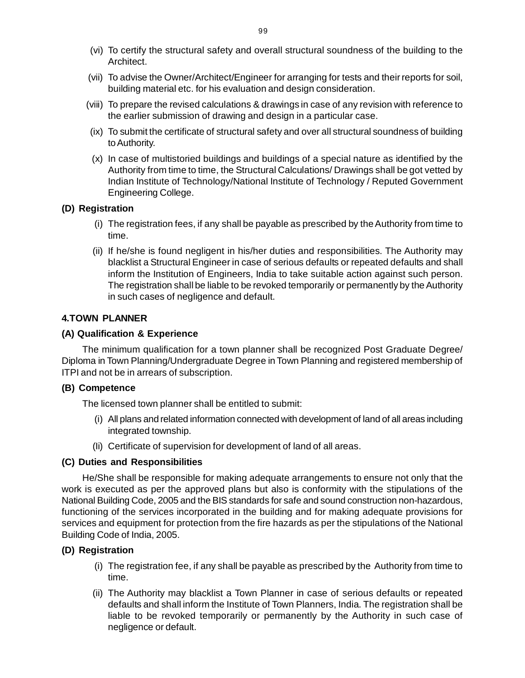- (vi) To certify the structural safety and overall structural soundness of the building to th[e](http://www.docu-track.com/buy/) Architect.
- (vii) To advise the Owner/Architect/Engineer for arranging for tests and their reports for soil, building material etc. for his evaluation and design consideration.
- (viii) To prepare the revised calculations & drawings in case of any revision with reference to the earlier submission of drawing and design in a particular case.
- (ix) To submit the certificate of structural safety and over all structural soundness of building to Authority.
- (x) In case of multistoried buildings and buildings of a special nature as identified by the Authority from time to time, the Structural Calculations/ Drawings shall be got vetted by Indian Institute of Technology/National Institute of Technology / Reputed Government Engineering College.

### **(D) Registration**

- (i) The registration fees, if any shall be payable as prescribed by the Authority from time to time.
- (ii) If he/she is found negligent in his/her duties and responsibilities. The Authority may blacklist a Structural Engineer in case of serious defaults or repeated defaults and shall inform the Institution of Engineers, India to take suitable action against such person. The registration shall be liable to be revoked temporarily or permanently by the Authority in such cases of negligence and default.

# **4.TOWN PLANNER**

### **(A) Qualification & Experience**

The minimum qualification for a town planner shall be recognized Post Graduate Degree/ Diploma in Town Planning/Undergraduate Degree in Town Planning and registered membership of ITPI and not be in arrears of subscription.

#### **(B) Competence**

The licensed town planner shall be entitled to submit:

- (i) All plans and related information connected with development of land of all areas including integrated township.
- (Ii) Certificate of supervision for development of land of all areas.

# **(C) Duties and Responsibilities**

He/She shall be responsible for making adequate arrangements to ensure not only that the work is executed as per the approved plans but also is conformity with the stipulations of the National Building Code, 2005 and the BIS standards for safe and sound construction non-hazardous, functioning of the services incorporated in the building and for making adequate provisions for services and equipment for protection from the fire hazards as per the stipulations of the National Building Code of India, 2005.

# **(D) Registration**

- (i) The registration fee, if any shall be payable as prescribed by the Authority from time to time.
- (ii) The Authority may blacklist a Town Planner in case of serious defaults or repeated defaults and shall inform the Institute of Town Planners, India. The registration shall be liable to be revoked temporarily or permanently by the Authority in such case of negligence or default.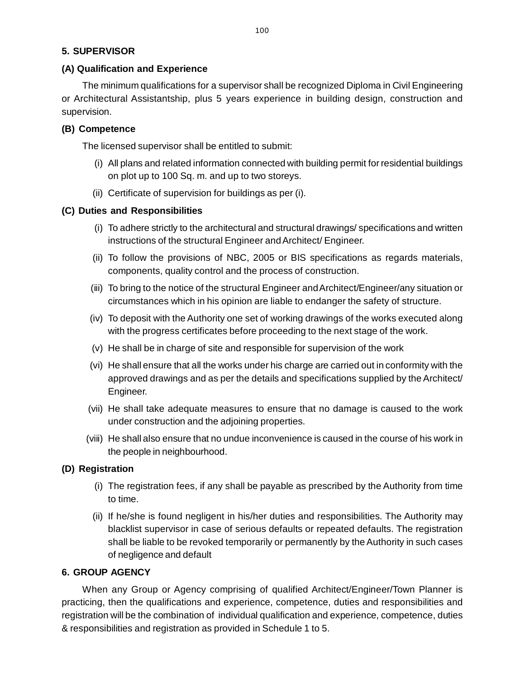# **[5](http://www.docu-track.com/buy/). SUPERVISOR**

# **(A) Qualification and Experience**

The minimum qualifications for a supervisor shall be recognized Diploma in Civil Engineering or Architectural Assistantship, plus 5 years experience in building design, construction and supervision.

# **(B) Competence**

The licensed supervisor shall be entitled to submit:

- (i) All plans and related information connected with building permit for residential buildings on plot up to 100 Sq. m. and up to two storeys.
- (ii) Certificate of supervision for buildings as per (i).

# **(C) Duties and Responsibilities**

- (i) To adhere strictly to the architectural and structural drawings/ specifications and written instructions of the structural Engineer and Architect/ Engineer.
- (ii) To follow the provisions of NBC, 2005 or BIS specifications as regards materials, components, quality control and the process of construction.
- (iii) To bring to the notice of the structural Engineer and Architect/Engineer/any situation or circumstances which in his opinion are liable to endanger the safety of structure.
- (iv) To deposit with the Authority one set of working drawings of the works executed along with the progress certificates before proceeding to the next stage of the work.
- (v) He shall be in charge of site and responsible for supervision of the work
- (vi) He shall ensure that all the works under his charge are carried out in conformity with the approved drawings and as per the details and specifications supplied by the Architect/ Engineer.
- (vii) He shall take adequate measures to ensure that no damage is caused to the work under construction and the adjoining properties.
- (viii) He shall also ensure that no undue inconvenience is caused in the course of his work in the people in neighbourhood.

# **(D) Registration**

- (i) The registration fees, if any shall be payable as prescribed by the Authority from time to time.
- (ii) If he/she is found negligent in his/her duties and responsibilities. The Authority may blacklist supervisor in case of serious defaults or repeated defaults. The registration shall be liable to be revoked temporarily or permanently by the Authority in such cases of negligence and default

# **6. GROUP AGENCY**

When any Group or Agency comprising of qualified Architect/Engineer/Town Planner is practicing, then the qualifications and experience, competence, duties and responsibilities and registration will be the combination of individual qualification and experience, competence, duties & responsibilities and registration as provided in Schedule 1 to 5.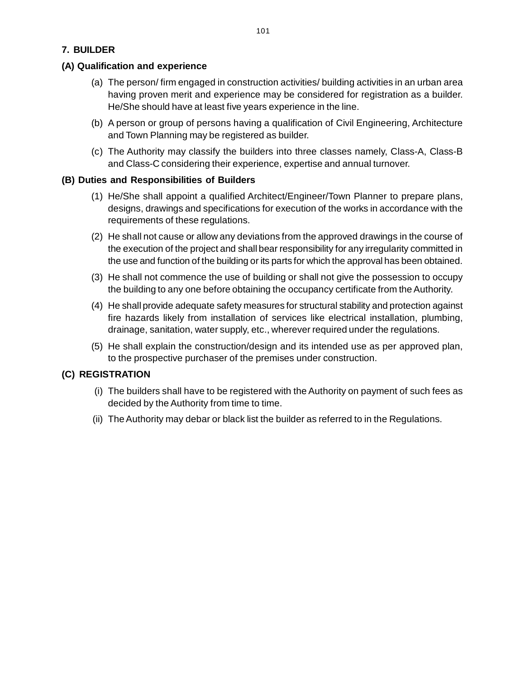# **(A) Qualification and experience**

- (a) The person/ firm engaged in construction activities/ building activities in an urban area having proven merit and experience may be considered for registration as a builder. He/She should have at least five years experience in the line.
- (b) A person or group of persons having a qualification of Civil Engineering, Architecture and Town Planning may be registered as builder.
- (c) The Authority may classify the builders into three classes namely, Class-A, Class-B and Class-C considering their experience, expertise and annual turnover.

# **(B) Duties and Responsibilities of Builders**

- (1) He/She shall appoint a qualified Architect/Engineer/Town Planner to prepare plans, designs, drawings and specifications for execution of the works in accordance with the requirements of these regulations.
- (2) He shall not cause or allow any deviations from the approved drawings in the course of the execution of the project and shall bear responsibility for any irregularity committed in the use and function of the building or its parts for which the approval has been obtained.
- (3) He shall not commence the use of building or shall not give the possession to occupy the building to any one before obtaining the occupancy certificate from the Authority.
- (4) He shall provide adequate safety measures for structural stability and protection against fire hazards likely from installation of services like electrical installation, plumbing, drainage, sanitation, water supply, etc., wherever required under the regulations.
- (5) He shall explain the construction/design and its intended use as per approved plan, to the prospective purchaser of the premises under construction.

# **(C) REGISTRATION**

- (i) The builders shall have to be registered with the Authority on payment of such fees as decided by the Authority from time to time.
- (ii) The Authority may debar or black list the builder as referred to in the Regulations.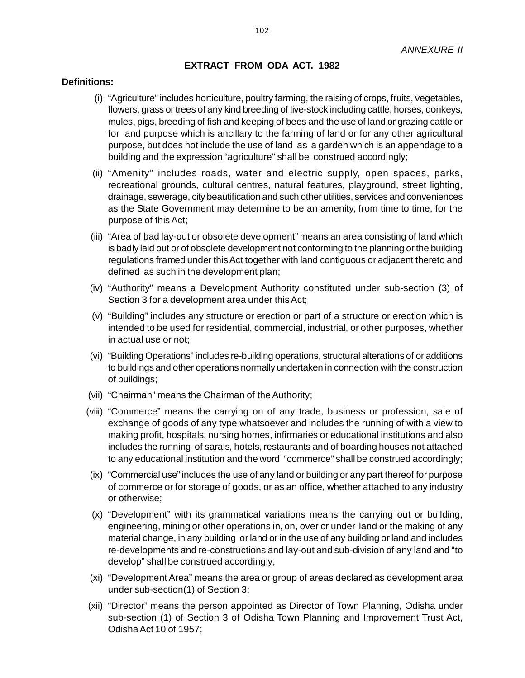### **EXTRACT FROM ODA ACT. 1982**

#### **Definitions:**

- (i) "Agriculture" includes horticulture, poultry farming, the raising of crops, fruits, vegetables, flowers, grass or trees of any kind breeding of live-stock including cattle, horses, donkeys, mules, pigs, breeding of fish and keeping of bees and the use of land or grazing cattle or for and purpose which is ancillary to the farming of land or for any other agricultural purpose, but does not include the use of land as a garden which is an appendage to a building and the expression "agriculture" shall be construed accordingly;
- (ii) "Amenity" includes roads, water and electric supply, open spaces, parks, recreational grounds, cultural centres, natural features, playground, street lighting, drainage, sewerage, city beautification and such other utilities, services and conveniences as the State Government may determine to be an amenity, from time to time, for the purpose of this Act;
- (iii) "Area of bad lay-out or obsolete development" means an area consisting of land which is badly laid out or of obsolete development not conforming to the planning or the building regulations framed under this Act together with land contiguous or adjacent thereto and defined as such in the development plan;
- (iv) "Authority" means a Development Authority constituted under sub-section (3) of Section 3 for a development area under this Act;
- (v) "Building" includes any structure or erection or part of a structure or erection which is intended to be used for residential, commercial, industrial, or other purposes, whether in actual use or not;
- (vi) "Building Operations" includes re-building operations, structural alterations of or additions to buildings and other operations normally undertaken in connection with the construction of buildings;
- (vii) "Chairman" means the Chairman of the Authority;
- (viii) "Commerce" means the carrying on of any trade, business or profession, sale of exchange of goods of any type whatsoever and includes the running of with a view to making profit, hospitals, nursing homes, infirmaries or educational institutions and also includes the running of sarais, hotels, restaurants and of boarding houses not attached to any educational institution and the word "commerce" shall be construed accordingly;
- (ix) "Commercial use" includes the use of any land or building or any part thereof for purpose of commerce or for storage of goods, or as an office, whether attached to any industry or otherwise;
- (x) "Development" with its grammatical variations means the carrying out or building, engineering, mining or other operations in, on, over or under land or the making of any material change, in any building or land or in the use of any building or land and includes re-developments and re-constructions and lay-out and sub-division of any land and "to develop" shall be construed accordingly;
- (xi) "Development Area" means the area or group of areas declared as development area under sub-section(1) of Section 3;
- (xii) "Director" means the person appointed as Director of Town Planning, Odisha under sub-section (1) of Section 3 of Odisha Town Planning and Improvement Trust Act, Odisha Act 10 of 1957;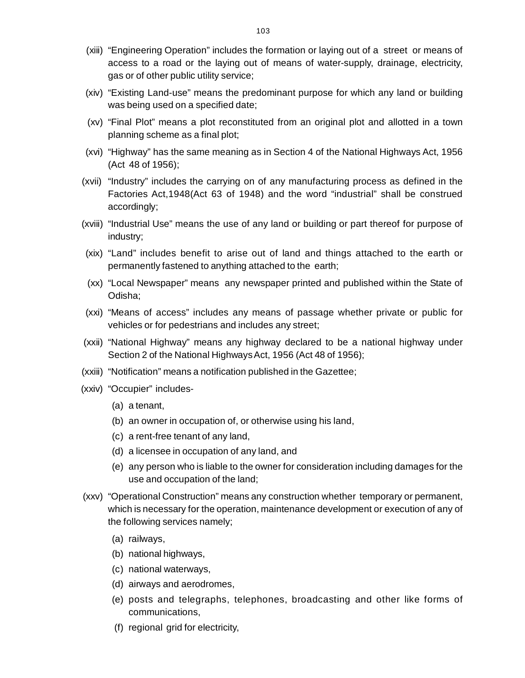- (xiii) "Engineering Operation" includes the formation or laying out of a street or means o[f](http://www.docu-track.com/buy/) access to a road or the laying out of means of water-supply, drainage, electricity, gas or of other public utility service;
- (xiv) "Existing Land-use" means the predominant purpose for which any land or building was being used on a specified date;
- (xv) "Final Plot" means a plot reconstituted from an original plot and allotted in a town planning scheme as a final plot;
- (xvi) "Highway" has the same meaning as in Section 4 of the National Highways Act, 1956 (Act 48 of 1956);
- (xvii) "Industry" includes the carrying on of any manufacturing process as defined in the Factories Act,1948(Act 63 of 1948) and the word "industrial" shall be construed accordingly;
- (xviii) "Industrial Use" means the use of any land or building or part thereof for purpose of industry;
- (xix) "Land" includes benefit to arise out of land and things attached to the earth or permanently fastened to anything attached to the earth;
- (xx) "Local Newspaper" means any newspaper printed and published within the State of Odisha;
- (xxi) "Means of access" includes any means of passage whether private or public for vehicles or for pedestrians and includes any street;
- (xxii) "National Highway" means any highway declared to be a national highway under Section 2 of the National Highways Act, 1956 (Act 48 of 1956);
- (xxiii) "Notification" means a notification published in the Gazettee;
- (xxiv) "Occupier" includes-
	- (a) a tenant,
	- (b) an owner in occupation of, or otherwise using his land,
	- (c) a rent-free tenant of any land,
	- (d) a licensee in occupation of any land, and
	- (e) any person who is liable to the owner for consideration including damages for the use and occupation of the land;
- (xxv) "Operational Construction" means any construction whether temporary or permanent, which is necessary for the operation, maintenance development or execution of any of the following services namely;
	- (a) railways,
	- (b) national highways,
	- (c) national waterways,
	- (d) airways and aerodromes,
	- (e) posts and telegraphs, telephones, broadcasting and other like forms of communications,
	- (f) regional grid for electricity,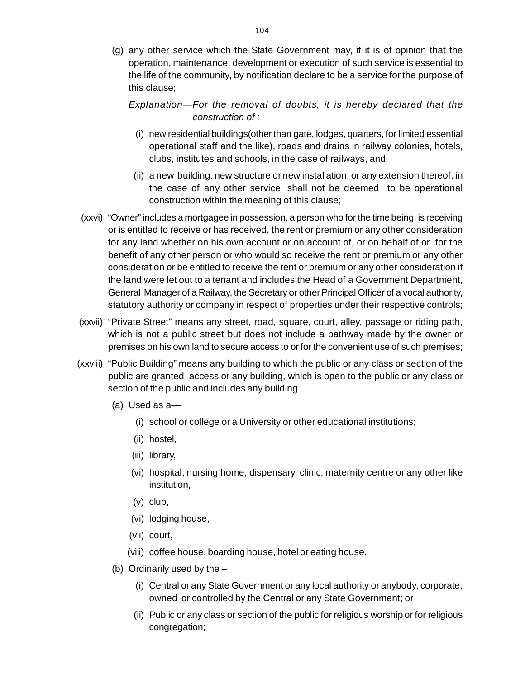(g) any other service which the State Government may, if it is of opinion that th[e](http://www.docu-track.com/buy/) operation, maintenance, development or execution of such service is essential to the life of the community, by notification declare to be a service for the purpose of this clause;

# *Explanation—For the removal of doubts, it is hereby declared that the construction of :—*

- (i) new residential buildings(other than gate, lodges, quarters, for limited essential operational staff and the like), roads and drains in railway colonies, hotels, clubs, institutes and schools, in the case of railways, and
- (ii) a new building, new structure or new installation, or any extension thereof, in the case of any other service, shall not be deemed to be operational construction within the meaning of this clause;
- (xxvi) "Owner" includes a mortgagee in possession, a person who for the time being, is receiving or is entitled to receive or has received, the rent or premium or any other consideration for any land whether on his own account or on account of, or on behalf of or for the benefit of any other person or who would so receive the rent or premium or any other consideration or be entitled to receive the rent or premium or any other consideration if the land were let out to a tenant and includes the Head of a Government Department, General Manager of a Railway, the Secretary or other Principal Officer of a vocal authority, statutory authority or company in respect of properties under their respective controls;
- (xxvii) "Private Street" means any street, road, square, court, alley, passage or riding path, which is not a public street but does not include a pathway made by the owner or premises on his own land to secure access to or for the convenient use of such premises;
- (xxviii) "Public Building" means any building to which the public or any class or section of the public are granted access or any building, which is open to the public or any class or section of the public and includes any building
	- (a) Used as a—
		- (i) school or college or a University or other educational institutions;
		- (ii) hostel,
		- (iii) library,
		- (vi) hospital, nursing home, dispensary, clinic, maternity centre or any other like institution,
		- (v) club,
		- (vi) lodging house,
		- (vii) court,
		- (viii) coffee house, boarding house, hotel or eating house,
	- (b) Ordinarily used by the
		- (i) Central or any State Government or any local authority or anybody, corporate, owned or controlled by the Central or any State Government; or
		- (ii) Public or any class or section of the public for religious worship or for religious congregation;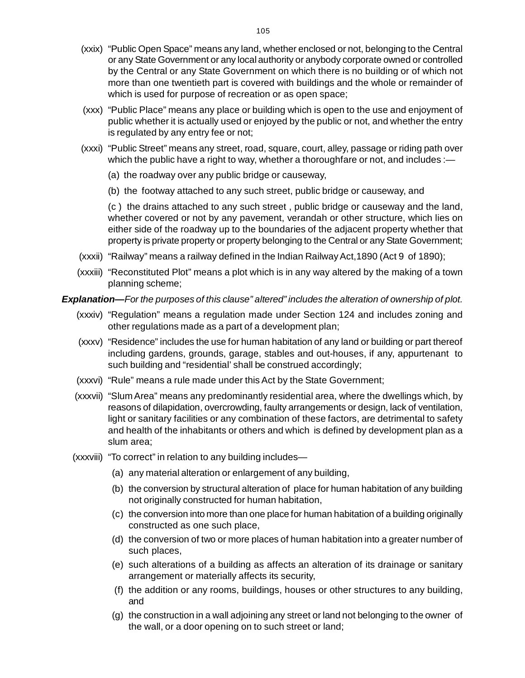- (xxix) "Public Open Space" means any land, whether enclosed or not, belonging to the Centra[l](http://www.docu-track.com/buy/) or any State Government or any local authority or anybody corporate owned or controlled by the Central or any State Government on which there is no building or of which not more than one twentieth part is covered with buildings and the whole or remainder of which is used for purpose of recreation or as open space;
- (xxx) "Public Place" means any place or building which is open to the use and enjoyment of public whether it is actually used or enjoyed by the public or not, and whether the entry is regulated by any entry fee or not;
- (xxxi) "Public Street" means any street, road, square, court, alley, passage or riding path over which the public have a right to way, whether a thoroughfare or not, and includes :-
	- (a) the roadway over any public bridge or causeway,
	- (b) the footway attached to any such street, public bridge or causeway, and

(c ) the drains attached to any such street , public bridge or causeway and the land, whether covered or not by any pavement, verandah or other structure, which lies on either side of the roadway up to the boundaries of the adjacent property whether that property is private property or property belonging to the Central or any State Government;

- (xxxii) "Railway" means a railway defined in the Indian Railway Act,1890 (Act 9 of 1890);
- (xxxiii) "Reconstituted Plot" means a plot which is in any way altered by the making of a town planning scheme;

# *Explanation—For the purposes of this clause" altered" includes the alteration of ownership of plot.*

- (xxxiv) "Regulation" means a regulation made under Section 124 and includes zoning and other regulations made as a part of a development plan;
- (xxxv) "Residence" includes the use for human habitation of any land or building or part thereof including gardens, grounds, garage, stables and out-houses, if any, appurtenant to such building and "residential' shall be construed accordingly;
- (xxxvi) "Rule" means a rule made under this Act by the State Government;
- (xxxvii) "Slum Area" means any predominantly residential area, where the dwellings which, by reasons of dilapidation, overcrowding, faulty arrangements or design, lack of ventilation, light or sanitary facilities or any combination of these factors, are detrimental to safety and health of the inhabitants or others and which is defined by development plan as a slum area;
- (xxxviii) "To correct" in relation to any building includes—
	- (a) any material alteration or enlargement of any building,
	- (b) the conversion by structural alteration of place for human habitation of any building not originally constructed for human habitation,
	- (c) the conversion into more than one place for human habitation of a building originally constructed as one such place,
	- (d) the conversion of two or more places of human habitation into a greater number of such places,
	- (e) such alterations of a building as affects an alteration of its drainage or sanitary arrangement or materially affects its security,
	- (f) the addition or any rooms, buildings, houses or other structures to any building, and
	- (g) the construction in a wall adjoining any street or land not belonging to the owner of the wall, or a door opening on to such street or land;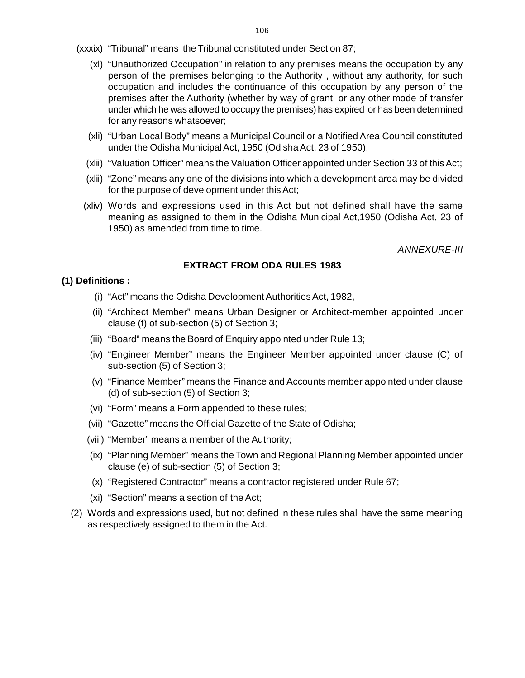- (xxxix) "Tribunal" means the Tribunal constituted under Section 87;
	- (xl) "Unauthorized Occupation" in relation to any premises means the occupation by an[y](http://www.docu-track.com/buy/) person of the premises belonging to the Authority , without any authority, for such occupation and includes the continuance of this occupation by any person of the premises after the Authority (whether by way of grant or any other mode of transfer under which he was allowed to occupy the premises) has expired or has been determined for any reasons whatsoever;
	- (xli) "Urban Local Body" means a Municipal Council or a Notified Area Council constituted under the Odisha Municipal Act, 1950 (Odisha Act, 23 of 1950);
	- (xlii) "Valuation Officer" means the Valuation Officer appointed under Section 33 of this Act;
	- (xlii) "Zone" means any one of the divisions into which a development area may be divided for the purpose of development under this Act;
	- (xliv) Words and expressions used in this Act but not defined shall have the same meaning as assigned to them in the Odisha Municipal Act,1950 (Odisha Act, 23 of 1950) as amended from time to time.

*ANNEXURE-III*

#### **EXTRACT FROM ODA RULES 1983**

#### **(1) Definitions :**

- (i) "Act" means the Odisha Development Authorities Act, 1982,
- (ii) "Architect Member" means Urban Designer or Architect-member appointed under clause (f) of sub-section (5) of Section 3;
- (iii) "Board" means the Board of Enquiry appointed under Rule 13;
- (iv) "Engineer Member" means the Engineer Member appointed under clause (C) of sub-section (5) of Section 3;
- (v) "Finance Member" means the Finance and Accounts member appointed under clause (d) of sub-section (5) of Section 3;
- (vi) "Form" means a Form appended to these rules;
- (vii) "Gazette" means the Official Gazette of the State of Odisha;
- (viii) "Member" means a member of the Authority;
- (ix) "Planning Member" means the Town and Regional Planning Member appointed under clause (e) of sub-section (5) of Section 3;
- (x) "Registered Contractor" means a contractor registered under Rule 67;
- (xi) "Section" means a section of the Act;
- (2) Words and expressions used, but not defined in these rules shall have the same meaning as respectively assigned to them in the Act.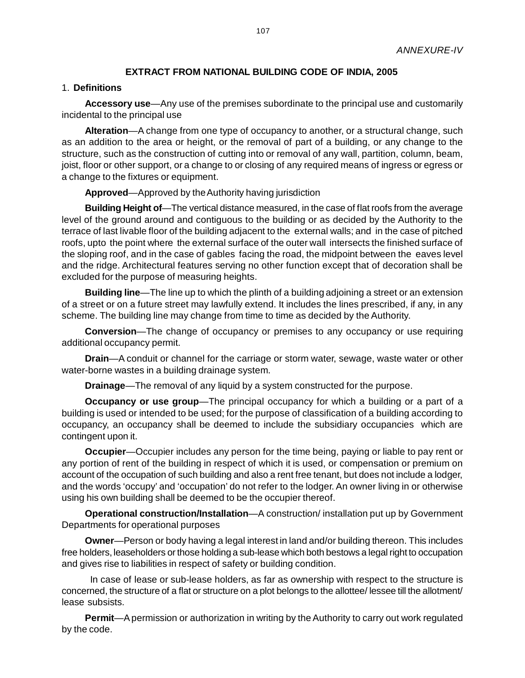#### **EXTRACT FROM NATIONAL BUILDING CODE OF INDIA, 2005**

#### 1. **Definitions**

**Accessory use**—Any use of the premises subordinate to the principal use and customarily incidental to the principal use

**Alteration**—A change from one type of occupancy to another, or a structural change, such as an addition to the area or height, or the removal of part of a building, or any change to the structure, such as the construction of cutting into or removal of any wall, partition, column, beam, joist, floor or other support, or a change to or closing of any required means of ingress or egress or a change to the fixtures or equipment.

**Approved**—Approved by the Authority having jurisdiction

**Building Height of**—The vertical distance measured, in the case of flat roofs from the average level of the ground around and contiguous to the building or as decided by the Authority to the terrace of last livable floor of the building adjacent to the external walls; and in the case of pitched roofs, upto the point where the external surface of the outer wall intersects the finished surface of the sloping roof, and in the case of gables facing the road, the midpoint between the eaves level and the ridge. Architectural features serving no other function except that of decoration shall be excluded for the purpose of measuring heights.

**Building line**—The line up to which the plinth of a building adjoining a street or an extension of a street or on a future street may lawfully extend. It includes the lines prescribed, if any, in any scheme. The building line may change from time to time as decided by the Authority.

**Conversion**—The change of occupancy or premises to any occupancy or use requiring additional occupancy permit.

**Drain**—A conduit or channel for the carriage or storm water, sewage, waste water or other water-borne wastes in a building drainage system.

**Drainage**—The removal of any liquid by a system constructed for the purpose.

**Occupancy or use group**—The principal occupancy for which a building or a part of a building is used or intended to be used; for the purpose of classification of a building according to occupancy, an occupancy shall be deemed to include the subsidiary occupancies which are contingent upon it.

**Occupier**—Occupier includes any person for the time being, paying or liable to pay rent or any portion of rent of the building in respect of which it is used, or compensation or premium on account of the occupation of such building and also a rent free tenant, but does not include a lodger, and the words 'occupy' and 'occupation' do not refer to the lodger. An owner living in or otherwise using his own building shall be deemed to be the occupier thereof.

**Operational construction/Installation**—A construction/ installation put up by Government Departments for operational purposes

**Owner**—Person or body having a legal interest in land and/or building thereon. This includes free holders, leaseholders or those holding a sub-lease which both bestows a legal right to occupation and gives rise to liabilities in respect of safety or building condition.

 In case of lease or sub-lease holders, as far as ownership with respect to the structure is concerned, the structure of a flat or structure on a plot belongs to the allottee/ lessee till the allotment/ lease subsists.

**Permit**—A permission or authorization in writing by the Authority to carry out work regulated by the code.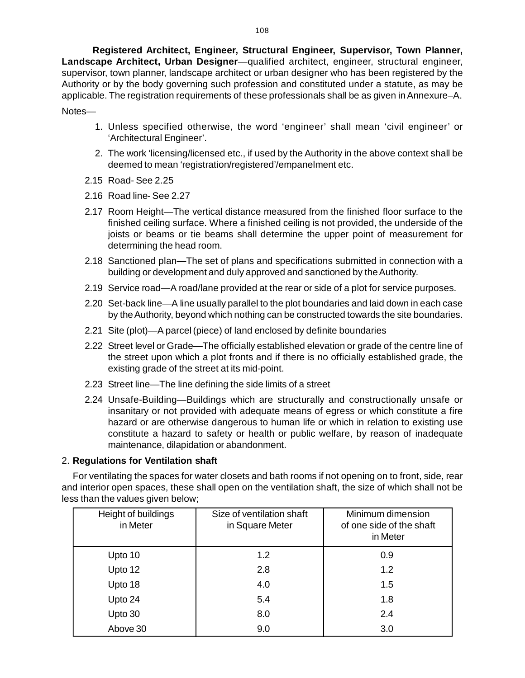**Registered Architect, Engineer, Structural Engineer, Supervisor, Town Planner[,](http://www.docu-track.com/buy/) [L](http://www.docu-track.com/buy/)andscape Architect, Urban Designer**—qualified architect, engineer, structural engineer, supervisor, town planner, landscape architect or urban designer who has been registered by the Authority or by the body governing such profession and constituted under a statute, as may be applicable. The registration requirements of these professionals shall be as given in Annexure–A. Notes—

- 1. Unless specified otherwise, the word 'engineer' shall mean 'civil engineer' or 'Architectural Engineer'.
- 2. The work 'licensing/licensed etc., if used by the Authority in the above context shall be deemed to mean 'registration/registered'/empanelment etc.
- 2.15 Road- See 2.25
- 2.16 Road line- See 2.27
- 2.17 Room Height—The vertical distance measured from the finished floor surface to the finished ceiling surface. Where a finished ceiling is not provided, the underside of the joists or beams or tie beams shall determine the upper point of measurement for determining the head room.
- 2.18 Sanctioned plan—The set of plans and specifications submitted in connection with a building or development and duly approved and sanctioned by the Authority.
- 2.19 Service road—A road/lane provided at the rear or side of a plot for service purposes.
- 2.20 Set-back line—A line usually parallel to the plot boundaries and laid down in each case by the Authority, beyond which nothing can be constructed towards the site boundaries.
- 2.21 Site (plot)—A parcel (piece) of land enclosed by definite boundaries
- 2.22 Street level or Grade—The officially established elevation or grade of the centre line of the street upon which a plot fronts and if there is no officially established grade, the existing grade of the street at its mid-point.
- 2.23 Street line—The line defining the side limits of a street
- 2.24 Unsafe-Building—Buildings which are structurally and constructionally unsafe or insanitary or not provided with adequate means of egress or which constitute a fire hazard or are otherwise dangerous to human life or which in relation to existing use constitute a hazard to safety or health or public welfare, by reason of inadequate maintenance, dilapidation or abandonment.

#### 2. **Regulations for Ventilation shaft**

For ventilating the spaces for water closets and bath rooms if not opening on to front, side, rear and interior open spaces, these shall open on the ventilation shaft, the size of which shall not be less than the values given below;

| Height of buildings<br>in Meter | Size of ventilation shaft<br>in Square Meter | Minimum dimension<br>of one side of the shaft<br>in Meter |
|---------------------------------|----------------------------------------------|-----------------------------------------------------------|
| Upto 10                         | 1.2                                          | 0.9                                                       |
| Upto 12                         | 2.8                                          | 1.2                                                       |
| Upto 18                         | 4.0                                          | 1.5                                                       |
| Upto 24                         | 5.4                                          | 1.8                                                       |
| Upto 30                         | 8.0                                          | 2.4                                                       |
| Above 30                        | 9.0                                          | 3.0                                                       |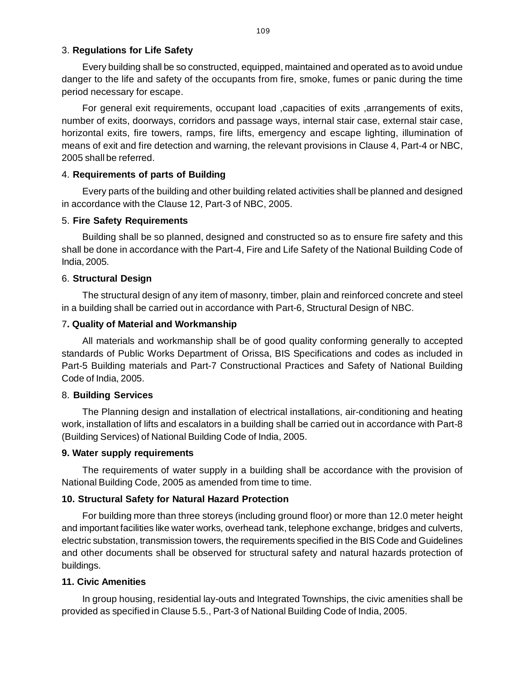#### [3](http://www.docu-track.com/buy/). **Regulations for Life Safety**

Every building shall be so constructed, equipped, maintained and operated as to avoid undu[e](http://www.docu-track.com/buy/) danger to the life and safety of the occupants from fire, smoke, fumes or panic during the time period necessary for escape.

For general exit requirements, occupant load , capacities of exits , arrangements of exits, number of exits, doorways, corridors and passage ways, internal stair case, external stair case, horizontal exits, fire towers, ramps, fire lifts, emergency and escape lighting, illumination of means of exit and fire detection and warning, the relevant provisions in Clause 4, Part-4 or NBC, 2005 shall be referred.

## 4. **Requirements of parts of Building**

Every parts of the building and other building related activities shall be planned and designed in accordance with the Clause 12, Part-3 of NBC, 2005.

### 5. **Fire Safety Requirements**

Building shall be so planned, designed and constructed so as to ensure fire safety and this shall be done in accordance with the Part-4, Fire and Life Safety of the National Building Code of India, 2005.

## 6. **Structural Design**

The structural design of any item of masonry, timber, plain and reinforced concrete and steel in a building shall be carried out in accordance with Part-6, Structural Design of NBC.

### 7**. Quality of Material and Workmanship**

All materials and workmanship shall be of good quality conforming generally to accepted standards of Public Works Department of Orissa, BIS Specifications and codes as included in Part-5 Building materials and Part-7 Constructional Practices and Safety of National Building Code of India, 2005.

## 8. **Building Services**

The Planning design and installation of electrical installations, air-conditioning and heating work, installation of lifts and escalators in a building shall be carried out in accordance with Part-8 (Building Services) of National Building Code of India, 2005.

#### **9. Water supply requirements**

The requirements of water supply in a building shall be accordance with the provision of National Building Code, 2005 as amended from time to time.

## **10. Structural Safety for Natural Hazard Protection**

For building more than three storeys (including ground floor) or more than 12.0 meter height and important facilities like water works, overhead tank, telephone exchange, bridges and culverts, electric substation, transmission towers, the requirements specified in the BIS Code and Guidelines and other documents shall be observed for structural safety and natural hazards protection of buildings.

#### **11. Civic Amenities**

In group housing, residential lay-outs and Integrated Townships, the civic amenities shall be provided as specified in Clause 5.5., Part-3 of National Building Code of India, 2005.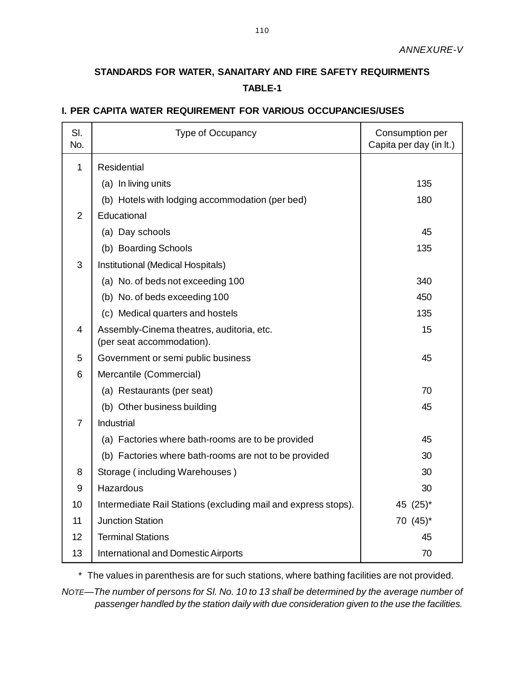# **STANDARDS FOR WATER, SANAITARY AND FIRE SAFETY REQUIRMENTS TABLE-1**

## **I. PER CAPITA WATER REQUIREMENT FOR VARIOUS OCCUPANCIES/USES**

| SI.<br>No.     | <b>Type of Occupancy</b>                                               | Consumption per<br>Capita per day (in It.) |
|----------------|------------------------------------------------------------------------|--------------------------------------------|
| $\mathbf{1}$   | <b>Residential</b>                                                     |                                            |
|                | (a) In living units                                                    | 135                                        |
|                | (b) Hotels with lodging accommodation (per bed)                        | 180                                        |
| $\overline{2}$ | Educational                                                            |                                            |
|                | (a) Day schools                                                        | 45                                         |
|                | (b) Boarding Schools                                                   | 135                                        |
| 3              | Institutional (Medical Hospitals)                                      |                                            |
|                | (a) No. of beds not exceeding 100                                      | 340                                        |
|                | (b) No. of beds exceeding 100                                          | 450                                        |
|                | (c) Medical quarters and hostels                                       | 135                                        |
| $\overline{4}$ | Assembly-Cinema theatres, auditoria, etc.<br>(per seat accommodation). | 15                                         |
| 5              | Government or semi public business                                     | 45                                         |
| 6              | Mercantile (Commercial)                                                |                                            |
|                | (a) Restaurants (per seat)                                             | 70                                         |
|                | (b) Other business building                                            | 45                                         |
| $\overline{7}$ | Industrial                                                             |                                            |
|                | (a) Factories where bath-rooms are to be provided                      | 45                                         |
|                | (b) Factories where bath-rooms are not to be provided                  | 30                                         |
| 8              | Storage (including Warehouses)                                         | 30                                         |
| 9              | Hazardous                                                              | 30                                         |
| 10             | Intermediate Rail Stations (excluding mail and express stops).         | 45 $(25)^*$                                |
| 11             | <b>Junction Station</b>                                                | 70 (45)*                                   |
| 12             | <b>Terminal Stations</b>                                               | 45                                         |
| 13             | <b>International and Domestic Airports</b>                             | 70                                         |

\* The values in parenthesis are for such stations, where bathing facilities are not provided.

*NOTE—The number of persons for Sl. No. 10 to 13 shall be determined by the average number of passenger handled by the station daily with due consideration given to the use the facilities.*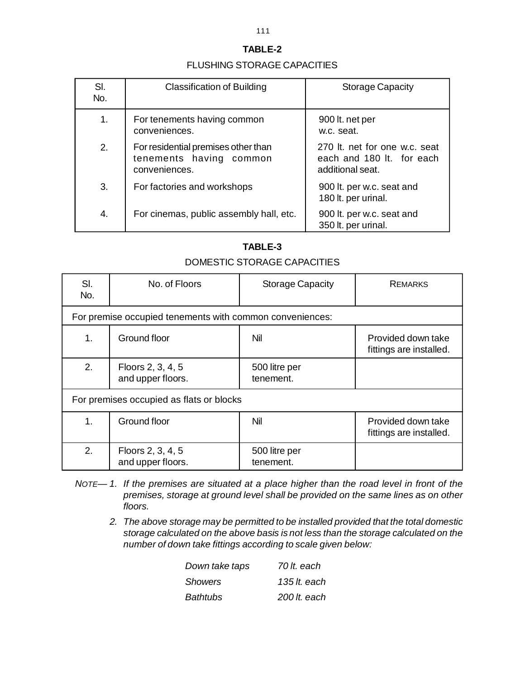#### FLUSHING STORAGE CAPACITIES

| SI.<br>No. | <b>Classification of Building</b>                                               | <b>Storage Capacity</b>                                                        |
|------------|---------------------------------------------------------------------------------|--------------------------------------------------------------------------------|
| 1.         | For tenements having common<br>conveniences.                                    | 900 lt. net per<br>w.c. seat.                                                  |
| 2.         | For residential premises other than<br>tenements having common<br>conveniences. | 270 It. net for one w.c. seat<br>each and 180 lt. for each<br>additional seat. |
| 3.         | For factories and workshops                                                     | 900 lt. per w.c. seat and<br>180 lt. per urinal.                               |
| 4.         | For cinemas, public assembly hall, etc.                                         | 900 It. per w.c. seat and<br>350 lt. per urinal.                               |

## **TABLE-3**

## DOMESTIC STORAGE CAPACITIES

| SI.<br>No.                               | No. of Floors                                            | <b>Storage Capacity</b>    | <b>REMARKS</b>                                |  |
|------------------------------------------|----------------------------------------------------------|----------------------------|-----------------------------------------------|--|
|                                          | For premise occupied tenements with common conveniences: |                            |                                               |  |
| 1.                                       | Ground floor                                             | Nil                        | Provided down take<br>fittings are installed. |  |
| 2.                                       | Floors 2, 3, 4, 5<br>and upper floors.                   | 500 litre per<br>tenement. |                                               |  |
| For premises occupied as flats or blocks |                                                          |                            |                                               |  |
| 1 <sub>1</sub>                           | Ground floor                                             | Nil                        | Provided down take<br>fittings are installed. |  |
| 2.                                       | Floors 2, 3, 4, 5<br>and upper floors.                   | 500 litre per<br>tenement. |                                               |  |

- *NOTE 1. If the premises are situated at a place higher than the road level in front of the premises, storage at ground level shall be provided on the same lines as on other floors.*
	- *2. The above storage may be permitted to be installed provided that the total domestic storage calculated on the above basis is not less than the storage calculated on the number of down take fittings according to scale given below:*

| Down take taps | 70 lt. each    |
|----------------|----------------|
| <b>Showers</b> | 135 lt. each   |
| Bathtubs       | $200$ It. each |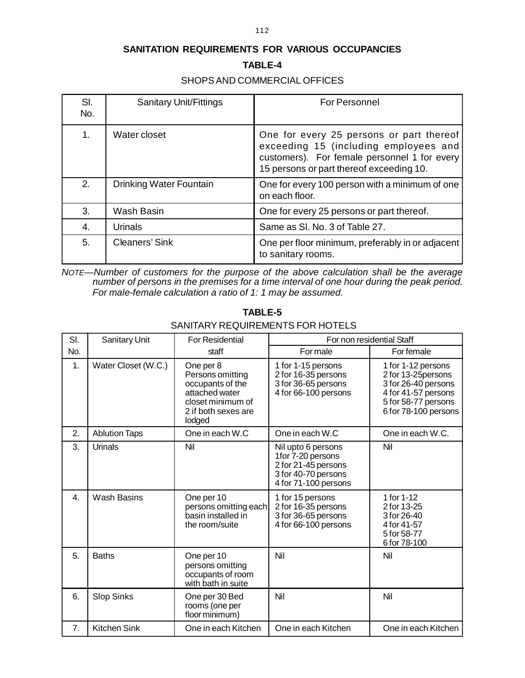## **SANITATION REQUIREMENTS FOR VARIOUS OCCUPANCIES**

#### **TABLE-4**

## SHOPS AND COMMERCIAL OFFICES

| SI.<br>No. | <b>Sanitary Unit/Fittings</b> | For Personnel                                                                                                                                                                 |
|------------|-------------------------------|-------------------------------------------------------------------------------------------------------------------------------------------------------------------------------|
| 1.         | Water closet                  | One for every 25 persons or part thereof<br>exceeding 15 (including employees and<br>customers). For female personnel 1 for every<br>15 persons or part thereof exceeding 10. |
| 2.         | Drinking Water Fountain       | One for every 100 person with a minimum of one<br>on each floor.                                                                                                              |
| 3.         | Wash Basin                    | One for every 25 persons or part thereof.                                                                                                                                     |
| 4.         | Urinals                       | Same as SI. No. 3 of Table 27.                                                                                                                                                |
| 5.         | Cleaners' Sink                | One per floor minimum, preferably in or adjacent<br>to sanitary rooms.                                                                                                        |

*NOTE—Number of customers for the purpose of the above calculation shall be the average number of persons in the premises for a time interval of one hour during the peak period. For male-female calculation a ratio of 1: 1 may be assumed.*

|     | SANITARY REQUIREMENTS FOR HOTELS |                                                                                                                           |                                                                                                               |                                                                                                                                        |  |
|-----|----------------------------------|---------------------------------------------------------------------------------------------------------------------------|---------------------------------------------------------------------------------------------------------------|----------------------------------------------------------------------------------------------------------------------------------------|--|
| SI. | Sanitary Unit                    | <b>For Residential</b>                                                                                                    | For non residential Staff                                                                                     |                                                                                                                                        |  |
| No. |                                  | staff                                                                                                                     | For male                                                                                                      | For female                                                                                                                             |  |
| 1.  | Water Closet (W.C.)              | One per 8<br>Persons omitting<br>occupants of the<br>attached water<br>closet minimum of<br>2 if both sexes are<br>lodged | 1 for 1-15 persons<br>2 for 16-35 persons<br>3 for 36-65 persons<br>4 for 66-100 persons                      | 1 for 1-12 persons<br>2 for 13-25 persons<br>3 for 26-40 persons<br>4 for 41-57 persons<br>5 for 58-77 persons<br>6 for 78-100 persons |  |
| 2.  | <b>Ablution Taps</b>             | One in each W.C                                                                                                           | One in each W.C                                                                                               | One in each W.C.                                                                                                                       |  |
| 3.  | Urinals                          | Nil                                                                                                                       | Nil upto 6 persons<br>1for 7-20 persons<br>2 for 21-45 persons<br>3 for 40-70 persons<br>4 for 71-100 persons | Nil                                                                                                                                    |  |
| 4.  | <b>Wash Basins</b>               | One per 10<br>persons omitting each<br>basin installed in<br>the room/suite                                               | 1 for 15 persons<br>2 for 16-35 persons<br>3 for 36-65 persons<br>4 for 66-100 persons                        | 1 for 1-12<br>2 for 13-25<br>3 for 26-40<br>4 for 41-57<br>5 for 58-77<br>6 for 78-100                                                 |  |
| 5.  | <b>Baths</b>                     | One per 10<br>persons omitting<br>occupants of room<br>with bath in suite                                                 | Nil                                                                                                           | Nil                                                                                                                                    |  |
| 6.  | <b>Slop Sinks</b>                | One per 30 Bed<br>rooms (one per<br>floor minimum)                                                                        | Nil                                                                                                           | Nil                                                                                                                                    |  |
| 7.  | <b>Kitchen Sink</b>              | One in each Kitchen                                                                                                       | One in each Kitchen                                                                                           | One in each Kitchen                                                                                                                    |  |

### **TABLE-5** SANITARY REQUIREMENTS FOR HOTELS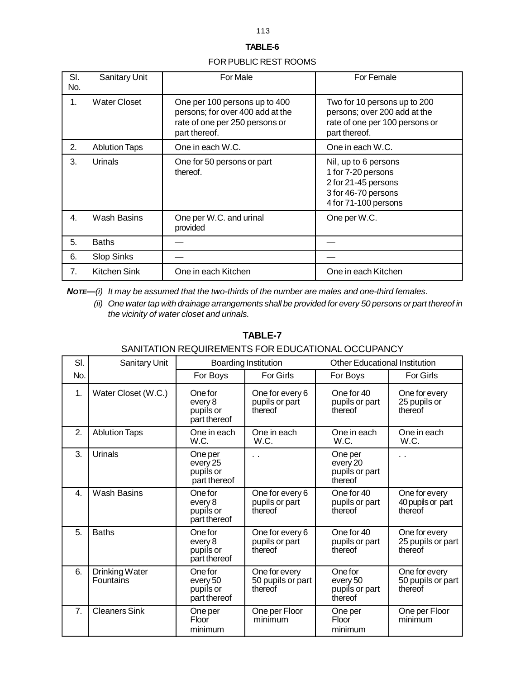#### FOR PUBLIC REST ROOMS

| SI.<br>No. | <b>Sanitary Unit</b> | For Male                                                                                                             | For Female                                                                                                       |
|------------|----------------------|----------------------------------------------------------------------------------------------------------------------|------------------------------------------------------------------------------------------------------------------|
| 1.         | <b>Water Closet</b>  | One per 100 persons up to 400<br>persons; for over 400 add at the<br>rate of one per 250 persons or<br>part thereof. | Two for 10 persons up to 200<br>persons; over 200 add at the<br>rate of one per 100 persons or<br>part thereof.  |
| 2.         | <b>Ablution Taps</b> | One in each W.C.                                                                                                     | One in each W.C.                                                                                                 |
| 3.         | Urinals              | One for 50 persons or part<br>thereof.                                                                               | Nil, up to 6 persons<br>1 for 7-20 persons<br>2 for 21-45 persons<br>3 for 46-70 persons<br>4 for 71-100 persons |
| 4.         | Wash Basins          | One per W.C. and urinal<br>provided                                                                                  | One per W.C.                                                                                                     |
| 5.         | <b>Baths</b>         |                                                                                                                      |                                                                                                                  |
| 6.         | <b>Slop Sinks</b>    |                                                                                                                      |                                                                                                                  |
| 7.         | Kitchen Sink         | One in each Kitchen                                                                                                  | One in each Kitchen                                                                                              |

*NOTE—(i) It may be assumed that the two-thirds of the number are males and one-third females.*

*(ii) One water tap with drainage arrangements shall be provided for every 50 persons or part thereof in the vicinity of water closet and urinals.*

|     | SANITATION REQUIREMENTS FOR EDUCATIONAL OCCUPANCY |                                                  |                                               |                                                  |                                               |
|-----|---------------------------------------------------|--------------------------------------------------|-----------------------------------------------|--------------------------------------------------|-----------------------------------------------|
| SI. | Sanitary Unit                                     |                                                  | <b>Boarding Institution</b>                   | <b>Other Educational Institution</b>             |                                               |
| No. |                                                   | For Boys                                         | <b>For Girls</b>                              | For Boys                                         | <b>For Girls</b>                              |
| 1.  | Water Closet (W.C.)                               | One for<br>every 8<br>pupils or<br>part thereof  | One for every 6<br>pupils or part<br>thereof  | One for 40<br>pupils or part<br>thereof          | One for every<br>25 pupils or<br>thereof      |
| 2.  | <b>Ablution Taps</b>                              | One in each<br>W.C.                              | One in each<br>W.C.                           | One in each<br>W.C.                              | One in each<br>W.C.                           |
| 3.  | Urinals                                           | One per<br>every 25<br>pupils or<br>part thereof | . .                                           | One per<br>every 20<br>pupils or part<br>thereof |                                               |
| 4.  | Wash Basins                                       | One for<br>every 8<br>pupils or<br>part thereof  | One for every 6<br>pupils or part<br>thereof  | One for 40<br>pupils or part<br>thereof          | One for every<br>40 pupils or part<br>thereof |
| 5.  | <b>Baths</b>                                      | One for<br>every 8<br>pupils or<br>part thereof  | One for every 6<br>pupils or part<br>thereof  | One for 40<br>pupils or part<br>thereof          | One for every<br>25 pupils or part<br>thereof |
| 6.  | Drinking Water<br>Fountains                       | One for<br>every 50<br>pupils or<br>part thereof | One for every<br>50 pupils or part<br>thereof | One for<br>every 50<br>pupils or part<br>thereof | One for every<br>50 pupils or part<br>thereof |
| 7.  | <b>Cleaners Sink</b>                              | One per<br>Floor<br>minimum                      | One per Floor<br>minimum                      | One per<br>Floor<br>minimum                      | One per Floor<br>minimum                      |

### **TABLE-7**

## SANITATION REQUIREMENTS FOR EDUCATIONAL OCCUPANCY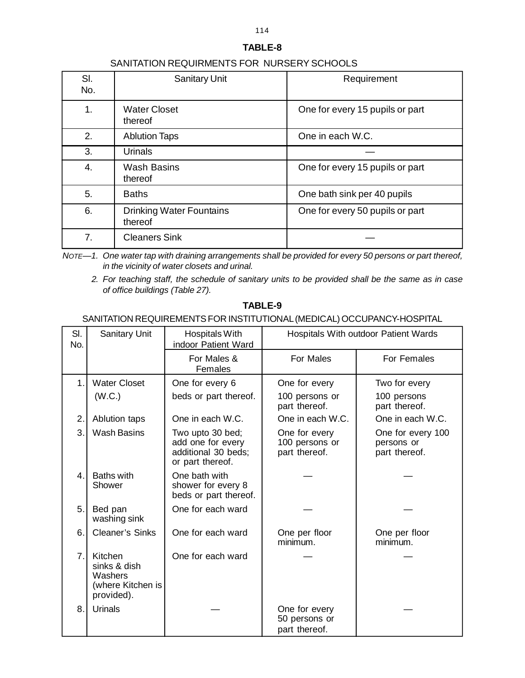## SANITATION REQUIRMENTS FOR NURSERY SCHOOLS

| SI.<br>No. | <b>Sanitary Unit</b>                       | Requirement                     |
|------------|--------------------------------------------|---------------------------------|
| 1.         | <b>Water Closet</b><br>thereof             | One for every 15 pupils or part |
| 2.         | <b>Ablution Taps</b>                       | One in each W.C.                |
| 3.         | Urinals                                    |                                 |
| 4.         | <b>Wash Basins</b><br>thereof              | One for every 15 pupils or part |
| 5.         | <b>Baths</b>                               | One bath sink per 40 pupils     |
| 6.         | <b>Drinking Water Fountains</b><br>thereof | One for every 50 pupils or part |
| 7.         | <b>Cleaners Sink</b>                       |                                 |

*NOTE—1. One water tap with draining arrangements shall be provided for every 50 persons or part thereof, in the vicinity of water closets and urinal.*

*2. For teaching staff, the schedule of sanitary units to be provided shall be the same as in case of office buildings (Table 27).*

## **TABLE-9**

#### SANITATION REQUIREMENTS FOR INSTITUTIONAL (MEDICAL) OCCUPANCY-HOSPITAL

| SI.<br>No.  | Sanitary Unit                                                         | Hospitals With<br>indoor Patient Ward                                            | Hospitals With outdoor Patient Wards             |                                                  |
|-------------|-----------------------------------------------------------------------|----------------------------------------------------------------------------------|--------------------------------------------------|--------------------------------------------------|
|             |                                                                       | For Males &<br>Females                                                           | For Males                                        | For Females                                      |
| $\mathbf 1$ | <b>Water Closet</b><br>(W.C.)                                         | One for every 6<br>beds or part thereof.                                         | One for every<br>100 persons or<br>part thereof. | Two for every<br>100 persons<br>part thereof.    |
| 2.          | Ablution taps                                                         | One in each W.C.                                                                 | One in each W.C.                                 | One in each W.C.                                 |
| 3.          | <b>Wash Basins</b>                                                    | Two upto 30 bed;<br>add one for every<br>additional 30 beds;<br>or part thereof. | One for every<br>100 persons or<br>part thereof. | One for every 100<br>persons or<br>part thereof. |
| 4.          | <b>Baths with</b><br>Shower                                           | One bath with<br>shower for every 8<br>beds or part thereof.                     |                                                  |                                                  |
| 5.          | Bed pan<br>washing sink                                               | One for each ward                                                                |                                                  |                                                  |
| 6.          | <b>Cleaner's Sinks</b>                                                | One for each ward                                                                | One per floor<br>minimum.                        | One per floor<br>minimum.                        |
| 7.          | Kitchen<br>sinks & dish<br>Washers<br>(where Kitchen is<br>provided). | One for each ward                                                                |                                                  |                                                  |
| 8.          | Urinals                                                               |                                                                                  | One for every<br>50 persons or<br>part thereof.  |                                                  |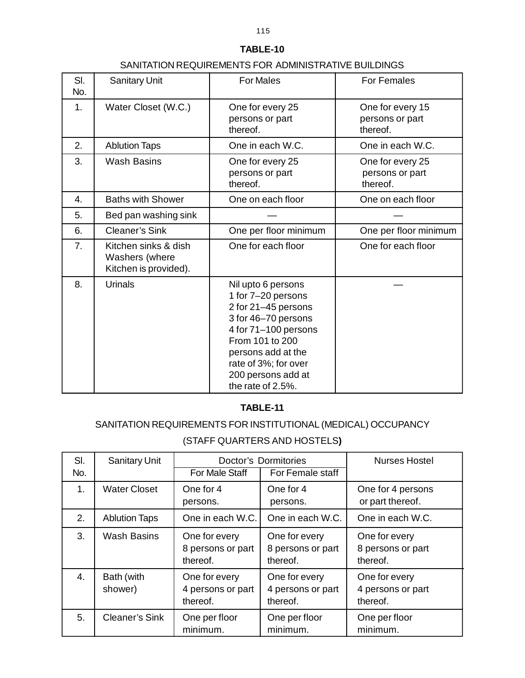## SANITATION REQUIREMENTS FOR ADMINISTRATIVE BUILDINGS

| SI.<br>No. | <b>Sanitary Unit</b>                                            | <b>For Males</b>                                                                                                                                                                                                           | For Females                                     |
|------------|-----------------------------------------------------------------|----------------------------------------------------------------------------------------------------------------------------------------------------------------------------------------------------------------------------|-------------------------------------------------|
| 1.         | Water Closet (W.C.)                                             | One for every 25<br>persons or part<br>thereof.                                                                                                                                                                            | One for every 15<br>persons or part<br>thereof. |
| 2.         | <b>Ablution Taps</b>                                            | One in each W.C.                                                                                                                                                                                                           | One in each W.C.                                |
| 3.         | <b>Wash Basins</b>                                              | One for every 25<br>persons or part<br>thereof.                                                                                                                                                                            | One for every 25<br>persons or part<br>thereof. |
| 4.         | <b>Baths with Shower</b>                                        | One on each floor                                                                                                                                                                                                          | One on each floor                               |
| 5.         | Bed pan washing sink                                            |                                                                                                                                                                                                                            |                                                 |
| 6.         | <b>Cleaner's Sink</b>                                           | One per floor minimum                                                                                                                                                                                                      | One per floor minimum                           |
| 7.         | Kitchen sinks & dish<br>Washers (where<br>Kitchen is provided). | One for each floor                                                                                                                                                                                                         | One for each floor                              |
| 8.         | <b>Urinals</b>                                                  | Nil upto 6 persons<br>1 for 7-20 persons<br>2 for 21-45 persons<br>3 for 46-70 persons<br>4 for 71-100 persons<br>From 101 to 200<br>persons add at the<br>rate of 3%; for over<br>200 persons add at<br>the rate of 2.5%. |                                                 |

## **TABLE-11**

## SANITATION REQUIREMENTS FOR INSTITUTIONAL (MEDICAL) OCCUPANCY

## (STAFF QUARTERS AND HOSTELS**)**

| SI. | <b>Sanitary Unit</b>  | Doctor's Dormitories                           |                                                | <b>Nurses Hostel</b>                           |
|-----|-----------------------|------------------------------------------------|------------------------------------------------|------------------------------------------------|
| No. |                       | For Male Staff                                 | For Female staff                               |                                                |
| 1.  | <b>Water Closet</b>   | One for 4<br>persons.                          | One for 4<br>persons.                          | One for 4 persons<br>or part thereof.          |
| 2.  | <b>Ablution Taps</b>  | One in each W.C.                               | One in each W.C.                               | One in each W.C.                               |
| 3.  | <b>Wash Basins</b>    | One for every<br>8 persons or part<br>thereof. | One for every<br>8 persons or part<br>thereof. | One for every<br>8 persons or part<br>thereof. |
| 4.  | Bath (with<br>shower) | One for every<br>4 persons or part<br>thereof. | One for every<br>4 persons or part<br>thereof. | One for every<br>4 persons or part<br>thereof. |
| 5.  | <b>Cleaner's Sink</b> | One per floor<br>minimum.                      | One per floor<br>minimum.                      | One per floor<br>minimum.                      |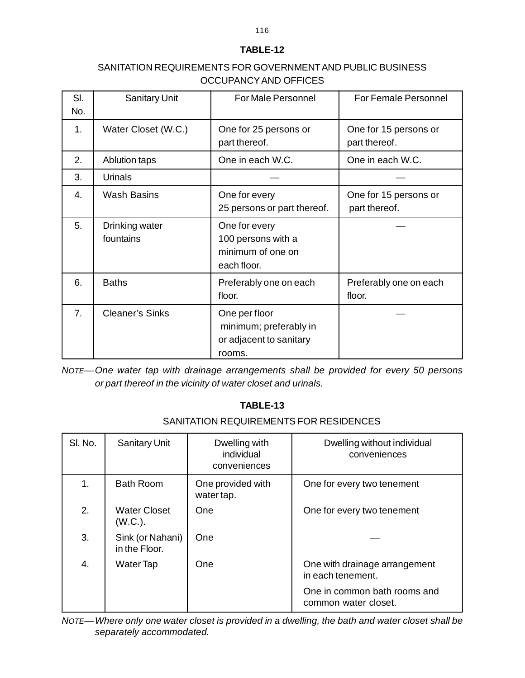## SANITATION REQUIREMENTS FOR GOVERNMENT AND PUBLIC BUSINESS OCCUPANCY AND OFFICES

| SI.<br>No.     | <b>Sanitary Unit</b>        | <b>For Male Personnel</b>                                                    | <b>For Female Personnel</b>            |
|----------------|-----------------------------|------------------------------------------------------------------------------|----------------------------------------|
| 1.             | Water Closet (W.C.)         | One for 25 persons or<br>part thereof.                                       | One for 15 persons or<br>part thereof. |
| 2.             | <b>Ablution taps</b>        | One in each W.C.                                                             | One in each W.C.                       |
| 3.             | Urinals                     |                                                                              |                                        |
| 4.             | <b>Wash Basins</b>          | One for every<br>25 persons or part thereof.                                 | One for 15 persons or<br>part thereof. |
| 5.             | Drinking water<br>fountains | One for every<br>100 persons with a<br>minimum of one on<br>each floor.      |                                        |
| 6.             | <b>Baths</b>                | Preferably one on each<br>floor.                                             | Preferably one on each<br>floor.       |
| 7 <sub>1</sub> | <b>Cleaner's Sinks</b>      | One per floor<br>minimum; preferably in<br>or adjacent to sanitary<br>rooms. |                                        |

*NOTE—One water tap with drainage arrangements shall be provided for every 50 persons or part thereof in the vicinity of water closet and urinals.*

## **TABLE-13**

## SANITATION REQUIREMENTS FOR RESIDENCES

| SI. No. | <b>Sanitary Unit</b>              | Dwelling with<br>individual<br>conveniences | Dwelling without individual<br>conveniences          |
|---------|-----------------------------------|---------------------------------------------|------------------------------------------------------|
| 1.      | <b>Bath Room</b>                  | One provided with<br>water tap.             | One for every two tenement                           |
| 2.      | <b>Water Closet</b><br>(W.C.).    | One                                         | One for every two tenement                           |
| 3.      | Sink (or Nahani)<br>in the Floor. | One                                         |                                                      |
| 4.      | Water Tap                         | One                                         | One with drainage arrangement<br>in each tenement.   |
|         |                                   |                                             | One in common bath rooms and<br>common water closet. |

*NOTE—Where only one water closet is provided in a dwelling, the bath and water closet shall be separately accommodated.*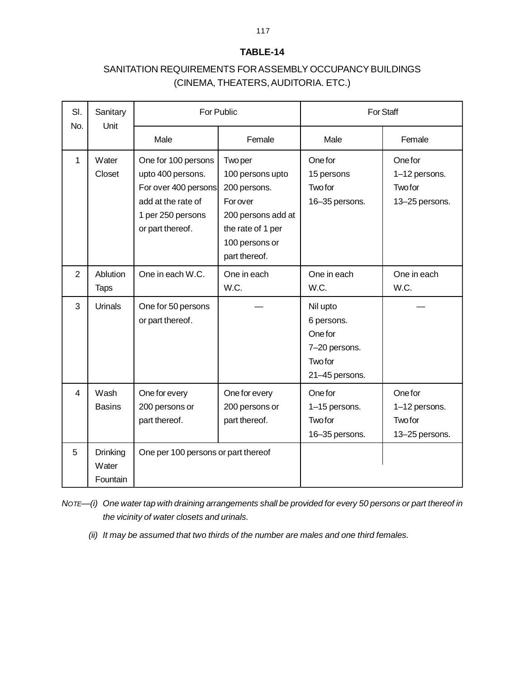## SANITATION REQUIREMENTS FOR ASSEMBLY OCCUPANCY BUILDINGS (CINEMA, THEATERS, AUDITORIA. ETC.)

| SI.<br>No.     | Sanitary<br>Unit              | For Public                                                                                                                      |                                                                                                                                      | For Staff                                                                              |                                                              |
|----------------|-------------------------------|---------------------------------------------------------------------------------------------------------------------------------|--------------------------------------------------------------------------------------------------------------------------------------|----------------------------------------------------------------------------------------|--------------------------------------------------------------|
|                |                               | Male                                                                                                                            | Female                                                                                                                               | Male                                                                                   | Female                                                       |
| 1              | Water<br>Closet               | One for 100 persons<br>upto 400 persons.<br>For over 400 persons<br>add at the rate of<br>1 per 250 persons<br>or part thereof. | Two per<br>100 persons upto<br>200 persons.<br>Forover<br>200 persons add at<br>the rate of 1 per<br>100 persons or<br>part thereof. | One for<br>15 persons<br>Twofor<br>16-35 persons.                                      | One for<br>1-12 persons.<br><b>Two for</b><br>13-25 persons. |
| $\overline{2}$ | Ablution<br><b>Taps</b>       | One in each W.C.                                                                                                                | One in each<br>W.C.                                                                                                                  | One in each<br>W.C.                                                                    | One in each<br>W.C.                                          |
| 3              | <b>Urinals</b>                | One for 50 persons<br>or part thereof.                                                                                          |                                                                                                                                      | Nil upto<br>6 persons.<br>One for<br>7-20 persons.<br><b>Two for</b><br>21-45 persons. |                                                              |
| 4              | Wash<br><b>Basins</b>         | One for every<br>200 persons or<br>part thereof.                                                                                | One for every<br>200 persons or<br>part thereof.                                                                                     | One for<br>1-15 persons.<br><b>Two for</b><br>16-35 persons.                           | One for<br>1-12 persons.<br>Twofor<br>13-25 persons.         |
| 5              | Drinking<br>Water<br>Fountain | One per 100 persons or part thereof                                                                                             |                                                                                                                                      |                                                                                        |                                                              |

*NOTE—(i) One water tap with draining arrangements shall be provided for every 50 persons or part thereof in the vicinity of water closets and urinals.*

*(ii) It may be assumed that two thirds of the number are males and one third females.*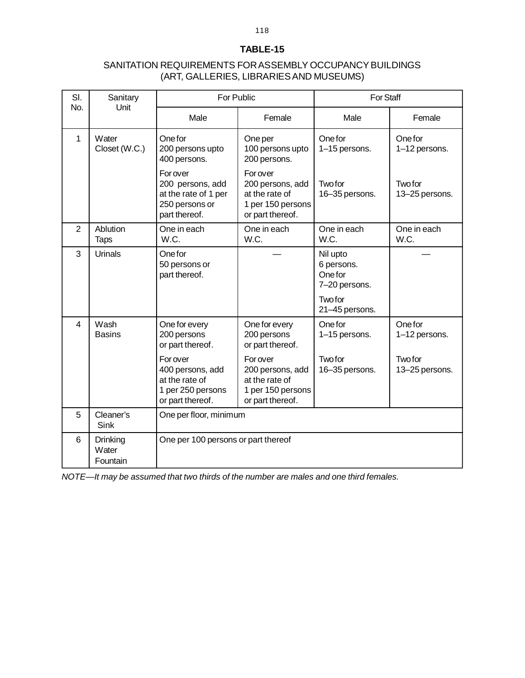## SANITATION REQUIREMENTS FOR ASSEMBLY OCCUPANCY BUILDINGS (ART, GALLERIES, LIBRARIES AND MUSEUMS)

| SI. | Sanitary                      | <b>For Public</b>                                                                      |                                                                                                | <b>For Staff</b>                                             |                                  |
|-----|-------------------------------|----------------------------------------------------------------------------------------|------------------------------------------------------------------------------------------------|--------------------------------------------------------------|----------------------------------|
| No. | Unit                          | Male                                                                                   | Female                                                                                         | Male                                                         | Female                           |
| 1   | Water<br>Closet (W.C.)        | One for<br>200 persons upto<br>400 persons.                                            | One per<br>100 persons upto<br>200 persons.                                                    | One for<br>1-15 persons.                                     | One for<br>1-12 persons.         |
|     |                               | Forover<br>200 persons, add<br>at the rate of 1 per<br>250 persons or<br>part thereof. | Forover<br>200 persons, add<br>at the rate of<br>1 per 150 persons<br>or part thereof.         | Twofor<br>16-35 persons.                                     | <b>Two for</b><br>13-25 persons. |
| 2   | Ablution<br><b>Taps</b>       | One in each<br>W.C.                                                                    | One in each<br>W.C.                                                                            | One in each<br>W.C.                                          | One in each<br>W.C.              |
| 3   | Urinals                       | One for<br>50 persons or<br>part thereof.                                              |                                                                                                | Nil upto<br>6 persons.<br>One for<br>7-20 persons.<br>Twofor |                                  |
|     |                               |                                                                                        |                                                                                                | 21-45 persons.                                               |                                  |
| 4   | Wash<br><b>Basins</b>         | One for every<br>200 persons<br>or part thereof.                                       | One for every<br>200 persons<br>or part thereof.                                               | One for<br>1-15 persons.                                     | One for<br>1-12 persons.         |
|     |                               | Forover<br>400 persons, add<br>at the rate of<br>1 per 250 persons<br>or part thereof. | <b>For over</b><br>200 persons, add<br>at the rate of<br>1 per 150 persons<br>or part thereof. | Twofor<br>16-35 persons.                                     | Twofor<br>13-25 persons.         |
| 5   | Cleaner's<br>Sink             | One per floor, minimum                                                                 |                                                                                                |                                                              |                                  |
| 6   | Drinking<br>Water<br>Fountain | One per 100 persons or part thereof                                                    |                                                                                                |                                                              |                                  |

*NOTE—It may be assumed that two thirds of the number are males and one third females.*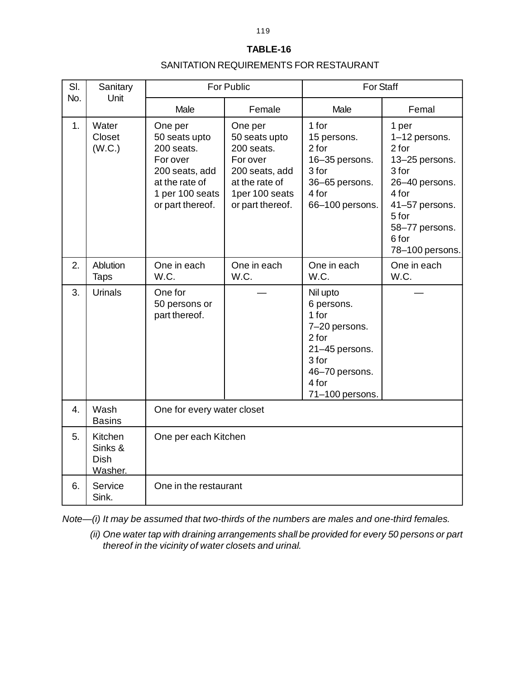#### SANITATION REQUIREMENTS FOR RESTAURANT

| SI. | Sanitary<br>No.<br>Unit                      | For Public                                                                                                                    |                                                                                                                              | <b>For Staff</b>                                                                                                                   |                                                                                                                                                                |
|-----|----------------------------------------------|-------------------------------------------------------------------------------------------------------------------------------|------------------------------------------------------------------------------------------------------------------------------|------------------------------------------------------------------------------------------------------------------------------------|----------------------------------------------------------------------------------------------------------------------------------------------------------------|
|     |                                              | Male                                                                                                                          | Female                                                                                                                       | Male                                                                                                                               | Femal                                                                                                                                                          |
| 1.  | Water<br>Closet<br>(W.C.)                    | One per<br>50 seats upto<br>200 seats.<br>For over<br>200 seats, add<br>at the rate of<br>1 per 100 seats<br>or part thereof. | One per<br>50 seats upto<br>200 seats.<br>For over<br>200 seats, add<br>at the rate of<br>1per 100 seats<br>or part thereof. | 1 for<br>15 persons.<br>2 for<br>16-35 persons.<br>3 for<br>36-65 persons.<br>4 for<br>66-100 persons.                             | 1 per<br>1-12 persons.<br>2 for<br>13-25 persons.<br>3 for<br>26-40 persons.<br>4 for<br>41-57 persons.<br>5 for<br>58-77 persons.<br>6 for<br>78-100 persons. |
| 2.  | Ablution<br><b>Taps</b>                      | One in each<br>W.C.                                                                                                           | One in each<br>W.C.                                                                                                          | One in each<br>W.C.                                                                                                                | One in each<br>W.C.                                                                                                                                            |
| 3.  | Urinals                                      | One for<br>50 persons or<br>part thereof.                                                                                     |                                                                                                                              | Nil upto<br>6 persons.<br>1 for<br>7-20 persons.<br>2 for<br>21-45 persons.<br>3 for<br>46-70 persons.<br>4 for<br>71-100 persons. |                                                                                                                                                                |
| 4.  | Wash<br><b>Basins</b>                        | One for every water closet                                                                                                    |                                                                                                                              |                                                                                                                                    |                                                                                                                                                                |
| 5.  | Kitchen<br>Sinks &<br><b>Dish</b><br>Washer. | One per each Kitchen                                                                                                          |                                                                                                                              |                                                                                                                                    |                                                                                                                                                                |
| 6.  | Service<br>Sink.                             | One in the restaurant                                                                                                         |                                                                                                                              |                                                                                                                                    |                                                                                                                                                                |

*Note—(i) It may be assumed that two-thirds of the numbers are males and one-third females.*

*(ii) One water tap with draining arrangements shall be provided for every 50 persons or part thereof in the vicinity of water closets and urinal.*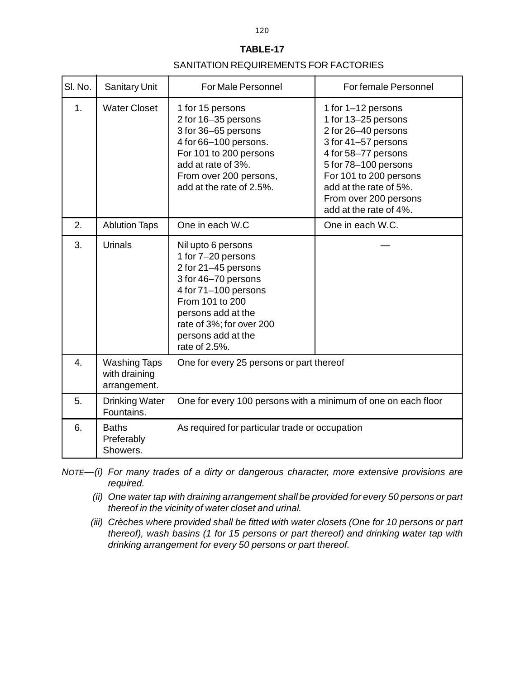#### SANITATION REQUIREMENTS FOR FACTORIES

| SI. No. | <b>Sanitary Unit</b>                                 | <b>For Male Personnel</b>                                                                                                                                                                                                  | For female Personnel                                                                                                                                                                                                                          |  |
|---------|------------------------------------------------------|----------------------------------------------------------------------------------------------------------------------------------------------------------------------------------------------------------------------------|-----------------------------------------------------------------------------------------------------------------------------------------------------------------------------------------------------------------------------------------------|--|
| 1.      | <b>Water Closet</b>                                  | 1 for 15 persons<br>2 for 16-35 persons<br>3 for 36-65 persons<br>4 for 66-100 persons.<br>For 101 to 200 persons<br>add at rate of 3%.<br>From over 200 persons,<br>add at the rate of 2.5%.                              | 1 for 1-12 persons<br>1 for 13-25 persons<br>2 for 26-40 persons<br>3 for 41-57 persons<br>4 for 58-77 persons<br>5 for 78-100 persons<br>For 101 to 200 persons<br>add at the rate of 5%.<br>From over 200 persons<br>add at the rate of 4%. |  |
| 2.      | <b>Ablution Taps</b>                                 | One in each W.C                                                                                                                                                                                                            | One in each W.C.                                                                                                                                                                                                                              |  |
| 3.      | <b>Urinals</b>                                       | Nil upto 6 persons<br>1 for 7-20 persons<br>2 for 21-45 persons<br>3 for 46-70 persons<br>4 for 71-100 persons<br>From 101 to 200<br>persons add at the<br>rate of 3%; for over 200<br>persons add at the<br>rate of 2.5%. |                                                                                                                                                                                                                                               |  |
| 4.      | <b>Washing Taps</b><br>with draining<br>arrangement. | One for every 25 persons or part thereof                                                                                                                                                                                   |                                                                                                                                                                                                                                               |  |
| 5.      | <b>Drinking Water</b><br>Fountains.                  | One for every 100 persons with a minimum of one on each floor                                                                                                                                                              |                                                                                                                                                                                                                                               |  |
| 6.      | <b>Baths</b><br>Preferably<br>Showers.               | As required for particular trade or occupation                                                                                                                                                                             |                                                                                                                                                                                                                                               |  |

*NOTE—(i) For many trades of a dirty or dangerous character, more extensive provisions are required.*

- *(ii) One water tap with draining arrangement shall be provided for every 50 persons or part thereof in the vicinity of water closet and urinal.*
- *(iii) Crèches where provided shall be fitted with water closets (One for 10 persons or part thereof), wash basins (1 for 15 persons or part thereof) and drinking water tap with drinking arrangement for every 50 persons or part thereof.*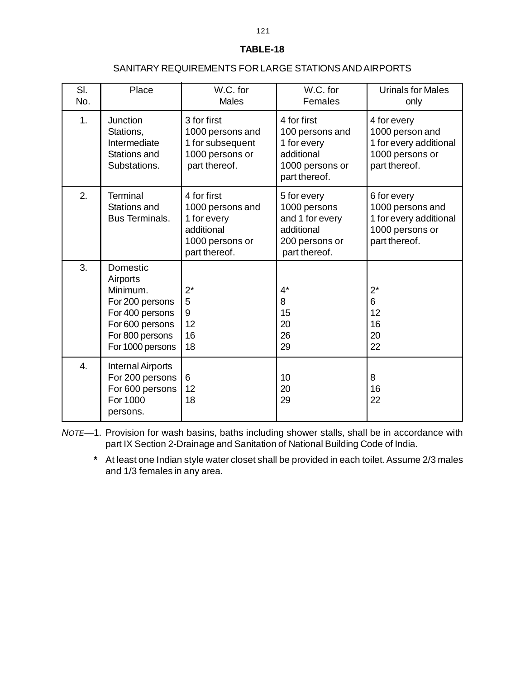#### SANITARY REQUIREMENTS FOR LARGE STATIONS AND AIRPORTS

| SI.<br>No.       | Place                                                                                                                            | W.C. for<br><b>Males</b>                                                                         | W.C. for<br>Females                                                                             | <b>Urinals for Males</b><br>only                                                              |
|------------------|----------------------------------------------------------------------------------------------------------------------------------|--------------------------------------------------------------------------------------------------|-------------------------------------------------------------------------------------------------|-----------------------------------------------------------------------------------------------|
| 1.               | <b>Junction</b><br>Stations,<br>Intermediate<br>Stations and<br>Substations.                                                     | 3 for first<br>1000 persons and<br>1 for subsequent<br>1000 persons or<br>part thereof.          | 4 for first<br>100 persons and<br>1 for every<br>additional<br>1000 persons or<br>part thereof. | 4 for every<br>1000 person and<br>1 for every additional<br>1000 persons or<br>part thereof.  |
| 2.               | <b>Terminal</b><br>Stations and<br><b>Bus Terminals.</b>                                                                         | 4 for first<br>1000 persons and<br>1 for every<br>additional<br>1000 persons or<br>part thereof. | 5 for every<br>1000 persons<br>and 1 for every<br>additional<br>200 persons or<br>part thereof. | 6 for every<br>1000 persons and<br>1 for every additional<br>1000 persons or<br>part thereof. |
| 3.               | Domestic<br>Airports<br>Minimum.<br>For 200 persons<br>For 400 persons<br>For 600 persons<br>For 800 persons<br>For 1000 persons | $2^*$<br>5<br>9<br>12<br>16<br>18                                                                | $4^*$<br>8<br>15<br>20<br>26<br>29                                                              | $2^*$<br>6<br>12<br>16<br>20<br>22                                                            |
| $\overline{4}$ . | Internal Airports<br>For 200 persons<br>For 600 persons<br>For 1000<br>persons.                                                  | 6<br>12<br>18                                                                                    | 10<br>20<br>29                                                                                  | 8<br>16<br>22                                                                                 |

*NOTE—*1. Provision for wash basins, baths including shower stalls, shall be in accordance with part IX Section 2-Drainage and Sanitation of National Building Code of India.

**\*** At least one Indian style water closet shall be provided in each toilet. Assume 2/3 males and 1/3 females in any area.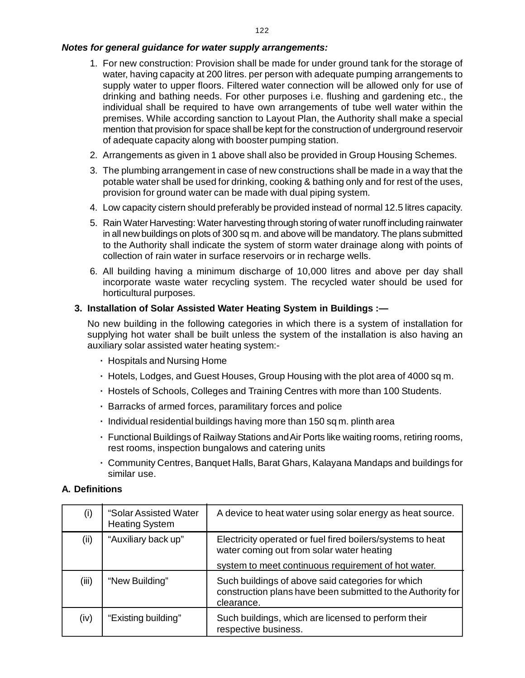#### *[N](http://www.docu-track.com/buy/)otes for general guidance for water supply arrangements:*

- 1. For new construction: Provision shall be made for under ground tank for the storage o[f](http://www.docu-track.com/buy/) water, having capacity at 200 litres. per person with adequate pumping arrangements to supply water to upper floors. Filtered water connection will be allowed only for use of drinking and bathing needs. For other purposes i.e. flushing and gardening etc., the individual shall be required to have own arrangements of tube well water within the premises. While according sanction to Layout Plan, the Authority shall make a special mention that provision for space shall be kept for the construction of underground reservoir of adequate capacity along with booster pumping station.
- 2. Arrangements as given in 1 above shall also be provided in Group Housing Schemes.
- 3. The plumbing arrangement in case of new constructions shall be made in a way that the potable water shall be used for drinking, cooking & bathing only and for rest of the uses, provision for ground water can be made with dual piping system.
- 4. Low capacity cistern should preferably be provided instead of normal 12.5 litres capacity.
- 5. Rain Water Harvesting: Water harvesting through storing of water runoff including rainwater in all new buildings on plots of 300 sq m. and above will be mandatory. The plans submitted to the Authority shall indicate the system of storm water drainage along with points of collection of rain water in surface reservoirs or in recharge wells.
- 6. All building having a minimum discharge of 10,000 litres and above per day shall incorporate waste water recycling system. The recycled water should be used for horticultural purposes.

#### **3. Installation of Solar Assisted Water Heating System in Buildings :—**

No new building in the following categories in which there is a system of installation for supplying hot water shall be built unless the system of the installation is also having an auxiliary solar assisted water heating system:-

- **·** Hospitals and Nursing Home
- **·** Hotels, Lodges, and Guest Houses, Group Housing with the plot area of 4000 sq m.
- **·** Hostels of Schools, Colleges and Training Centres with more than 100 Students.
- **·** Barracks of armed forces, paramilitary forces and police
- **·** Individual residential buildings having more than 150 sq m. plinth area
- **·** Functional Buildings of Railway Stations and Air Ports like waiting rooms, retiring rooms, rest rooms, inspection bungalows and catering units
- **·** Community Centres, Banquet Halls, Barat Ghars, Kalayana Mandaps and buildings for similar use.

#### **A. Definitions**

| (i)   | "Solar Assisted Water<br><b>Heating System</b> | A device to heat water using solar energy as heat source.                                                                      |
|-------|------------------------------------------------|--------------------------------------------------------------------------------------------------------------------------------|
| (ii)  | "Auxiliary back up"                            | Electricity operated or fuel fired boilers/systems to heat<br>water coming out from solar water heating                        |
|       |                                                | system to meet continuous requirement of hot water.                                                                            |
| (iii) | "New Building"                                 | Such buildings of above said categories for which<br>construction plans have been submitted to the Authority for<br>clearance. |
| (iv)  | "Existing building"                            | Such buildings, which are licensed to perform their<br>respective business.                                                    |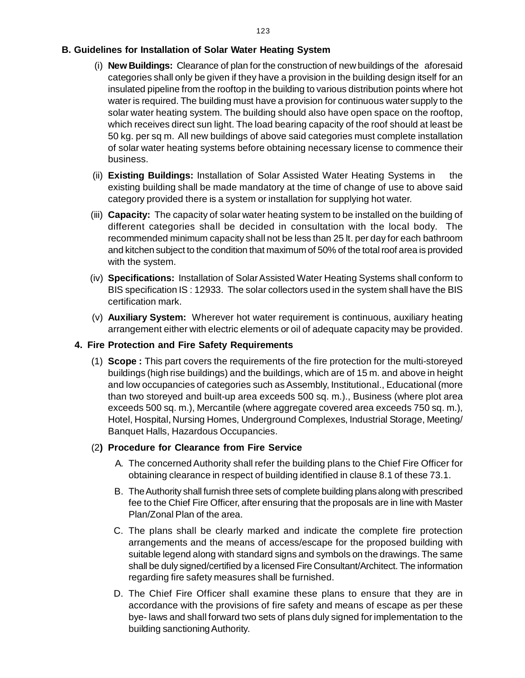### **[B](http://www.docu-track.com/buy/). Guidelines for Installation of Solar Water Heating System**

- (i) **New Buildings:** Clearance of plan for the construction of new buildings of the aforesai[d](http://www.docu-track.com/buy/) categories shall only be given if they have a provision in the building design itself for an insulated pipeline from the rooftop in the building to various distribution points where hot water is required. The building must have a provision for continuous water supply to the solar water heating system. The building should also have open space on the rooftop, which receives direct sun light. The load bearing capacity of the roof should at least be 50 kg. per sq m. All new buildings of above said categories must complete installation of solar water heating systems before obtaining necessary license to commence their business.
- (ii) **Existing Buildings:** Installation of Solar Assisted Water Heating Systems in the existing building shall be made mandatory at the time of change of use to above said category provided there is a system or installation for supplying hot water.
- (iii) **Capacity:** The capacity of solar water heating system to be installed on the building of different categories shall be decided in consultation with the local body. The recommended minimum capacity shall not be less than 25 lt. per day for each bathroom and kitchen subject to the condition that maximum of 50% of the total roof area is provided with the system.
- (iv) **Specifications:** Installation of Solar Assisted Water Heating Systems shall conform to BIS specification IS : 12933. The solar collectors used in the system shall have the BIS certification mark.
- (v) **Auxiliary System:** Wherever hot water requirement is continuous, auxiliary heating arrangement either with electric elements or oil of adequate capacity may be provided.

#### **4. Fire Protection and Fire Safety Requirements**

(1) **Scope :** This part covers the requirements of the fire protection for the multi-storeyed buildings (high rise buildings) and the buildings, which are of 15 m. and above in height and low occupancies of categories such as Assembly, Institutional., Educational (more than two storeyed and built-up area exceeds 500 sq. m.)., Business (where plot area exceeds 500 sq. m.), Mercantile (where aggregate covered area exceeds 750 sq. m.), Hotel, Hospital, Nursing Homes, Underground Complexes, Industrial Storage, Meeting/ Banquet Halls, Hazardous Occupancies.

#### (2**) Procedure for Clearance from Fire Service**

- A. The concerned Authority shall refer the building plans to the Chief Fire Officer for obtaining clearance in respect of building identified in clause 8.1 of these 73.1.
- B. The Authority shall furnish three sets of complete building plans along with prescribed fee to the Chief Fire Officer, after ensuring that the proposals are in line with Master Plan/Zonal Plan of the area.
- C. The plans shall be clearly marked and indicate the complete fire protection arrangements and the means of access/escape for the proposed building with suitable legend along with standard signs and symbols on the drawings. The same shall be duly signed/certified by a licensed Fire Consultant/Architect. The information regarding fire safety measures shall be furnished.
- D. The Chief Fire Officer shall examine these plans to ensure that they are in accordance with the provisions of fire safety and means of escape as per these bye- laws and shall forward two sets of plans duly signed for implementation to the building sanctioning Authority.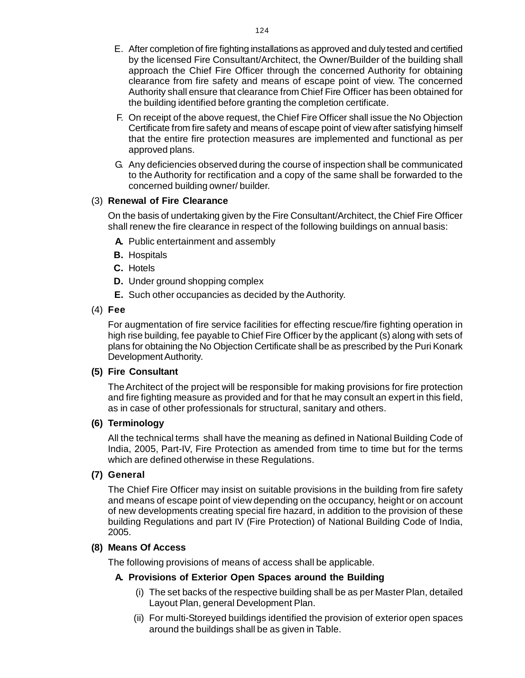- E. After completion of fire fighting installations as approved and duly tested and certifie[d](http://www.docu-track.com/buy/) by the licensed Fire Consultant/Architect, the Owner/Builder of the building shall approach the Chief Fire Officer through the concerned Authority for obtaining clearance from fire safety and means of escape point of view. The concerned Authority shall ensure that clearance from Chief Fire Officer has been obtained for the building identified before granting the completion certificate.
- F. On receipt of the above request, the Chief Fire Officer shall issue the No Objection Certificate from fire safety and means of escape point of view after satisfying himself that the entire fire protection measures are implemented and functional as per approved plans.
- G. Any deficiencies observed during the course of inspection shall be communicated to the Authority for rectification and a copy of the same shall be forwarded to the concerned building owner/ builder.

## (3) **Renewal of Fire Clearance**

On the basis of undertaking given by the Fire Consultant/Architect, the Chief Fire Officer shall renew the fire clearance in respect of the following buildings on annual basis:

- **A.** Public entertainment and assembly
- **B.** Hospitals
- **C.** Hotels
- **D.** Under ground shopping complex
- **E.** Such other occupancies as decided by the Authority.

#### (4) **Fee**

For augmentation of fire service facilities for effecting rescue/fire fighting operation in high rise building, fee payable to Chief Fire Officer by the applicant (s) along with sets of plans for obtaining the No Objection Certificate shall be as prescribed by the Puri Konark Development Authority.

#### **(5) Fire Consultant**

The Architect of the project will be responsible for making provisions for fire protection and fire fighting measure as provided and for that he may consult an expert in this field, as in case of other professionals for structural, sanitary and others.

### **(6) Terminology**

All the technical terms shall have the meaning as defined in National Building Code of India, 2005, Part-IV, Fire Protection as amended from time to time but for the terms which are defined otherwise in these Regulations.

#### **(7) General**

The Chief Fire Officer may insist on suitable provisions in the building from fire safety and means of escape point of view depending on the occupancy, height or on account of new developments creating special fire hazard, in addition to the provision of these building Regulations and part IV (Fire Protection) of National Building Code of India, 2005.

## **(8) Means Of Access**

The following provisions of means of access shall be applicable.

#### **A. Provisions of Exterior Open Spaces around the Building**

- (i) The set backs of the respective building shall be as per Master Plan, detailed Layout Plan, general Development Plan.
- (ii) For multi-Storeyed buildings identified the provision of exterior open spaces around the buildings shall be as given in Table.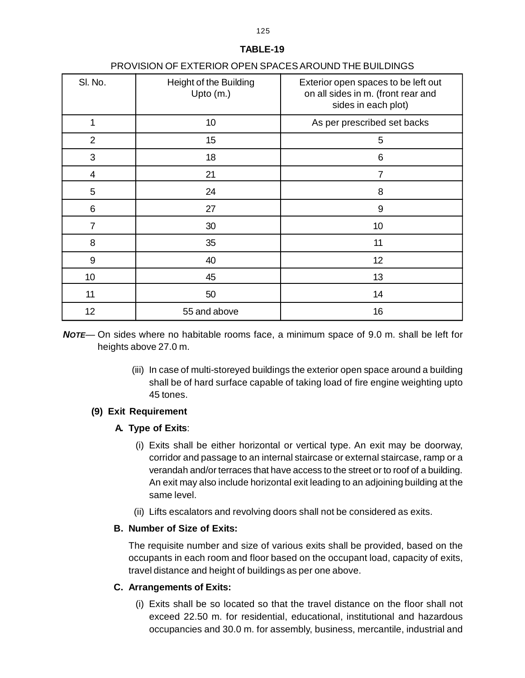|                | THO MOIDING EATERNOIL OF EN OF AGEO MICORID THE BOILDINGS |                                                                                                  |
|----------------|-----------------------------------------------------------|--------------------------------------------------------------------------------------------------|
| SI. No.        | Height of the Building<br>Upto $(m.)$                     | Exterior open spaces to be left out<br>on all sides in m. (front rear and<br>sides in each plot) |
| 1              | 10                                                        | As per prescribed set backs                                                                      |
| $\overline{2}$ | 15                                                        | 5                                                                                                |
| 3              | 18                                                        | 6                                                                                                |
| 4              | 21                                                        | 7                                                                                                |
| 5              | 24                                                        | 8                                                                                                |
| 6              | 27                                                        | 9                                                                                                |
| $\overline{7}$ | 30                                                        | 10                                                                                               |
| 8              | 35                                                        | 11                                                                                               |
| 9              | 40                                                        | 12                                                                                               |
| 10             | 45                                                        | 13                                                                                               |
| 11             | 50                                                        | 14                                                                                               |
| 12             | 55 and above                                              | 16                                                                                               |

## PROVISION OF EXTERIOR OPEN SPACES AROUND THE BUILDINGS

*NOTE—* On sides where no habitable rooms face, a minimum space of 9.0 m. shall be left for heights above 27.0 m.

> (iii) In case of multi-storeyed buildings the exterior open space around a building shall be of hard surface capable of taking load of fire engine weighting upto 45 tones.

## **(9) Exit Requirement**

## **A. Type of Exits**:

- (i) Exits shall be either horizontal or vertical type. An exit may be doorway, corridor and passage to an internal staircase or external staircase, ramp or a verandah and/or terraces that have access to the street or to roof of a building. An exit may also include horizontal exit leading to an adjoining building at the same level.
- (ii) Lifts escalators and revolving doors shall not be considered as exits.

## **B. Number of Size of Exits:**

The requisite number and size of various exits shall be provided, based on the occupants in each room and floor based on the occupant load, capacity of exits, travel distance and height of buildings as per one above.

## **C. Arrangements of Exits:**

(i) Exits shall be so located so that the travel distance on the floor shall not exceed 22.50 m. for residential, educational, institutional and hazardous occupancies and 30.0 m. for assembly, business, mercantile, industrial and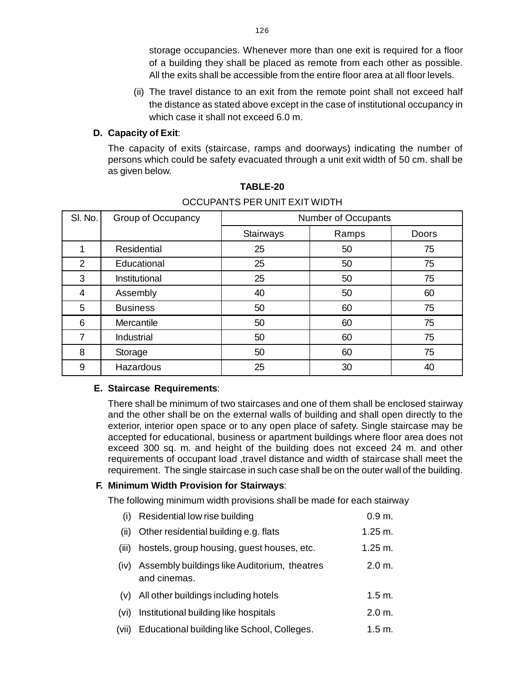storage occupancies. Whenever more than one exit is required for a floo[r](http://www.docu-track.com/buy/) of a building they shall be placed as remote from each other as possible. All the exits shall be accessible from the entire floor area at all floor levels.

(ii) The travel distance to an exit from the remote point shall not exceed half the distance as stated above except in the case of institutional occupancy in which case it shall not exceed 6.0 m.

## **D. Capacity of Exit**:

The capacity of exits (staircase, ramps and doorways) indicating the number of persons which could be safety evacuated through a unit exit width of 50 cm. shall be as given below.

| SI. No.        | Group of Occupancy | Number of Occupants |       |              |
|----------------|--------------------|---------------------|-------|--------------|
|                |                    | Stairways           | Ramps | <b>Doors</b> |
|                | <b>Residential</b> | 25                  | 50    | 75           |
| $\overline{2}$ | Educational        | 25                  | 50    | 75           |
| 3              | Institutional      | 25                  | 50    | 75           |
| 4              | Assembly           | 40                  | 50    | 60           |
| 5              | <b>Business</b>    | 50                  | 60    | 75           |
| 6              | Mercantile         | 50                  | 60    | 75           |
| 7              | Industrial         | 50                  | 60    | 75           |
| 8              | Storage            | 50                  | 60    | 75           |
| 9              | Hazardous          | 25                  | 30    | 40           |

## **TABLE-20** OCCUPANTS PER UNIT EXIT WIDTH

#### **E. Staircase Requirements**:

There shall be minimum of two staircases and one of them shall be enclosed stairway and the other shall be on the external walls of building and shall open directly to the exterior, interior open space or to any open place of safety. Single staircase may be accepted for educational, business or apartment buildings where floor area does not exceed 300 sq. m. and height of the building does not exceed 24 m. and other requirements of occupant load ,travel distance and width of staircase shall meet the requirement. The single staircase in such case shall be on the outer wall of the building.

## **F. Minimum Width Provision for Stairways**:

The following minimum width provisions shall be made for each stairway

(i) Residential low rise building 0.9 m. (ii) Other residential building e.g. flats 1.25 m. (iii) hostels, group housing, quest houses, etc. 1.25 m. (iv) Assembly buildings like Auditorium, theatres 2.0 m. and cinemas. (v) All other buildings including hotels 1.5 m. (vi) Institutional building like hospitals 2.0 m. (vii) Educational building like School, Colleges. 1.5 m.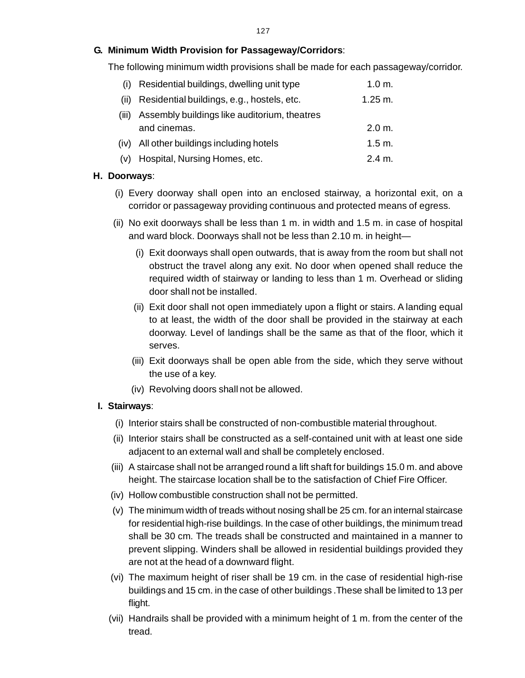## **G. Minimum Width Provision for Passageway/Corridors**:

The following minimum width provisions shall be made for each passageway/corridor[.](http://www.docu-track.com/buy/)

| (i)   | Residential buildings, dwelling unit type                    | 1.0 m.             |
|-------|--------------------------------------------------------------|--------------------|
| (ii)  | Residential buildings, e.g., hostels, etc.                   | $1.25 \text{ m}$ . |
| (iii) | Assembly buildings like auditorium, theatres<br>and cinemas. | 2.0 m.             |
|       | (iv) All other buildings including hotels                    | 1.5 m.             |
|       | (v) Hospital, Nursing Homes, etc.                            | 2.4 m.             |

## **H. Doorways**:

- (i) Every doorway shall open into an enclosed stairway, a horizontal exit, on a corridor or passageway providing continuous and protected means of egress.
- (ii) No exit doorways shall be less than 1 m. in width and 1.5 m. in case of hospital and ward block. Doorways shall not be less than 2.10 m. in height—
	- (i) Exit doorways shall open outwards, that is away from the room but shall not obstruct the travel along any exit. No door when opened shall reduce the required width of stairway or landing to less than 1 m. Overhead or sliding door shall not be installed.
	- (ii) Exit door shall not open immediately upon a flight or stairs. A landing equal to at least, the width of the door shall be provided in the stairway at each doorway. Level of landings shall be the same as that of the floor, which it serves.
	- (iii) Exit doorways shall be open able from the side, which they serve without the use of a key.
	- (iv) Revolving doors shall not be allowed.

## **I. Stairways**:

- (i) Interior stairs shall be constructed of non-combustible material throughout.
- (ii) Interior stairs shall be constructed as a self-contained unit with at least one side adjacent to an external wall and shall be completely enclosed.
- (iii) A staircase shall not be arranged round a lift shaft for buildings 15.0 m. and above height. The staircase location shall be to the satisfaction of Chief Fire Officer.
- (iv) Hollow combustible construction shall not be permitted.
- (v) The minimum width of treads without nosing shall be 25 cm. for an internal staircase for residential high-rise buildings. In the case of other buildings, the minimum tread shall be 30 cm. The treads shall be constructed and maintained in a manner to prevent slipping. Winders shall be allowed in residential buildings provided they are not at the head of a downward flight.
- (vi) The maximum height of riser shall be 19 cm. in the case of residential high-rise buildings and 15 cm. in the case of other buildings .These shall be limited to 13 per flight.
- (vii) Handrails shall be provided with a minimum height of 1 m. from the center of the tread.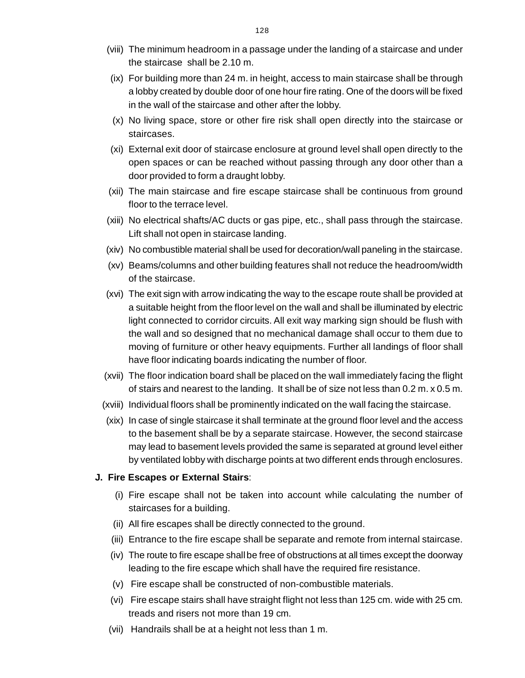- (viii) The minimum headroom in a passage under the landing of a staircase and unde[r](http://www.docu-track.com/buy/) the staircase shall be 2.10 m.
- (ix) For building more than 24 m. in height, access to main staircase shall be through a lobby created by double door of one hour fire rating. One of the doors will be fixed in the wall of the staircase and other after the lobby.
- (x) No living space, store or other fire risk shall open directly into the staircase or staircases.
- (xi) External exit door of staircase enclosure at ground level shall open directly to the open spaces or can be reached without passing through any door other than a door provided to form a draught lobby.
- (xii) The main staircase and fire escape staircase shall be continuous from ground floor to the terrace level.
- (xiii) No electrical shafts/AC ducts or gas pipe, etc., shall pass through the staircase. Lift shall not open in staircase landing.
- (xiv) No combustible material shall be used for decoration/wall paneling in the staircase.
- (xv) Beams/columns and other building features shall not reduce the headroom/width of the staircase.
- (xvi) The exit sign with arrow indicating the way to the escape route shall be provided at a suitable height from the floor level on the wall and shall be illuminated by electric light connected to corridor circuits. All exit way marking sign should be flush with the wall and so designed that no mechanical damage shall occur to them due to moving of furniture or other heavy equipments. Further all landings of floor shall have floor indicating boards indicating the number of floor.
- (xvii) The floor indication board shall be placed on the wall immediately facing the flight of stairs and nearest to the landing. It shall be of size not less than 0.2 m. x 0.5 m.
- (xviii) Individual floors shall be prominently indicated on the wall facing the staircase.
- (xix) In case of single staircase it shall terminate at the ground floor level and the access to the basement shall be by a separate staircase. However, the second staircase may lead to basement levels provided the same is separated at ground level either by ventilated lobby with discharge points at two different ends through enclosures.

### **J. Fire Escapes or External Stairs**:

- (i) Fire escape shall not be taken into account while calculating the number of staircases for a building.
- (ii) All fire escapes shall be directly connected to the ground.
- (iii) Entrance to the fire escape shall be separate and remote from internal staircase.
- (iv) The route to fire escape shall be free of obstructions at all times except the doorway leading to the fire escape which shall have the required fire resistance.
- (v) Fire escape shall be constructed of non-combustible materials.
- (vi) Fire escape stairs shall have straight flight not less than 125 cm. wide with 25 cm. treads and risers not more than 19 cm.
- (vii) Handrails shall be at a height not less than 1 m.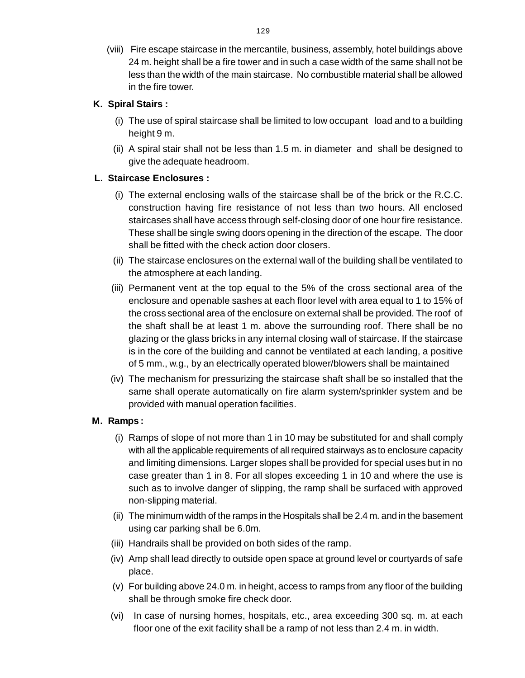(viii) Fire escape staircase in the mercantile, business, assembly, hotel buildings abov[e](http://www.docu-track.com/buy/) 24 m. height shall be a fire tower and in such a case width of the same shall not be less than the width of the main staircase. No combustible material shall be allowed in the fire tower.

## **K. Spiral Stairs :**

- (i) The use of spiral staircase shall be limited to low occupant load and to a building height 9 m.
- (ii) A spiral stair shall not be less than 1.5 m. in diameter and shall be designed to give the adequate headroom.

## **L. Staircase Enclosures :**

- (i) The external enclosing walls of the staircase shall be of the brick or the R.C.C. construction having fire resistance of not less than two hours. All enclosed staircases shall have access through self-closing door of one hour fire resistance. These shall be single swing doors opening in the direction of the escape. The door shall be fitted with the check action door closers.
- (ii) The staircase enclosures on the external wall of the building shall be ventilated to the atmosphere at each landing.
- (iii) Permanent vent at the top equal to the 5% of the cross sectional area of the enclosure and openable sashes at each floor level with area equal to 1 to 15% of the cross sectional area of the enclosure on external shall be provided. The roof of the shaft shall be at least 1 m. above the surrounding roof. There shall be no glazing or the glass bricks in any internal closing wall of staircase. If the staircase is in the core of the building and cannot be ventilated at each landing, a positive of 5 mm., w.g., by an electrically operated blower/blowers shall be maintained
- (iv) The mechanism for pressurizing the staircase shaft shall be so installed that the same shall operate automatically on fire alarm system/sprinkler system and be provided with manual operation facilities.

## **M. Ramps :**

- (i) Ramps of slope of not more than 1 in 10 may be substituted for and shall comply with all the applicable requirements of all required stairways as to enclosure capacity and limiting dimensions. Larger slopes shall be provided for special uses but in no case greater than 1 in 8. For all slopes exceeding 1 in 10 and where the use is such as to involve danger of slipping, the ramp shall be surfaced with approved non-slipping material.
- (ii) The minimum width of the ramps in the Hospitals shall be 2.4 m. and in the basement using car parking shall be 6.0m.
- (iii) Handrails shall be provided on both sides of the ramp.
- (iv) Amp shall lead directly to outside open space at ground level or courtyards of safe place.
- (v) For building above 24.0 m. in height, access to ramps from any floor of the building shall be through smoke fire check door.
- (vi) In case of nursing homes, hospitals, etc., area exceeding 300 sq. m. at each floor one of the exit facility shall be a ramp of not less than 2.4 m. in width.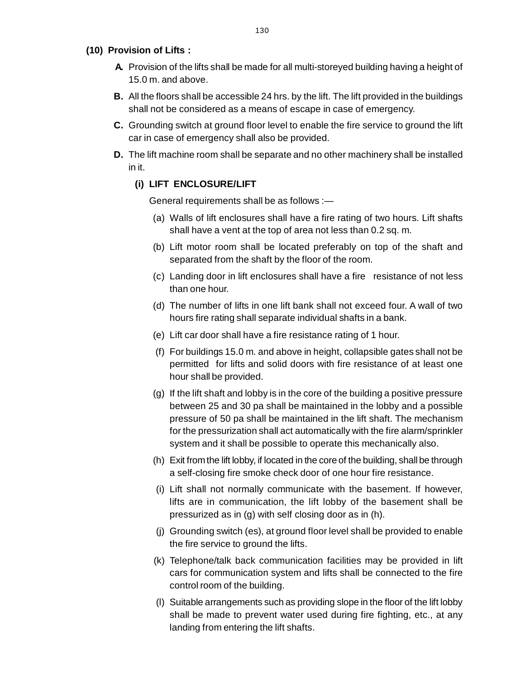- **(10) Provision of Lifts :**
	- **A.** Provision of the lifts shall be made for all multi-storeyed building having a height o[f](http://www.docu-track.com/buy/) 15.0 m. and above.
	- **B.** All the floors shall be accessible 24 hrs. by the lift. The lift provided in the buildings shall not be considered as a means of escape in case of emergency.
	- **C.** Grounding switch at ground floor level to enable the fire service to ground the lift car in case of emergency shall also be provided.
	- **D.** The lift machine room shall be separate and no other machinery shall be installed in it.

## **(i) LIFT ENCLOSURE/LIFT**

General requirements shall be as follows :—

- (a) Walls of lift enclosures shall have a fire rating of two hours. Lift shafts shall have a vent at the top of area not less than 0.2 sq. m.
- (b) Lift motor room shall be located preferably on top of the shaft and separated from the shaft by the floor of the room.
- (c) Landing door in lift enclosures shall have a fire resistance of not less than one hour.
- (d) The number of lifts in one lift bank shall not exceed four. A wall of two hours fire rating shall separate individual shafts in a bank.
- (e) Lift car door shall have a fire resistance rating of 1 hour.
- (f) For buildings 15.0 m. and above in height, collapsible gates shall not be permitted for lifts and solid doors with fire resistance of at least one hour shall be provided.
- (g) If the lift shaft and lobby is in the core of the building a positive pressure between 25 and 30 pa shall be maintained in the lobby and a possible pressure of 50 pa shall be maintained in the lift shaft. The mechanism for the pressurization shall act automatically with the fire alarm/sprinkler system and it shall be possible to operate this mechanically also.
- (h) Exit from the lift lobby, if located in the core of the building, shall be through a self-closing fire smoke check door of one hour fire resistance.
- (i) Lift shall not normally communicate with the basement. If however, lifts are in communication, the lift lobby of the basement shall be pressurized as in (g) with self closing door as in (h).
- (j) Grounding switch (es), at ground floor level shall be provided to enable the fire service to ground the lifts.
- (k) Telephone/talk back communication facilities may be provided in lift cars for communication system and lifts shall be connected to the fire control room of the building.
- (l) Suitable arrangements such as providing slope in the floor of the lift lobby shall be made to prevent water used during fire fighting, etc., at any landing from entering the lift shafts.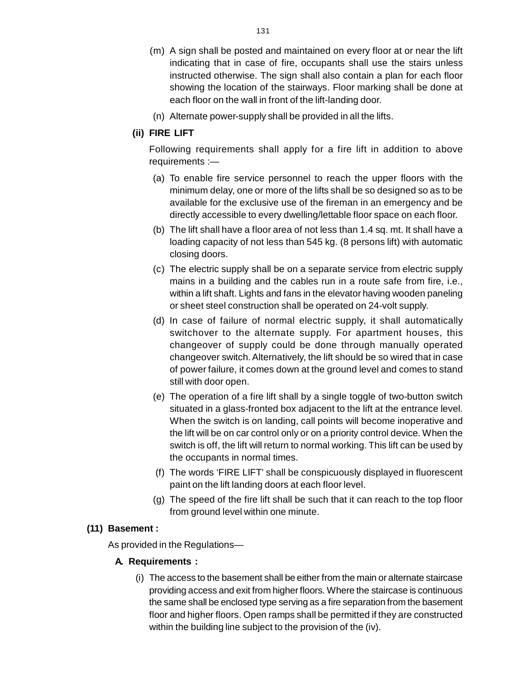- (m) A sign shall be posted and maintained on every floor at or near the lif[t](http://www.docu-track.com/buy/) indicating that in case of fire, occupants shall use the stairs unless instructed otherwise. The sign shall also contain a plan for each floor showing the location of the stairways. Floor marking shall be done at each floor on the wall in front of the lift-landing door.
- (n) Alternate power-supply shall be provided in all the lifts.

## **(ii) FIRE LIFT**

Following requirements shall apply for a fire lift in addition to above requirements :—

- (a) To enable fire service personnel to reach the upper floors with the minimum delay, one or more of the lifts shall be so designed so as to be available for the exclusive use of the fireman in an emergency and be directly accessible to every dwelling/lettable floor space on each floor.
- (b) The lift shall have a floor area of not less than 1.4 sq. mt. It shall have a loading capacity of not less than 545 kg. (8 persons lift) with automatic closing doors.
- (c) The electric supply shall be on a separate service from electric supply mains in a building and the cables run in a route safe from fire, i.e., within a lift shaft. Lights and fans in the elevator having wooden paneling or sheet steel construction shall be operated on 24-volt supply.
- (d) In case of failure of normal electric supply, it shall automatically switchover to the alternate supply. For apartment houses, this changeover of supply could be done through manually operated changeover switch. Alternatively, the lift should be so wired that in case of power failure, it comes down at the ground level and comes to stand still with door open.
- (e) The operation of a fire lift shall by a single toggle of two-button switch situated in a glass-fronted box adjacent to the lift at the entrance level. When the switch is on landing, call points will become inoperative and the lift will be on car control only or on a priority control device. When the switch is off, the lift will return to normal working. This lift can be used by the occupants in normal times.
- (f) The words 'FIRE LIFT' shall be conspicuously displayed in fluorescent paint on the lift landing doors at each floor level.
- (g) The speed of the fire lift shall be such that it can reach to the top floor from ground level within one minute.

## **(11) Basement :**

As provided in the Regulations—

## **A. Requirements :**

(i) The access to the basement shall be either from the main or alternate staircase providing access and exit from higher floors. Where the staircase is continuous the same shall be enclosed type serving as a fire separation from the basement floor and higher floors. Open ramps shall be permitted if they are constructed within the building line subject to the provision of the (iv).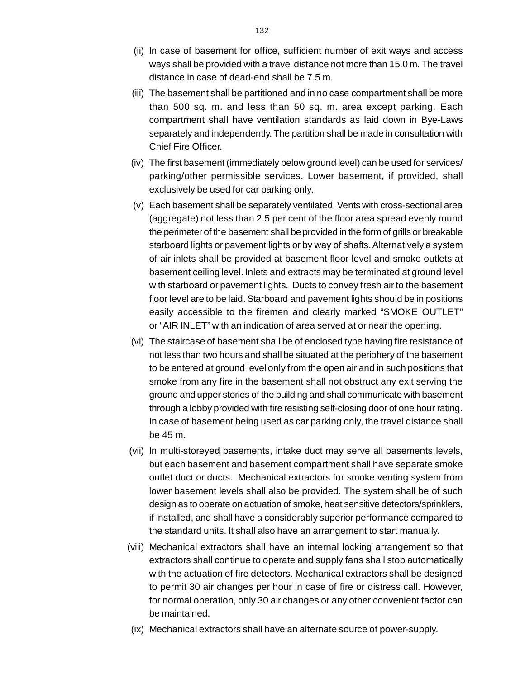- (ii) In case of basement for office, sufficient number of exit ways and acces[s](http://www.docu-track.com/buy/) ways shall be provided with a travel distance not more than 15.0 m. The travel distance in case of dead-end shall be 7.5 m.
- (iii) The basement shall be partitioned and in no case compartment shall be more than 500 sq. m. and less than 50 sq. m. area except parking. Each compartment shall have ventilation standards as laid down in Bye-Laws separately and independently. The partition shall be made in consultation with Chief Fire Officer.
- (iv) The first basement (immediately below ground level) can be used for services/ parking/other permissible services. Lower basement, if provided, shall exclusively be used for car parking only.
- (v) Each basement shall be separately ventilated. Vents with cross-sectional area (aggregate) not less than 2.5 per cent of the floor area spread evenly round the perimeter of the basement shall be provided in the form of grills or breakable starboard lights or pavement lights or by way of shafts. Alternatively a system of air inlets shall be provided at basement floor level and smoke outlets at basement ceiling level. Inlets and extracts may be terminated at ground level with starboard or pavement lights. Ducts to convey fresh air to the basement floor level are to be laid. Starboard and pavement lights should be in positions easily accessible to the firemen and clearly marked "SMOKE OUTLET" or "AIR INLET" with an indication of area served at or near the opening.
- (vi) The staircase of basement shall be of enclosed type having fire resistance of not less than two hours and shall be situated at the periphery of the basement to be entered at ground level only from the open air and in such positions that smoke from any fire in the basement shall not obstruct any exit serving the ground and upper stories of the building and shall communicate with basement through a lobby provided with fire resisting self-closing door of one hour rating. In case of basement being used as car parking only, the travel distance shall be 45 m.
- (vii) In multi-storeyed basements, intake duct may serve all basements levels, but each basement and basement compartment shall have separate smoke outlet duct or ducts. Mechanical extractors for smoke venting system from lower basement levels shall also be provided. The system shall be of such design as to operate on actuation of smoke, heat sensitive detectors/sprinklers, if installed, and shall have a considerably superior performance compared to the standard units. It shall also have an arrangement to start manually.
- (viii) Mechanical extractors shall have an internal locking arrangement so that extractors shall continue to operate and supply fans shall stop automatically with the actuation of fire detectors. Mechanical extractors shall be designed to permit 30 air changes per hour in case of fire or distress call. However, for normal operation, only 30 air changes or any other convenient factor can be maintained.
- (ix) Mechanical extractors shall have an alternate source of power-supply.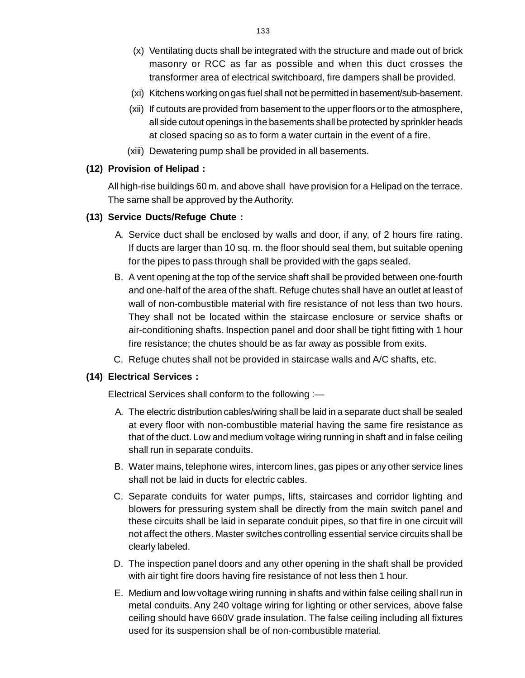- (x) Ventilating ducts shall be integrated with the structure and made out of bric[k](http://www.docu-track.com/buy/) masonry or RCC as far as possible and when this duct crosses the transformer area of electrical switchboard, fire dampers shall be provided.
- (xi) Kitchens working on gas fuel shall not be permitted in basement/sub-basement.
- (xii) If cutouts are provided from basement to the upper floors or to the atmosphere, all side cutout openings in the basements shall be protected by sprinkler heads at closed spacing so as to form a water curtain in the event of a fire.
- (xiii) Dewatering pump shall be provided in all basements.

### **(12) Provision of Helipad :**

All high-rise buildings 60 m. and above shall have provision for a Helipad on the terrace. The same shall be approved by the Authority.

## **(13) Service Ducts/Refuge Chute :**

- A. Service duct shall be enclosed by walls and door, if any, of 2 hours fire rating. If ducts are larger than 10 sq. m. the floor should seal them, but suitable opening for the pipes to pass through shall be provided with the gaps sealed.
- B. A vent opening at the top of the service shaft shall be provided between one-fourth and one-half of the area of the shaft. Refuge chutes shall have an outlet at least of wall of non-combustible material with fire resistance of not less than two hours. They shall not be located within the staircase enclosure or service shafts or air-conditioning shafts. Inspection panel and door shall be tight fitting with 1 hour fire resistance; the chutes should be as far away as possible from exits.
- C. Refuge chutes shall not be provided in staircase walls and A/C shafts, etc.

## **(14) Electrical Services :**

Electrical Services shall conform to the following :—

- A. The electric distribution cables/wiring shall be laid in a separate duct shall be sealed at every floor with non-combustible material having the same fire resistance as that of the duct. Low and medium voltage wiring running in shaft and in false ceiling shall run in separate conduits.
- B. Water mains, telephone wires, intercom lines, gas pipes or any other service lines shall not be laid in ducts for electric cables.
- C. Separate conduits for water pumps, lifts, staircases and corridor lighting and blowers for pressuring system shall be directly from the main switch panel and these circuits shall be laid in separate conduit pipes, so that fire in one circuit will not affect the others. Master switches controlling essential service circuits shall be clearly labeled.
- D. The inspection panel doors and any other opening in the shaft shall be provided with air tight fire doors having fire resistance of not less then 1 hour.
- E. Medium and low voltage wiring running in shafts and within false ceiling shall run in metal conduits. Any 240 voltage wiring for lighting or other services, above false ceiling should have 660V grade insulation. The false ceiling including all fixtures used for its suspension shall be of non-combustible material.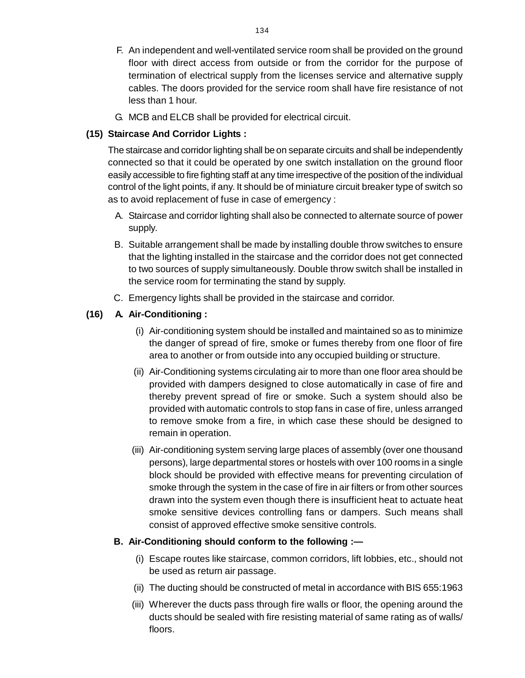- F. An independent and well-ventilated service room shall be provided on the groun[d](http://www.docu-track.com/buy/) floor with direct access from outside or from the corridor for the purpose of termination of electrical supply from the licenses service and alternative supply cables. The doors provided for the service room shall have fire resistance of not less than 1 hour.
- G. MCB and ELCB shall be provided for electrical circuit.

## **(15) Staircase And Corridor Lights :**

The staircase and corridor lighting shall be on separate circuits and shall be independently connected so that it could be operated by one switch installation on the ground floor easily accessible to fire fighting staff at any time irrespective of the position of the individual control of the light points, if any. It should be of miniature circuit breaker type of switch so as to avoid replacement of fuse in case of emergency :

- A. Staircase and corridor lighting shall also be connected to alternate source of power supply.
- B. Suitable arrangement shall be made by installing double throw switches to ensure that the lighting installed in the staircase and the corridor does not get connected to two sources of supply simultaneously. Double throw switch shall be installed in the service room for terminating the stand by supply.
- C. Emergency lights shall be provided in the staircase and corridor.

## **(16) A. Air-Conditioning :**

- (i) Air-conditioning system should be installed and maintained so as to minimize the danger of spread of fire, smoke or fumes thereby from one floor of fire area to another or from outside into any occupied building or structure.
- (ii) Air-Conditioning systems circulating air to more than one floor area should be provided with dampers designed to close automatically in case of fire and thereby prevent spread of fire or smoke. Such a system should also be provided with automatic controls to stop fans in case of fire, unless arranged to remove smoke from a fire, in which case these should be designed to remain in operation.
- (iii) Air-conditioning system serving large places of assembly (over one thousand persons), large departmental stores or hostels with over 100 rooms in a single block should be provided with effective means for preventing circulation of smoke through the system in the case of fire in air filters or from other sources drawn into the system even though there is insufficient heat to actuate heat smoke sensitive devices controlling fans or dampers. Such means shall consist of approved effective smoke sensitive controls.

## **B. Air-Conditioning should conform to the following :—**

- (i) Escape routes like staircase, common corridors, lift lobbies, etc., should not be used as return air passage.
- (ii) The ducting should be constructed of metal in accordance with BIS 655:1963
- (iii) Wherever the ducts pass through fire walls or floor, the opening around the ducts should be sealed with fire resisting material of same rating as of walls/ floors.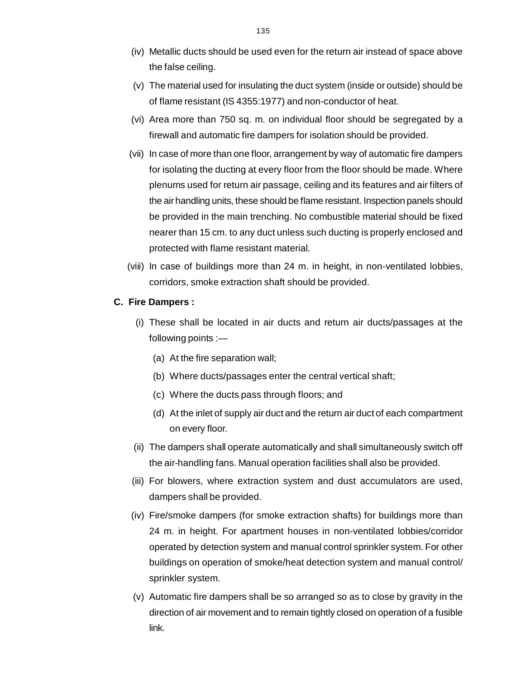- (iv) Metallic ducts should be used even for the return air instead of space abov[e](http://www.docu-track.com/buy/) the false ceiling.
- (v) The material used for insulating the duct system (inside or outside) should be of flame resistant (IS 4355:1977) and non-conductor of heat.
- (vi) Area more than 750 sq. m. on individual floor should be segregated by a firewall and automatic fire dampers for isolation should be provided.
- (vii) In case of more than one floor, arrangement by way of automatic fire dampers for isolating the ducting at every floor from the floor should be made. Where plenums used for return air passage, ceiling and its features and air filters of the air handling units, these should be flame resistant. Inspection panels should be provided in the main trenching. No combustible material should be fixed nearer than 15 cm. to any duct unless such ducting is properly enclosed and protected with flame resistant material.
- (viii) In case of buildings more than 24 m. in height, in non-ventilated lobbies, corridors, smoke extraction shaft should be provided.

#### **C. Fire Dampers :**

- (i) These shall be located in air ducts and return air ducts/passages at the following points :—
	- (a) At the fire separation wall;
	- (b) Where ducts/passages enter the central vertical shaft;
	- (c) Where the ducts pass through floors; and
	- (d) At the inlet of supply air duct and the return air duct of each compartment on every floor.
- (ii) The dampers shall operate automatically and shall simultaneously switch off the air-handling fans. Manual operation facilities shall also be provided.
- (iii) For blowers, where extraction system and dust accumulators are used, dampers shall be provided.
- (iv) Fire/smoke dampers (for smoke extraction shafts) for buildings more than 24 m. in height. For apartment houses in non-ventilated lobbies/corridor operated by detection system and manual control sprinkler system. For other buildings on operation of smoke/heat detection system and manual control/ sprinkler system.
- (v) Automatic fire dampers shall be so arranged so as to close by gravity in the direction of air movement and to remain tightly closed on operation of a fusible link.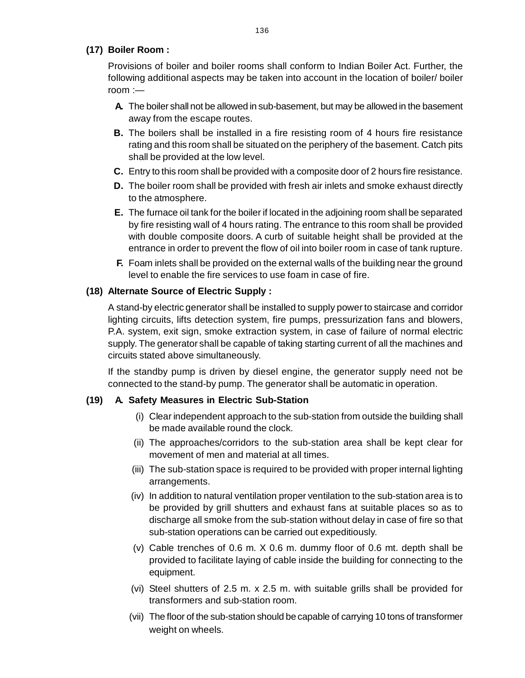## **(17) Boiler Room :**

Provisions of boiler and boiler rooms shall conform to Indian Boiler Act. Further, th[e](http://www.docu-track.com/buy/) following additional aspects may be taken into account in the location of boiler/ boiler room :—

- **A.** The boiler shall not be allowed in sub-basement, but may be allowed in the basement away from the escape routes.
- **B.** The boilers shall be installed in a fire resisting room of 4 hours fire resistance rating and this room shall be situated on the periphery of the basement. Catch pits shall be provided at the low level.
- **C.** Entry to this room shall be provided with a composite door of 2 hours fire resistance.
- **D.** The boiler room shall be provided with fresh air inlets and smoke exhaust directly to the atmosphere.
- **E.** The furnace oil tank for the boiler if located in the adjoining room shall be separated by fire resisting wall of 4 hours rating. The entrance to this room shall be provided with double composite doors. A curb of suitable height shall be provided at the entrance in order to prevent the flow of oil into boiler room in case of tank rupture.
- **F.** Foam inlets shall be provided on the external walls of the building near the ground level to enable the fire services to use foam in case of fire.

## **(18) Alternate Source of Electric Supply :**

A stand-by electric generator shall be installed to supply power to staircase and corridor lighting circuits, lifts detection system, fire pumps, pressurization fans and blowers, P.A. system, exit sign, smoke extraction system, in case of failure of normal electric supply. The generator shall be capable of taking starting current of all the machines and circuits stated above simultaneously.

If the standby pump is driven by diesel engine, the generator supply need not be connected to the stand-by pump. The generator shall be automatic in operation.

## **(19) A. Safety Measures in Electric Sub-Station**

- (i) Clear independent approach to the sub-station from outside the building shall be made available round the clock.
- (ii) The approaches/corridors to the sub-station area shall be kept clear for movement of men and material at all times.
- (iii) The sub-station space is required to be provided with proper internal lighting arrangements.
- (iv) In addition to natural ventilation proper ventilation to the sub-station area is to be provided by grill shutters and exhaust fans at suitable places so as to discharge all smoke from the sub-station without delay in case of fire so that sub-station operations can be carried out expeditiously.
- (v) Cable trenches of 0.6 m. X 0.6 m. dummy floor of 0.6 mt. depth shall be provided to facilitate laying of cable inside the building for connecting to the equipment.
- (vi) Steel shutters of 2.5 m. x 2.5 m. with suitable grills shall be provided for transformers and sub-station room.
- (vii) The floor of the sub-station should be capable of carrying 10 tons of transformer weight on wheels.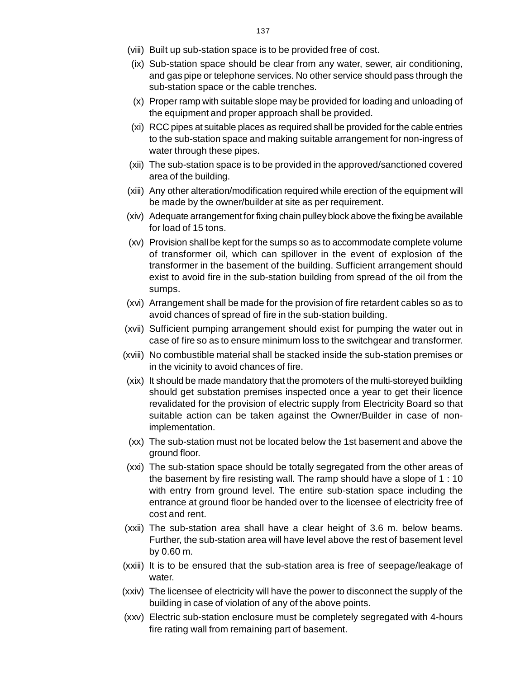- (viii) Built up sub-station space is to be provided free of cost.
- (ix) Sub-station space should be clear from any water, sewer, air conditioning[,](http://www.docu-track.com/buy/) and gas pipe or telephone services. No other service should pass through the sub-station space or the cable trenches.
- (x) Proper ramp with suitable slope may be provided for loading and unloading of the equipment and proper approach shall be provided.
- (xi) RCC pipes at suitable places as required shall be provided for the cable entries to the sub-station space and making suitable arrangement for non-ingress of water through these pipes.
- (xii) The sub-station space is to be provided in the approved/sanctioned covered area of the building.
- (xiii) Any other alteration/modification required while erection of the equipment will be made by the owner/builder at site as per requirement.
- (xiv) Adequate arrangement for fixing chain pulley block above the fixing be available for load of 15 tons.
- (xv) Provision shall be kept for the sumps so as to accommodate complete volume of transformer oil, which can spillover in the event of explosion of the transformer in the basement of the building. Sufficient arrangement should exist to avoid fire in the sub-station building from spread of the oil from the sumps.
- (xvi) Arrangement shall be made for the provision of fire retardent cables so as to avoid chances of spread of fire in the sub-station building.
- (xvii) Sufficient pumping arrangement should exist for pumping the water out in case of fire so as to ensure minimum loss to the switchgear and transformer.
- (xviii) No combustible material shall be stacked inside the sub-station premises or in the vicinity to avoid chances of fire.
- (xix) It should be made mandatory that the promoters of the multi-storeyed building should get substation premises inspected once a year to get their licence revalidated for the provision of electric supply from Electricity Board so that suitable action can be taken against the Owner/Builder in case of nonimplementation.
- (xx) The sub-station must not be located below the 1st basement and above the ground floor.
- (xxi) The sub-station space should be totally segregated from the other areas of the basement by fire resisting wall. The ramp should have a slope of 1 : 10 with entry from ground level. The entire sub-station space including the entrance at ground floor be handed over to the licensee of electricity free of cost and rent.
- (xxii) The sub-station area shall have a clear height of 3.6 m. below beams. Further, the sub-station area will have level above the rest of basement level by 0.60 m.
- (xxiii) It is to be ensured that the sub-station area is free of seepage/leakage of water.
- (xxiv) The licensee of electricity will have the power to disconnect the supply of the building in case of violation of any of the above points.
- (xxv) Electric sub-station enclosure must be completely segregated with 4-hours fire rating wall from remaining part of basement.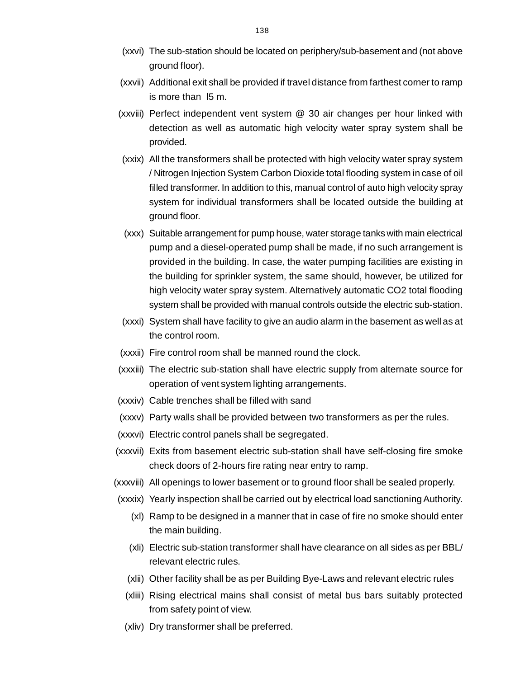- (xxvi) The sub-station should be located on periphery/sub-basement and (not abov[e](http://www.docu-track.com/buy/) ground floor).
- (xxvii) Additional exit shall be provided if travel distance from farthest corner to ramp is more than l5 m.
- (xxviii) Perfect independent vent system @ 30 air changes per hour linked with detection as well as automatic high velocity water spray system shall be provided.
- (xxix) All the transformers shall be protected with high velocity water spray system / Nitrogen Injection System Carbon Dioxide total flooding system in case of oil filled transformer. In addition to this, manual control of auto high velocity spray system for individual transformers shall be located outside the building at ground floor.
- (xxx) Suitable arrangement for pump house, water storage tanks with main electrical pump and a diesel-operated pump shall be made, if no such arrangement is provided in the building. In case, the water pumping facilities are existing in the building for sprinkler system, the same should, however, be utilized for high velocity water spray system. Alternatively automatic CO2 total flooding system shall be provided with manual controls outside the electric sub-station.
- (xxxi) System shall have facility to give an audio alarm in the basement as well as at the control room.
- (xxxii) Fire control room shall be manned round the clock.
- (xxxiii) The electric sub-station shall have electric supply from alternate source for operation of vent system lighting arrangements.
- (xxxiv) Cable trenches shall be filled with sand
- (xxxv) Party walls shall be provided between two transformers as per the rules.
- (xxxvi) Electric control panels shall be segregated.
- (xxxvii) Exits from basement electric sub-station shall have self-closing fire smoke check doors of 2-hours fire rating near entry to ramp.
- (xxxviii) All openings to lower basement or to ground floor shall be sealed properly.
- (xxxix) Yearly inspection shall be carried out by electrical load sanctioning Authority.
	- (xl) Ramp to be designed in a manner that in case of fire no smoke should enter the main building.
	- (xli) Electric sub-station transformer shall have clearance on all sides as per BBL/ relevant electric rules.
	- (xlii) Other facility shall be as per Building Bye-Laws and relevant electric rules
	- (xliii) Rising electrical mains shall consist of metal bus bars suitably protected from safety point of view.
	- (xliv) Dry transformer shall be preferred.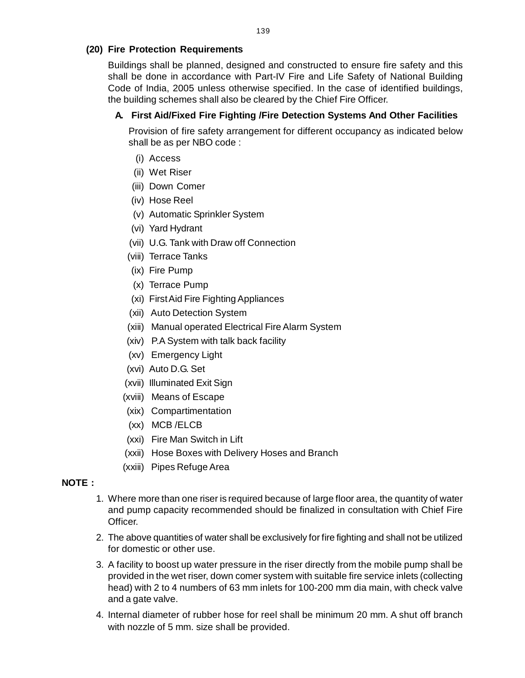## **(20) Fire Protection Requirements**

Buildings shall be planned, designed and constructed to ensure fire safety and thi[s](http://www.docu-track.com/buy/) shall be done in accordance with Part-IV Fire and Life Safety of National Building Code of India, 2005 unless otherwise specified. In the case of identified buildings, the building schemes shall also be cleared by the Chief Fire Officer.

## **A. First Aid/Fixed Fire Fighting /Fire Detection Systems And Other Facilities**

Provision of fire safety arrangement for different occupancy as indicated below shall be as per NBO code :

- (i) Access
- (ii) Wet Riser
- (iii) Down Comer
- (iv) Hose Reel
- (v) Automatic Sprinkler System
- (vi) Yard Hydrant
- (vii) U.G. Tank with Draw off Connection
- (viii) Terrace Tanks
- (ix) Fire Pump
- (x) Terrace Pump
- (xi) First Aid Fire Fighting Appliances
- (xii) Auto Detection System
- (xiii) Manual operated Electrical Fire Alarm System
- (xiv) P.A System with talk back facility
- (xv) Emergency Light
- (xvi) Auto D.G. Set
- (xvii) Illuminated Exit Sign
- (xviii) Means of Escape
- (xix) Compartimentation
- (xx) MCB /ELCB
- (xxi) Fire Man Switch in Lift
- (xxii) Hose Boxes with Delivery Hoses and Branch
- (xxiii) Pipes Refuge Area

## **NOTE :**

- 1. Where more than one riser is required because of large floor area, the quantity of water and pump capacity recommended should be finalized in consultation with Chief Fire Officer.
- 2. The above quantities of water shall be exclusively for fire fighting and shall not be utilized for domestic or other use.
- 3. A facility to boost up water pressure in the riser directly from the mobile pump shall be provided in the wet riser, down comer system with suitable fire service inlets (collecting head) with 2 to 4 numbers of 63 mm inlets for 100-200 mm dia main, with check valve and a gate valve.
- 4. Internal diameter of rubber hose for reel shall be minimum 20 mm. A shut off branch with nozzle of 5 mm. size shall be provided.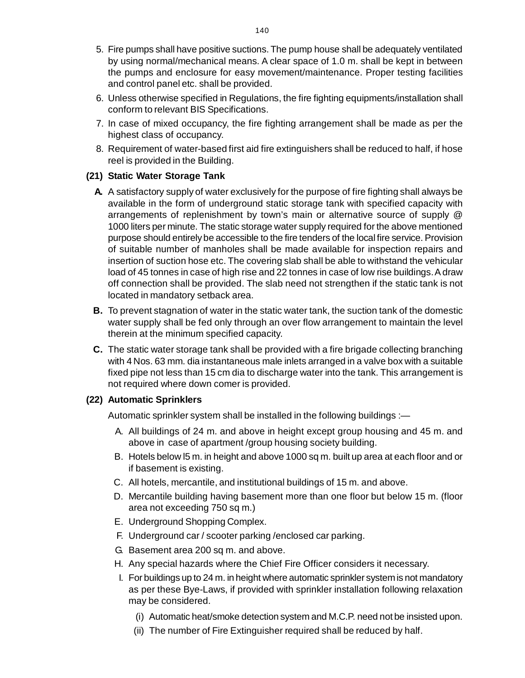- 5. Fire pumps shall have positive suctions. The pump house shall be adequately ventilate[d](http://www.docu-track.com/buy/) by using normal/mechanical means. A clear space of 1.0 m. shall be kept in between the pumps and enclosure for easy movement/maintenance. Proper testing facilities and control panel etc. shall be provided.
- 6. Unless otherwise specified in Regulations, the fire fighting equipments/installation shall conform to relevant BIS Specifications.
- 7. In case of mixed occupancy, the fire fighting arrangement shall be made as per the highest class of occupancy.
- 8. Requirement of water-based first aid fire extinguishers shall be reduced to half, if hose reel is provided in the Building.

## **(21) Static Water Storage Tank**

- **A.** A satisfactory supply of water exclusively for the purpose of fire fighting shall always be available in the form of underground static storage tank with specified capacity with arrangements of replenishment by town's main or alternative source of supply @ 1000 liters per minute. The static storage water supply required for the above mentioned purpose should entirely be accessible to the fire tenders of the local fire service. Provision of suitable number of manholes shall be made available for inspection repairs and insertion of suction hose etc. The covering slab shall be able to withstand the vehicular load of 45 tonnes in case of high rise and 22 tonnes in case of low rise buildings. A draw off connection shall be provided. The slab need not strengthen if the static tank is not located in mandatory setback area.
- **B.** To prevent stagnation of water in the static water tank, the suction tank of the domestic water supply shall be fed only through an over flow arrangement to maintain the level therein at the minimum specified capacity.
- **C.** The static water storage tank shall be provided with a fire brigade collecting branching with 4 Nos. 63 mm. dia instantaneous male inlets arranged in a valve box with a suitable fixed pipe not less than 15 cm dia to discharge water into the tank. This arrangement is not required where down comer is provided.

#### **(22) Automatic Sprinklers**

Automatic sprinkler system shall be installed in the following buildings :—

- A. All buildings of 24 m. and above in height except group housing and 45 m. and above in case of apartment /group housing society building.
- B. Hotels below l5 m. in height and above 1000 sq m. built up area at each floor and or if basement is existing.
- C. All hotels, mercantile, and institutional buildings of 15 m. and above.
- D. Mercantile building having basement more than one floor but below 15 m. (floor area not exceeding 750 sq m.)
- E. Underground Shopping Complex.
- F. Underground car / scooter parking /enclosed car parking.
- G. Basement area 200 sq m. and above.
- H. Any special hazards where the Chief Fire Officer considers it necessary.
- I. For buildings up to 24 m. in height where automatic sprinkler system is not mandatory as per these Bye-Laws, if provided with sprinkler installation following relaxation may be considered.
	- (i) Automatic heat/smoke detection system and M.C.P. need not be insisted upon.
	- (ii) The number of Fire Extinguisher required shall be reduced by half.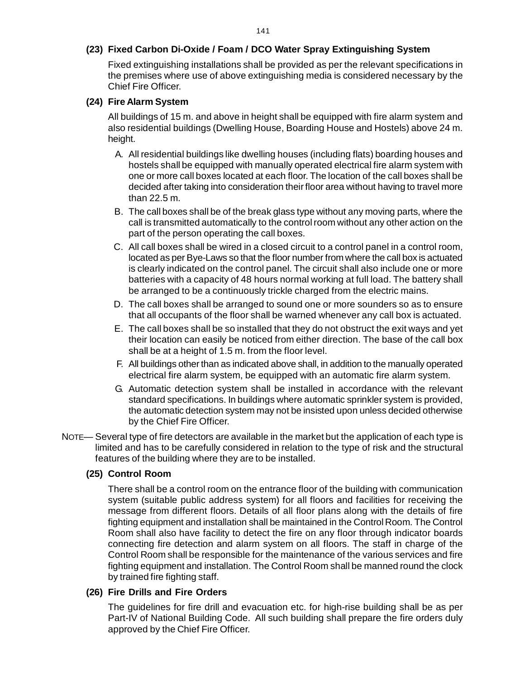#### **(23) Fixed Carbon Di-Oxide / Foam / DCO Water Spray Extinguishing System**

Fixed extinguishing installations shall be provided as per the relevant specifications i[n](http://www.docu-track.com/buy/) the premises where use of above extinguishing media is considered necessary by the Chief Fire Officer.

#### **(24) Fire Alarm System**

All buildings of 15 m. and above in height shall be equipped with fire alarm system and also residential buildings (Dwelling House, Boarding House and Hostels) above 24 m. height.

- A. All residential buildings like dwelling houses (including flats) boarding houses and hostels shall be equipped with manually operated electrical fire alarm system with one or more call boxes located at each floor. The location of the call boxes shall be decided after taking into consideration their floor area without having to travel more than 22.5 m.
- B. The call boxes shall be of the break glass type without any moving parts, where the call is transmitted automatically to the control room without any other action on the part of the person operating the call boxes.
- C. All call boxes shall be wired in a closed circuit to a control panel in a control room, located as per Bye-Laws so that the floor number from where the call box is actuated is clearly indicated on the control panel. The circuit shall also include one or more batteries with a capacity of 48 hours normal working at full load. The battery shall be arranged to be a continuously trickle charged from the electric mains.
- D. The call boxes shall be arranged to sound one or more sounders so as to ensure that all occupants of the floor shall be warned whenever any call box is actuated.
- E. The call boxes shall be so installed that they do not obstruct the exit ways and yet their location can easily be noticed from either direction. The base of the call box shall be at a height of 1.5 m. from the floor level.
- F. All buildings other than as indicated above shall, in addition to the manually operated electrical fire alarm system, be equipped with an automatic fire alarm system.
- G. Automatic detection system shall be installed in accordance with the relevant standard specifications. In buildings where automatic sprinkler system is provided, the automatic detection system may not be insisted upon unless decided otherwise by the Chief Fire Officer.
- NOTE— Several type of fire detectors are available in the market but the application of each type is limited and has to be carefully considered in relation to the type of risk and the structural features of the building where they are to be installed.

#### **(25) Control Room**

There shall be a control room on the entrance floor of the building with communication system (suitable public address system) for all floors and facilities for receiving the message from different floors. Details of all floor plans along with the details of fire fighting equipment and installation shall be maintained in the Control Room. The Control Room shall also have facility to detect the fire on any floor through indicator boards connecting fire detection and alarm system on all floors. The staff in charge of the Control Room shall be responsible for the maintenance of the various services and fire fighting equipment and installation. The Control Room shall be manned round the clock by trained fire fighting staff.

#### **(26) Fire Drills and Fire Orders**

The guidelines for fire drill and evacuation etc. for high-rise building shall be as per Part-IV of National Building Code. All such building shall prepare the fire orders duly approved by the Chief Fire Officer.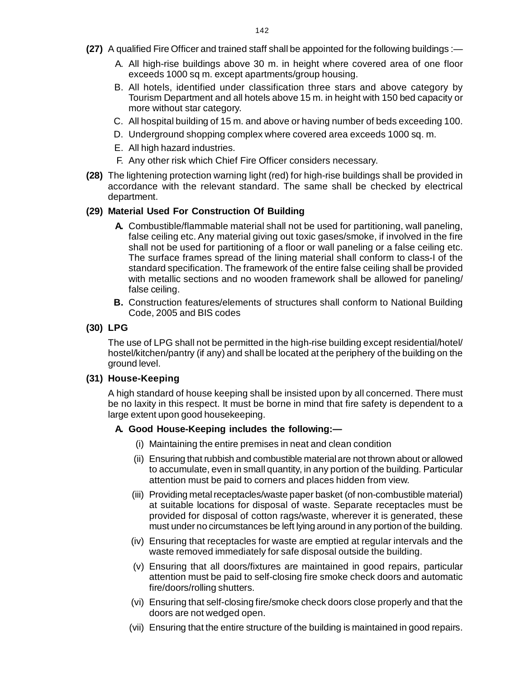- **(27)** A qualified Fire Officer and trained staff shall be appointed for the following buildings :[—](http://www.docu-track.com/buy/)
	- A. All high-rise buildings above 30 m. in height where covered area of one floor exceeds 1000 sq m. except apartments/group housing.
	- B. All hotels, identified under classification three stars and above category by Tourism Department and all hotels above 15 m. in height with 150 bed capacity or more without star category.
	- C. All hospital building of 15 m. and above or having number of beds exceeding 100.
	- D. Underground shopping complex where covered area exceeds 1000 sq. m.
	- E. All high hazard industries.
	- F. Any other risk which Chief Fire Officer considers necessary.
- **(28)** The lightening protection warning light (red) for high-rise buildings shall be provided in accordance with the relevant standard. The same shall be checked by electrical department.

#### **(29) Material Used For Construction Of Building**

- **A.** Combustible/flammable material shall not be used for partitioning, wall paneling, false ceiling etc. Any material giving out toxic gases/smoke, if involved in the fire shall not be used for partitioning of a floor or wall paneling or a false ceiling etc. The surface frames spread of the lining material shall conform to class-I of the standard specification. The framework of the entire false ceiling shall be provided with metallic sections and no wooden framework shall be allowed for paneling/ false ceiling.
- **B.** Construction features/elements of structures shall conform to National Building Code, 2005 and BIS codes

#### **(30) LPG**

The use of LPG shall not be permitted in the high-rise building except residential/hotel/ hostel/kitchen/pantry (if any) and shall be located at the periphery of the building on the ground level.

#### **(31) House-Keeping**

A high standard of house keeping shall be insisted upon by all concerned. There must be no laxity in this respect. It must be borne in mind that fire safety is dependent to a large extent upon good housekeeping.

#### **A. Good House-Keeping includes the following:—**

- (i) Maintaining the entire premises in neat and clean condition
- (ii) Ensuring that rubbish and combustible material are not thrown about or allowed to accumulate, even in small quantity, in any portion of the building. Particular attention must be paid to corners and places hidden from view.
- (iii) Providing metal receptacles/waste paper basket (of non-combustible material) at suitable locations for disposal of waste. Separate receptacles must be provided for disposal of cotton rags/waste, wherever it is generated, these must under no circumstances be left lying around in any portion of the building.
- (iv) Ensuring that receptacles for waste are emptied at regular intervals and the waste removed immediately for safe disposal outside the building.
- (v) Ensuring that all doors/fixtures are maintained in good repairs, particular attention must be paid to self-closing fire smoke check doors and automatic fire/doors/rolling shutters.
- (vi) Ensuring that self-closing fire/smoke check doors close properly and that the doors are not wedged open.
- (vii) Ensuring that the entire structure of the building is maintained in good repairs.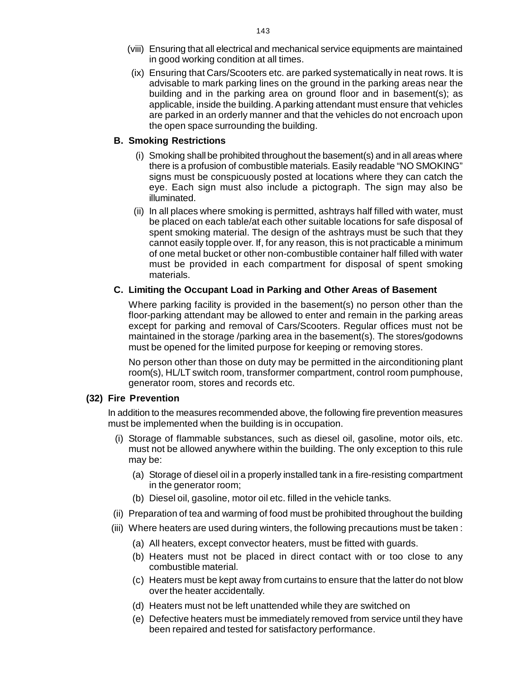- (viii) Ensuring that all electrical and mechanical service equipments are maintaine[d](http://www.docu-track.com/buy/) in good working condition at all times.
- (ix) Ensuring that Cars/Scooters etc. are parked systematically in neat rows. It is advisable to mark parking lines on the ground in the parking areas near the building and in the parking area on ground floor and in basement(s); as applicable, inside the building. A parking attendant must ensure that vehicles are parked in an orderly manner and that the vehicles do not encroach upon the open space surrounding the building.

### **B. Smoking Restrictions**

- (i) Smoking shall be prohibited throughout the basement(s) and in all areas where there is a profusion of combustible materials. Easily readable "NO SMOKING" signs must be conspicuously posted at locations where they can catch the eye. Each sign must also include a pictograph. The sign may also be illuminated.
- (ii) In all places where smoking is permitted, ashtrays half filled with water, must be placed on each table/at each other suitable locations for safe disposal of spent smoking material. The design of the ashtrays must be such that they cannot easily topple over. If, for any reason, this is not practicable a minimum of one metal bucket or other non-combustible container half filled with water must be provided in each compartment for disposal of spent smoking materials.

## **C. Limiting the Occupant Load in Parking and Other Areas of Basement**

Where parking facility is provided in the basement(s) no person other than the floor-parking attendant may be allowed to enter and remain in the parking areas except for parking and removal of Cars/Scooters. Regular offices must not be maintained in the storage /parking area in the basement(s). The stores/godowns must be opened for the limited purpose for keeping or removing stores.

No person other than those on duty may be permitted in the airconditioning plant room(s), HL/LT switch room, transformer compartment, control room pumphouse, generator room, stores and records etc.

## **(32) Fire Prevention**

In addition to the measures recommended above, the following fire prevention measures must be implemented when the building is in occupation.

- (i) Storage of flammable substances, such as diesel oil, gasoline, motor oils, etc. must not be allowed anywhere within the building. The only exception to this rule may be:
	- (a) Storage of diesel oil in a properly installed tank in a fire-resisting compartment in the generator room;
	- (b) Diesel oil, gasoline, motor oil etc. filled in the vehicle tanks.
- (ii) Preparation of tea and warming of food must be prohibited throughout the building
- (iii) Where heaters are used during winters, the following precautions must be taken :
	- (a) All heaters, except convector heaters, must be fitted with guards.
	- (b) Heaters must not be placed in direct contact with or too close to any combustible material.
	- (c) Heaters must be kept away from curtains to ensure that the latter do not blow over the heater accidentally.
	- (d) Heaters must not be left unattended while they are switched on
	- (e) Defective heaters must be immediately removed from service until they have been repaired and tested for satisfactory performance.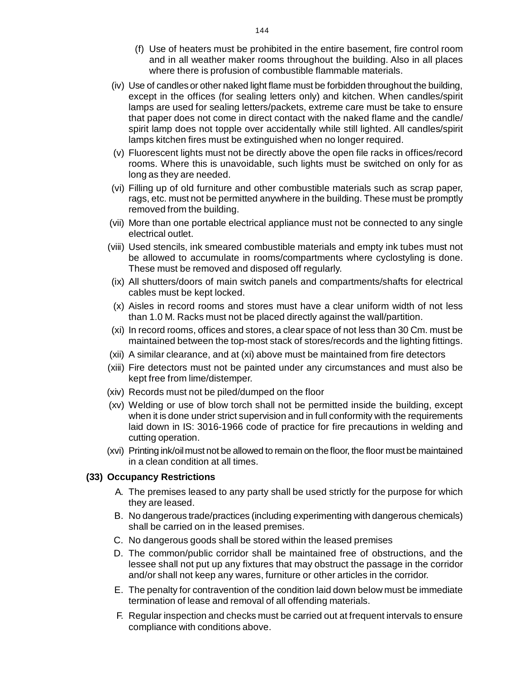- (f) Use of heaters must be prohibited in the entire basement, fire control roo[m](http://www.docu-track.com/buy/) and in all weather maker rooms throughout the building. Also in all places where there is profusion of combustible flammable materials.
- (iv) Use of candles or other naked light flame must be forbidden throughout the building, except in the offices (for sealing letters only) and kitchen. When candles/spirit lamps are used for sealing letters/packets, extreme care must be take to ensure that paper does not come in direct contact with the naked flame and the candle/ spirit lamp does not topple over accidentally while still lighted. All candles/spirit lamps kitchen fires must be extinguished when no longer required.
- (v) Fluorescent lights must not be directly above the open file racks in offices/record rooms. Where this is unavoidable, such lights must be switched on only for as long as they are needed.
- (vi) Filling up of old furniture and other combustible materials such as scrap paper, rags, etc. must not be permitted anywhere in the building. These must be promptly removed from the building.
- (vii) More than one portable electrical appliance must not be connected to any single electrical outlet.
- (viii) Used stencils, ink smeared combustible materials and empty ink tubes must not be allowed to accumulate in rooms/compartments where cyclostyling is done. These must be removed and disposed off regularly.
- (ix) All shutters/doors of main switch panels and compartments/shafts for electrical cables must be kept locked.
- (x) Aisles in record rooms and stores must have a clear uniform width of not less than 1.0 M. Racks must not be placed directly against the wall/partition.
- (xi) In record rooms, offices and stores, a clear space of not less than 30 Cm. must be maintained between the top-most stack of stores/records and the lighting fittings.
- (xii) A similar clearance, and at (xi) above must be maintained from fire detectors
- (xiii) Fire detectors must not be painted under any circumstances and must also be kept free from lime/distemper.
- (xiv) Records must not be piled/dumped on the floor
- (xv) Welding or use of blow torch shall not be permitted inside the building, except when it is done under strict supervision and in full conformity with the requirements laid down in IS: 3016-1966 code of practice for fire precautions in welding and cutting operation.
- (xvi) Printing ink/oil must not be allowed to remain on the floor, the floor must be maintained in a clean condition at all times.

#### **(33) Occupancy Restrictions**

- A. The premises leased to any party shall be used strictly for the purpose for which they are leased.
- B. No dangerous trade/practices (including experimenting with dangerous chemicals) shall be carried on in the leased premises.
- C. No dangerous goods shall be stored within the leased premises
- D. The common/public corridor shall be maintained free of obstructions, and the lessee shall not put up any fixtures that may obstruct the passage in the corridor and/or shall not keep any wares, furniture or other articles in the corridor.
- E. The penalty for contravention of the condition laid down below must be immediate termination of lease and removal of all offending materials.
- F. Regular inspection and checks must be carried out at frequent intervals to ensure compliance with conditions above.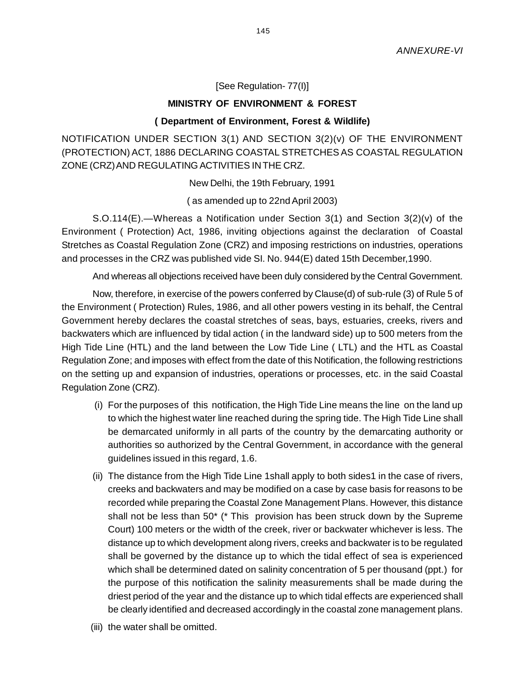### [See Regulation- 77(I)]

### **MINISTRY OF ENVIRONMENT & FOREST**

### **( Department of Environment, Forest & Wildlife)**

NOTIFICATION UNDER SECTION 3(1) AND SECTION 3(2)(v) OF THE ENVIRONMENT (PROTECTION) ACT, 1886 DECLARING COASTAL STRETCHES AS COASTAL REGULATION ZONE (CRZ) AND REGULATING ACTIVITIES IN THE CRZ.

New Delhi, the 19th February, 1991

( as amended up to 22nd April 2003)

S.O.114(E).—Whereas a Notification under Section 3(1) and Section 3(2)(v) of the Environment ( Protection) Act, 1986, inviting objections against the declaration of Coastal Stretches as Coastal Regulation Zone (CRZ) and imposing restrictions on industries, operations and processes in the CRZ was published vide SI. No. 944(E) dated 15th December,1990.

And whereas all objections received have been duly considered by the Central Government.

Now, therefore, in exercise of the powers conferred by Clause(d) of sub-rule (3) of Rule 5 of the Environment ( Protection) Rules, 1986, and all other powers vesting in its behalf, the Central Government hereby declares the coastal stretches of seas, bays, estuaries, creeks, rivers and backwaters which are influenced by tidal action ( in the landward side) up to 500 meters from the High Tide Line (HTL) and the land between the Low Tide Line ( LTL) and the HTL as Coastal Regulation Zone; and imposes with effect from the date of this Notification, the following restrictions on the setting up and expansion of industries, operations or processes, etc. in the said Coastal Regulation Zone (CRZ).

- (i) For the purposes of this notification, the High Tide Line means the line on the land up to which the highest water line reached during the spring tide. The High Tide Line shall be demarcated uniformly in all parts of the country by the demarcating authority or authorities so authorized by the Central Government, in accordance with the general guidelines issued in this regard, 1.6.
- (ii) The distance from the High Tide Line 1shall apply to both sides1 in the case of rivers, creeks and backwaters and may be modified on a case by case basis for reasons to be recorded while preparing the Coastal Zone Management Plans. However, this distance shall not be less than 50\* (\* This provision has been struck down by the Supreme Court) 100 meters or the width of the creek, river or backwater whichever is less. The distance up to which development along rivers, creeks and backwater is to be regulated shall be governed by the distance up to which the tidal effect of sea is experienced which shall be determined dated on salinity concentration of 5 per thousand (ppt.) for the purpose of this notification the salinity measurements shall be made during the driest period of the year and the distance up to which tidal effects are experienced shall be clearly identified and decreased accordingly in the coastal zone management plans.
- (iii) the water shall be omitted.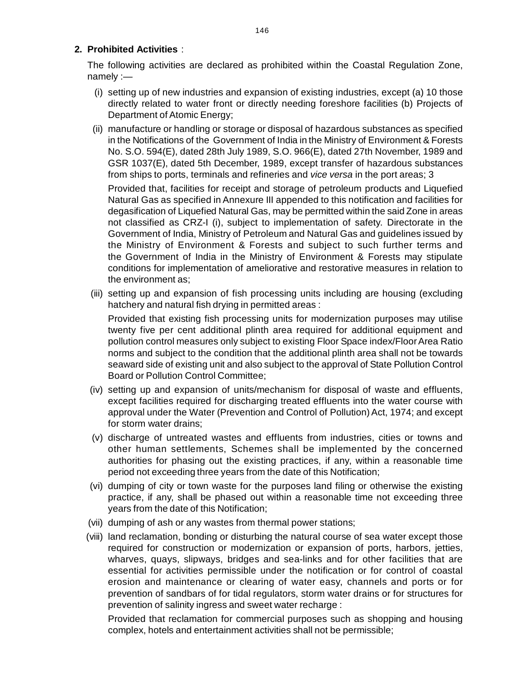### **2. Prohibited Activities** :

The following activities are declared as prohibited within the Coastal Regulation Zone[,](http://www.docu-track.com/buy/) namely :—

- (i) setting up of new industries and expansion of existing industries, except (a) 10 those directly related to water front or directly needing foreshore facilities (b) Projects of Department of Atomic Energy;
- (ii) manufacture or handling or storage or disposal of hazardous substances as specified in the Notifications of the Government of India in the Ministry of Environment & Forests No. S.O. 594(E), dated 28th July 1989, S.O. 966(E), dated 27th November, 1989 and GSR 1037(E), dated 5th December, 1989, except transfer of hazardous substances from ships to ports, terminals and refineries and *vice versa* in the port areas; 3

Provided that, facilities for receipt and storage of petroleum products and Liquefied Natural Gas as specified in Annexure III appended to this notification and facilities for degasification of Liquefied Natural Gas, may be permitted within the said Zone in areas not classified as CRZ-I (i), subject to implementation of safety. Directorate in the Government of India, Ministry of Petroleum and Natural Gas and guidelines issued by the Ministry of Environment & Forests and subject to such further terms and the Government of India in the Ministry of Environment & Forests may stipulate conditions for implementation of ameliorative and restorative measures in relation to the environment as;

(iii) setting up and expansion of fish processing units including are housing (excluding hatchery and natural fish drying in permitted areas :

Provided that existing fish processing units for modernization purposes may utilise twenty five per cent additional plinth area required for additional equipment and pollution control measures only subject to existing Floor Space index/Floor Area Ratio norms and subject to the condition that the additional plinth area shall not be towards seaward side of existing unit and also subject to the approval of State Pollution Control Board or Pollution Control Committee;

- (iv) setting up and expansion of units/mechanism for disposal of waste and effluents, except facilities required for discharging treated effluents into the water course with approval under the Water (Prevention and Control of Pollution) Act, 1974; and except for storm water drains;
- (v) discharge of untreated wastes and effluents from industries, cities or towns and other human settlements, Schemes shall be implemented by the concerned authorities for phasing out the existing practices, if any, within a reasonable time period not exceeding three years from the date of this Notification;
- (vi) dumping of city or town waste for the purposes land filing or otherwise the existing practice, if any, shall be phased out within a reasonable time not exceeding three years from the date of this Notification;
- (vii) dumping of ash or any wastes from thermal power stations;
- (viii) land reclamation, bonding or disturbing the natural course of sea water except those required for construction or modernization or expansion of ports, harbors, jetties, wharves, quays, slipways, bridges and sea-links and for other facilities that are essential for activities permissible under the notification or for control of coastal erosion and maintenance or clearing of water easy, channels and ports or for prevention of sandbars of for tidal regulators, storm water drains or for structures for prevention of salinity ingress and sweet water recharge :

Provided that reclamation for commercial purposes such as shopping and housing complex, hotels and entertainment activities shall not be permissible;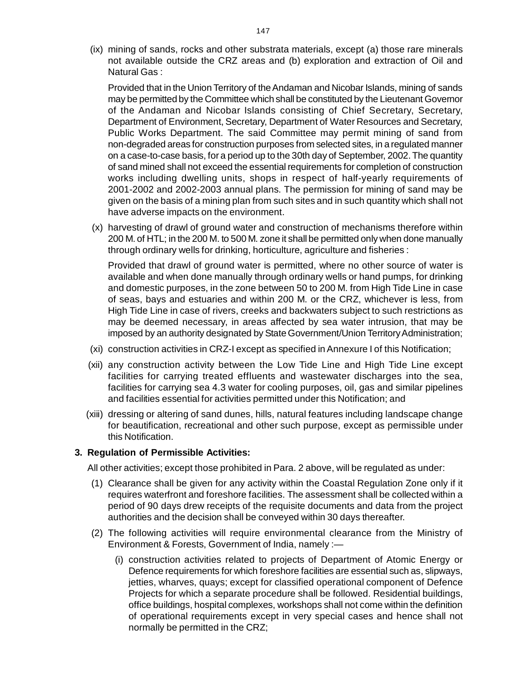(ix) mining of sands, rocks and other substrata materials, except (a) those rare mineral[s](http://www.docu-track.com/buy/) not available outside the CRZ areas and (b) exploration and extraction of Oil and Natural Gas :

Provided that in the Union Territory of the Andaman and Nicobar Islands, mining of sands may be permitted by the Committee which shall be constituted by the Lieutenant Governor of the Andaman and Nicobar Islands consisting of Chief Secretary, Secretary, Department of Environment, Secretary, Department of Water Resources and Secretary, Public Works Department. The said Committee may permit mining of sand from non-degraded areas for construction purposes from selected sites, in a regulated manner on a case-to-case basis, for a period up to the 30th day of September, 2002. The quantity of sand mined shall not exceed the essential requirements for completion of construction works including dwelling units, shops in respect of half-yearly requirements of 2001-2002 and 2002-2003 annual plans. The permission for mining of sand may be given on the basis of a mining plan from such sites and in such quantity which shall not have adverse impacts on the environment.

(x) harvesting of drawl of ground water and construction of mechanisms therefore within 200 M. of HTL; in the 200 M. to 500 M. zone it shall be permitted only when done manually through ordinary wells for drinking, horticulture, agriculture and fisheries :

Provided that drawl of ground water is permitted, where no other source of water is available and when done manually through ordinary wells or hand pumps, for drinking and domestic purposes, in the zone between 50 to 200 M. from High Tide Line in case of seas, bays and estuaries and within 200 M. or the CRZ, whichever is less, from High Tide Line in case of rivers, creeks and backwaters subject to such restrictions as may be deemed necessary, in areas affected by sea water intrusion, that may be imposed by an authority designated by State Government/Union Territory Administration;

- (xi) construction activities in CRZ-I except as specified in Annexure I of this Notification;
- (xii) any construction activity between the Low Tide Line and High Tide Line except facilities for carrying treated effluents and wastewater discharges into the sea, facilities for carrying sea 4.3 water for cooling purposes, oil, gas and similar pipelines and facilities essential for activities permitted under this Notification; and
- (xiii) dressing or altering of sand dunes, hills, natural features including landscape change for beautification, recreational and other such purpose, except as permissible under this Notification.

### **3. Regulation of Permissible Activities:**

All other activities; except those prohibited in Para. 2 above, will be regulated as under:

- (1) Clearance shall be given for any activity within the Coastal Regulation Zone only if it requires waterfront and foreshore facilities. The assessment shall be collected within a period of 90 days drew receipts of the requisite documents and data from the project authorities and the decision shall be conveyed within 30 days thereafter.
- (2) The following activities will require environmental clearance from the Ministry of Environment & Forests, Government of India, namely :—
	- (i) construction activities related to projects of Department of Atomic Energy or Defence requirements for which foreshore facilities are essential such as, slipways, jetties, wharves, quays; except for classified operational component of Defence Projects for which a separate procedure shall be followed. Residential buildings, office buildings, hospital complexes, workshops shall not come within the definition of operational requirements except in very special cases and hence shall not normally be permitted in the CRZ;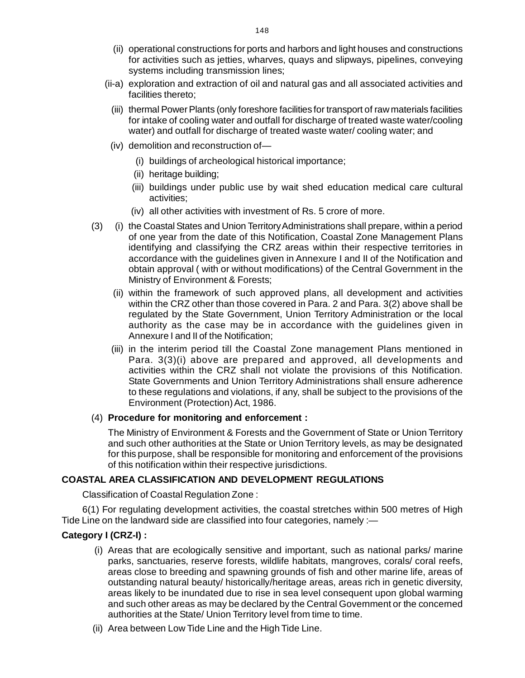- (ii) operational constructions for ports and harbors and light houses and construction[s](http://www.docu-track.com/buy/) for activities such as jetties, wharves, quays and slipways, pipelines, conveying systems including transmission lines;
- (ii-a) exploration and extraction of oil and natural gas and all associated activities and facilities thereto;
	- (iii) thermal Power Plants (only foreshore facilities for transport of raw materials facilities for intake of cooling water and outfall for discharge of treated waste water/cooling water) and outfall for discharge of treated waste water/ cooling water; and
	- (iv) demolition and reconstruction of—
		- (i) buildings of archeological historical importance;
		- (ii) heritage building;
		- (iii) buildings under public use by wait shed education medical care cultural activities;
		- (iv) all other activities with investment of Rs. 5 crore of more.
- (3) (i) the Coastal States and Union Territory Administrations shall prepare, within a period of one year from the date of this Notification, Coastal Zone Management Plans identifying and classifying the CRZ areas within their respective territories in accordance with the guidelines given in Annexure I and II of the Notification and obtain approval ( with or without modifications) of the Central Government in the Ministry of Environment & Forests;
	- (ii) within the framework of such approved plans, all development and activities within the CRZ other than those covered in Para. 2 and Para. 3(2) above shall be regulated by the State Government, Union Territory Administration or the local authority as the case may be in accordance with the guidelines given in Annexure I and II of the Notification;
	- (iii) in the interim period till the Coastal Zone management Plans mentioned in Para. 3(3)(i) above are prepared and approved, all developments and activities within the CRZ shall not violate the provisions of this Notification. State Governments and Union Territory Administrations shall ensure adherence to these regulations and violations, if any, shall be subject to the provisions of the Environment (Protection) Act, 1986.

#### (4) **Procedure for monitoring and enforcement :**

The Ministry of Environment & Forests and the Government of State or Union Territory and such other authorities at the State or Union Territory levels, as may be designated for this purpose, shall be responsible for monitoring and enforcement of the provisions of this notification within their respective jurisdictions.

### **COASTAL AREA CLASSIFICATION AND DEVELOPMENT REGULATIONS**

Classification of Coastal Regulation Zone :

6(1) For regulating development activities, the coastal stretches within 500 metres of High Tide Line on the landward side are classified into four categories, namely :-

### **Category I (CRZ-I) :**

- (i) Areas that are ecologically sensitive and important, such as national parks/ marine parks, sanctuaries, reserve forests, wildlife habitats, mangroves, corals/ coral reefs, areas close to breeding and spawning grounds of fish and other marine life, areas of outstanding natural beauty/ historically/heritage areas, areas rich in genetic diversity, areas likely to be inundated due to rise in sea level consequent upon global warming and such other areas as may be declared by the Central Government or the concerned authorities at the State/ Union Territory level from time to time.
- (ii) Area between Low Tide Line and the High Tide Line.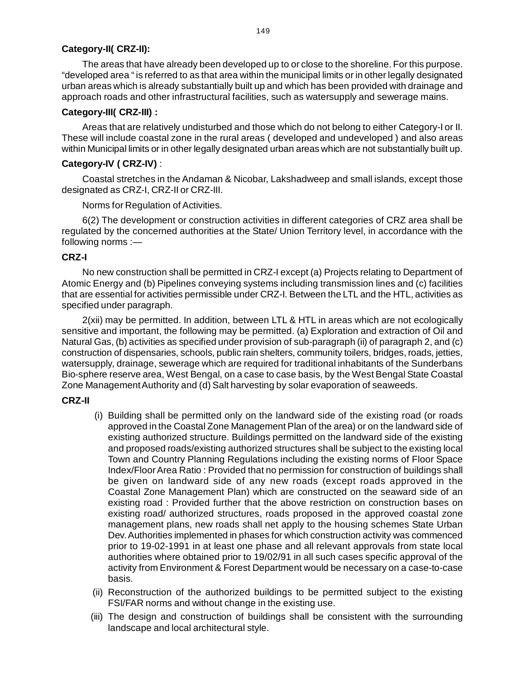### **[C](http://www.docu-track.com/buy/)ategory-II( CRZ-II):**

The areas that have already been developed up to or close to the shoreline. For this purpose[.](http://www.docu-track.com/buy/) "developed area " is referred to as that area within the municipal limits or in other legally designated urban areas which is already substantially built up and which has been provided with drainage and approach roads and other infrastructural facilities, such as watersupply and sewerage mains.

### **Category-III( CRZ-III) :**

Areas that are relatively undisturbed and those which do not belong to either Category-I or II. These will include coastal zone in the rural areas ( developed and undeveloped ) and also areas within Municipal limits or in other legally designated urban areas which are not substantially built up.

### **Category-IV ( CRZ-IV)** :

Coastal stretches in the Andaman & Nicobar, Lakshadweep and small islands, except those designated as CRZ-I, CRZ-II or CRZ-III.

Norms for Regulation of Activities.

6(2) The development or construction activities in different categories of CRZ area shall be regulated by the concerned authorities at the State/ Union Territory level, in accordance with the following norms :—

### **CRZ-I**

No new construction shall be permitted in CRZ-I except (a) Projects relating to Department of Atomic Energy and (b) Pipelines conveying systems including transmission lines and (c) facilities that are essential for activities permissible under CRZ-I. Between the LTL and the HTL, activities as specified under paragraph.

2(xii) may be permitted. In addition, between LTL & HTL in areas which are not ecologically sensitive and important, the following may be permitted. (a) Exploration and extraction of Oil and Natural Gas, (b) activities as specified under provision of sub-paragraph (ii) of paragraph 2, and (c) construction of dispensaries, schools, public rain shelters, community toilers, bridges, roads, jetties, watersupply, drainage, sewerage which are required for traditional inhabitants of the Sunderbans Bio-sphere reserve area, West Bengal, on a case to case basis, by the West Bengal State Coastal Zone Management Authority and (d) Salt harvesting by solar evaporation of seaweeds.

### **CRZ-II**

- (i) Building shall be permitted only on the landward side of the existing road (or roads approved in the Coastal Zone Management Plan of the area) or on the landward side of existing authorized structure. Buildings permitted on the landward side of the existing and proposed roads/existing authorized structures shall be subject to the existing local Town and Country Planning Regulations including the existing norms of Floor Space Index/Floor Area Ratio : Provided that no permission for construction of buildings shall be given on landward side of any new roads (except roads approved in the Coastal Zone Management Plan) which are constructed on the seaward side of an existing road : Provided further that the above restriction on construction bases on existing road/ authorized structures, roads proposed in the approved coastal zone management plans, new roads shall net apply to the housing schemes State Urban Dev. Authorities implemented in phases for which construction activity was commenced prior to 19-02-1991 in at least one phase and all relevant approvals from state local authorities where obtained prior to 19/02/91 in all such cases specific approval of the activity from Environment & Forest Department would be necessary on a case-to-case basis.
- (ii) Reconstruction of the authorized buildings to be permitted subject to the existing FSI/FAR norms and without change in the existing use.
- (iii) The design and construction of buildings shall be consistent with the surrounding landscape and local architectural style.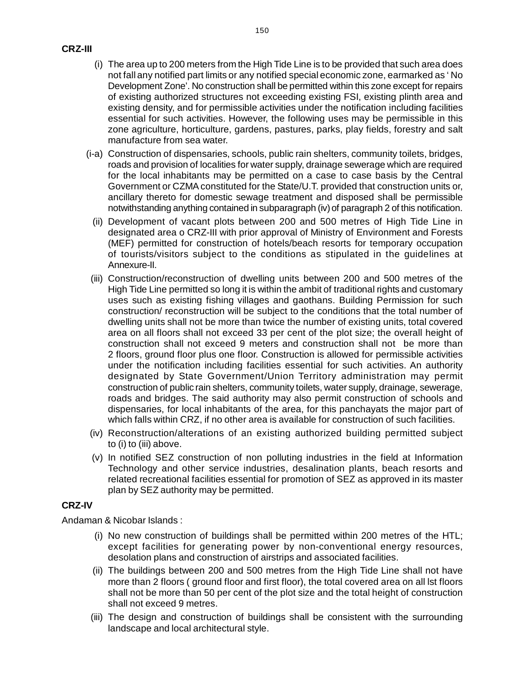- (i) The area up to 200 meters from the High Tide Line is to be provided that such area doe[s](http://www.docu-track.com/buy/) not fall any notified part limits or any notified special economic zone, earmarked as ' No Development Zone'. No construction shall be permitted within this zone except for repairs of existing authorized structures not exceeding existing FSI, existing plinth area and existing density, and for permissible activities under the notification including facilities essential for such activities. However, the following uses may be permissible in this zone agriculture, horticulture, gardens, pastures, parks, play fields, forestry and salt manufacture from sea water.
- (i-a) Construction of dispensaries, schools, public rain shelters, community toilets, bridges, roads and provision of localities for water supply, drainage sewerage which are required for the local inhabitants may be permitted on a case to case basis by the Central Government or CZMA constituted for the State/U.T. provided that construction units or, ancillary thereto for domestic sewage treatment and disposed shall be permissible notwithstanding anything contained in subparagraph (iv) of paragraph 2 of this notification.
	- (ii) Development of vacant plots between 200 and 500 metres of High Tide Line in designated area o CRZ-III with prior approval of Ministry of Environment and Forests (MEF) permitted for construction of hotels/beach resorts for temporary occupation of tourists/visitors subject to the conditions as stipulated in the guidelines at Annexure-II.
- (iii) Construction/reconstruction of dwelling units between 200 and 500 metres of the High Tide Line permitted so long it is within the ambit of traditional rights and customary uses such as existing fishing villages and gaothans. Building Permission for such construction/ reconstruction will be subject to the conditions that the total number of dwelling units shall not be more than twice the number of existing units, total covered area on all floors shall not exceed 33 per cent of the plot size; the overall height of construction shall not exceed 9 meters and construction shall not be more than 2 floors, ground floor plus one floor. Construction is allowed for permissible activities under the notification including facilities essential for such activities. An authority designated by State Government/Union Territory administration may permit construction of public rain shelters, community toilets, water supply, drainage, sewerage, roads and bridges. The said authority may also permit construction of schools and dispensaries, for local inhabitants of the area, for this panchayats the major part of which falls within CRZ, if no other area is available for construction of such facilities.
- (iv) Reconstruction/alterations of an existing authorized building permitted subject to (i) to (iii) above.
- (v) In notified SEZ construction of non polluting industries in the field at Information Technology and other service industries, desalination plants, beach resorts and related recreational facilities essential for promotion of SEZ as approved in its master plan by SEZ authority may be permitted.

### **CRZ-IV**

Andaman & Nicobar Islands :

- (i) No new construction of buildings shall be permitted within 200 metres of the HTL; except facilities for generating power by non-conventional energy resources, desolation plans and construction of airstrips and associated facilities.
- (ii) The buildings between 200 and 500 metres from the High Tide Line shall not have more than 2 floors ( ground floor and first floor), the total covered area on all lst floors shall not be more than 50 per cent of the plot size and the total height of construction shall not exceed 9 metres.
- (iii) The design and construction of buildings shall be consistent with the surrounding landscape and local architectural style.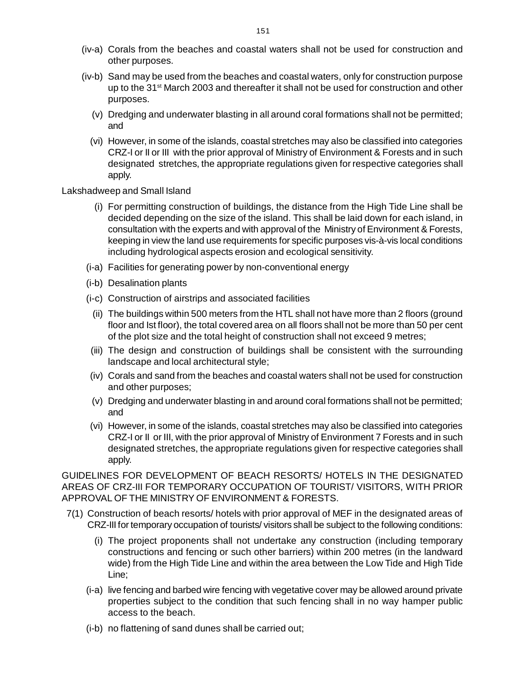- (iv-a) Corals from the beaches and coastal waters shall not be used for construction an[d](http://www.docu-track.com/buy/) other purposes.
- (iv-b) Sand may be used from the beaches and coastal waters, only for construction purpose up to the 31<sup>st</sup> March 2003 and thereafter it shall not be used for construction and other purposes.
	- (v) Dredging and underwater blasting in all around coral formations shall not be permitted; and
	- (vi) However, in some of the islands, coastal stretches may also be classified into categories CRZ-I or II or III with the prior approval of Ministry of Environment & Forests and in such designated stretches, the appropriate regulations given for respective categories shall apply.

### Lakshadweep and Small Island

- (i) For permitting construction of buildings, the distance from the High Tide Line shall be decided depending on the size of the island. This shall be laid down for each island, in consultation with the experts and with approval of the Ministry of Environment & Forests, keeping in view the land use requirements for specific purposes vis-à-vis local conditions including hydrological aspects erosion and ecological sensitivity.
- (i-a) Facilities for generating power by non-conventional energy
- (i-b) Desalination plants
- (i-c) Construction of airstrips and associated facilities
	- (ii) The buildings within 500 meters from the HTL shall not have more than 2 floors (ground floor and Ist floor), the total covered area on all floors shall not be more than 50 per cent of the plot size and the total height of construction shall not exceed 9 metres;
- (iii) The design and construction of buildings shall be consistent with the surrounding landscape and local architectural style;
- (iv) Corals and sand from the beaches and coastal waters shall not be used for construction and other purposes;
- (v) Dredging and underwater blasting in and around coral formations shall not be permitted; and
- (vi) However, in some of the islands, coastal stretches may also be classified into categories CRZ-I or II or III, with the prior approval of Ministry of Environment 7 Forests and in such designated stretches, the appropriate regulations given for respective categories shall apply.

GUIDELINES FOR DEVELOPMENT OF BEACH RESORTS/ HOTELS IN THE DESIGNATED AREAS OF CRZ-III FOR TEMPORARY OCCUPATION OF TOURIST/ VISITORS, WITH PRIOR APPROVAL OF THE MINISTRY OF ENVIRONMENT & FORESTS.

- 7(1) Construction of beach resorts/ hotels with prior approval of MEF in the designated areas of CRZ-III for temporary occupation of tourists/ visitors shall be subject to the following conditions:
	- (i) The project proponents shall not undertake any construction (including temporary constructions and fencing or such other barriers) within 200 metres (in the landward wide) from the High Tide Line and within the area between the Low Tide and High Tide Line;
	- (i-a) live fencing and barbed wire fencing with vegetative cover may be allowed around private properties subject to the condition that such fencing shall in no way hamper public access to the beach.
	- (i-b) no flattening of sand dunes shall be carried out;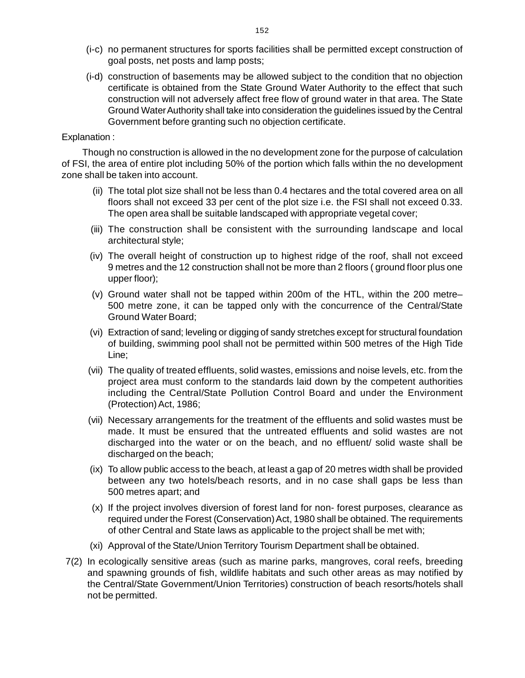- (i-c) no permanent structures for sports facilities shall be permitted except construction o[f](http://www.docu-track.com/buy/) goal posts, net posts and lamp posts;
- (i-d) construction of basements may be allowed subject to the condition that no objection certificate is obtained from the State Ground Water Authority to the effect that such construction will not adversely affect free flow of ground water in that area. The State Ground Water Authority shall take into consideration the guidelines issued by the Central Government before granting such no objection certificate.

### Explanation :

Though no construction is allowed in the no development zone for the purpose of calculation of FSI, the area of entire plot including 50% of the portion which falls within the no development zone shall be taken into account.

- (ii) The total plot size shall not be less than 0.4 hectares and the total covered area on all floors shall not exceed 33 per cent of the plot size i.e. the FSI shall not exceed 0.33. The open area shall be suitable landscaped with appropriate vegetal cover;
- (iii) The construction shall be consistent with the surrounding landscape and local architectural style;
- (iv) The overall height of construction up to highest ridge of the roof, shall not exceed 9 metres and the 12 construction shall not be more than 2 floors ( ground floor plus one upper floor);
- (v) Ground water shall not be tapped within 200m of the HTL, within the 200 metre– 500 metre zone, it can be tapped only with the concurrence of the Central/State Ground Water Board;
- (vi) Extraction of sand; leveling or digging of sandy stretches except for structural foundation of building, swimming pool shall not be permitted within 500 metres of the High Tide Line;
- (vii) The quality of treated effluents, solid wastes, emissions and noise levels, etc. from the project area must conform to the standards laid down by the competent authorities including the Central/State Pollution Control Board and under the Environment (Protection) Act, 1986;
- (vii) Necessary arrangements for the treatment of the effluents and solid wastes must be made. It must be ensured that the untreated effluents and solid wastes are not discharged into the water or on the beach, and no effluent/ solid waste shall be discharged on the beach;
- (ix) To allow public access to the beach, at least a gap of 20 metres width shall be provided between any two hotels/beach resorts, and in no case shall gaps be less than 500 metres apart; and
- (x) If the project involves diversion of forest land for non- forest purposes, clearance as required under the Forest (Conservation) Act, 1980 shall be obtained. The requirements of other Central and State laws as applicable to the project shall be met with;
- (xi) Approval of the State/Union Territory Tourism Department shall be obtained.
- 7(2) In ecologically sensitive areas (such as marine parks, mangroves, coral reefs, breeding and spawning grounds of fish, wildlife habitats and such other areas as may notified by the Central/State Government/Union Territories) construction of beach resorts/hotels shall not be permitted.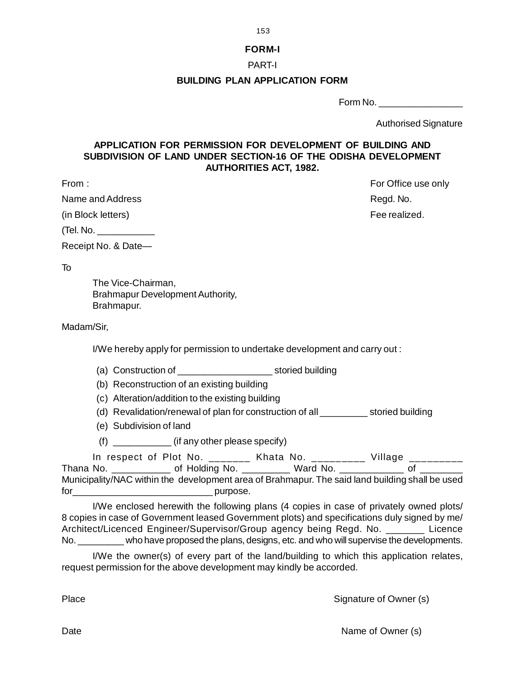153

### **FORM-I**

### PART-I

### **BUILDING PLAN APPLICATION FORM**

Form No. \_\_\_\_\_\_\_\_\_\_\_\_\_\_\_\_

Authorised Signature

# **APPLICATION FOR PERMISSION FOR DEVELOPMENT OF BUILDING AND SUBDIVISION OF LAND UNDER SECTION-16 OF THE ODISHA DEVELOPMENT AUTHORITIES ACT, 1982.**

From : From : Form is a set of the set of the set of the set of the set of the set of the set of the set of the set of the set of the set of the set of the set of the set of the set of the set of the set of the set of the

Name and Address **Register Accepts** Register Accepts Register Accepts Register Accepts Register Accepts Register Accepts Register Accepts Register Accepts Accepts Accepts Accepts Accepts Accepts Accepts Accepts Accepts Acc

(in Block letters) and the control of the control of the control of the control of the control of the control of the control of the control of the control of the control of the control of the control of the control of the

 $(Tel. No.$ 

Receipt No. & Date—

To

The Vice-Chairman, Brahmapur Development Authority, Brahmapur.

Madam/Sir,

I/We hereby apply for permission to undertake development and carry out :

- (a) Construction of \_\_\_\_\_\_\_\_\_\_\_\_\_\_\_\_\_\_ storied building
- (b) Reconstruction of an existing building
- (c) Alteration/addition to the existing building
- (d) Revalidation/renewal of plan for construction of all \_\_\_\_\_\_\_\_\_ storied building
- (e) Subdivision of land
- (f) \_\_\_\_\_\_\_\_\_\_\_ (if any other please specify)

In respect of Plot No.  $\frac{1}{2}$  Khata No.  $\frac{1}{2}$  Village  $\frac{1}{2}$ 

Thana No. \_\_\_\_\_\_\_\_\_\_\_\_\_\_ of Holding No. \_\_\_\_\_\_\_\_\_\_\_ Ward No. \_\_\_\_\_\_\_\_\_\_\_\_\_\_ of \_ Municipality/NAC within the development area of Brahmapur. The said land building shall be used for purpose.

I/We enclosed herewith the following plans (4 copies in case of privately owned plots/ 8 copies in case of Government leased Government plots) and specifications duly signed by me/ Architect/Licenced Engineer/Supervisor/Group agency being Regd. No. \_\_\_\_\_\_\_ Licence No. \_\_\_\_\_\_\_\_\_ who have proposed the plans, designs, etc. and who will supervise the developments.

I/We the owner(s) of every part of the land/building to which this application relates, request permission for the above development may kindly be accorded.

Place Signature of Owner (s)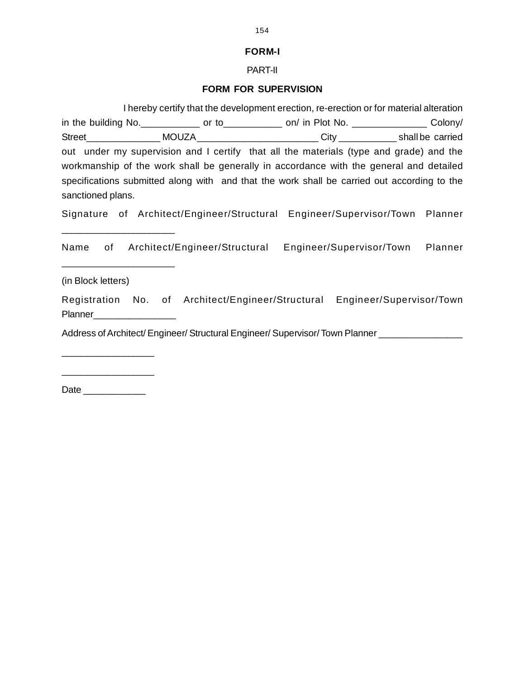# **FORM-I**

# PART-II

# **FORM FOR SUPERVISION**

|                                                                                                                                      | I hereby certify that the development erection, re-erection or for material alteration |  |  |  |  |
|--------------------------------------------------------------------------------------------------------------------------------------|----------------------------------------------------------------------------------------|--|--|--|--|
| in the building No. _______________ or to_______________ on/ in Plot No. ____________________Colony/                                 |                                                                                        |  |  |  |  |
| Street____________________MOUZA__________________________City ______________shall be carried                                         |                                                                                        |  |  |  |  |
| out under my supervision and I certify that all the materials (type and grade) and the                                               |                                                                                        |  |  |  |  |
| workmanship of the work shall be generally in accordance with the general and detailed                                               |                                                                                        |  |  |  |  |
| specifications submitted along with and that the work shall be carried out according to the                                          |                                                                                        |  |  |  |  |
| sanctioned plans.                                                                                                                    |                                                                                        |  |  |  |  |
| Signature of Architect/Engineer/Structural Engineer/Supervisor/Town Planner                                                          |                                                                                        |  |  |  |  |
| Name of Architect/Engineer/Structural Engineer/Supervisor/Town Planner<br><u> 1989 - Johann John Stone, fransk politik (d. 1989)</u> |                                                                                        |  |  |  |  |
| (in Block letters)                                                                                                                   |                                                                                        |  |  |  |  |
| Registration No. of Architect/Engineer/Structural Engineer/Supervisor/Town<br>Planner______________________                          |                                                                                        |  |  |  |  |
| Address of Architect/ Engineer/ Structural Engineer/ Supervisor/ Town Planner _____________________                                  |                                                                                        |  |  |  |  |
|                                                                                                                                      |                                                                                        |  |  |  |  |
|                                                                                                                                      |                                                                                        |  |  |  |  |

Date \_\_\_\_\_\_\_\_\_\_\_\_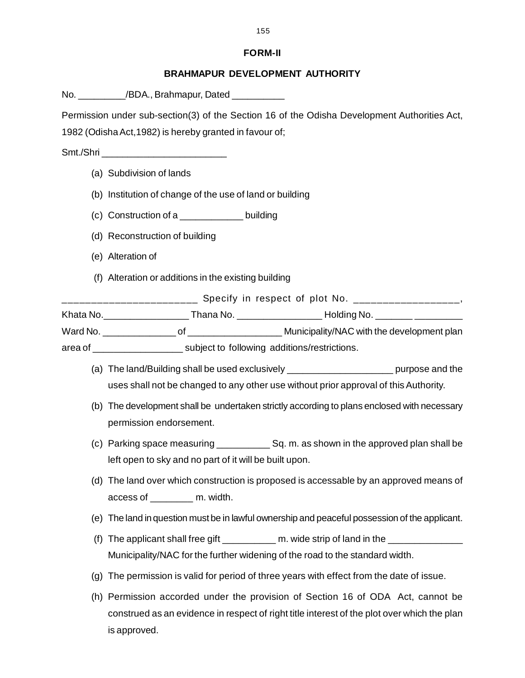### **FORM-II**

### **BRAHMAPUR DEVELOPMENT AUTHORITY**

No.  $/$ BDA., Brahmapur, Dated

Permission under sub-section(3) of the Section 16 of the Odisha Development Authorities Act, 1982 (Odisha Act,1982) is hereby granted in favour of;

Smt./Shri **waxay and the state of the state of the state of the state of the state of the state of the state of the state of the state of the state of the state of the state of the state of the state of the state of the st** 

- (a) Subdivision of lands
- (b) Institution of change of the use of land or building
- (c) Construction of a \_\_\_\_\_\_\_\_\_\_\_\_ building
- (d) Reconstruction of building
- (e) Alteration of
- (f) Alteration or additions in the existing building

\_\_\_\_\_\_\_\_\_\_\_\_\_\_\_\_\_ Specify in respect of plot No. \_\_\_\_\_\_\_\_\_\_\_\_\_\_\_\_\_\_\_\_\_,

Khata No.\_\_\_\_\_\_\_\_\_\_\_\_\_\_\_\_ Thana No. \_\_\_\_\_\_\_\_\_\_\_\_\_\_\_\_ Holding No. \_\_\_\_\_\_\_ \_\_\_\_\_\_\_\_\_

Ward No. <br>
Ward No. 
of 
occurring the Municipality/NAC with the development plan

area of \_\_\_\_\_\_\_\_\_\_\_\_\_\_\_\_\_ subject to following additions/restrictions.

- (a) The land/Building shall be used exclusively \_\_\_\_\_\_\_\_\_\_\_\_\_\_\_\_\_\_\_\_ purpose and the uses shall not be changed to any other use without prior approval of this Authority.
- (b) The development shall be undertaken strictly according to plans enclosed with necessary permission endorsement.
- (c) Parking space measuring \_\_\_\_\_\_\_\_\_\_ Sq. m. as shown in the approved plan shall be left open to sky and no part of it will be built upon.
- (d) The land over which construction is proposed is accessable by an approved means of access of \_\_\_\_\_\_\_\_ m. width.
- (e) The land in question must be in lawful ownership and peaceful possession of the applicant.
- (f) The applicant shall free gift  $\qquad \qquad$  m. wide strip of land in the Municipality/NAC for the further widening of the road to the standard width.
- (g) The permission is valid for period of three years with effect from the date of issue.
- (h) Permission accorded under the provision of Section 16 of ODA Act, cannot be construed as an evidence in respect of right title interest of the plot over which the plan is approved.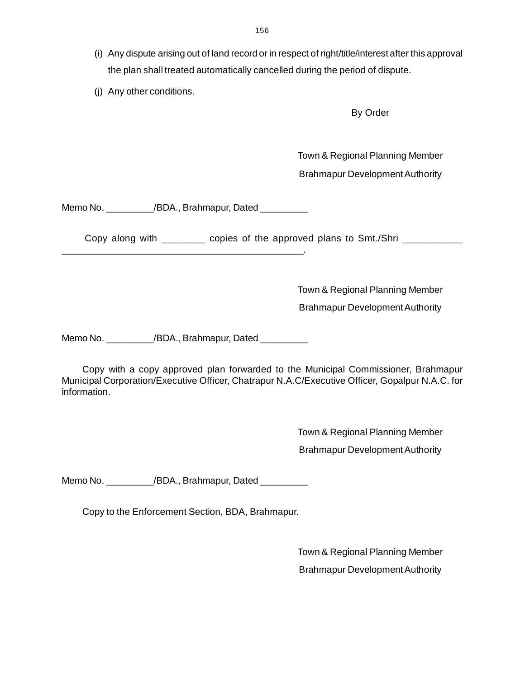- (i) Any dispute arising out of land record or in respect of right/title/interest after this approva[l](http://www.docu-track.com/buy/) the plan shall treated automatically cancelled during the period of dispute.
- (j) Any other conditions.

By Order

Town & Regional Planning Member

Brahmapur Development Authority

Memo No. \_\_\_\_\_\_\_\_\_\_/BDA., Brahmapur, Dated \_\_\_\_\_\_\_\_\_

\_\_\_\_\_\_\_\_\_\_\_\_\_\_\_\_\_\_\_\_\_\_\_\_\_\_\_\_\_\_\_\_\_\_\_\_\_\_\_\_\_\_\_\_\_\_\_.

Copy along with \_\_\_\_\_\_\_\_ copies of the approved plans to Smt./Shri \_\_\_\_\_\_\_\_\_\_\_\_

Town & Regional Planning Member

Brahmapur Development Authority

Memo No. \_\_\_\_\_\_\_\_\_\_/BDA., Brahmapur, Dated \_\_\_\_\_\_\_\_\_\_

Copy with a copy approved plan forwarded to the Municipal Commissioner, Brahmapur Municipal Corporation/Executive Officer, Chatrapur N.A.C/Executive Officer, Gopalpur N.A.C. for information.

> Town & Regional Planning Member Brahmapur Development Authority

Memo No.  $/BDA$ ., Brahmapur, Dated

Copy to the Enforcement Section, BDA, Brahmapur.

Town & Regional Planning Member Brahmapur Development Authority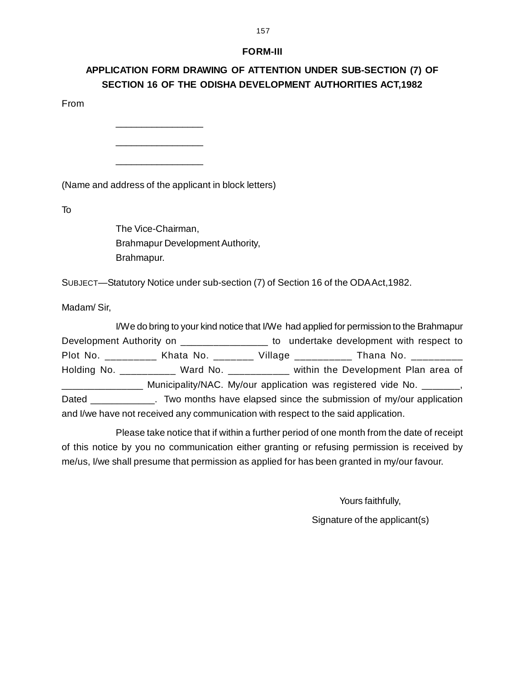### **FORM-III**

# **APPLICATION FORM DRAWING OF ATTENTION UNDER SUB-SECTION (7) OF SECTION 16 OF THE ODISHA DEVELOPMENT AUTHORITIES ACT,1982**

From

(Name and address of the applicant in block letters)

 $\_$ 

\_\_\_\_\_\_\_\_\_\_\_\_\_\_\_\_\_

\_\_\_\_\_\_\_\_\_\_\_\_\_\_\_\_\_

To

The Vice-Chairman, Brahmapur Development Authority, Brahmapur.

SUBJECT—Statutory Notice under sub-section (7) of Section 16 of the ODA Act,1982.

Madam/ Sir,

I/We do bring to your kind notice that I/We had applied for permission to the Brahmapur Development Authority on \_\_\_\_\_\_\_\_\_\_\_\_\_\_\_\_\_\_ to undertake development with respect to Plot No. \_\_\_\_\_\_\_\_\_ Khata No. \_\_\_\_\_\_\_ Village \_\_\_\_\_\_\_\_\_\_ Thana No. \_\_\_\_\_\_\_\_\_ Holding No. \_\_\_\_\_\_\_\_\_\_\_ Ward No. \_\_\_\_\_\_\_\_\_\_\_ within the Development Plan area of \_\_\_\_\_\_\_\_\_\_\_\_\_\_\_ Municipality/NAC. My/our application was registered vide No. \_\_\_\_\_\_\_, Dated The Dated Two months have elapsed since the submission of my/our application and I/we have not received any communication with respect to the said application.

Please take notice that if within a further period of one month from the date of receipt of this notice by you no communication either granting or refusing permission is received by me/us, I/we shall presume that permission as applied for has been granted in my/our favour.

Yours faithfully,

Signature of the applicant(s)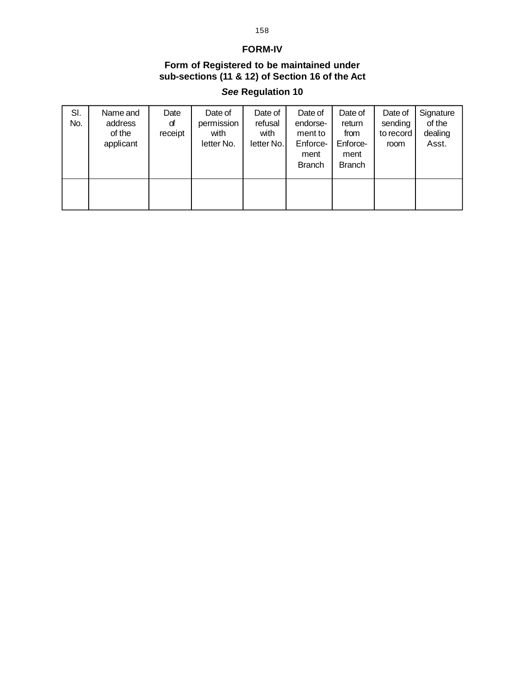### **FORM-IV**

### **Form of Registered to be maintained under sub-sections (11 & 12) of Section 16 of the Act**

# *See* **Regulation 10**

| SI.<br>No. | Name and<br>address<br>of the<br>applicant | Date<br>đ<br>receipt | Date of<br>permission<br>with<br>letter No. | Date of<br>refusal<br>with<br>letter No. | Date of<br>endorse-<br>ment to<br>Enforce-<br>ment<br><b>Branch</b> | Date of<br>return<br>from<br>Enforce-<br>ment<br><b>Branch</b> | Date of<br>sending<br>to record<br>room | Signature<br>of the<br>dealing<br>Asst. |
|------------|--------------------------------------------|----------------------|---------------------------------------------|------------------------------------------|---------------------------------------------------------------------|----------------------------------------------------------------|-----------------------------------------|-----------------------------------------|
|            |                                            |                      |                                             |                                          |                                                                     |                                                                |                                         |                                         |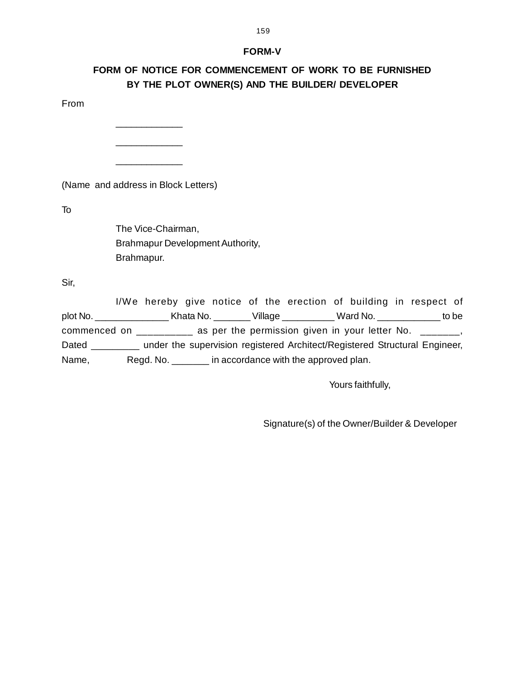### **FORM-V**

# **FORM OF NOTICE FOR COMMENCEMENT OF WORK TO BE FURNISHED BY THE PLOT OWNER(S) AND THE BUILDER/ DEVELOPER**

From

(Name and address in Block Letters)

\_\_\_\_\_\_\_\_\_\_\_\_\_

\_\_\_\_\_\_\_\_\_\_\_\_\_

\_\_\_\_\_\_\_\_\_\_\_\_\_

To

The Vice-Chairman, Brahmapur Development Authority, Brahmapur.

Sir,

I/We hereby give notice of the erection of building in respect of plot No. \_\_\_\_\_\_\_\_\_\_\_\_\_\_ Khata No. \_\_\_\_\_\_\_ Village \_\_\_\_\_\_\_\_\_\_ Ward No. \_\_\_\_\_\_\_\_\_\_\_\_ to be commenced on  $\frac{1}{2}$  as per the permission given in your letter No.  $\frac{1}{2}$   $\frac{1}{2}$ , Dated \_\_\_\_\_\_\_\_\_ under the supervision registered Architect/Registered Structural Engineer, Name, Regd. No. \_\_\_\_\_\_\_ in accordance with the approved plan.

Yours faithfully,

Signature(s) of the Owner/Builder & Developer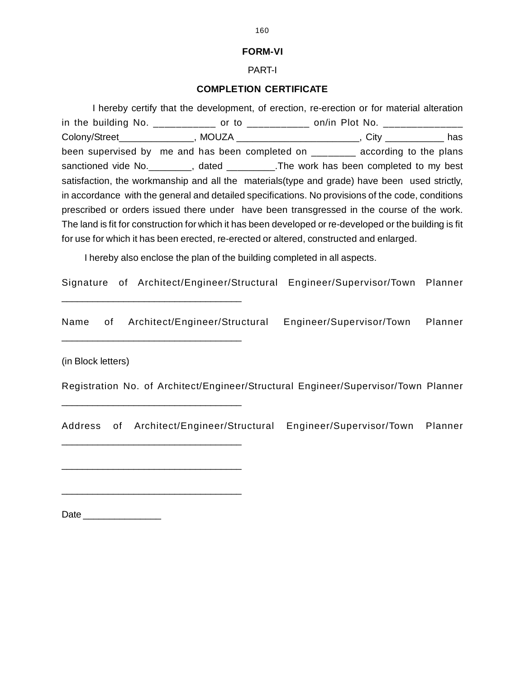### **FORM-VI**

### PART-I

### **COMPLETION CERTIFICATE**

I hereby certify that the development, of erection, re-erection or for material alteration in the building No.  $\frac{1}{2}$  \_\_\_\_\_\_\_\_\_\_\_\_\_ or to  $\frac{1}{2}$  \_\_\_\_\_\_\_\_\_\_\_\_\_\_\_ on/in Plot No.  $\frac{1}{2}$ Colony/Street\_\_\_\_\_\_\_\_\_\_\_\_\_\_\_, MOUZA \_\_\_\_\_\_\_\_\_\_\_\_\_\_\_\_\_\_\_\_\_\_\_\_, City \_\_\_\_\_\_\_\_\_\_\_\_\_ has been supervised by me and has been completed on \_\_\_\_\_\_\_ according to the plans sanctioned vide No. The work has been completed to my best satisfaction, the workmanship and all the materials(type and grade) have been used strictly, in accordance with the general and detailed specifications. No provisions of the code, conditions prescribed or orders issued there under have been transgressed in the course of the work. The land is fit for construction for which it has been developed or re-developed or the building is fit for use for which it has been erected, re-erected or altered, constructed and enlarged.

I hereby also enclose the plan of the building completed in all aspects.

Signature of Architect/Engineer/Structural Engineer/Supervisor/Town Planner

Name of Architect/Engineer/Structural Engineer/Supervisor/Town Planner

(in Block letters)

\_\_\_\_\_\_\_\_\_\_\_\_\_\_\_\_\_\_\_\_\_\_\_\_\_\_\_\_\_\_\_\_\_\_\_

\_\_\_\_\_\_\_\_\_\_\_\_\_\_\_\_\_\_\_\_\_\_\_\_\_\_\_\_\_\_\_\_\_\_\_

\_\_\_\_\_\_\_\_\_\_\_\_\_\_\_\_\_\_\_\_\_\_\_\_\_\_\_\_\_\_\_\_\_\_\_

\_\_\_\_\_\_\_\_\_\_\_\_\_\_\_\_\_\_\_\_\_\_\_\_\_\_\_\_\_\_\_\_\_\_\_

\_\_\_\_\_\_\_\_\_\_\_\_\_\_\_\_\_\_\_\_\_\_\_\_\_\_\_\_\_\_\_\_\_\_\_

\_\_\_\_\_\_\_\_\_\_\_\_\_\_\_\_\_\_\_\_\_\_\_\_\_\_\_\_\_\_\_\_\_\_\_

Registration No. of Architect/Engineer/Structural Engineer/Supervisor/Town Planner

Address of Architect/Engineer/Structural Engineer/Supervisor/Town Planner

Date \_\_\_\_\_\_\_\_\_\_\_\_\_\_\_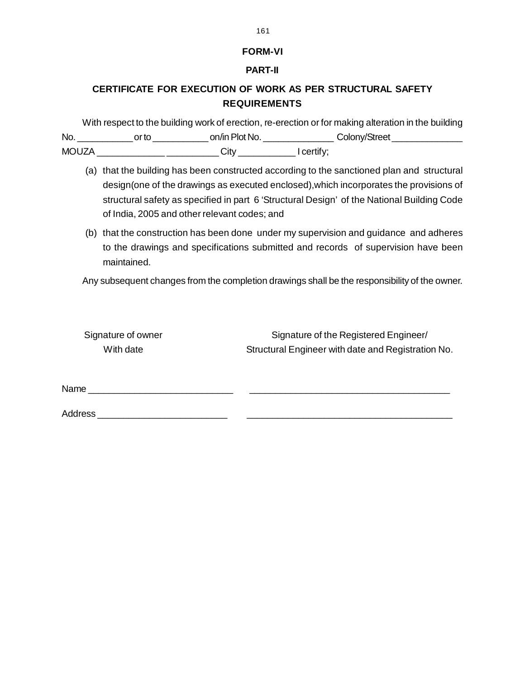### **FORM-VI**

### **PART-II**

# **CERTIFICATE FOR EXECUTION OF WORK AS PER STRUCTURAL SAFETY REQUIREMENTS**

With respect to the building work of erection, re-erection or for making alteration in the building No. \_\_\_\_\_\_\_\_\_\_\_ or to \_\_\_\_\_\_\_\_\_\_\_ on/in Plot No. \_\_\_\_\_\_\_\_\_\_\_\_\_\_ Colony/Street \_\_\_\_\_\_\_\_\_\_\_\_\_\_ MOUZA \_\_\_\_\_\_\_\_\_\_\_\_\_\_\_\_\_\_\_\_\_\_\_\_\_\_\_\_\_\_\_\_\_\_\_ City \_\_\_\_\_\_\_\_\_\_\_\_\_\_\_\_\_\_\_\_\_\_\_\_\_\_\_\_\_\_\_\_\_

- (a) that the building has been constructed according to the sanctioned plan and structural design(one of the drawings as executed enclosed),which incorporates the provisions of structural safety as specified in part 6 'Structural Design' of the National Building Code of India, 2005 and other relevant codes; and
- (b) that the construction has been done under my supervision and guidance and adheres to the drawings and specifications submitted and records of supervision have been maintained.

Any subsequent changes from the completion drawings shall be the responsibility of the owner.

| Signature of owner | Signature of the Registered Engineer/              |
|--------------------|----------------------------------------------------|
| With date          | Structural Engineer with date and Registration No. |
|                    |                                                    |

Name \_\_\_\_\_\_\_\_\_\_\_\_\_\_\_\_\_\_\_\_\_\_\_\_\_\_\_\_ \_\_\_\_\_\_\_\_\_\_\_\_\_\_\_\_\_\_\_\_\_\_\_\_\_\_\_\_\_\_\_\_\_\_\_\_\_\_\_

Address \_\_\_\_\_\_\_\_\_\_\_\_\_\_\_\_\_\_\_\_\_\_\_\_\_ \_\_\_\_\_\_\_\_\_\_\_\_\_\_\_\_\_\_\_\_\_\_\_\_\_\_\_\_\_\_\_\_\_\_\_\_\_\_\_\_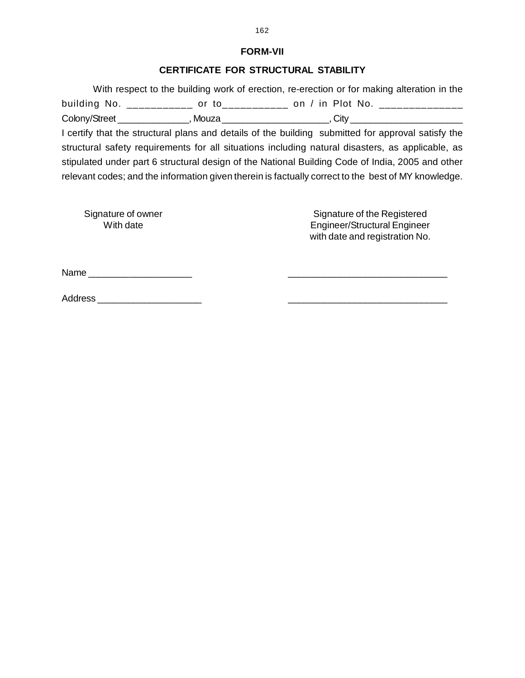### **FORM-VII**

### **CERTIFICATE FOR STRUCTURAL STABILITY**

 With respect to the building work of erection, re-erection or for making alteration in the building No. \_\_\_\_\_\_\_\_\_\_\_\_ or to\_\_\_\_\_\_\_\_\_\_\_ on / in Plot No. \_\_\_\_\_\_\_\_\_\_\_\_\_\_\_\_\_\_\_\_ Colony/Street \_\_\_\_\_\_\_\_\_\_\_\_\_\_\_\_, Mouza \_\_\_\_\_\_\_\_\_\_\_\_\_\_\_\_\_\_\_\_\_\_\_\_\_\_, City \_\_\_\_\_\_\_\_\_\_

I certify that the structural plans and details of the building submitted for approval satisfy the structural safety requirements for all situations including natural disasters, as applicable, as stipulated under part 6 structural design of the National Building Code of India, 2005 and other relevant codes; and the information given therein is factually correct to the best of MY knowledge.

Signature of owner Signature of the Registered<br>With date Mindate Structural Engineer/Structural Engineer Engineer/Structural Engineer with date and registration No.

Name \_\_\_\_\_\_\_\_\_\_\_\_\_\_\_\_\_\_\_\_ \_\_\_\_\_\_\_\_\_\_\_\_\_\_\_\_\_\_\_\_\_\_\_\_\_\_\_\_\_\_\_

Address \_\_\_\_\_\_\_\_\_\_\_\_\_\_\_\_\_\_\_\_ \_\_\_\_\_\_\_\_\_\_\_\_\_\_\_\_\_\_\_\_\_\_\_\_\_\_\_\_\_\_\_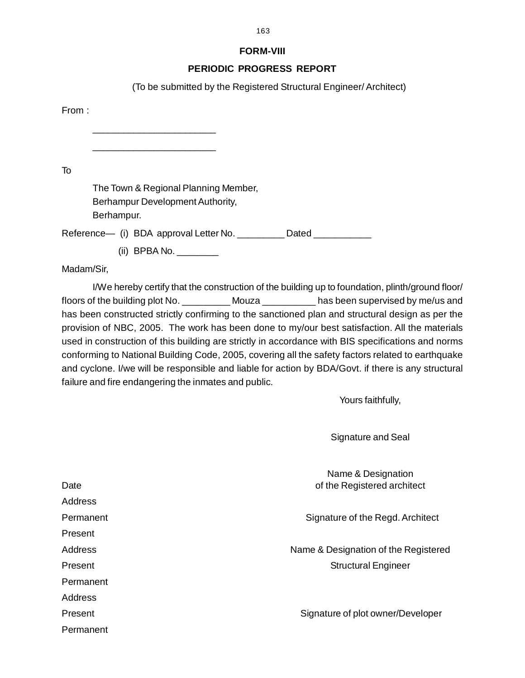### **FORM-VIII**

### **PERIODIC PROGRESS REPORT**

(To be submitted by the Registered Structural Engineer/ Architect)

From :

\_\_\_\_\_\_\_\_\_\_\_\_\_\_\_\_\_\_\_\_\_\_\_\_

\_\_\_\_\_\_\_\_\_\_\_\_\_\_\_\_\_\_\_\_\_\_\_\_

To

The Town & Regional Planning Member, Berhampur Development Authority, Berhampur.

Reference— (i) BDA approval Letter No. \_\_\_\_\_\_\_\_\_ Dated \_\_\_\_\_\_\_\_\_\_

(ii) BPBA No. \_\_\_\_\_\_\_

Madam/Sir,

I/We hereby certify that the construction of the building up to foundation, plinth/ground floor/ floors of the building plot No. \_\_\_\_\_\_\_\_\_ Mouza \_\_\_\_\_\_\_\_\_\_ has been supervised by me/us and has been constructed strictly confirming to the sanctioned plan and structural design as per the provision of NBC, 2005. The work has been done to my/our best satisfaction. All the materials used in construction of this building are strictly in accordance with BIS specifications and norms conforming to National Building Code, 2005, covering all the safety factors related to earthquake and cyclone. I/we will be responsible and liable for action by BDA/Govt. if there is any structural failure and fire endangering the inmates and public.

Yours faithfully,

Signature and Seal

Name & Designation Date **Date** of the Registered architect **being the Registered** architect **being the Registered** Address Permanent **Signature of the Regd. Architect** Present Address **Name & Designation of the Registered** Present **Structural Engineer** Structural Engineer Permanent Address Present **Signature of plot owner/Developer** Permanent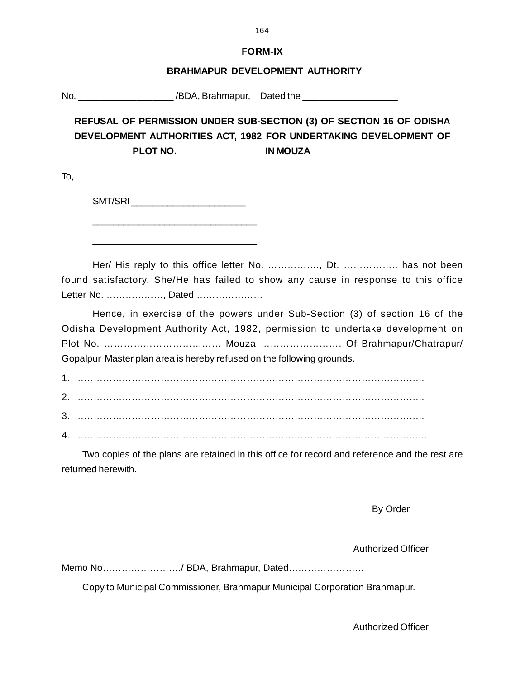### **FORM-IX**

### **BRAHMAPUR DEVELOPMENT AUTHORITY**

No. \_\_\_\_\_\_\_\_\_\_\_\_\_\_\_\_\_\_ /BDA, Brahmapur, Dated the \_\_\_\_\_\_\_\_\_\_\_\_\_\_\_\_\_\_

**REFUSAL OF PERMISSION UNDER SUB-SECTION (3) OF SECTION 16 OF ODISHA DEVELOPMENT AUTHORITIES ACT, 1982 FOR UNDERTAKING DEVELOPMENT OF** PLOT NO. **WE SEE THE REPORT NO.** 

To,

SMT/SRI \_\_\_\_\_\_\_\_\_\_\_\_\_\_\_\_\_\_\_\_\_\_

\_\_\_\_\_\_\_\_\_\_\_\_\_\_\_\_\_\_\_\_\_\_\_\_\_\_\_\_\_\_\_\_ \_\_\_\_\_\_\_\_\_\_\_\_\_\_\_\_\_\_\_\_\_\_\_\_\_\_\_\_\_\_\_\_

Her/ His reply to this office letter No. ……………., Dt. …………….. has not been found satisfactory. She/He has failed to show any cause in response to this office Letter No. ………………, Dated …………………

Hence, in exercise of the powers under Sub-Section (3) of section 16 of the Odisha Development Authority Act, 1982, permission to undertake development on Plot No. ……………………………… Mouza ……………………. Of Brahmapur/Chatrapur/ Gopalpur Master plan area is hereby refused on the following grounds.

1. ……………………………………………………………………………………………….. 2. ……………………………………………………………………………………………….. 3. ……………………………………………………………………………………………….. 4. ………………………………………………………………………………………………...

Two copies of the plans are retained in this office for record and reference and the rest are returned herewith.

By Order

Authorized Officer

Memo No……………………./ BDA, Brahmapur, Dated……………………

Copy to Municipal Commissioner, Brahmapur Municipal Corporation Brahmapur.

Authorized Officer

164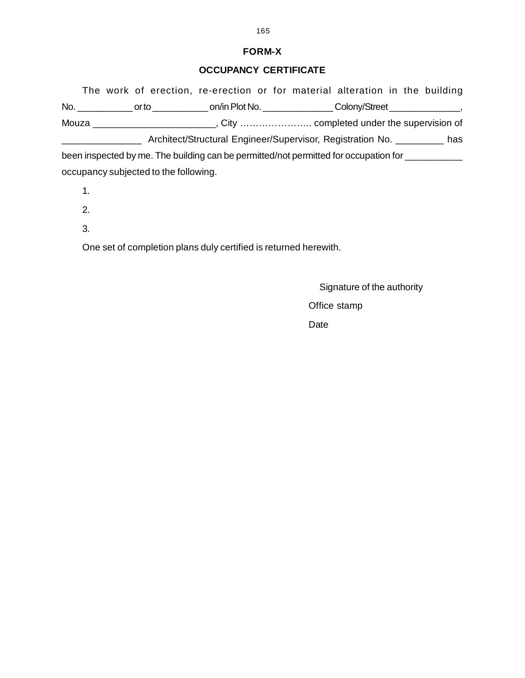### **FORM-X**

### **OCCUPANCY CERTIFICATE**

The work of erection, re-erection or for material alteration in the building No. \_\_\_\_\_\_\_\_\_\_\_ or to \_\_\_\_\_\_\_\_\_\_\_ on/in Plot No. \_\_\_\_\_\_\_\_\_\_\_\_\_\_ Colony/Street \_\_\_\_\_\_\_\_\_\_\_\_\_\_, Mouza \_\_\_\_\_\_\_\_\_\_\_\_\_\_\_\_\_\_\_\_\_\_\_, City ………………….. completed under the supervision of \_\_\_\_\_\_\_\_\_\_\_\_\_\_\_ Architect/Structural Engineer/Supervisor, Registration No. \_\_\_\_\_\_\_\_\_ has been inspected by me. The building can be permitted/not permitted for occupation for

occupancy subjected to the following.

1.

2.

3.

One set of completion plans duly certified is returned herewith.

Signature of the authority

Office stamp

Date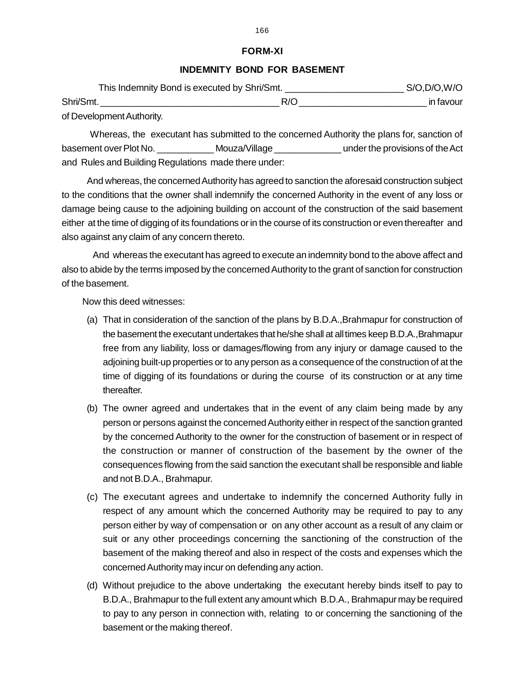### **FORM-XI**

#### **INDEMNITY BOND FOR BASEMENT**

| This Indemnity Bond is executed by Shri/Smt. | $S/O$ , $D/O$ , $W/O$ |           |
|----------------------------------------------|-----------------------|-----------|
| Shri/Smt.                                    | R/O                   | in favour |
| of Development Authority.                    |                       |           |

 Whereas, the executant has submitted to the concerned Authority the plans for, sanction of basement over Plot No.  $\blacksquare$  Mouza/Village  $\blacksquare$  under the provisions of the Act and Rules and Building Regulations made there under:

 And whereas, the concerned Authority has agreed to sanction the aforesaid construction subject to the conditions that the owner shall indemnify the concerned Authority in the event of any loss or damage being cause to the adjoining building on account of the construction of the said basement either at the time of digging of its foundations or in the course of its construction or even thereafter and also against any claim of any concern thereto.

 And whereas the executant has agreed to execute an indemnity bond to the above affect and also to abide by the terms imposed by the concerned Authority to the grant of sanction for construction of the basement.

Now this deed witnesses:

- (a) That in consideration of the sanction of the plans by B.D.A.,Brahmapur for construction of the basement the executant undertakes that he/she shall at all times keep B.D.A.,Brahmapur free from any liability, loss or damages/flowing from any injury or damage caused to the adjoining built-up properties or to any person as a consequence of the construction of at the time of digging of its foundations or during the course of its construction or at any time thereafter.
- (b) The owner agreed and undertakes that in the event of any claim being made by any person or persons against the concerned Authority either in respect of the sanction granted by the concerned Authority to the owner for the construction of basement or in respect of the construction or manner of construction of the basement by the owner of the consequences flowing from the said sanction the executant shall be responsible and liable and not B.D.A., Brahmapur.
- (c) The executant agrees and undertake to indemnify the concerned Authority fully in respect of any amount which the concerned Authority may be required to pay to any person either by way of compensation or on any other account as a result of any claim or suit or any other proceedings concerning the sanctioning of the construction of the basement of the making thereof and also in respect of the costs and expenses which the concerned Authority may incur on defending any action.
- (d) Without prejudice to the above undertaking the executant hereby binds itself to pay to B.D.A., Brahmapur to the full extent any amount which B.D.A., Brahmapur may be required to pay to any person in connection with, relating to or concerning the sanctioning of the basement or the making thereof.

#### 166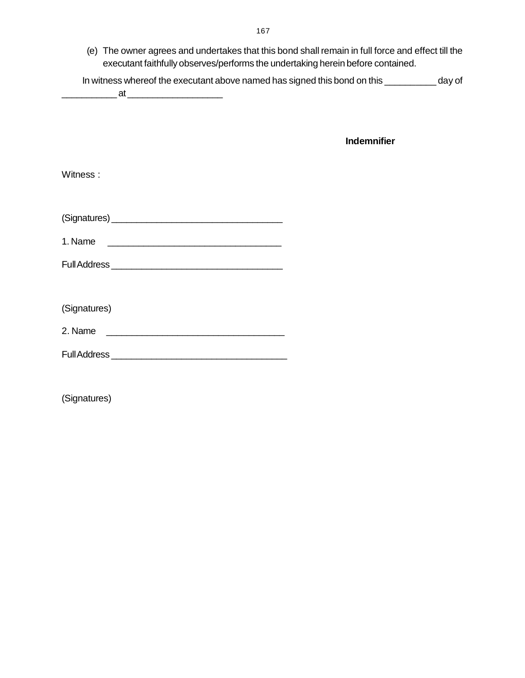(e) The owner agrees and undertakes that this bond shall remain in full force and effect till th[e](http://www.docu-track.com/buy/) executant faithfully observes/performs the undertaking herein before contained.

| In witness whereof the executant above named has signed this bond on this | day of |
|---------------------------------------------------------------------------|--------|
|                                                                           |        |

**Indemnifier**

| Witness:                                                                                                                        |  |
|---------------------------------------------------------------------------------------------------------------------------------|--|
|                                                                                                                                 |  |
| 1. Name<br><u> 1989 - Jan Stein Stein, fransk politik (d. 1989)</u>                                                             |  |
|                                                                                                                                 |  |
|                                                                                                                                 |  |
| (Signatures)                                                                                                                    |  |
| 2. Name<br><u> 1980 - Johann John Stein, markin fan it fjort fan de ferstjer fan it fjort fan de ferstjer fan de ferstjer f</u> |  |
|                                                                                                                                 |  |
|                                                                                                                                 |  |

(Signatures)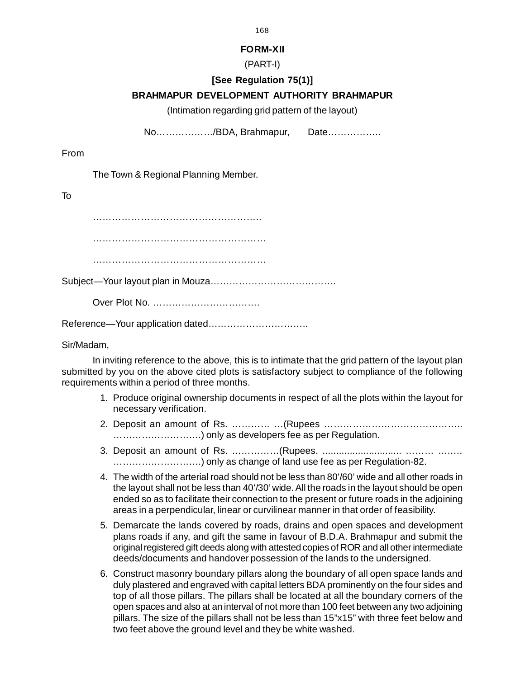### **FORM-XII**

### (PART-I)

# **[See Regulation 75(1)]**

# **BRAHMAPUR DEVELOPMENT AUTHORITY BRAHMAPUR**

(Intimation regarding grid pattern of the layout)

No………………/BDA, Brahmapur, Date……………..

From

The Town & Regional Planning Member.

To

……………………………………………..

…………………………………………………………

………………………………………………………………

Subject—Your layout plan in Mouza………………………………….

Over Plot No. …………………………….

Reference—Your application dated…………………………..

Sir/Madam,

In inviting reference to the above, this is to intimate that the grid pattern of the layout plan submitted by you on the above cited plots is satisfactory subject to compliance of the following requirements within a period of three months.

- 1. Produce original ownership documents in respect of all the plots within the layout for necessary verification.
- 2. Deposit an amount of Rs. ………… …(Rupees …………………………………….. ……………………….) only as developers fee as per Regulation.
- 3. Deposit an amount of Rs. ……………(Rupees. ............................. ……… …..… ……………………….) only as change of land use fee as per Regulation-82.
- 4. The width of the arterial road should not be less than 80'/60' wide and all other roads in the layout shall not be less than 40'/30' wide. All the roads in the layout should be open ended so as to facilitate their connection to the present or future roads in the adjoining areas in a perpendicular, linear or curvilinear manner in that order of feasibility.
- 5. Demarcate the lands covered by roads, drains and open spaces and development plans roads if any, and gift the same in favour of B.D.A. Brahmapur and submit the original registered gift deeds along with attested copies of ROR and all other intermediate deeds/documents and handover possession of the lands to the undersigned.
- 6. Construct masonry boundary pillars along the boundary of all open space lands and duly plastered and engraved with capital letters BDA prominently on the four sides and top of all those pillars. The pillars shall be located at all the boundary corners of the open spaces and also at an interval of not more than 100 feet between any two adjoining pillars. The size of the pillars shall not be less than 15"x15" with three feet below and two feet above the ground level and they be white washed.

168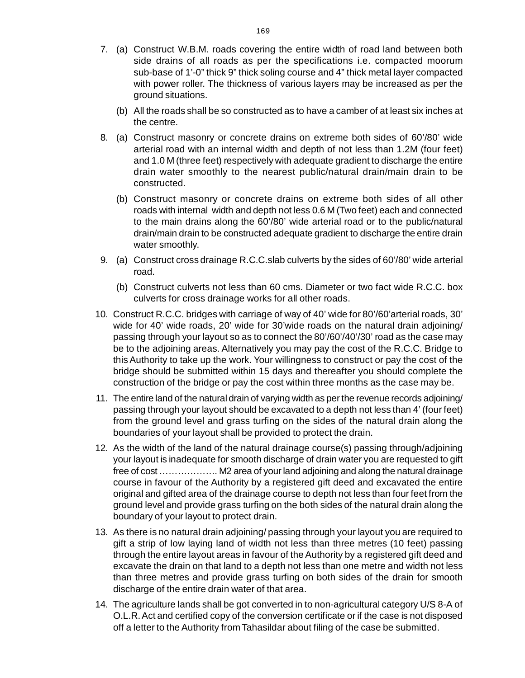- 7. (a) Construct W.B.M. roads covering the entire width of road land between bot[h](http://www.docu-track.com/buy/) side drains of all roads as per the specifications i.e. compacted moorum sub-base of 1'-0" thick 9" thick soling course and 4" thick metal layer compacted with power roller. The thickness of various layers may be increased as per the ground situations.
	- (b) All the roads shall be so constructed as to have a camber of at least six inches at the centre.
- 8. (a) Construct masonry or concrete drains on extreme both sides of 60'/80' wide arterial road with an internal width and depth of not less than 1.2M (four feet) and 1.0 M (three feet) respectively with adequate gradient to discharge the entire drain water smoothly to the nearest public/natural drain/main drain to be constructed.
	- (b) Construct masonry or concrete drains on extreme both sides of all other roads with internal width and depth not less 0.6 M (Two feet) each and connected to the main drains along the 60'/80' wide arterial road or to the public/natural drain/main drain to be constructed adequate gradient to discharge the entire drain water smoothly.
- 9. (a) Construct cross drainage R.C.C.slab culverts by the sides of 60'/80' wide arterial road.
	- (b) Construct culverts not less than 60 cms. Diameter or two fact wide R.C.C. box culverts for cross drainage works for all other roads.
- 10. Construct R.C.C. bridges with carriage of way of 40' wide for 80'/60'arterial roads, 30' wide for 40' wide roads, 20' wide for 30'wide roads on the natural drain adjoining/ passing through your layout so as to connect the 80'/60'/40'/30' road as the case may be to the adjoining areas. Alternatively you may pay the cost of the R.C.C. Bridge to this Authority to take up the work. Your willingness to construct or pay the cost of the bridge should be submitted within 15 days and thereafter you should complete the construction of the bridge or pay the cost within three months as the case may be.
- 11. The entire land of the natural drain of varying width as per the revenue records adjoining/ passing through your layout should be excavated to a depth not less than 4' (four feet) from the ground level and grass turfing on the sides of the natural drain along the boundaries of your layout shall be provided to protect the drain.
- 12. As the width of the land of the natural drainage course(s) passing through/adjoining your layout is inadequate for smooth discharge of drain water you are requested to gift free of cost ………………. M2 area of your land adjoining and along the natural drainage course in favour of the Authority by a registered gift deed and excavated the entire original and gifted area of the drainage course to depth not less than four feet from the ground level and provide grass turfing on the both sides of the natural drain along the boundary of your layout to protect drain.
- 13. As there is no natural drain adjoining/ passing through your layout you are required to gift a strip of low laying land of width not less than three metres (10 feet) passing through the entire layout areas in favour of the Authority by a registered gift deed and excavate the drain on that land to a depth not less than one metre and width not less than three metres and provide grass turfing on both sides of the drain for smooth discharge of the entire drain water of that area.
- 14. The agriculture lands shall be got converted in to non-agricultural category U/S 8-A of O.L.R. Act and certified copy of the conversion certificate or if the case is not disposed off a letter to the Authority from Tahasildar about filing of the case be submitted.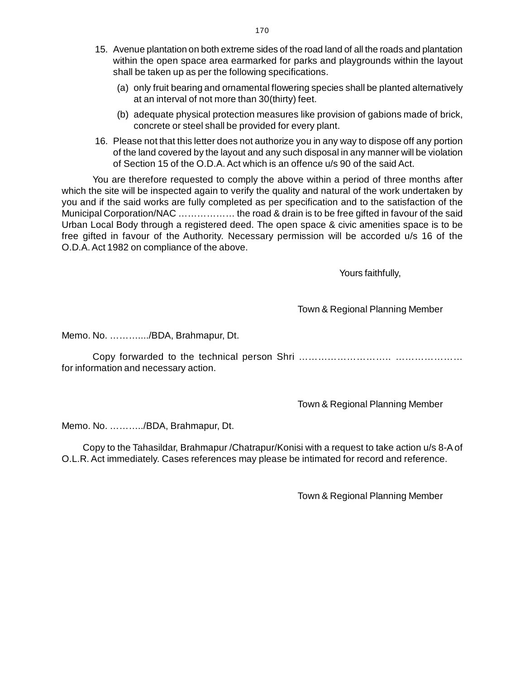- 15. Avenue plantation on both extreme sides of the road land of all the roads and plantatio[n](http://www.docu-track.com/buy/) within the open space area earmarked for parks and playgrounds within the layout shall be taken up as per the following specifications.
	- (a) only fruit bearing and ornamental flowering species shall be planted alternatively at an interval of not more than 30(thirty) feet.
	- (b) adequate physical protection measures like provision of gabions made of brick, concrete or steel shall be provided for every plant.
- 16. Please not that this letter does not authorize you in any way to dispose off any portion of the land covered by the layout and any such disposal in any manner will be violation of Section 15 of the O.D.A. Act which is an offence u/s 90 of the said Act.

You are therefore requested to comply the above within a period of three months after which the site will be inspected again to verify the quality and natural of the work undertaken by you and if the said works are fully completed as per specification and to the satisfaction of the Municipal Corporation/NAC ……………… the road & drain is to be free gifted in favour of the said Urban Local Body through a registered deed. The open space & civic amenities space is to be free gifted in favour of the Authority. Necessary permission will be accorded u/s 16 of the O.D.A. Act 1982 on compliance of the above.

Yours faithfully,

Town & Regional Planning Member

Memo. No. ………..../BDA, Brahmapur, Dt.

Copy forwarded to the technical person Shri ……………………….. ………………… for information and necessary action.

Town & Regional Planning Member

Memo. No. ………../BDA, Brahmapur, Dt.

 Copy to the Tahasildar, Brahmapur /Chatrapur/Konisi with a request to take action u/s 8-A of O.L.R. Act immediately. Cases references may please be intimated for record and reference.

Town & Regional Planning Member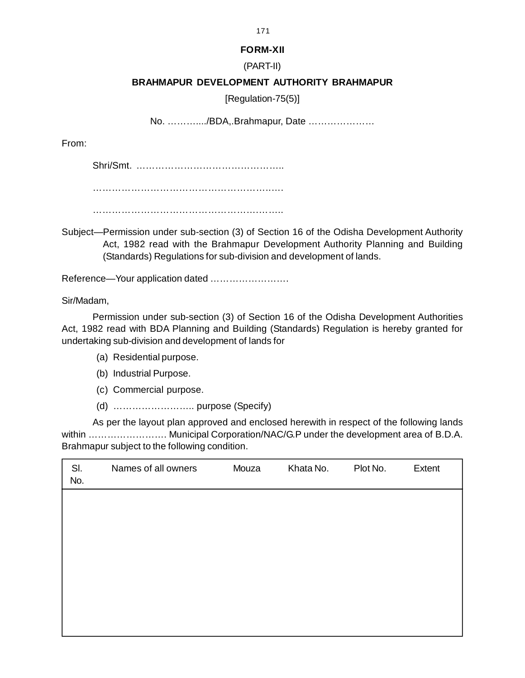## **FORM-XII**

# (PART-II)

# **BRAHMAPUR DEVELOPMENT AUTHORITY BRAHMAPUR**

[Regulation-75(5)]

No. ………..../BDA,.Brahmapur, Date …………………

From:

Shri/Smt. ………………………………………..

………………………………………………..….

…………………………………………….……..

Subject—Permission under sub-section (3) of Section 16 of the Odisha Development Authority Act, 1982 read with the Brahmapur Development Authority Planning and Building (Standards) Regulations for sub-division and development of lands.

Reference—Your application dated …………………….

Sir/Madam,

Permission under sub-section (3) of Section 16 of the Odisha Development Authorities Act, 1982 read with BDA Planning and Building (Standards) Regulation is hereby granted for undertaking sub-division and development of lands for

- (a) Residential purpose.
- (b) Industrial Purpose.
- (c) Commercial purpose.
- (d) …………………….. purpose (Specify)

As per the layout plan approved and enclosed herewith in respect of the following lands within .......................... Municipal Corporation/NAC/G.P under the development area of B.D.A. Brahmapur subject to the following condition.

| SI.<br>No. | Names of all owners | Mouza | Khata No. | Plot No. | Extent |
|------------|---------------------|-------|-----------|----------|--------|
|            |                     |       |           |          |        |
|            |                     |       |           |          |        |
|            |                     |       |           |          |        |
|            |                     |       |           |          |        |
|            |                     |       |           |          |        |

171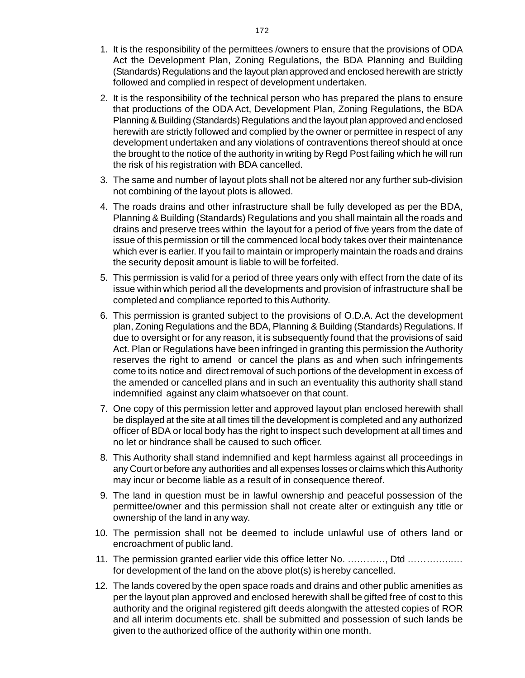- 1. It is the responsibility of the permittees /owners to ensure that the provisions of OD[A](http://www.docu-track.com/buy/) Act the Development Plan, Zoning Regulations, the BDA Planning and Building (Standards) Regulations and the layout plan approved and enclosed herewith are strictly followed and complied in respect of development undertaken.
- 2. It is the responsibility of the technical person who has prepared the plans to ensure that productions of the ODA Act, Development Plan, Zoning Regulations, the BDA Planning & Building (Standards) Regulations and the layout plan approved and enclosed herewith are strictly followed and complied by the owner or permittee in respect of any development undertaken and any violations of contraventions thereof should at once the brought to the notice of the authority in writing by Regd Post failing which he will run the risk of his registration with BDA cancelled.
- 3. The same and number of layout plots shall not be altered nor any further sub-division not combining of the layout plots is allowed.
- 4. The roads drains and other infrastructure shall be fully developed as per the BDA, Planning & Building (Standards) Regulations and you shall maintain all the roads and drains and preserve trees within the layout for a period of five years from the date of issue of this permission or till the commenced local body takes over their maintenance which ever is earlier. If you fail to maintain or improperly maintain the roads and drains the security deposit amount is liable to will be forfeited.
- 5. This permission is valid for a period of three years only with effect from the date of its issue within which period all the developments and provision of infrastructure shall be completed and compliance reported to this Authority.
- 6. This permission is granted subject to the provisions of O.D.A. Act the development plan, Zoning Regulations and the BDA, Planning & Building (Standards) Regulations. If due to oversight or for any reason, it is subsequently found that the provisions of said Act. Plan or Regulations have been infringed in granting this permission the Authority reserves the right to amend or cancel the plans as and when such infringements come to its notice and direct removal of such portions of the development in excess of the amended or cancelled plans and in such an eventuality this authority shall stand indemnified against any claim whatsoever on that count.
- 7. One copy of this permission letter and approved layout plan enclosed herewith shall be displayed at the site at all times till the development is completed and any authorized officer of BDA or local body has the right to inspect such development at all times and no let or hindrance shall be caused to such officer.
- 8. This Authority shall stand indemnified and kept harmless against all proceedings in any Court or before any authorities and all expenses losses or claims which this Authority may incur or become liable as a result of in consequence thereof.
- 9. The land in question must be in lawful ownership and peaceful possession of the permittee/owner and this permission shall not create alter or extinguish any title or ownership of the land in any way.
- 10. The permission shall not be deemed to include unlawful use of others land or encroachment of public land.
- 11. The permission granted earlier vide this office letter No. …………, Dtd ……….…..… for development of the land on the above plot(s) is hereby cancelled.
- 12. The lands covered by the open space roads and drains and other public amenities as per the layout plan approved and enclosed herewith shall be gifted free of cost to this authority and the original registered gift deeds alongwith the attested copies of ROR and all interim documents etc. shall be submitted and possession of such lands be given to the authorized office of the authority within one month.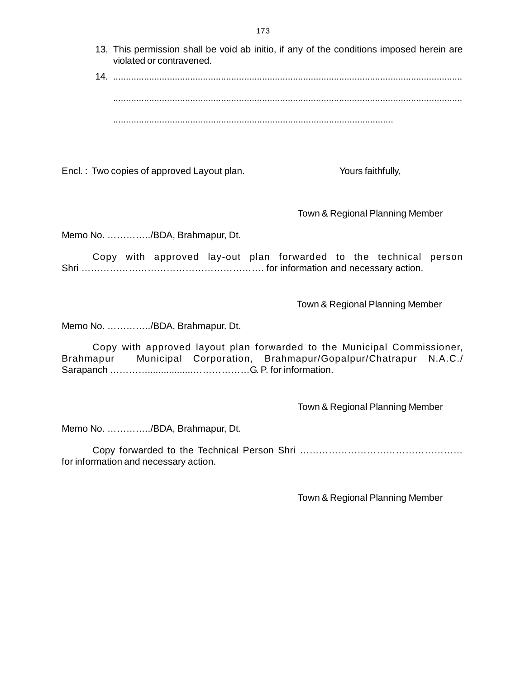- 13. This permission shall be void ab initio, if any of the conditions imposed herein ar[e](http://www.docu-track.com/buy/) violated or contravened.
- 14. ........................................................................................................................................ ........................................................................................................................................

.............................................................................................................

Encl. : Two copies of approved Layout plan. The state of the Yours faithfully,

Town & Regional Planning Member

Memo No. …………../BDA, Brahmapur, Dt.

Copy with approved lay-out plan forwarded to the technical person Shri …………………………………………………. for information and necessary action.

Town & Regional Planning Member

Memo No. …………../BDA, Brahmapur. Dt.

Copy with approved layout plan forwarded to the Municipal Commissioner, Brahmapur Municipal Corporation, Brahmapur/Gopalpur/Chatrapur N.A.C./ Sarapanch ………….................………………G. P. for information.

Town & Regional Planning Member

Memo No. …………../BDA, Brahmapur, Dt.

Copy forwarded to the Technical Person Shri …………………………………………… for information and necessary action.

Town & Regional Planning Member